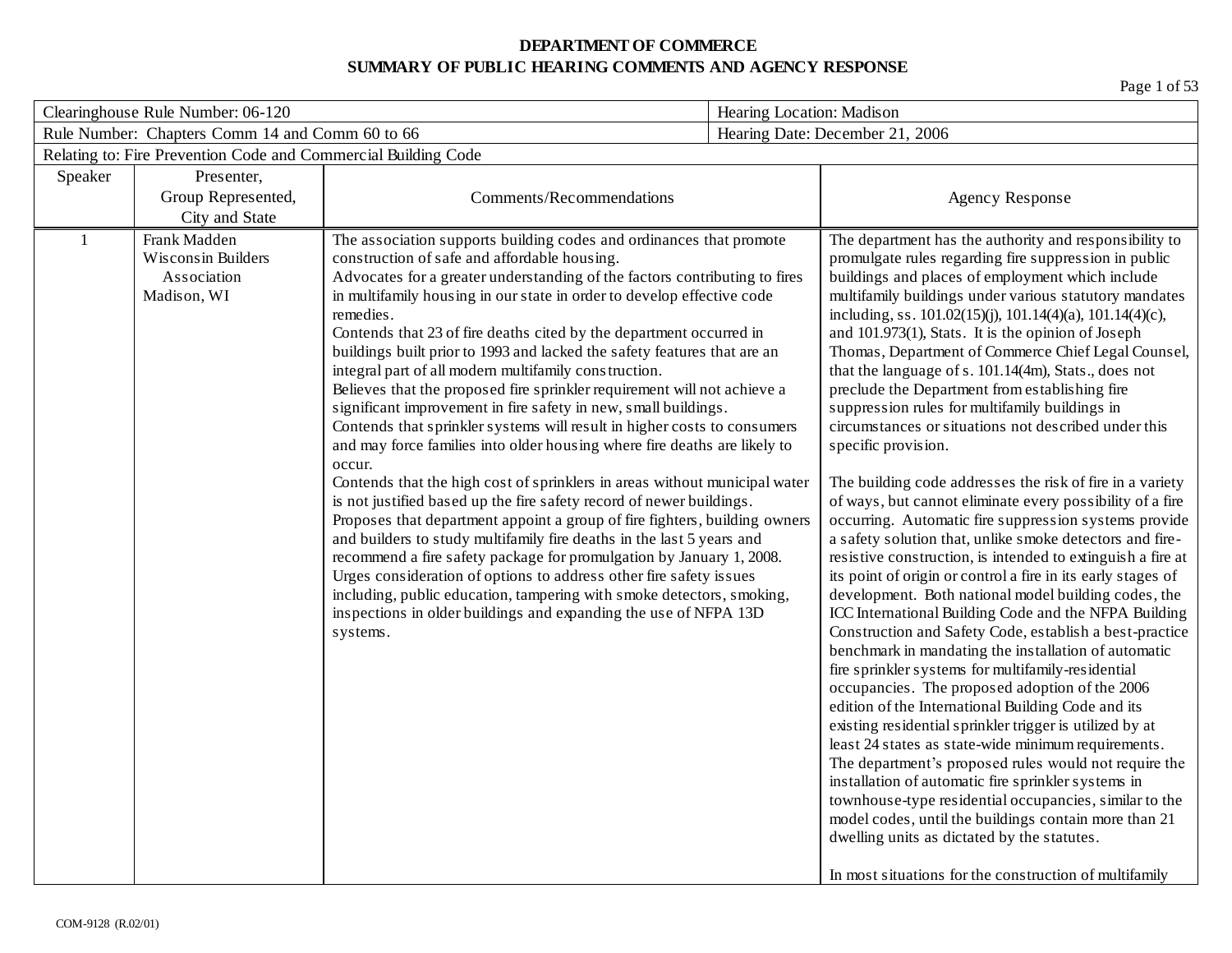| Clearinghouse Rule Number: 06-120                              |                                                                  | Hearing Location: Madison                                                                                                                                                                                                                                                                                                                                                                                                                                                                                                                                                                                                                                                                                                                                                                                                                                                                                                                                                                                                                                                                                                                                                                                                                                                                                                                                                                                                                  |  |                                                                                                                                                                                                                                                                                                                                                                                                                                                                                                                                                                                                                                                                                                                                                                                                                                                                                                                                                                                                                                                                                                                                                                                                                                                                                                                                                                                                                                                                                                                                                                                                                                                                                                                                                                                                                                                                                                   |
|----------------------------------------------------------------|------------------------------------------------------------------|--------------------------------------------------------------------------------------------------------------------------------------------------------------------------------------------------------------------------------------------------------------------------------------------------------------------------------------------------------------------------------------------------------------------------------------------------------------------------------------------------------------------------------------------------------------------------------------------------------------------------------------------------------------------------------------------------------------------------------------------------------------------------------------------------------------------------------------------------------------------------------------------------------------------------------------------------------------------------------------------------------------------------------------------------------------------------------------------------------------------------------------------------------------------------------------------------------------------------------------------------------------------------------------------------------------------------------------------------------------------------------------------------------------------------------------------|--|---------------------------------------------------------------------------------------------------------------------------------------------------------------------------------------------------------------------------------------------------------------------------------------------------------------------------------------------------------------------------------------------------------------------------------------------------------------------------------------------------------------------------------------------------------------------------------------------------------------------------------------------------------------------------------------------------------------------------------------------------------------------------------------------------------------------------------------------------------------------------------------------------------------------------------------------------------------------------------------------------------------------------------------------------------------------------------------------------------------------------------------------------------------------------------------------------------------------------------------------------------------------------------------------------------------------------------------------------------------------------------------------------------------------------------------------------------------------------------------------------------------------------------------------------------------------------------------------------------------------------------------------------------------------------------------------------------------------------------------------------------------------------------------------------------------------------------------------------------------------------------------------------|
|                                                                | Rule Number: Chapters Comm 14 and Comm 60 to 66                  |                                                                                                                                                                                                                                                                                                                                                                                                                                                                                                                                                                                                                                                                                                                                                                                                                                                                                                                                                                                                                                                                                                                                                                                                                                                                                                                                                                                                                                            |  | Hearing Date: December 21, 2006                                                                                                                                                                                                                                                                                                                                                                                                                                                                                                                                                                                                                                                                                                                                                                                                                                                                                                                                                                                                                                                                                                                                                                                                                                                                                                                                                                                                                                                                                                                                                                                                                                                                                                                                                                                                                                                                   |
| Relating to: Fire Prevention Code and Commercial Building Code |                                                                  |                                                                                                                                                                                                                                                                                                                                                                                                                                                                                                                                                                                                                                                                                                                                                                                                                                                                                                                                                                                                                                                                                                                                                                                                                                                                                                                                                                                                                                            |  |                                                                                                                                                                                                                                                                                                                                                                                                                                                                                                                                                                                                                                                                                                                                                                                                                                                                                                                                                                                                                                                                                                                                                                                                                                                                                                                                                                                                                                                                                                                                                                                                                                                                                                                                                                                                                                                                                                   |
| Speaker                                                        | Presenter,                                                       |                                                                                                                                                                                                                                                                                                                                                                                                                                                                                                                                                                                                                                                                                                                                                                                                                                                                                                                                                                                                                                                                                                                                                                                                                                                                                                                                                                                                                                            |  |                                                                                                                                                                                                                                                                                                                                                                                                                                                                                                                                                                                                                                                                                                                                                                                                                                                                                                                                                                                                                                                                                                                                                                                                                                                                                                                                                                                                                                                                                                                                                                                                                                                                                                                                                                                                                                                                                                   |
|                                                                | Group Represented,                                               | Comments/Recommendations                                                                                                                                                                                                                                                                                                                                                                                                                                                                                                                                                                                                                                                                                                                                                                                                                                                                                                                                                                                                                                                                                                                                                                                                                                                                                                                                                                                                                   |  | <b>Agency Response</b>                                                                                                                                                                                                                                                                                                                                                                                                                                                                                                                                                                                                                                                                                                                                                                                                                                                                                                                                                                                                                                                                                                                                                                                                                                                                                                                                                                                                                                                                                                                                                                                                                                                                                                                                                                                                                                                                            |
|                                                                | City and State                                                   |                                                                                                                                                                                                                                                                                                                                                                                                                                                                                                                                                                                                                                                                                                                                                                                                                                                                                                                                                                                                                                                                                                                                                                                                                                                                                                                                                                                                                                            |  |                                                                                                                                                                                                                                                                                                                                                                                                                                                                                                                                                                                                                                                                                                                                                                                                                                                                                                                                                                                                                                                                                                                                                                                                                                                                                                                                                                                                                                                                                                                                                                                                                                                                                                                                                                                                                                                                                                   |
|                                                                | Frank Madden<br>Wisconsin Builders<br>Association<br>Madison, WI | The association supports building codes and ordinances that promote<br>construction of safe and affordable housing.<br>Advocates for a greater understanding of the factors contributing to fires<br>in multifamily housing in our state in order to develop effective code<br>remedies.<br>Contends that 23 of fire deaths cited by the department occurred in<br>buildings built prior to 1993 and lacked the safety features that are an<br>integral part of all modern multifamily construction.<br>Believes that the proposed fire sprinkler requirement will not achieve a<br>significant improvement in fire safety in new, small buildings.<br>Contends that sprinkler systems will result in higher costs to consumers<br>and may force families into older housing where fire deaths are likely to<br>occur.<br>Contends that the high cost of sprinklers in areas without municipal water<br>is not justified based up the fire safety record of newer buildings.<br>Proposes that department appoint a group of fire fighters, building owners<br>and builders to study multifamily fire deaths in the last 5 years and<br>recommend a fire safety package for promulgation by January 1, 2008.<br>Urges consideration of options to address other fire safety issues<br>including, public education, tampering with smoke detectors, smoking,<br>inspections in older buildings and expanding the use of NFPA 13D<br>systems. |  | The department has the authority and responsibility to<br>promulgate rules regarding fire suppression in public<br>buildings and places of employment which include<br>multifamily buildings under various statutory mandates<br>including, ss. 101.02(15)(j), 101.14(4)(a), 101.14(4)(c),<br>and 101.973(1), Stats. It is the opinion of Joseph<br>Thomas, Department of Commerce Chief Legal Counsel,<br>that the language of s. 101.14(4m), Stats., does not<br>preclude the Department from establishing fire<br>suppression rules for multifamily buildings in<br>circumstances or situations not described under this<br>specific provision.<br>The building code addresses the risk of fire in a variety<br>of ways, but cannot eliminate every possibility of a fire<br>occurring. Automatic fire suppression systems provide<br>a safety solution that, unlike smoke detectors and fire-<br>resistive construction, is intended to extinguish a fire at<br>its point of origin or control a fire in its early stages of<br>development. Both national model building codes, the<br>ICC International Building Code and the NFPA Building<br>Construction and Safety Code, establish a best-practice<br>benchmark in mandating the installation of automatic<br>fire sprinkler systems for multifamily-residential<br>occupancies. The proposed adoption of the 2006<br>edition of the International Building Code and its<br>existing residential sprinkler trigger is utilized by at<br>least 24 states as state-wide minimum requirements.<br>The department's proposed rules would not require the<br>installation of automatic fire sprinkler systems in<br>townhouse-type residential occupancies, similar to the<br>model codes, until the buildings contain more than 21<br>dwelling units as dictated by the statutes.<br>In most situations for the construction of multifamily |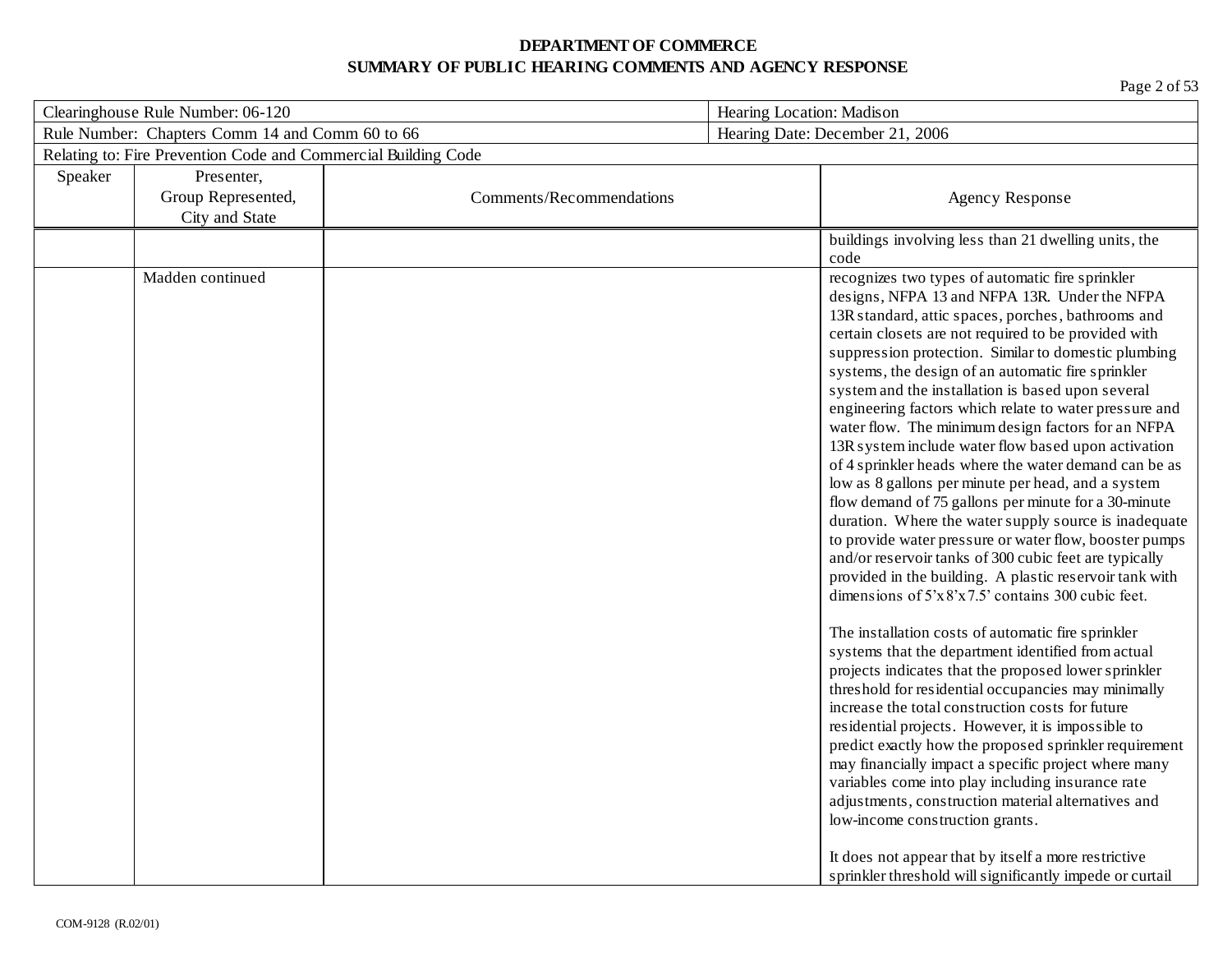| Clearinghouse Rule Number: 06-120 |                                                                |                          | Hearing Location: Madison                                                                                                                                                                                                                                                                                                                                                                                                                                                                                                                                                                                                                                                                                                                                                                                                                                                                                                                                                                                                                                                                                                                                                                                                                                                                                                                                                                                                                                                                                                                                                                                                                                                                    |  |
|-----------------------------------|----------------------------------------------------------------|--------------------------|----------------------------------------------------------------------------------------------------------------------------------------------------------------------------------------------------------------------------------------------------------------------------------------------------------------------------------------------------------------------------------------------------------------------------------------------------------------------------------------------------------------------------------------------------------------------------------------------------------------------------------------------------------------------------------------------------------------------------------------------------------------------------------------------------------------------------------------------------------------------------------------------------------------------------------------------------------------------------------------------------------------------------------------------------------------------------------------------------------------------------------------------------------------------------------------------------------------------------------------------------------------------------------------------------------------------------------------------------------------------------------------------------------------------------------------------------------------------------------------------------------------------------------------------------------------------------------------------------------------------------------------------------------------------------------------------|--|
|                                   | Rule Number: Chapters Comm 14 and Comm 60 to 66                |                          | Hearing Date: December 21, 2006                                                                                                                                                                                                                                                                                                                                                                                                                                                                                                                                                                                                                                                                                                                                                                                                                                                                                                                                                                                                                                                                                                                                                                                                                                                                                                                                                                                                                                                                                                                                                                                                                                                              |  |
|                                   | Relating to: Fire Prevention Code and Commercial Building Code |                          |                                                                                                                                                                                                                                                                                                                                                                                                                                                                                                                                                                                                                                                                                                                                                                                                                                                                                                                                                                                                                                                                                                                                                                                                                                                                                                                                                                                                                                                                                                                                                                                                                                                                                              |  |
| Speaker                           | Presenter,                                                     |                          |                                                                                                                                                                                                                                                                                                                                                                                                                                                                                                                                                                                                                                                                                                                                                                                                                                                                                                                                                                                                                                                                                                                                                                                                                                                                                                                                                                                                                                                                                                                                                                                                                                                                                              |  |
|                                   | Group Represented,                                             | Comments/Recommendations | <b>Agency Response</b>                                                                                                                                                                                                                                                                                                                                                                                                                                                                                                                                                                                                                                                                                                                                                                                                                                                                                                                                                                                                                                                                                                                                                                                                                                                                                                                                                                                                                                                                                                                                                                                                                                                                       |  |
|                                   | City and State                                                 |                          |                                                                                                                                                                                                                                                                                                                                                                                                                                                                                                                                                                                                                                                                                                                                                                                                                                                                                                                                                                                                                                                                                                                                                                                                                                                                                                                                                                                                                                                                                                                                                                                                                                                                                              |  |
|                                   |                                                                |                          | buildings involving less than 21 dwelling units, the<br>code                                                                                                                                                                                                                                                                                                                                                                                                                                                                                                                                                                                                                                                                                                                                                                                                                                                                                                                                                                                                                                                                                                                                                                                                                                                                                                                                                                                                                                                                                                                                                                                                                                 |  |
|                                   | Madden continued                                               |                          | recognizes two types of automatic fire sprinkler<br>designs, NFPA 13 and NFPA 13R. Under the NFPA<br>13R standard, attic spaces, porches, bathrooms and<br>certain closets are not required to be provided with<br>suppression protection. Similar to domestic plumbing<br>systems, the design of an automatic fire sprinkler<br>system and the installation is based upon several<br>engineering factors which relate to water pressure and<br>water flow. The minimum design factors for an NFPA<br>13R system include water flow based upon activation<br>of 4 sprinkler heads where the water demand can be as<br>low as 8 gallons per minute per head, and a system<br>flow demand of 75 gallons per minute for a 30-minute<br>duration. Where the water supply source is inadequate<br>to provide water pressure or water flow, booster pumps<br>and/or reservoir tanks of 300 cubic feet are typically<br>provided in the building. A plastic reservoir tank with<br>dimensions of $5x8'x7.5'$ contains 300 cubic feet.<br>The installation costs of automatic fire sprinkler<br>systems that the department identified from actual<br>projects indicates that the proposed lower sprinkler<br>threshold for residential occupancies may minimally<br>increase the total construction costs for future<br>residential projects. However, it is impossible to<br>predict exactly how the proposed sprinkler requirement<br>may financially impact a specific project where many<br>variables come into play including insurance rate<br>adjustments, construction material alternatives and<br>low-income construction grants.<br>It does not appear that by itself a more restrictive |  |
|                                   |                                                                |                          | sprinkler threshold will significantly impede or curtail                                                                                                                                                                                                                                                                                                                                                                                                                                                                                                                                                                                                                                                                                                                                                                                                                                                                                                                                                                                                                                                                                                                                                                                                                                                                                                                                                                                                                                                                                                                                                                                                                                     |  |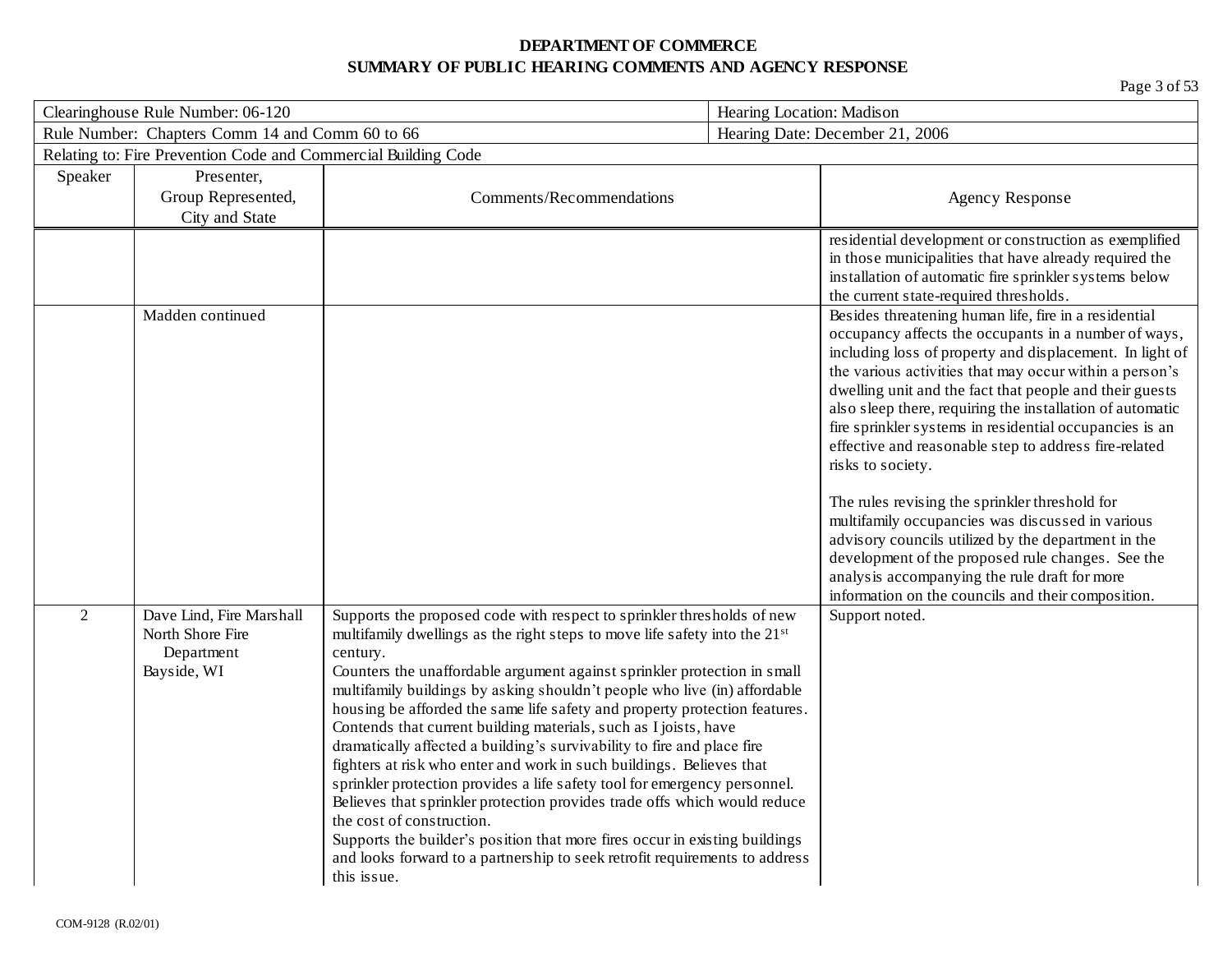| Clearinghouse Rule Number: 06-120 |                                                                           |                                                                                                                                                                                                                                                                                                                                                                                                                                                                                                                                                                                                                                                                                                                                                                                                                                                                                                                                                                                                                | Hearing Location: Madison                                                                                                                                                                                                                                                                                                                                                                                                                                                                                                                                                                                                                                                                                               |
|-----------------------------------|---------------------------------------------------------------------------|----------------------------------------------------------------------------------------------------------------------------------------------------------------------------------------------------------------------------------------------------------------------------------------------------------------------------------------------------------------------------------------------------------------------------------------------------------------------------------------------------------------------------------------------------------------------------------------------------------------------------------------------------------------------------------------------------------------------------------------------------------------------------------------------------------------------------------------------------------------------------------------------------------------------------------------------------------------------------------------------------------------|-------------------------------------------------------------------------------------------------------------------------------------------------------------------------------------------------------------------------------------------------------------------------------------------------------------------------------------------------------------------------------------------------------------------------------------------------------------------------------------------------------------------------------------------------------------------------------------------------------------------------------------------------------------------------------------------------------------------------|
|                                   | Rule Number: Chapters Comm 14 and Comm 60 to 66                           |                                                                                                                                                                                                                                                                                                                                                                                                                                                                                                                                                                                                                                                                                                                                                                                                                                                                                                                                                                                                                | Hearing Date: December 21, 2006                                                                                                                                                                                                                                                                                                                                                                                                                                                                                                                                                                                                                                                                                         |
|                                   | Relating to: Fire Prevention Code and Commercial Building Code            |                                                                                                                                                                                                                                                                                                                                                                                                                                                                                                                                                                                                                                                                                                                                                                                                                                                                                                                                                                                                                |                                                                                                                                                                                                                                                                                                                                                                                                                                                                                                                                                                                                                                                                                                                         |
| Speaker                           | Presenter,                                                                |                                                                                                                                                                                                                                                                                                                                                                                                                                                                                                                                                                                                                                                                                                                                                                                                                                                                                                                                                                                                                |                                                                                                                                                                                                                                                                                                                                                                                                                                                                                                                                                                                                                                                                                                                         |
|                                   | Group Represented,                                                        | Comments/Recommendations                                                                                                                                                                                                                                                                                                                                                                                                                                                                                                                                                                                                                                                                                                                                                                                                                                                                                                                                                                                       | <b>Agency Response</b>                                                                                                                                                                                                                                                                                                                                                                                                                                                                                                                                                                                                                                                                                                  |
|                                   | City and State                                                            |                                                                                                                                                                                                                                                                                                                                                                                                                                                                                                                                                                                                                                                                                                                                                                                                                                                                                                                                                                                                                |                                                                                                                                                                                                                                                                                                                                                                                                                                                                                                                                                                                                                                                                                                                         |
|                                   |                                                                           |                                                                                                                                                                                                                                                                                                                                                                                                                                                                                                                                                                                                                                                                                                                                                                                                                                                                                                                                                                                                                | residential development or construction as exemplified<br>in those municipalities that have already required the<br>installation of automatic fire sprinkler systems below                                                                                                                                                                                                                                                                                                                                                                                                                                                                                                                                              |
|                                   |                                                                           |                                                                                                                                                                                                                                                                                                                                                                                                                                                                                                                                                                                                                                                                                                                                                                                                                                                                                                                                                                                                                | the current state-required thresholds.                                                                                                                                                                                                                                                                                                                                                                                                                                                                                                                                                                                                                                                                                  |
|                                   | Madden continued                                                          |                                                                                                                                                                                                                                                                                                                                                                                                                                                                                                                                                                                                                                                                                                                                                                                                                                                                                                                                                                                                                | Besides threatening human life, fire in a residential<br>occupancy affects the occupants in a number of ways,<br>including loss of property and displacement. In light of<br>the various activities that may occur within a person's<br>dwelling unit and the fact that people and their guests<br>also sleep there, requiring the installation of automatic<br>fire sprinkler systems in residential occupancies is an<br>effective and reasonable step to address fire-related<br>risks to society.<br>The rules revising the sprinkler threshold for<br>multifamily occupancies was discussed in various<br>advisory councils utilized by the department in the<br>development of the proposed rule changes. See the |
|                                   |                                                                           |                                                                                                                                                                                                                                                                                                                                                                                                                                                                                                                                                                                                                                                                                                                                                                                                                                                                                                                                                                                                                | analysis accompanying the rule draft for more                                                                                                                                                                                                                                                                                                                                                                                                                                                                                                                                                                                                                                                                           |
| 2                                 | Dave Lind, Fire Marshall<br>North Shore Fire<br>Department<br>Bayside, WI | Supports the proposed code with respect to sprinkler thresholds of new<br>multifamily dwellings as the right steps to move life safety into the 21 <sup>st</sup><br>century.<br>Counters the unaffordable argument against sprinkler protection in small<br>multifamily buildings by asking shouldn't people who live (in) affordable<br>housing be afforded the same life safety and property protection features.<br>Contends that current building materials, such as I joists, have<br>dramatically affected a building's survivability to fire and place fire<br>fighters at risk who enter and work in such buildings. Believes that<br>sprinkler protection provides a life safety tool for emergency personnel.<br>Believes that sprinkler protection provides trade offs which would reduce<br>the cost of construction.<br>Supports the builder's position that more fires occur in existing buildings<br>and looks forward to a partnership to seek retrofit requirements to address<br>this issue. | information on the councils and their composition.<br>Support noted.                                                                                                                                                                                                                                                                                                                                                                                                                                                                                                                                                                                                                                                    |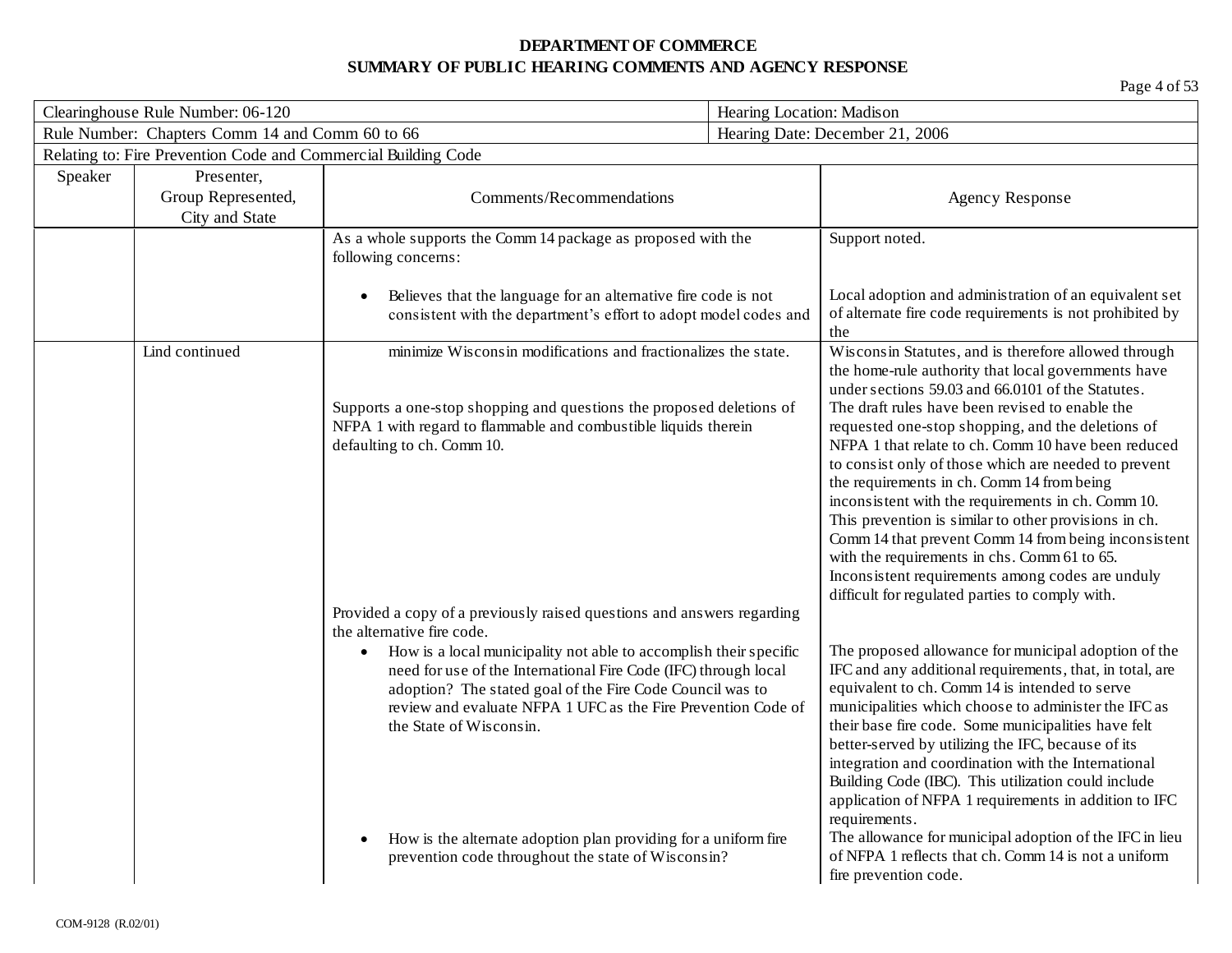| Clearinghouse Rule Number: 06-120 |                                                                | Hearing Location: Madison                                                                                                                                                                                                                                                                                                                                                                                                                                         |  |                                                                                                                                                                                                                                                                                                                                                                                                                                                                                                                                                                                                                                                                                                                                                                     |
|-----------------------------------|----------------------------------------------------------------|-------------------------------------------------------------------------------------------------------------------------------------------------------------------------------------------------------------------------------------------------------------------------------------------------------------------------------------------------------------------------------------------------------------------------------------------------------------------|--|---------------------------------------------------------------------------------------------------------------------------------------------------------------------------------------------------------------------------------------------------------------------------------------------------------------------------------------------------------------------------------------------------------------------------------------------------------------------------------------------------------------------------------------------------------------------------------------------------------------------------------------------------------------------------------------------------------------------------------------------------------------------|
|                                   | Rule Number: Chapters Comm 14 and Comm 60 to 66                |                                                                                                                                                                                                                                                                                                                                                                                                                                                                   |  | Hearing Date: December 21, 2006                                                                                                                                                                                                                                                                                                                                                                                                                                                                                                                                                                                                                                                                                                                                     |
|                                   | Relating to: Fire Prevention Code and Commercial Building Code |                                                                                                                                                                                                                                                                                                                                                                                                                                                                   |  |                                                                                                                                                                                                                                                                                                                                                                                                                                                                                                                                                                                                                                                                                                                                                                     |
| Speaker                           | Presenter,<br>Group Represented,<br>City and State             | Comments/Recommendations                                                                                                                                                                                                                                                                                                                                                                                                                                          |  | <b>Agency Response</b>                                                                                                                                                                                                                                                                                                                                                                                                                                                                                                                                                                                                                                                                                                                                              |
|                                   |                                                                | As a whole supports the Comm 14 package as proposed with the<br>following concerns:                                                                                                                                                                                                                                                                                                                                                                               |  | Support noted.                                                                                                                                                                                                                                                                                                                                                                                                                                                                                                                                                                                                                                                                                                                                                      |
|                                   |                                                                | Believes that the language for an alternative fire code is not<br>consistent with the department's effort to adopt model codes and                                                                                                                                                                                                                                                                                                                                |  | Local adoption and administration of an equivalent set<br>of alternate fire code requirements is not prohibited by<br>the                                                                                                                                                                                                                                                                                                                                                                                                                                                                                                                                                                                                                                           |
|                                   | Lind continued                                                 | minimize Wisconsin modifications and fractionalizes the state.<br>Supports a one-stop shopping and questions the proposed deletions of<br>NFPA 1 with regard to flammable and combustible liquids therein<br>defaulting to ch. Comm 10.<br>Provided a copy of a previously raised questions and answers regarding                                                                                                                                                 |  | Wisconsin Statutes, and is therefore allowed through<br>the home-rule authority that local governments have<br>under sections 59.03 and 66.0101 of the Statutes.<br>The draft rules have been revised to enable the<br>requested one-stop shopping, and the deletions of<br>NFPA 1 that relate to ch. Comm 10 have been reduced<br>to consist only of those which are needed to prevent<br>the requirements in ch. Comm 14 from being<br>inconsistent with the requirements in ch. Comm 10.<br>This prevention is similar to other provisions in ch.<br>Comm 14 that prevent Comm 14 from being inconsistent<br>with the requirements in chs. Comm 61 to 65.<br>Inconsistent requirements among codes are unduly<br>difficult for regulated parties to comply with. |
|                                   |                                                                | the alternative fire code.<br>How is a local municipality not able to accomplish their specific<br>$\bullet$<br>need for use of the International Fire Code (IFC) through local<br>adoption? The stated goal of the Fire Code Council was to<br>review and evaluate NFPA 1 UFC as the Fire Prevention Code of<br>the State of Wisconsin.<br>How is the alternate adoption plan providing for a uniform fire<br>prevention code throughout the state of Wisconsin? |  | The proposed allowance for municipal adoption of the<br>IFC and any additional requirements, that, in total, are<br>equivalent to ch. Comm 14 is intended to serve<br>municipalities which choose to administer the IFC as<br>their base fire code. Some municipalities have felt<br>better-served by utilizing the IFC, because of its<br>integration and coordination with the International<br>Building Code (IBC). This utilization could include<br>application of NFPA 1 requirements in addition to IFC<br>requirements.<br>The allowance for municipal adoption of the IFC in lieu<br>of NFPA 1 reflects that ch. Comm 14 is not a uniform<br>fire prevention code.                                                                                         |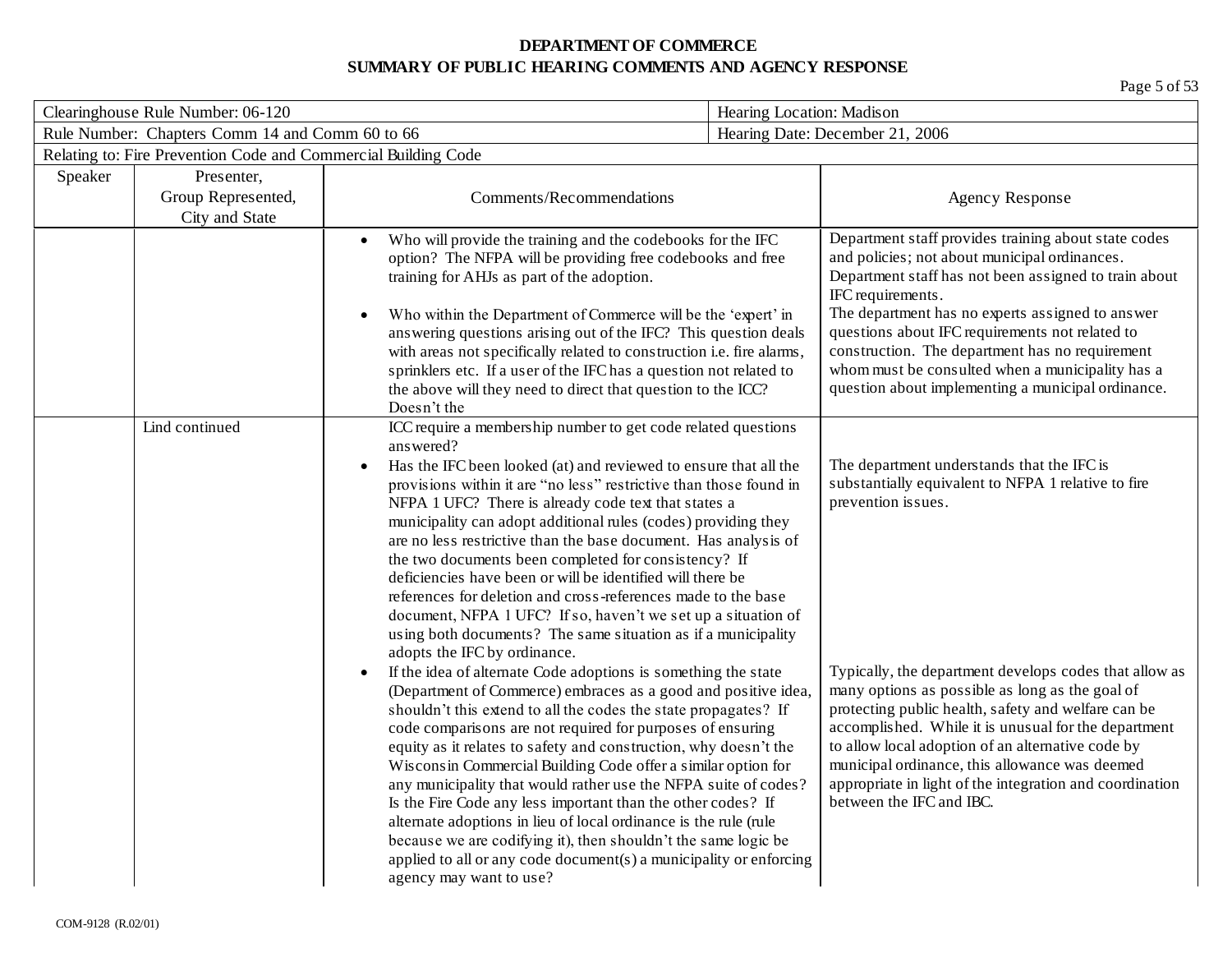| Clearinghouse Rule Number: 06-120<br>Hearing Location: Madison |                                                                |                                                                                                                                                                                                                                                                                                                                                                                                                                                                                                                                           |                                                                                                                                                                                                                                                                                                                                                                                                                                                                                                                                                                                                                                                                                                                                                                                                                                                                                                                                                                                                                                                                                                                                                                                                                                                                                                                                                |                                                                                                                                                                                                                                                                                                                                                                                                                                                         |
|----------------------------------------------------------------|----------------------------------------------------------------|-------------------------------------------------------------------------------------------------------------------------------------------------------------------------------------------------------------------------------------------------------------------------------------------------------------------------------------------------------------------------------------------------------------------------------------------------------------------------------------------------------------------------------------------|------------------------------------------------------------------------------------------------------------------------------------------------------------------------------------------------------------------------------------------------------------------------------------------------------------------------------------------------------------------------------------------------------------------------------------------------------------------------------------------------------------------------------------------------------------------------------------------------------------------------------------------------------------------------------------------------------------------------------------------------------------------------------------------------------------------------------------------------------------------------------------------------------------------------------------------------------------------------------------------------------------------------------------------------------------------------------------------------------------------------------------------------------------------------------------------------------------------------------------------------------------------------------------------------------------------------------------------------|---------------------------------------------------------------------------------------------------------------------------------------------------------------------------------------------------------------------------------------------------------------------------------------------------------------------------------------------------------------------------------------------------------------------------------------------------------|
|                                                                | Rule Number: Chapters Comm 14 and Comm 60 to 66                |                                                                                                                                                                                                                                                                                                                                                                                                                                                                                                                                           |                                                                                                                                                                                                                                                                                                                                                                                                                                                                                                                                                                                                                                                                                                                                                                                                                                                                                                                                                                                                                                                                                                                                                                                                                                                                                                                                                | Hearing Date: December 21, 2006                                                                                                                                                                                                                                                                                                                                                                                                                         |
|                                                                | Relating to: Fire Prevention Code and Commercial Building Code |                                                                                                                                                                                                                                                                                                                                                                                                                                                                                                                                           |                                                                                                                                                                                                                                                                                                                                                                                                                                                                                                                                                                                                                                                                                                                                                                                                                                                                                                                                                                                                                                                                                                                                                                                                                                                                                                                                                |                                                                                                                                                                                                                                                                                                                                                                                                                                                         |
| Speaker                                                        | Presenter,<br>Group Represented,<br>City and State             | Comments/Recommendations                                                                                                                                                                                                                                                                                                                                                                                                                                                                                                                  |                                                                                                                                                                                                                                                                                                                                                                                                                                                                                                                                                                                                                                                                                                                                                                                                                                                                                                                                                                                                                                                                                                                                                                                                                                                                                                                                                | <b>Agency Response</b>                                                                                                                                                                                                                                                                                                                                                                                                                                  |
|                                                                |                                                                | Who will provide the training and the codebooks for the IFC<br>option? The NFPA will be providing free codebooks and free<br>training for AHJs as part of the adoption.<br>Who within the Department of Commerce will be the 'expert' in<br>answering questions arising out of the IFC? This question deals<br>with areas not specifically related to construction i.e. fire alarms,<br>sprinklers etc. If a user of the IFC has a question not related to<br>the above will they need to direct that question to the ICC?<br>Doesn't the |                                                                                                                                                                                                                                                                                                                                                                                                                                                                                                                                                                                                                                                                                                                                                                                                                                                                                                                                                                                                                                                                                                                                                                                                                                                                                                                                                | Department staff provides training about state codes<br>and policies; not about municipal ordinances.<br>Department staff has not been assigned to train about<br>IFC requirements.<br>The department has no experts assigned to answer<br>questions about IFC requirements not related to<br>construction. The department has no requirement<br>whom must be consulted when a municipality has a<br>question about implementing a municipal ordinance. |
|                                                                | Lind continued                                                 | answered?<br>$\bullet$<br>adopts the IFC by ordinance.<br>$\bullet$<br>because we are codifying it), then shouldn't the same logic be<br>applied to all or any code document(s) a municipality or enforcing<br>agency may want to use?                                                                                                                                                                                                                                                                                                    | ICC require a membership number to get code related questions<br>Has the IFC been looked (at) and reviewed to ensure that all the<br>provisions within it are "no less" restrictive than those found in<br>NFPA 1 UFC? There is already code text that states a<br>municipality can adopt additional rules (codes) providing they<br>are no less restrictive than the base document. Has analysis of<br>the two documents been completed for consistency? If<br>deficiencies have been or will be identified will there be<br>references for deletion and cross-references made to the base<br>document, NFPA 1 UFC? If so, haven't we set up a situation of<br>using both documents? The same situation as if a municipality<br>If the idea of alternate Code adoptions is something the state<br>(Department of Commerce) embraces as a good and positive idea,<br>shouldn't this extend to all the codes the state propagates? If<br>code comparisons are not required for purposes of ensuring<br>equity as it relates to safety and construction, why doesn't the<br>Wisconsin Commercial Building Code offer a similar option for<br>any municipality that would rather use the NFPA suite of codes?<br>Is the Fire Code any less important than the other codes? If<br>alternate adoptions in lieu of local ordinance is the rule (rule |                                                                                                                                                                                                                                                                                                                                                                                                                                                         |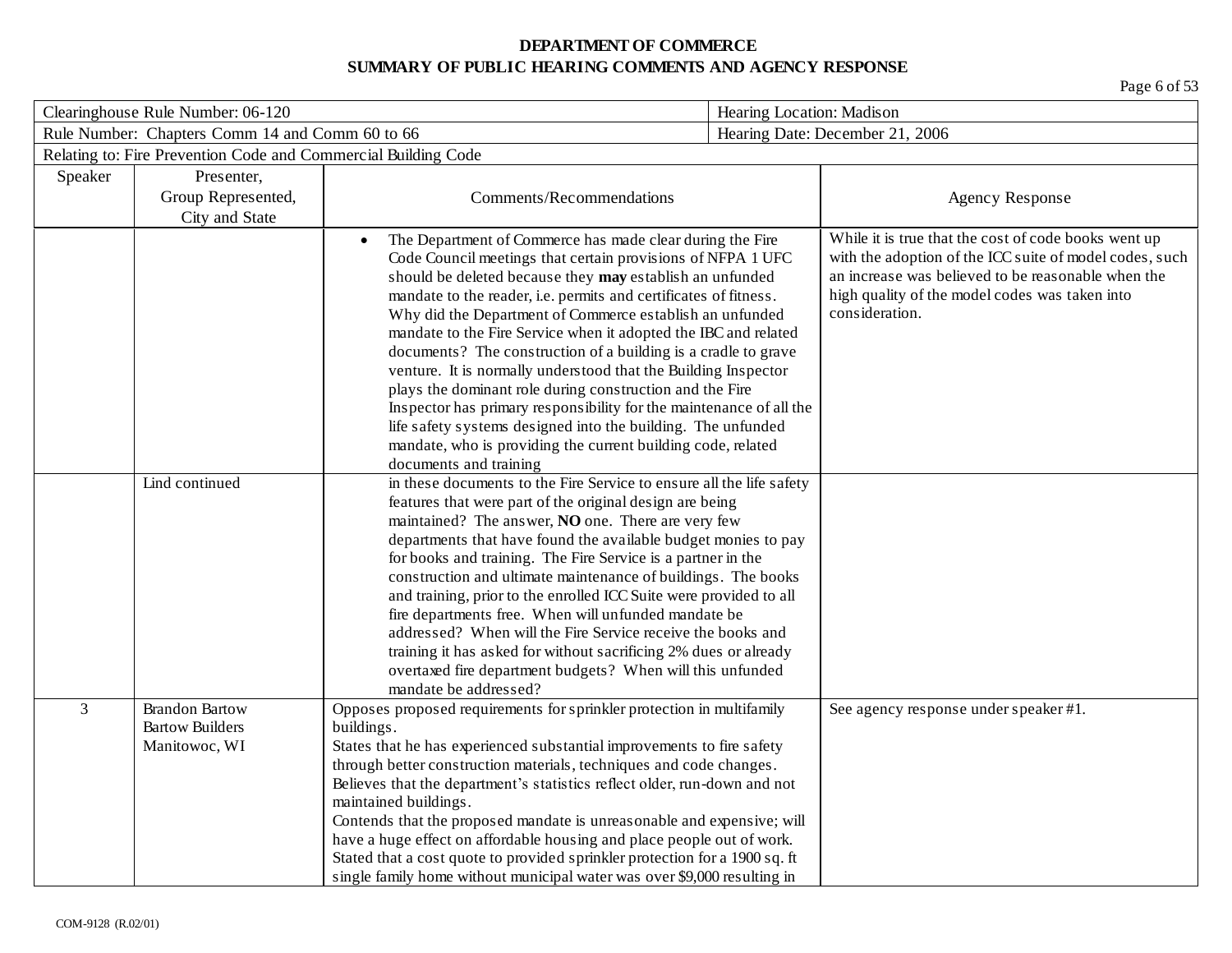| Clearinghouse Rule Number: 06-120 |                                                                  |                                                                                                                                                                                                                                                                                                                                                                                                                                                                                                                                                                                                                                                                                                                                                                                                             |  | Hearing Location: Madison                                                                                                                                                                                                                 |  |
|-----------------------------------|------------------------------------------------------------------|-------------------------------------------------------------------------------------------------------------------------------------------------------------------------------------------------------------------------------------------------------------------------------------------------------------------------------------------------------------------------------------------------------------------------------------------------------------------------------------------------------------------------------------------------------------------------------------------------------------------------------------------------------------------------------------------------------------------------------------------------------------------------------------------------------------|--|-------------------------------------------------------------------------------------------------------------------------------------------------------------------------------------------------------------------------------------------|--|
|                                   | Rule Number: Chapters Comm 14 and Comm 60 to 66                  |                                                                                                                                                                                                                                                                                                                                                                                                                                                                                                                                                                                                                                                                                                                                                                                                             |  | Hearing Date: December 21, 2006                                                                                                                                                                                                           |  |
|                                   | Relating to: Fire Prevention Code and Commercial Building Code   |                                                                                                                                                                                                                                                                                                                                                                                                                                                                                                                                                                                                                                                                                                                                                                                                             |  |                                                                                                                                                                                                                                           |  |
| Speaker                           | Presenter,                                                       |                                                                                                                                                                                                                                                                                                                                                                                                                                                                                                                                                                                                                                                                                                                                                                                                             |  |                                                                                                                                                                                                                                           |  |
|                                   | Group Represented,                                               | Comments/Recommendations                                                                                                                                                                                                                                                                                                                                                                                                                                                                                                                                                                                                                                                                                                                                                                                    |  | <b>Agency Response</b>                                                                                                                                                                                                                    |  |
|                                   | City and State                                                   |                                                                                                                                                                                                                                                                                                                                                                                                                                                                                                                                                                                                                                                                                                                                                                                                             |  |                                                                                                                                                                                                                                           |  |
|                                   |                                                                  | The Department of Commerce has made clear during the Fire<br>$\bullet$<br>Code Council meetings that certain provisions of NFPA 1 UFC<br>should be deleted because they may establish an unfunded<br>mandate to the reader, i.e. permits and certificates of fitness.<br>Why did the Department of Commerce establish an unfunded<br>mandate to the Fire Service when it adopted the IBC and related<br>documents? The construction of a building is a cradle to grave<br>venture. It is normally understood that the Building Inspector<br>plays the dominant role during construction and the Fire<br>Inspector has primary responsibility for the maintenance of all the<br>life safety systems designed into the building. The unfunded<br>mandate, who is providing the current building code, related |  | While it is true that the cost of code books went up<br>with the adoption of the ICC suite of model codes, such<br>an increase was believed to be reasonable when the<br>high quality of the model codes was taken into<br>consideration. |  |
|                                   |                                                                  | documents and training                                                                                                                                                                                                                                                                                                                                                                                                                                                                                                                                                                                                                                                                                                                                                                                      |  |                                                                                                                                                                                                                                           |  |
|                                   | Lind continued                                                   | in these documents to the Fire Service to ensure all the life safety<br>features that were part of the original design are being<br>maintained? The answer, NO one. There are very few<br>departments that have found the available budget monies to pay<br>for books and training. The Fire Service is a partner in the<br>construction and ultimate maintenance of buildings. The books<br>and training, prior to the enrolled ICC Suite were provided to all<br>fire departments free. When will unfunded mandate be<br>addressed? When will the Fire Service receive the books and<br>training it has asked for without sacrificing 2% dues or already<br>overtaxed fire department budgets? When will this unfunded<br>mandate be addressed?                                                           |  |                                                                                                                                                                                                                                           |  |
| $\overline{3}$                    | <b>Brandon Bartow</b><br><b>Bartow Builders</b><br>Manitowoc, WI | Opposes proposed requirements for sprinkler protection in multifamily<br>buildings.<br>States that he has experienced substantial improvements to fire safety<br>through better construction materials, techniques and code changes.<br>Believes that the department's statistics reflect older, run-down and not<br>maintained buildings.<br>Contends that the proposed mandate is unreasonable and expensive; will<br>have a huge effect on affordable housing and place people out of work.<br>Stated that a cost quote to provided sprinkler protection for a 1900 sq. ft<br>single family home without municipal water was over \$9,000 resulting in                                                                                                                                                   |  | See agency response under speaker #1.                                                                                                                                                                                                     |  |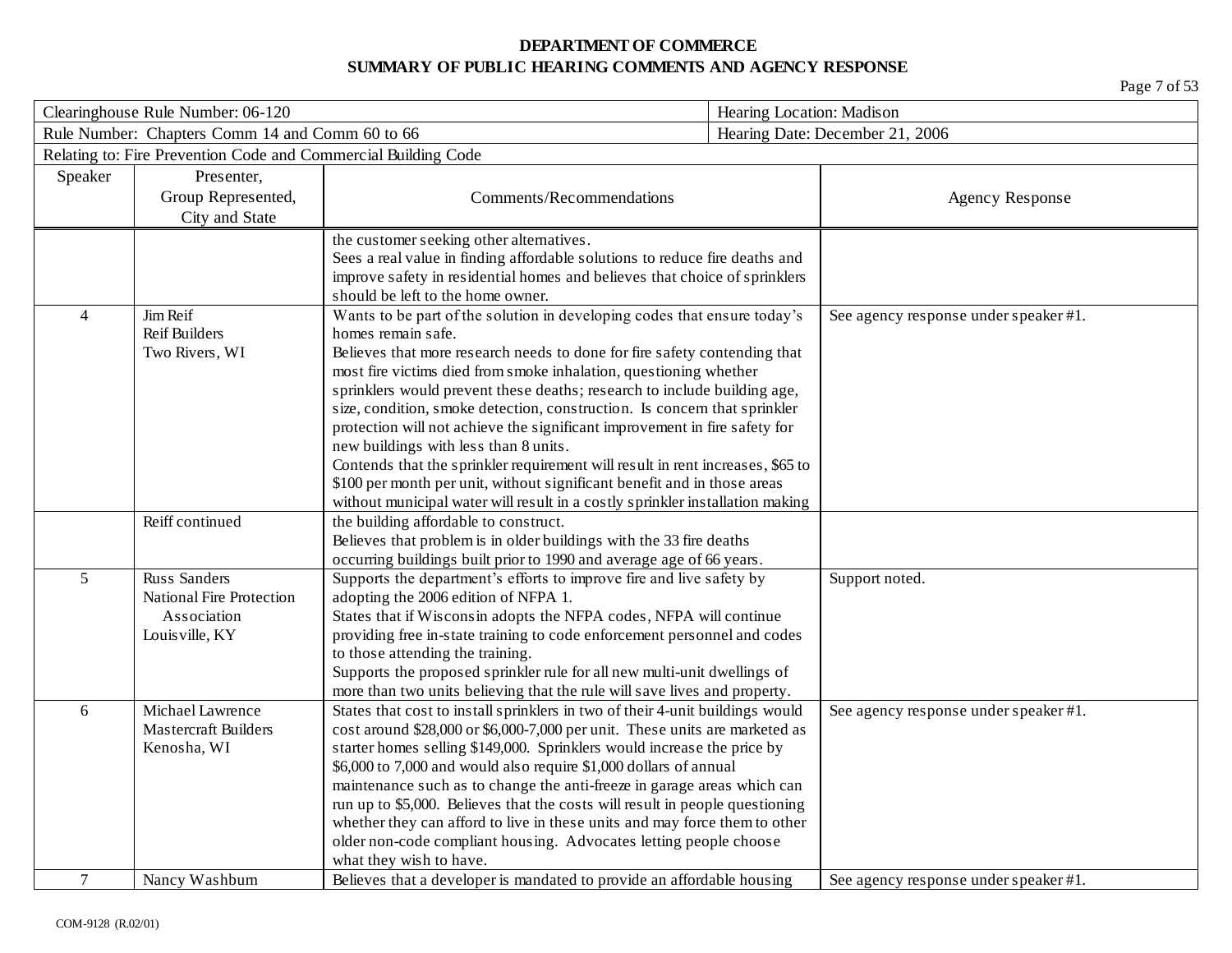| Clearinghouse Rule Number: 06-120 |                                                                | Hearing Location: Madison                                                                                              |  |                                       |
|-----------------------------------|----------------------------------------------------------------|------------------------------------------------------------------------------------------------------------------------|--|---------------------------------------|
|                                   | Rule Number: Chapters Comm 14 and Comm 60 to 66                |                                                                                                                        |  | Hearing Date: December 21, 2006       |
|                                   | Relating to: Fire Prevention Code and Commercial Building Code |                                                                                                                        |  |                                       |
| Speaker                           | Presenter,                                                     |                                                                                                                        |  |                                       |
|                                   | Group Represented,                                             | Comments/Recommendations                                                                                               |  | <b>Agency Response</b>                |
|                                   | City and State                                                 |                                                                                                                        |  |                                       |
|                                   |                                                                | the customer seeking other alternatives.                                                                               |  |                                       |
|                                   |                                                                | Sees a real value in finding affordable solutions to reduce fire deaths and                                            |  |                                       |
|                                   |                                                                | improve safety in residential homes and believes that choice of sprinklers                                             |  |                                       |
|                                   |                                                                | should be left to the home owner.                                                                                      |  |                                       |
| $\overline{4}$                    | Jim Reif                                                       | Wants to be part of the solution in developing codes that ensure today's                                               |  | See agency response under speaker #1. |
|                                   | <b>Reif Builders</b>                                           | homes remain safe.                                                                                                     |  |                                       |
|                                   | Two Rivers, WI                                                 | Believes that more research needs to done for fire safety contending that                                              |  |                                       |
|                                   |                                                                | most fire victims died from smoke inhalation, questioning whether                                                      |  |                                       |
|                                   |                                                                | sprinklers would prevent these deaths; research to include building age,                                               |  |                                       |
|                                   |                                                                | size, condition, smoke detection, construction. Is concern that sprinkler                                              |  |                                       |
|                                   |                                                                | protection will not achieve the significant improvement in fire safety for                                             |  |                                       |
|                                   |                                                                | new buildings with less than 8 units.                                                                                  |  |                                       |
|                                   |                                                                | Contends that the sprinkler requirement will result in rent increases, \$65 to                                         |  |                                       |
|                                   |                                                                | \$100 per month per unit, without significant benefit and in those areas                                               |  |                                       |
|                                   | Reiff continued                                                | without municipal water will result in a costly sprinkler installation making<br>the building affordable to construct. |  |                                       |
|                                   |                                                                | Believes that problem is in older buildings with the 33 fire deaths                                                    |  |                                       |
|                                   |                                                                | occurring buildings built prior to 1990 and average age of 66 years.                                                   |  |                                       |
| 5                                 | <b>Russ Sanders</b>                                            | Supports the department's efforts to improve fire and live safety by                                                   |  | Support noted.                        |
|                                   | <b>National Fire Protection</b>                                | adopting the 2006 edition of NFPA 1.                                                                                   |  |                                       |
|                                   | Association                                                    | States that if Wisconsin adopts the NFPA codes, NFPA will continue                                                     |  |                                       |
|                                   | Louis ville, KY                                                | providing free in-state training to code enforcement personnel and codes                                               |  |                                       |
|                                   |                                                                | to those attending the training.                                                                                       |  |                                       |
|                                   |                                                                | Supports the proposed sprinkler rule for all new multi-unit dwellings of                                               |  |                                       |
|                                   |                                                                | more than two units believing that the rule will save lives and property.                                              |  |                                       |
| 6                                 | Michael Lawrence                                               | States that cost to install sprinklers in two of their 4-unit buildings would                                          |  | See agency response under speaker #1. |
|                                   | <b>Mastercraft Builders</b>                                    | cost around \$28,000 or \$6,000-7,000 per unit. These units are marketed as                                            |  |                                       |
|                                   | Kenosha, WI                                                    | starter homes selling \$149,000. Sprinklers would increase the price by                                                |  |                                       |
|                                   |                                                                | \$6,000 to 7,000 and would also require \$1,000 dollars of annual                                                      |  |                                       |
|                                   |                                                                | maintenance such as to change the anti-freeze in garage areas which can                                                |  |                                       |
|                                   |                                                                | run up to \$5,000. Believes that the costs will result in people questioning                                           |  |                                       |
|                                   |                                                                | whether they can afford to live in these units and may force them to other                                             |  |                                       |
|                                   |                                                                | older non-code compliant housing. Advocates letting people choose                                                      |  |                                       |
|                                   |                                                                | what they wish to have.                                                                                                |  |                                       |
| $\overline{7}$                    | Nancy Washburn                                                 | Believes that a developer is mandated to provide an affordable housing                                                 |  | See agency response under speaker #1. |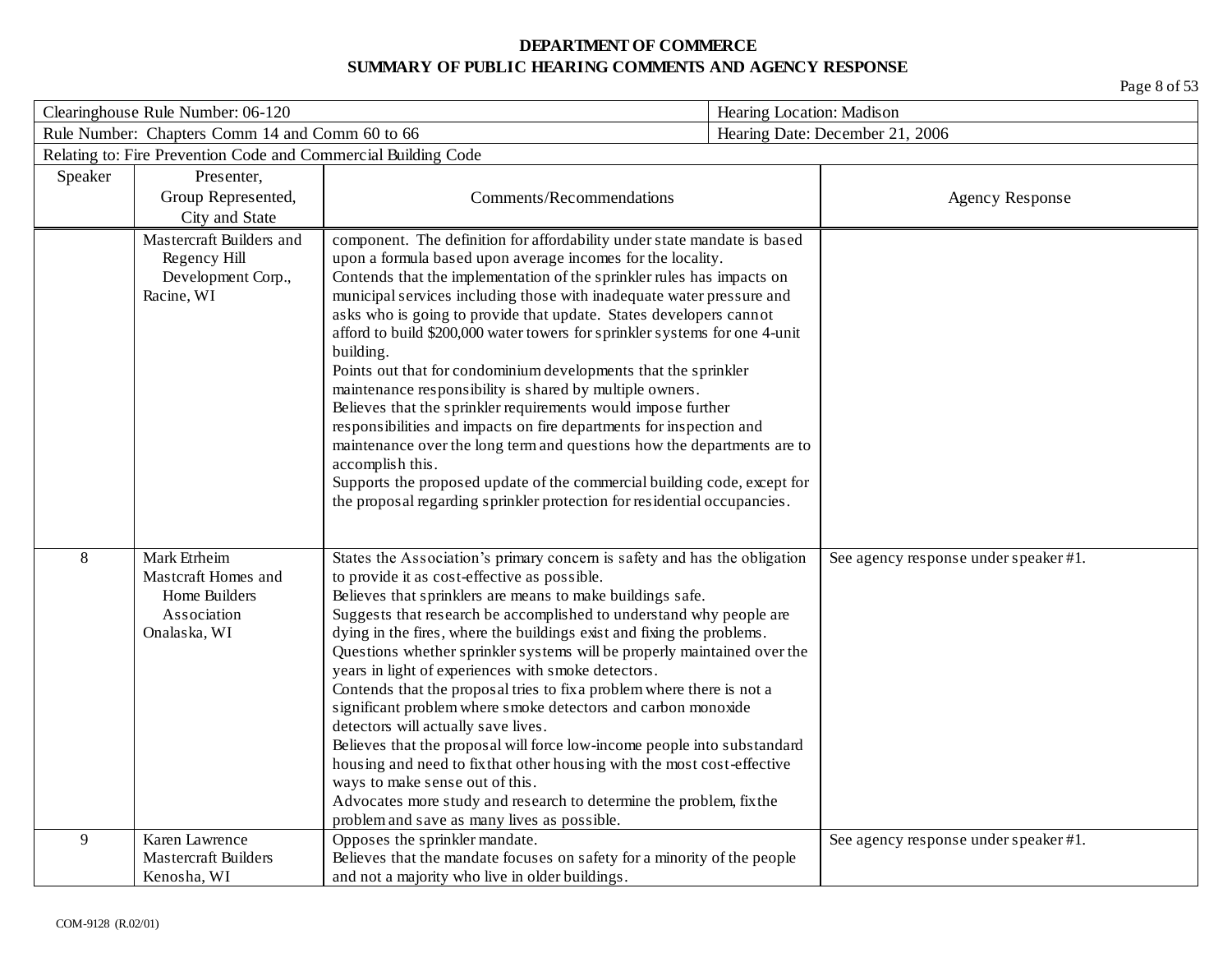| Clearinghouse Rule Number: 06-120 |                                                                                     | Hearing Location: Madison                                                                                                                                                                                                                                                                                                                                                                                                                                                                                                                                                                                                                                                                                                                                                                                                                                                                                                                                                                  |  |                                       |
|-----------------------------------|-------------------------------------------------------------------------------------|--------------------------------------------------------------------------------------------------------------------------------------------------------------------------------------------------------------------------------------------------------------------------------------------------------------------------------------------------------------------------------------------------------------------------------------------------------------------------------------------------------------------------------------------------------------------------------------------------------------------------------------------------------------------------------------------------------------------------------------------------------------------------------------------------------------------------------------------------------------------------------------------------------------------------------------------------------------------------------------------|--|---------------------------------------|
|                                   | Rule Number: Chapters Comm 14 and Comm 60 to 66                                     |                                                                                                                                                                                                                                                                                                                                                                                                                                                                                                                                                                                                                                                                                                                                                                                                                                                                                                                                                                                            |  | Hearing Date: December 21, 2006       |
|                                   | Relating to: Fire Prevention Code and Commercial Building Code                      |                                                                                                                                                                                                                                                                                                                                                                                                                                                                                                                                                                                                                                                                                                                                                                                                                                                                                                                                                                                            |  |                                       |
| Speaker                           | Presenter,<br>Group Represented,<br>City and State                                  | Comments/Recommendations                                                                                                                                                                                                                                                                                                                                                                                                                                                                                                                                                                                                                                                                                                                                                                                                                                                                                                                                                                   |  | <b>Agency Response</b>                |
|                                   | Mastercraft Builders and<br>Regency Hill<br>Development Corp.,<br>Racine, WI        | component. The definition for affordability under state mandate is based<br>upon a formula based upon average incomes for the locality.<br>Contends that the implementation of the sprinkler rules has impacts on<br>municipal services including those with inadequate water pressure and<br>asks who is going to provide that update. States developers cannot<br>afford to build \$200,000 water towers for sprinkler systems for one 4-unit<br>building.<br>Points out that for condominium developments that the sprinkler<br>maintenance responsibility is shared by multiple owners.<br>Believes that the sprinkler requirements would impose further<br>responsibilities and impacts on fire departments for inspection and<br>maintenance over the long term and questions how the departments are to<br>accomplish this.<br>Supports the proposed update of the commercial building code, except for<br>the proposal regarding sprinkler protection for residential occupancies. |  |                                       |
| 8                                 | Mark Etrheim<br>Mastcraft Homes and<br>Home Builders<br>Association<br>Onalaska, WI | States the Association's primary concern is safety and has the obligation<br>to provide it as cost-effective as possible.<br>Believes that sprinklers are means to make buildings safe.<br>Suggests that research be accomplished to understand why people are<br>dying in the fires, where the buildings exist and fixing the problems.<br>Questions whether sprinkler systems will be properly maintained over the<br>years in light of experiences with smoke detectors.<br>Contends that the proposal tries to fix a problem where there is not a<br>significant problem where smoke detectors and carbon monoxide<br>detectors will actually save lives.<br>Believes that the proposal will force low-income people into substandard<br>housing and need to fix that other housing with the most cost-effective<br>ways to make sense out of this.<br>Advocates more study and research to determine the problem, fix the<br>problem and save as many lives as possible.              |  | See agency response under speaker #1. |
| 9                                 | Karen Lawrence<br><b>Mastercraft Builders</b><br>Kenosha, WI                        | Opposes the sprinkler mandate.<br>Believes that the mandate focuses on safety for a minority of the people<br>and not a majority who live in older buildings.                                                                                                                                                                                                                                                                                                                                                                                                                                                                                                                                                                                                                                                                                                                                                                                                                              |  | See agency response under speaker #1. |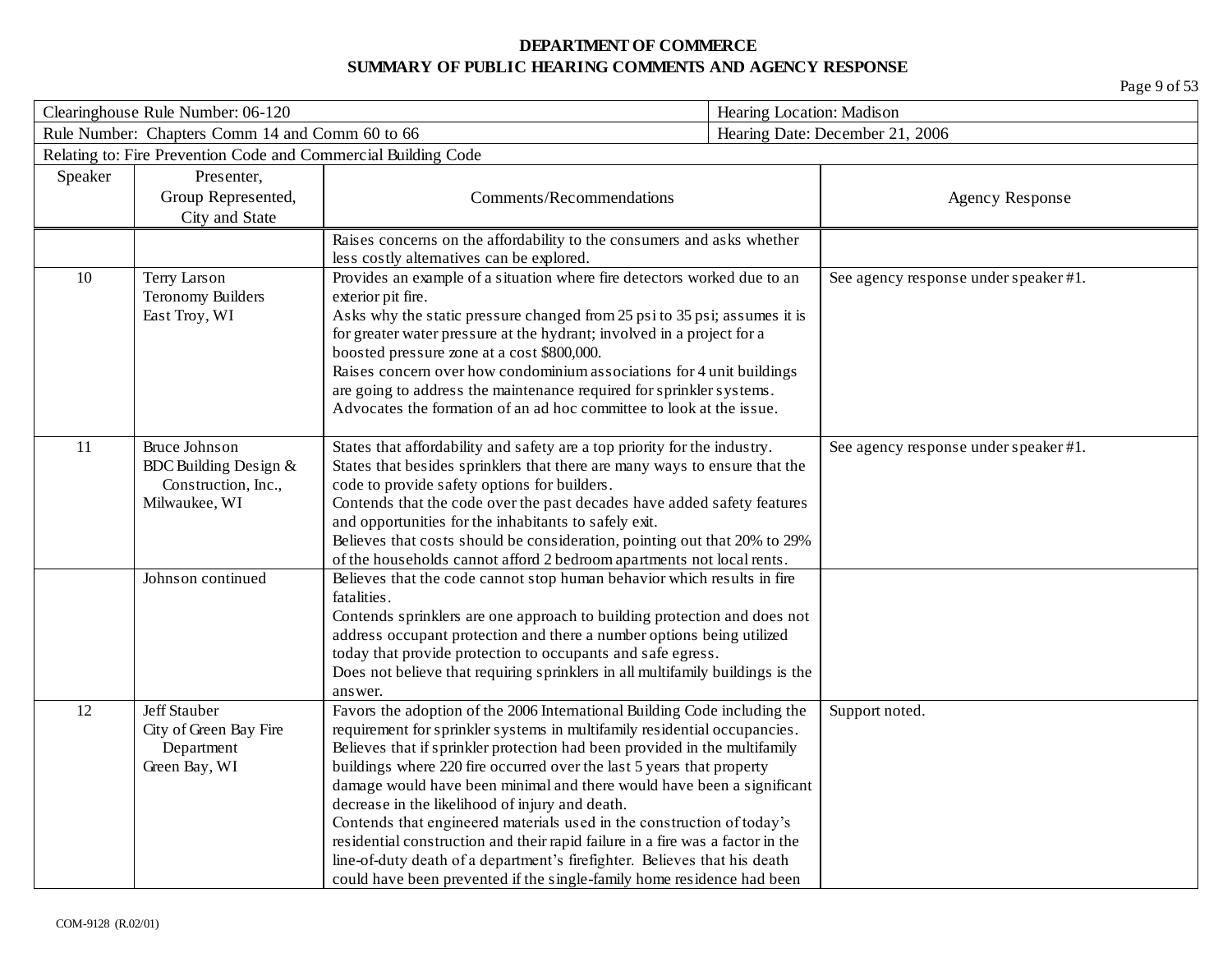| Clearinghouse Rule Number: 06-120                                      |                                                                |                                                                                                                                                   | Hearing Location: Madison |                                       |  |
|------------------------------------------------------------------------|----------------------------------------------------------------|---------------------------------------------------------------------------------------------------------------------------------------------------|---------------------------|---------------------------------------|--|
|                                                                        | Rule Number: Chapters Comm 14 and Comm 60 to 66                |                                                                                                                                                   |                           | Hearing Date: December 21, 2006       |  |
|                                                                        | Relating to: Fire Prevention Code and Commercial Building Code |                                                                                                                                                   |                           |                                       |  |
| Speaker                                                                | Presenter,                                                     |                                                                                                                                                   |                           |                                       |  |
|                                                                        | Group Represented,                                             | Comments/Recommendations                                                                                                                          |                           | <b>Agency Response</b>                |  |
|                                                                        | City and State                                                 |                                                                                                                                                   |                           |                                       |  |
|                                                                        |                                                                | Raises concerns on the affordability to the consumers and asks whether                                                                            |                           |                                       |  |
|                                                                        |                                                                | less costly alternatives can be explored.                                                                                                         |                           |                                       |  |
| $10\,$                                                                 | Terry Larson                                                   | Provides an example of a situation where fire detectors worked due to an                                                                          |                           | See agency response under speaker #1. |  |
|                                                                        | <b>Teronomy Builders</b>                                       | exterior pit fire.                                                                                                                                |                           |                                       |  |
|                                                                        | East Troy, WI                                                  | Asks why the static pressure changed from 25 psi to 35 psi; assumes it is                                                                         |                           |                                       |  |
|                                                                        |                                                                | for greater water pressure at the hydrant; involved in a project for a<br>boosted pressure zone at a cost \$800,000.                              |                           |                                       |  |
|                                                                        |                                                                | Raises concern over how condominium associations for 4 unit buildings                                                                             |                           |                                       |  |
|                                                                        |                                                                | are going to address the maintenance required for sprinkler systems.                                                                              |                           |                                       |  |
|                                                                        |                                                                | Advocates the formation of an ad hoc committee to look at the issue.                                                                              |                           |                                       |  |
|                                                                        |                                                                |                                                                                                                                                   |                           |                                       |  |
| 11                                                                     | <b>Bruce Johnson</b>                                           | States that affordability and safety are a top priority for the industry.                                                                         |                           | See agency response under speaker #1. |  |
|                                                                        | BDC Building Design $&$                                        | States that besides sprinklers that there are many ways to ensure that the                                                                        |                           |                                       |  |
|                                                                        | Construction, Inc.,                                            | code to provide safety options for builders.                                                                                                      |                           |                                       |  |
|                                                                        | Milwaukee, WI                                                  | Contends that the code over the past decades have added safety features                                                                           |                           |                                       |  |
|                                                                        |                                                                | and opportunities for the inhabitants to safely exit.                                                                                             |                           |                                       |  |
|                                                                        |                                                                | Believes that costs should be consideration, pointing out that 20% to 29%                                                                         |                           |                                       |  |
|                                                                        |                                                                | of the households cannot afford 2 bedroom apartments not local rents.                                                                             |                           |                                       |  |
|                                                                        | Johnson continued                                              | Believes that the code cannot stop human behavior which results in fire                                                                           |                           |                                       |  |
|                                                                        |                                                                | fatalities.                                                                                                                                       |                           |                                       |  |
|                                                                        |                                                                | Contends sprinklers are one approach to building protection and does not<br>address occupant protection and there a number options being utilized |                           |                                       |  |
|                                                                        |                                                                | today that provide protection to occupants and safe egress.                                                                                       |                           |                                       |  |
|                                                                        |                                                                | Does not believe that requiring sprinklers in all multifamily buildings is the                                                                    |                           |                                       |  |
|                                                                        |                                                                | answer.                                                                                                                                           |                           |                                       |  |
| 12                                                                     | Jeff Stauber                                                   | Favors the adoption of the 2006 International Building Code including the                                                                         |                           | Support noted.                        |  |
|                                                                        | City of Green Bay Fire                                         | requirement for sprinkler systems in multifamily residential occupancies.                                                                         |                           |                                       |  |
|                                                                        | Department                                                     | Believes that if sprinkler protection had been provided in the multifamily                                                                        |                           |                                       |  |
|                                                                        | Green Bay, WI                                                  | buildings where 220 fire occurred over the last 5 years that property                                                                             |                           |                                       |  |
|                                                                        |                                                                | damage would have been minimal and there would have been a significant                                                                            |                           |                                       |  |
|                                                                        |                                                                | decrease in the likelihood of injury and death.                                                                                                   |                           |                                       |  |
|                                                                        |                                                                | Contends that engineered materials used in the construction of today's                                                                            |                           |                                       |  |
|                                                                        |                                                                | residential construction and their rapid failure in a fire was a factor in the                                                                    |                           |                                       |  |
|                                                                        |                                                                | line-of-duty death of a department's firefighter. Believes that his death                                                                         |                           |                                       |  |
| could have been prevented if the single-family home residence had been |                                                                |                                                                                                                                                   |                           |                                       |  |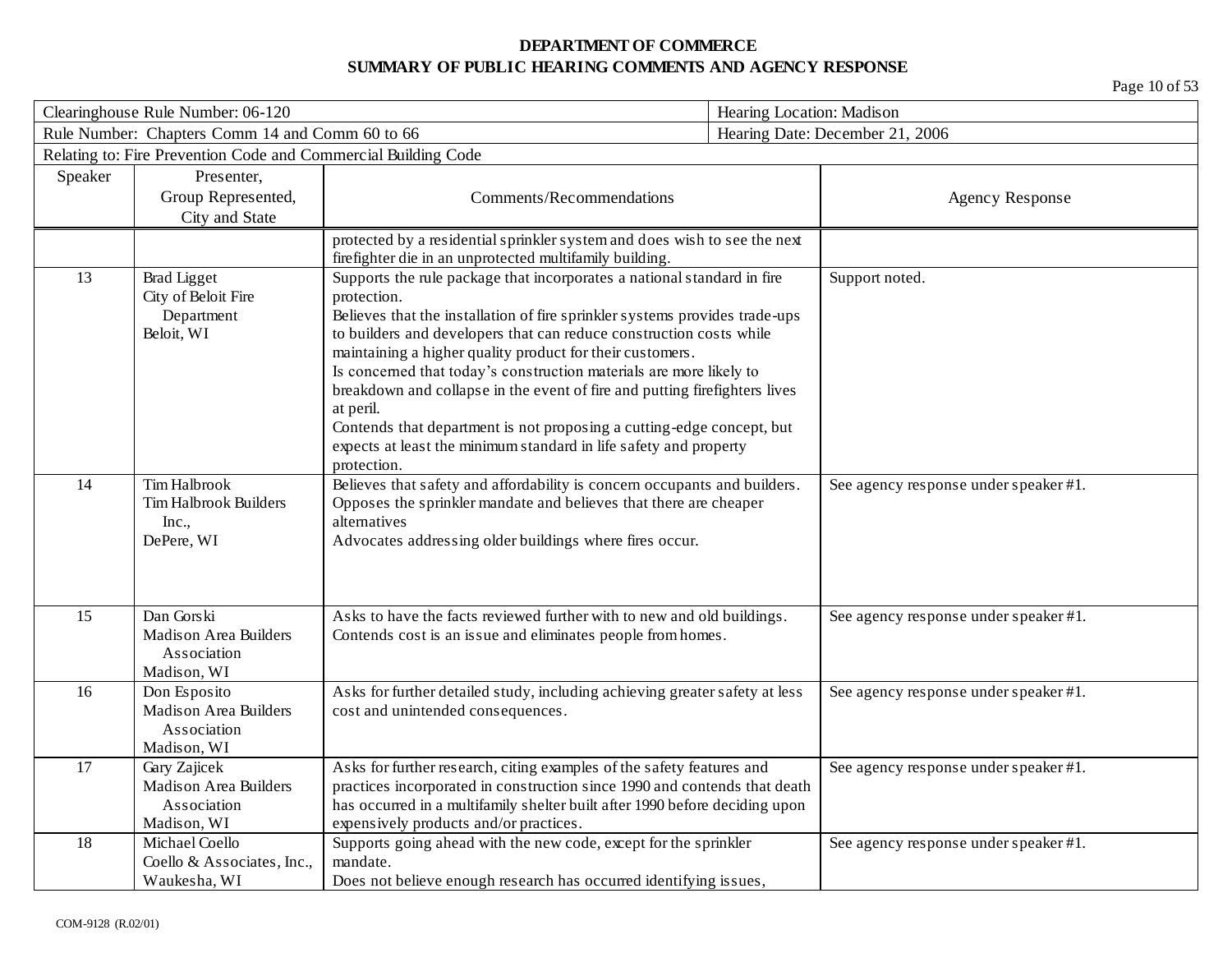| Clearinghouse Rule Number: 06-120 |                                                                            |                                                                                                                                                                                                                                                                                                                                                                                                                                                                                                                                                                                                                                          | Hearing Location: Madison             |  |
|-----------------------------------|----------------------------------------------------------------------------|------------------------------------------------------------------------------------------------------------------------------------------------------------------------------------------------------------------------------------------------------------------------------------------------------------------------------------------------------------------------------------------------------------------------------------------------------------------------------------------------------------------------------------------------------------------------------------------------------------------------------------------|---------------------------------------|--|
|                                   | Rule Number: Chapters Comm 14 and Comm 60 to 66                            |                                                                                                                                                                                                                                                                                                                                                                                                                                                                                                                                                                                                                                          | Hearing Date: December 21, 2006       |  |
|                                   | Relating to: Fire Prevention Code and Commercial Building Code             |                                                                                                                                                                                                                                                                                                                                                                                                                                                                                                                                                                                                                                          |                                       |  |
| Speaker                           | Presenter,<br>Group Represented,<br>City and State                         | Comments/Recommendations                                                                                                                                                                                                                                                                                                                                                                                                                                                                                                                                                                                                                 | <b>Agency Response</b>                |  |
|                                   |                                                                            | protected by a residential sprinkler system and does wish to see the next<br>firefighter die in an unprotected multifamily building.                                                                                                                                                                                                                                                                                                                                                                                                                                                                                                     |                                       |  |
| 13                                | <b>Brad Ligget</b><br>City of Beloit Fire<br>Department<br>Beloit, WI      | Supports the rule package that incorporates a national standard in fire<br>protection.<br>Believes that the installation of fire sprinkler systems provides trade-ups<br>to builders and developers that can reduce construction costs while<br>maintaining a higher quality product for their customers.<br>Is concerned that today's construction materials are more likely to<br>breakdown and collapse in the event of fire and putting firefighters lives<br>at peril.<br>Contends that department is not proposing a cutting-edge concept, but<br>expects at least the minimum standard in life safety and property<br>protection. | Support noted.                        |  |
| 14                                | <b>Tim Halbrook</b><br><b>Tim Halbrook Builders</b><br>Inc.,<br>DePere, WI | Believes that safety and affordability is concern occupants and builders.<br>Opposes the sprinkler mandate and believes that there are cheaper<br>alternatives<br>Advocates addressing older buildings where fires occur.                                                                                                                                                                                                                                                                                                                                                                                                                | See agency response under speaker #1. |  |
| 15                                | Dan Gorski<br><b>Madison Area Builders</b><br>Association<br>Madison, WI   | Asks to have the facts reviewed further with to new and old buildings.<br>Contends cost is an issue and eliminates people from homes.                                                                                                                                                                                                                                                                                                                                                                                                                                                                                                    | See agency response under speaker #1. |  |
| 16                                | Don Esposito<br><b>Madison Area Builders</b><br>Association<br>Madison, WI | Asks for further detailed study, including achieving greater safety at less<br>cost and unintended consequences.                                                                                                                                                                                                                                                                                                                                                                                                                                                                                                                         | See agency response under speaker #1. |  |
| 17                                | Gary Zajicek<br><b>Madison Area Builders</b><br>Association<br>Madison, WI | Asks for further research, citing examples of the safety features and<br>practices incorporated in construction since 1990 and contends that death<br>has occurred in a multifamily shelter built after 1990 before deciding upon<br>expensively products and/or practices.                                                                                                                                                                                                                                                                                                                                                              | See agency response under speaker #1. |  |
| 18                                | Michael Coello<br>Coello & Associates, Inc.,<br>Waukesha, WI               | Supports going ahead with the new code, except for the sprinkler<br>mandate.<br>Does not believe enough research has occurred identifying issues,                                                                                                                                                                                                                                                                                                                                                                                                                                                                                        | See agency response under speaker #1. |  |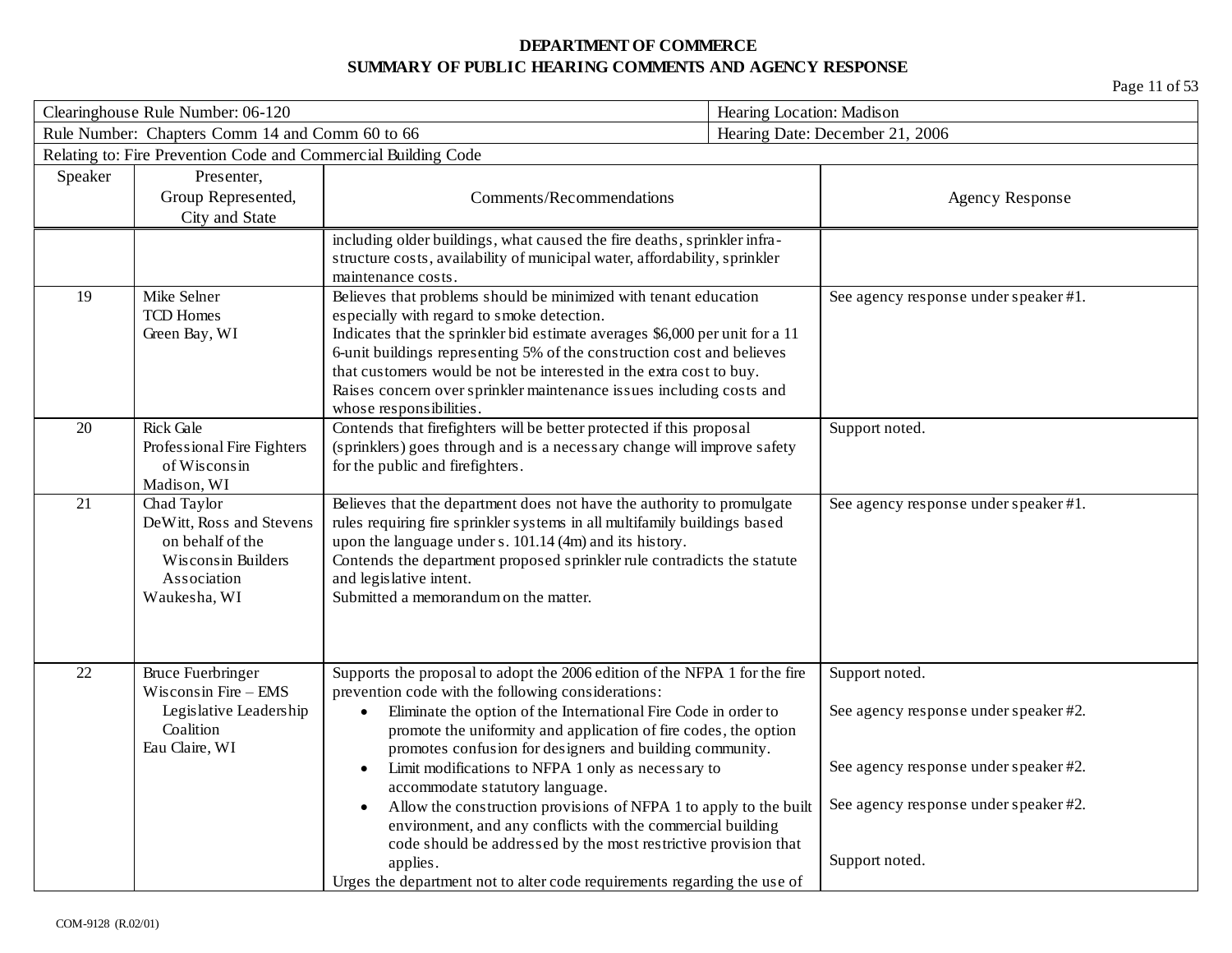| Clearinghouse Rule Number: 06-120 |                                                                                                                  |                                                                                                                                                                                                                                                                                                                                                                                                                                                                                                                                                                                                                                                                                                                                                                    | Hearing Location: Madison        |                                                                                                                         |
|-----------------------------------|------------------------------------------------------------------------------------------------------------------|--------------------------------------------------------------------------------------------------------------------------------------------------------------------------------------------------------------------------------------------------------------------------------------------------------------------------------------------------------------------------------------------------------------------------------------------------------------------------------------------------------------------------------------------------------------------------------------------------------------------------------------------------------------------------------------------------------------------------------------------------------------------|----------------------------------|-------------------------------------------------------------------------------------------------------------------------|
|                                   | Rule Number: Chapters Comm 14 and Comm 60 to 66                                                                  |                                                                                                                                                                                                                                                                                                                                                                                                                                                                                                                                                                                                                                                                                                                                                                    | Hearing Date: December 21, 2006  |                                                                                                                         |
|                                   | Relating to: Fire Prevention Code and Commercial Building Code                                                   |                                                                                                                                                                                                                                                                                                                                                                                                                                                                                                                                                                                                                                                                                                                                                                    |                                  |                                                                                                                         |
| Speaker                           | Presenter,<br>Group Represented,<br>City and State                                                               | Comments/Recommendations                                                                                                                                                                                                                                                                                                                                                                                                                                                                                                                                                                                                                                                                                                                                           |                                  | <b>Agency Response</b>                                                                                                  |
|                                   |                                                                                                                  | including older buildings, what caused the fire deaths, sprinkler infra-<br>structure costs, availability of municipal water, affordability, sprinkler<br>maintenance costs.                                                                                                                                                                                                                                                                                                                                                                                                                                                                                                                                                                                       |                                  |                                                                                                                         |
| 19                                | Mike Selner<br><b>TCD Homes</b><br>Green Bay, WI                                                                 | Believes that problems should be minimized with tenant education<br>especially with regard to smoke detection.<br>Indicates that the sprinkler bid estimate averages \$6,000 per unit for a 11<br>6-unit buildings representing 5% of the construction cost and believes<br>that customers would be not be interested in the extra cost to buy.<br>Raises concern over sprinkler maintenance issues including costs and<br>whose responsibilities.                                                                                                                                                                                                                                                                                                                 |                                  | See agency response under speaker #1.                                                                                   |
| 20                                | Rick Gale<br>Professional Fire Fighters<br>of Wisconsin<br>Madison, WI                                           | Contends that firefighters will be better protected if this proposal<br>(sprinklers) goes through and is a necessary change will improve safety<br>for the public and firefighters.                                                                                                                                                                                                                                                                                                                                                                                                                                                                                                                                                                                |                                  | Support noted.                                                                                                          |
| 21                                | Chad Taylor<br>DeWitt, Ross and Stevens<br>on behalf of the<br>Wisconsin Builders<br>Association<br>Waukesha, WI | Believes that the department does not have the authority to promulgate<br>rules requiring fire sprinkler systems in all multifamily buildings based<br>upon the language under s. 101.14 (4m) and its history.<br>Contends the department proposed sprinkler rule contradicts the statute<br>and legislative intent.<br>Submitted a memorandum on the matter.                                                                                                                                                                                                                                                                                                                                                                                                      |                                  | See agency response under speaker #1.                                                                                   |
| 22                                | <b>Bruce Fuerbringer</b><br>Wisconsin Fire $-$ EMS<br>Legislative Leadership<br>Coalition<br>Eau Claire, WI      | Supports the proposal to adopt the 2006 edition of the NFPA 1 for the fire<br>prevention code with the following considerations:<br>Eliminate the option of the International Fire Code in order to<br>$\bullet$<br>promote the uniformity and application of fire codes, the option<br>promotes confusion for designers and building community.<br>Limit modifications to NFPA 1 only as necessary to<br>$\bullet$<br>accommodate statutory language.<br>Allow the construction provisions of NFPA 1 to apply to the built<br>$\bullet$<br>environment, and any conflicts with the commercial building<br>code should be addressed by the most restrictive provision that<br>applies.<br>Urges the department not to alter code requirements regarding the use of | Support noted.<br>Support noted. | See agency response under speaker #2.<br>See agency response under speaker #2.<br>See agency response under speaker #2. |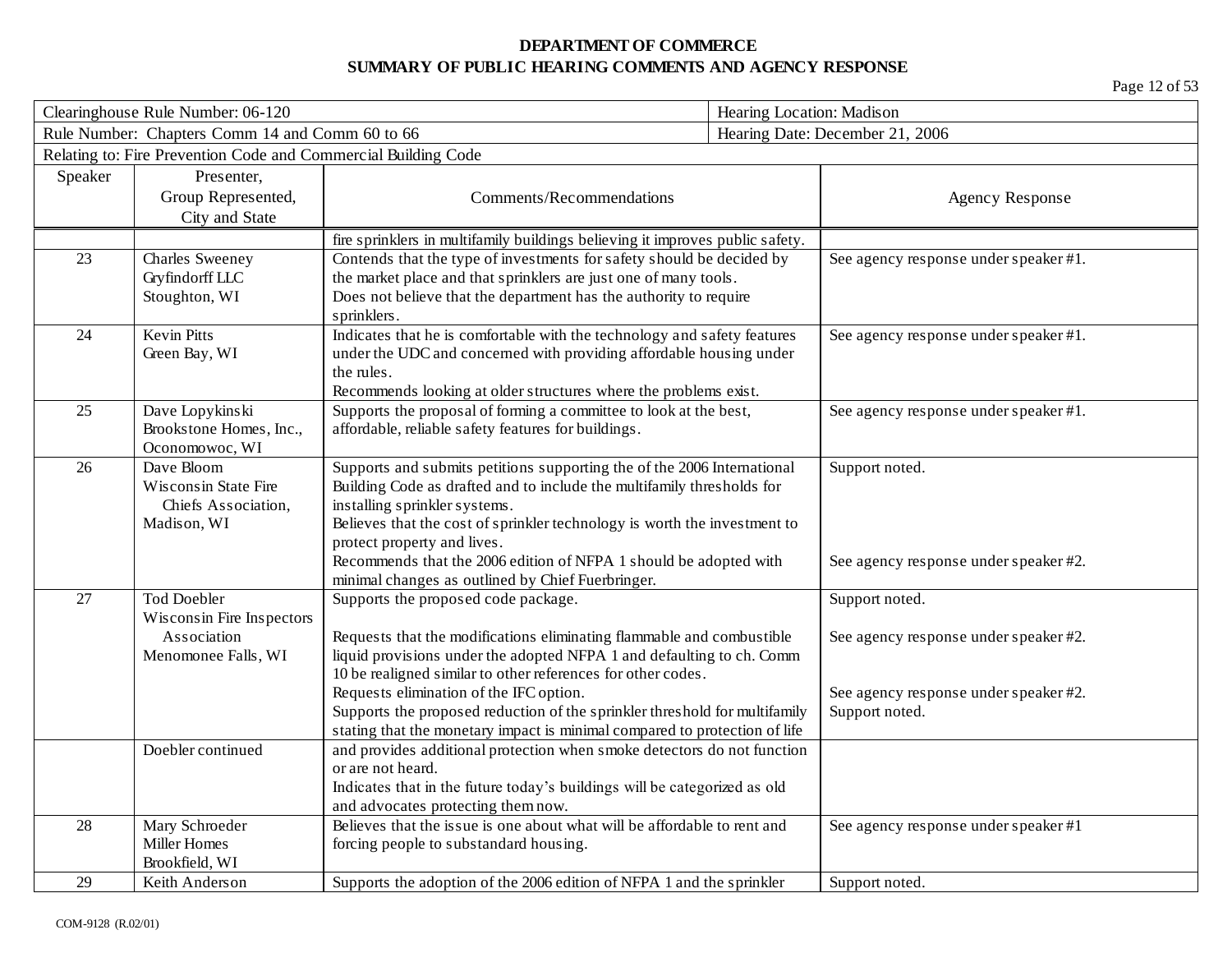| Clearinghouse Rule Number: 06-120 |                                                                |                                                                                                                                                | Hearing Location: Madison |                                       |
|-----------------------------------|----------------------------------------------------------------|------------------------------------------------------------------------------------------------------------------------------------------------|---------------------------|---------------------------------------|
|                                   | Rule Number: Chapters Comm 14 and Comm 60 to 66                |                                                                                                                                                |                           | Hearing Date: December 21, 2006       |
|                                   | Relating to: Fire Prevention Code and Commercial Building Code |                                                                                                                                                |                           |                                       |
| Speaker                           | Presenter,                                                     |                                                                                                                                                |                           |                                       |
|                                   | Group Represented,                                             | Comments/Recommendations                                                                                                                       |                           | <b>Agency Response</b>                |
|                                   | City and State                                                 |                                                                                                                                                |                           |                                       |
|                                   |                                                                | fire sprinklers in multifamily buildings believing it improves public safety.                                                                  |                           |                                       |
| 23                                | Charles Sweeney                                                | Contends that the type of investments for safety should be decided by                                                                          |                           | See agency response under speaker #1. |
|                                   | Gryfindorff LLC                                                | the market place and that sprinklers are just one of many tools.                                                                               |                           |                                       |
|                                   | Stoughton, WI                                                  | Does not believe that the department has the authority to require                                                                              |                           |                                       |
|                                   |                                                                | sprinklers.                                                                                                                                    |                           |                                       |
| 24                                | <b>Kevin Pitts</b>                                             | Indicates that he is comfortable with the technology and safety features                                                                       |                           | See agency response under speaker #1. |
|                                   | Green Bay, WI                                                  | under the UDC and concerned with providing affordable housing under                                                                            |                           |                                       |
|                                   |                                                                | the rules.                                                                                                                                     |                           |                                       |
| 25                                | Dave Lopykinski                                                | Recommends looking at older structures where the problems exist.<br>Supports the proposal of forming a committee to look at the best,          |                           | See agency response under speaker #1. |
|                                   | Brookstone Homes, Inc.,                                        | affordable, reliable safety features for buildings.                                                                                            |                           |                                       |
|                                   | Oconomowoc, WI                                                 |                                                                                                                                                |                           |                                       |
| 26                                | Dave Bloom                                                     | Supports and submits petitions supporting the of the 2006 International                                                                        |                           | Support noted.                        |
|                                   | Wisconsin State Fire                                           | Building Code as drafted and to include the multifamily thresholds for                                                                         |                           |                                       |
|                                   | Chiefs Association,                                            | installing sprinkler systems.                                                                                                                  |                           |                                       |
|                                   | Madison, WI                                                    | Believes that the cost of sprinkler technology is worth the investment to                                                                      |                           |                                       |
|                                   |                                                                | protect property and lives.                                                                                                                    |                           |                                       |
|                                   |                                                                | Recommends that the 2006 edition of NFPA 1 should be adopted with                                                                              |                           | See agency response under speaker #2. |
|                                   |                                                                | minimal changes as outlined by Chief Fuerbringer.                                                                                              |                           |                                       |
| 27                                | <b>Tod Doebler</b>                                             | Supports the proposed code package.                                                                                                            |                           | Support noted.                        |
|                                   | Wisconsin Fire Inspectors                                      |                                                                                                                                                |                           |                                       |
|                                   | Association                                                    | Requests that the modifications eliminating flammable and combustible<br>liquid provisions under the adopted NFPA 1 and defaulting to ch. Comm |                           | See agency response under speaker #2. |
|                                   | Menomonee Falls, WI                                            | 10 be realigned similar to other references for other codes.                                                                                   |                           |                                       |
|                                   |                                                                | Requests elimination of the IFC option.                                                                                                        |                           | See agency response under speaker #2. |
|                                   |                                                                | Supports the proposed reduction of the sprinkler threshold for multifamily                                                                     |                           | Support noted.                        |
|                                   |                                                                | stating that the monetary impact is minimal compared to protection of life                                                                     |                           |                                       |
|                                   | Doebler continued                                              | and provides additional protection when smoke detectors do not function                                                                        |                           |                                       |
|                                   |                                                                | or are not heard.                                                                                                                              |                           |                                       |
|                                   |                                                                | Indicates that in the future today's buildings will be categorized as old                                                                      |                           |                                       |
|                                   |                                                                | and advocates protecting them now.                                                                                                             |                           |                                       |
| 28                                | Mary Schroeder                                                 | Believes that the issue is one about what will be affordable to rent and                                                                       |                           | See agency response under speaker #1  |
|                                   | Miller Homes                                                   | forcing people to substandard housing.                                                                                                         |                           |                                       |
|                                   | Brookfield, WI                                                 |                                                                                                                                                |                           |                                       |
| 29                                | Keith Anderson                                                 | Supports the adoption of the 2006 edition of NFPA 1 and the sprinkler                                                                          |                           | Support noted.                        |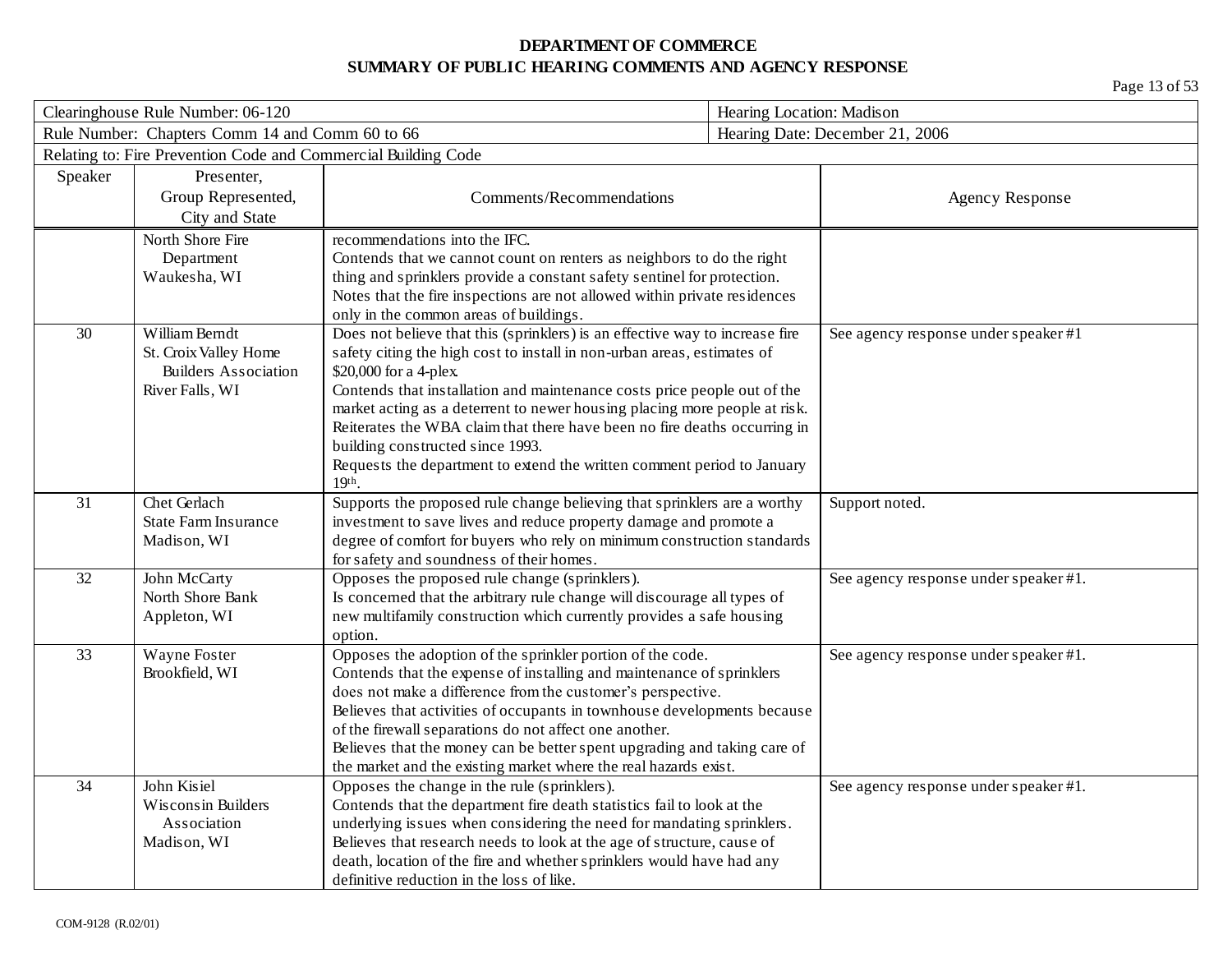| Clearinghouse Rule Number: 06-120 |                                                                | Hearing Location: Madison                                                                                                                               |  |                                       |
|-----------------------------------|----------------------------------------------------------------|---------------------------------------------------------------------------------------------------------------------------------------------------------|--|---------------------------------------|
|                                   | Rule Number: Chapters Comm 14 and Comm 60 to 66                |                                                                                                                                                         |  | Hearing Date: December 21, 2006       |
|                                   | Relating to: Fire Prevention Code and Commercial Building Code |                                                                                                                                                         |  |                                       |
| Speaker                           | Presenter,                                                     |                                                                                                                                                         |  |                                       |
|                                   | Group Represented,                                             | Comments/Recommendations                                                                                                                                |  | <b>Agency Response</b>                |
|                                   | City and State                                                 |                                                                                                                                                         |  |                                       |
|                                   | North Shore Fire                                               | recommendations into the IFC.                                                                                                                           |  |                                       |
|                                   | Department                                                     | Contends that we cannot count on renters as neighbors to do the right                                                                                   |  |                                       |
|                                   | Waukesha, WI                                                   | thing and sprinklers provide a constant safety sentinel for protection.                                                                                 |  |                                       |
|                                   |                                                                | Notes that the fire inspections are not allowed within private residences                                                                               |  |                                       |
|                                   |                                                                | only in the common areas of buildings.                                                                                                                  |  |                                       |
| 30                                | William Berndt                                                 | Does not believe that this (sprinklers) is an effective way to increase fire                                                                            |  | See agency response under speaker #1  |
|                                   | St. Croix Valley Home                                          | safety citing the high cost to install in non-urban areas, estimates of                                                                                 |  |                                       |
|                                   | <b>Builders Association</b>                                    | \$20,000 for a 4-plex.                                                                                                                                  |  |                                       |
|                                   | River Falls, WI                                                | Contends that installation and maintenance costs price people out of the                                                                                |  |                                       |
|                                   |                                                                | market acting as a deterrent to newer housing placing more people at risk.<br>Reiterates the WBA claim that there have been no fire deaths occurring in |  |                                       |
|                                   |                                                                | building constructed since 1993.                                                                                                                        |  |                                       |
|                                   |                                                                | Requests the department to extend the written comment period to January                                                                                 |  |                                       |
|                                   |                                                                | $19th$ .                                                                                                                                                |  |                                       |
| 31                                | Chet Gerlach                                                   | Supports the proposed rule change believing that sprinklers are a worthy                                                                                |  | Support noted.                        |
|                                   | <b>State Farm Insurance</b>                                    | investment to save lives and reduce property damage and promote a                                                                                       |  |                                       |
|                                   | Madison, WI                                                    | degree of comfort for buyers who rely on minimum construction standards                                                                                 |  |                                       |
|                                   |                                                                | for safety and soundness of their homes.                                                                                                                |  |                                       |
| 32                                | John McCarty                                                   | Opposes the proposed rule change (sprinklers).                                                                                                          |  | See agency response under speaker #1. |
|                                   | North Shore Bank                                               | Is concerned that the arbitrary rule change will discourage all types of                                                                                |  |                                       |
|                                   | Appleton, WI                                                   | new multifamily construction which currently provides a safe housing                                                                                    |  |                                       |
|                                   |                                                                | option.                                                                                                                                                 |  |                                       |
| 33                                | Wayne Foster                                                   | Opposes the adoption of the sprinkler portion of the code.                                                                                              |  | See agency response under speaker #1. |
|                                   | Brookfield, WI                                                 | Contends that the expense of installing and maintenance of sprinklers                                                                                   |  |                                       |
|                                   |                                                                | does not make a difference from the customer's perspective.                                                                                             |  |                                       |
|                                   |                                                                | Believes that activities of occupants in townhouse developments because<br>of the firewall separations do not affect one another.                       |  |                                       |
|                                   |                                                                | Believes that the money can be better spent upgrading and taking care of                                                                                |  |                                       |
|                                   |                                                                | the market and the existing market where the real hazards exist.                                                                                        |  |                                       |
| 34                                | John Kisiel                                                    | Opposes the change in the rule (sprinklers).                                                                                                            |  | See agency response under speaker #1. |
|                                   | Wisconsin Builders                                             | Contends that the department fire death statistics fail to look at the                                                                                  |  |                                       |
|                                   | Association                                                    | underlying issues when considering the need for mandating sprinklers.                                                                                   |  |                                       |
|                                   | Madison, WI                                                    | Believes that research needs to look at the age of structure, cause of                                                                                  |  |                                       |
|                                   |                                                                | death, location of the fire and whether sprinklers would have had any                                                                                   |  |                                       |
|                                   |                                                                | definitive reduction in the loss of like.                                                                                                               |  |                                       |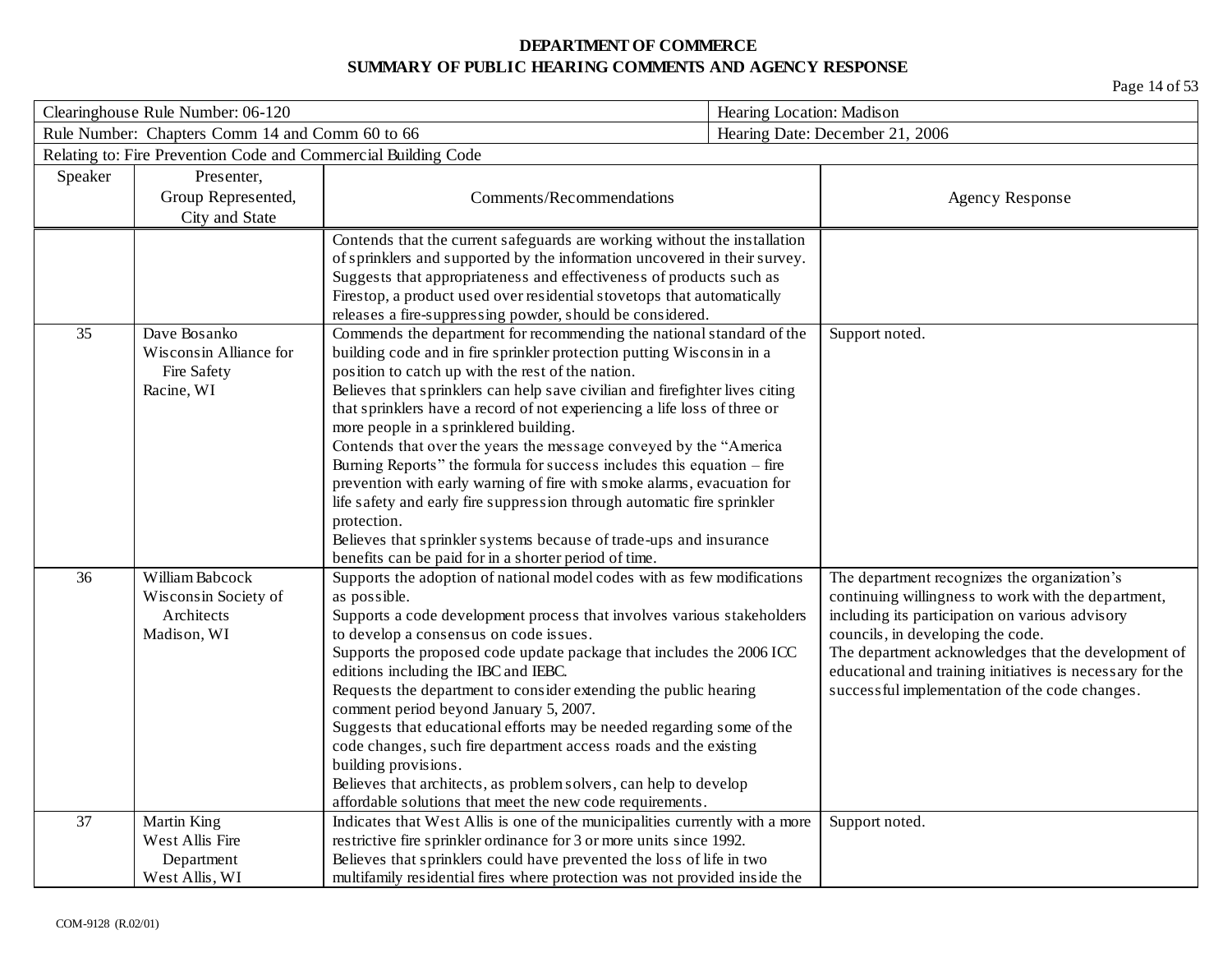| Clearinghouse Rule Number: 06-120 |                                                                | Hearing Location: Madison                                                                                                  |  |                                                                                      |
|-----------------------------------|----------------------------------------------------------------|----------------------------------------------------------------------------------------------------------------------------|--|--------------------------------------------------------------------------------------|
|                                   | Rule Number: Chapters Comm 14 and Comm 60 to 66                |                                                                                                                            |  | Hearing Date: December 21, 2006                                                      |
|                                   | Relating to: Fire Prevention Code and Commercial Building Code |                                                                                                                            |  |                                                                                      |
| Speaker                           | Presenter,                                                     |                                                                                                                            |  |                                                                                      |
|                                   | Group Represented,                                             | Comments/Recommendations                                                                                                   |  | <b>Agency Response</b>                                                               |
|                                   | City and State                                                 |                                                                                                                            |  |                                                                                      |
|                                   |                                                                | Contends that the current safeguards are working without the installation                                                  |  |                                                                                      |
|                                   |                                                                | of sprinklers and supported by the information uncovered in their survey.                                                  |  |                                                                                      |
|                                   |                                                                | Suggests that appropriateness and effectiveness of products such as                                                        |  |                                                                                      |
|                                   |                                                                | Firestop, a product used over residential stovetops that automatically                                                     |  |                                                                                      |
|                                   |                                                                | releases a fire-suppressing powder, should be considered.                                                                  |  |                                                                                      |
| 35                                | Dave Bosanko<br>Wisconsin Alliance for                         | Commends the department for recommending the national standard of the                                                      |  | Support noted.                                                                       |
|                                   | Fire Safety                                                    | building code and in fire sprinkler protection putting Wisconsin in a<br>position to catch up with the rest of the nation. |  |                                                                                      |
|                                   | Racine, WI                                                     | Believes that sprinklers can help save civilian and firefighter lives citing                                               |  |                                                                                      |
|                                   |                                                                | that sprinklers have a record of not experiencing a life loss of three or                                                  |  |                                                                                      |
|                                   |                                                                | more people in a sprinklered building.                                                                                     |  |                                                                                      |
|                                   |                                                                | Contends that over the years the message conveyed by the "America                                                          |  |                                                                                      |
|                                   |                                                                | Burning Reports" the formula for success includes this equation – fire                                                     |  |                                                                                      |
|                                   |                                                                | prevention with early warning of fire with smoke alarms, evacuation for                                                    |  |                                                                                      |
|                                   |                                                                | life safety and early fire suppression through automatic fire sprinkler                                                    |  |                                                                                      |
|                                   |                                                                | protection.                                                                                                                |  |                                                                                      |
|                                   |                                                                | Believes that sprinkler systems because of trade-ups and insurance                                                         |  |                                                                                      |
|                                   |                                                                | benefits can be paid for in a shorter period of time.                                                                      |  |                                                                                      |
| 36                                | William Babcock                                                | Supports the adoption of national model codes with as few modifications                                                    |  | The department recognizes the organization's                                         |
|                                   | Wisconsin Society of                                           | as possible.                                                                                                               |  | continuing willingness to work with the department,                                  |
|                                   | Architects<br>Madison, WI                                      | Supports a code development process that involves various stakeholders<br>to develop a consensus on code issues.           |  | including its participation on various advisory<br>councils, in developing the code. |
|                                   |                                                                | Supports the proposed code update package that includes the 2006 ICC                                                       |  | The department acknowledges that the development of                                  |
|                                   |                                                                | editions including the IBC and IEBC.                                                                                       |  | educational and training initiatives is necessary for the                            |
|                                   |                                                                | Requests the department to consider extending the public hearing                                                           |  | successful implementation of the code changes.                                       |
|                                   |                                                                | comment period beyond January 5, 2007.                                                                                     |  |                                                                                      |
|                                   |                                                                | Suggests that educational efforts may be needed regarding some of the                                                      |  |                                                                                      |
|                                   |                                                                | code changes, such fire department access roads and the existing                                                           |  |                                                                                      |
|                                   |                                                                | building provisions.                                                                                                       |  |                                                                                      |
|                                   |                                                                | Believes that architects, as problem solvers, can help to develop                                                          |  |                                                                                      |
|                                   |                                                                | affordable solutions that meet the new code requirements.                                                                  |  |                                                                                      |
| 37                                | Martin King                                                    | Indicates that West Allis is one of the municipalities currently with a more                                               |  | Support noted.                                                                       |
|                                   | West Allis Fire                                                | restrictive fire sprinkler ordinance for 3 or more units since 1992.                                                       |  |                                                                                      |
|                                   | Department                                                     | Believes that sprinklers could have prevented the loss of life in two                                                      |  |                                                                                      |
|                                   | West Allis, WI                                                 | multifamily residential fires where protection was not provided inside the                                                 |  |                                                                                      |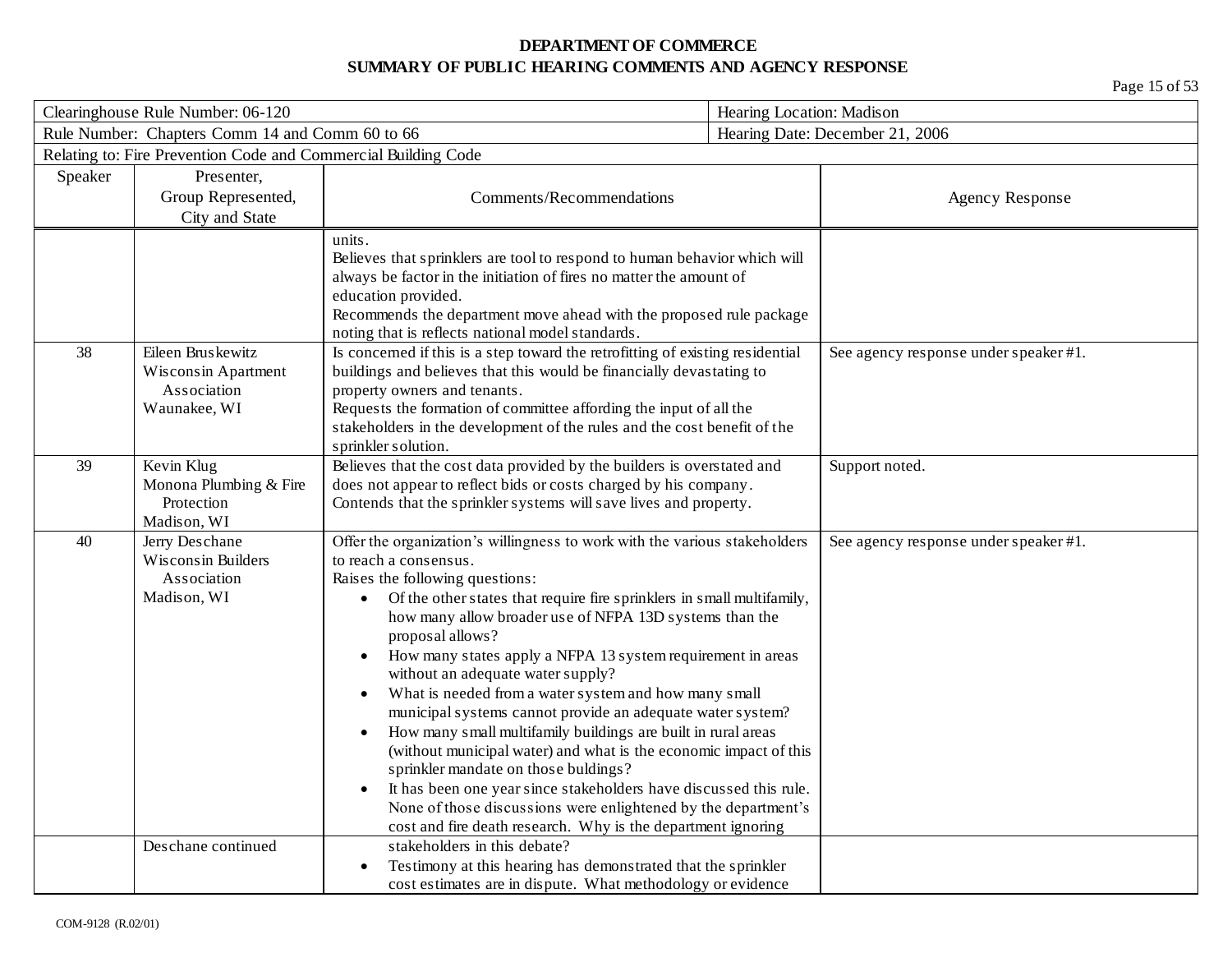| Clearinghouse Rule Number: 06-120 |                                                                         |                                                                                                                                                                                                                                                                                                                                                                                                                                                                                                                                                                                                                                                                                                                                                                                                                                                                                                                              | Hearing Location: Madison |                                       |
|-----------------------------------|-------------------------------------------------------------------------|------------------------------------------------------------------------------------------------------------------------------------------------------------------------------------------------------------------------------------------------------------------------------------------------------------------------------------------------------------------------------------------------------------------------------------------------------------------------------------------------------------------------------------------------------------------------------------------------------------------------------------------------------------------------------------------------------------------------------------------------------------------------------------------------------------------------------------------------------------------------------------------------------------------------------|---------------------------|---------------------------------------|
|                                   | Rule Number: Chapters Comm 14 and Comm 60 to 66                         |                                                                                                                                                                                                                                                                                                                                                                                                                                                                                                                                                                                                                                                                                                                                                                                                                                                                                                                              |                           | Hearing Date: December 21, 2006       |
|                                   | Relating to: Fire Prevention Code and Commercial Building Code          |                                                                                                                                                                                                                                                                                                                                                                                                                                                                                                                                                                                                                                                                                                                                                                                                                                                                                                                              |                           |                                       |
| Speaker                           | Presenter,<br>Group Represented,<br>City and State                      | Comments/Recommendations                                                                                                                                                                                                                                                                                                                                                                                                                                                                                                                                                                                                                                                                                                                                                                                                                                                                                                     |                           | <b>Agency Response</b>                |
|                                   |                                                                         | units.<br>Believes that sprinklers are tool to respond to human behavior which will<br>always be factor in the initiation of fires no matter the amount of<br>education provided.<br>Recommends the department move ahead with the proposed rule package<br>noting that is reflects national model standards.                                                                                                                                                                                                                                                                                                                                                                                                                                                                                                                                                                                                                |                           |                                       |
| 38                                | Eileen Bruskewitz<br>Wisconsin Apartment<br>Association<br>Waunakee, WI | Is concerned if this is a step toward the retrofitting of existing residential<br>buildings and believes that this would be financially devastating to<br>property owners and tenants.<br>Requests the formation of committee affording the input of all the<br>stakeholders in the development of the rules and the cost benefit of the<br>sprinkler solution.                                                                                                                                                                                                                                                                                                                                                                                                                                                                                                                                                              |                           | See agency response under speaker #1. |
| 39                                | Kevin Klug<br>Monona Plumbing & Fire<br>Protection<br>Madison, WI       | Believes that the cost data provided by the builders is overstated and<br>does not appear to reflect bids or costs charged by his company.<br>Contends that the sprinkler systems will save lives and property.                                                                                                                                                                                                                                                                                                                                                                                                                                                                                                                                                                                                                                                                                                              |                           | Support noted.                        |
| 40                                | Jerry Deschane<br>Wisconsin Builders<br>Association<br>Madison, WI      | Offer the organization's willingness to work with the various stakeholders<br>to reach a consensus.<br>Raises the following questions:<br>Of the other states that require fire sprinklers in small multifamily,<br>$\bullet$<br>how many allow broader use of NFPA 13D systems than the<br>proposal allows?<br>How many states apply a NFPA 13 system requirement in areas<br>without an adequate water supply?<br>What is needed from a water system and how many small<br>municipal systems cannot provide an adequate water system?<br>How many small multifamily buildings are built in rural areas<br>(without municipal water) and what is the economic impact of this<br>sprinkler mandate on those buldings?<br>It has been one year since stakeholders have discussed this rule.<br>None of those discussions were enlightened by the department's<br>cost and fire death research. Why is the department ignoring |                           | See agency response under speaker #1. |
|                                   | Deschane continued                                                      | stakeholders in this debate?<br>Testimony at this hearing has demonstrated that the sprinkler<br>cost estimates are in dispute. What methodology or evidence                                                                                                                                                                                                                                                                                                                                                                                                                                                                                                                                                                                                                                                                                                                                                                 |                           |                                       |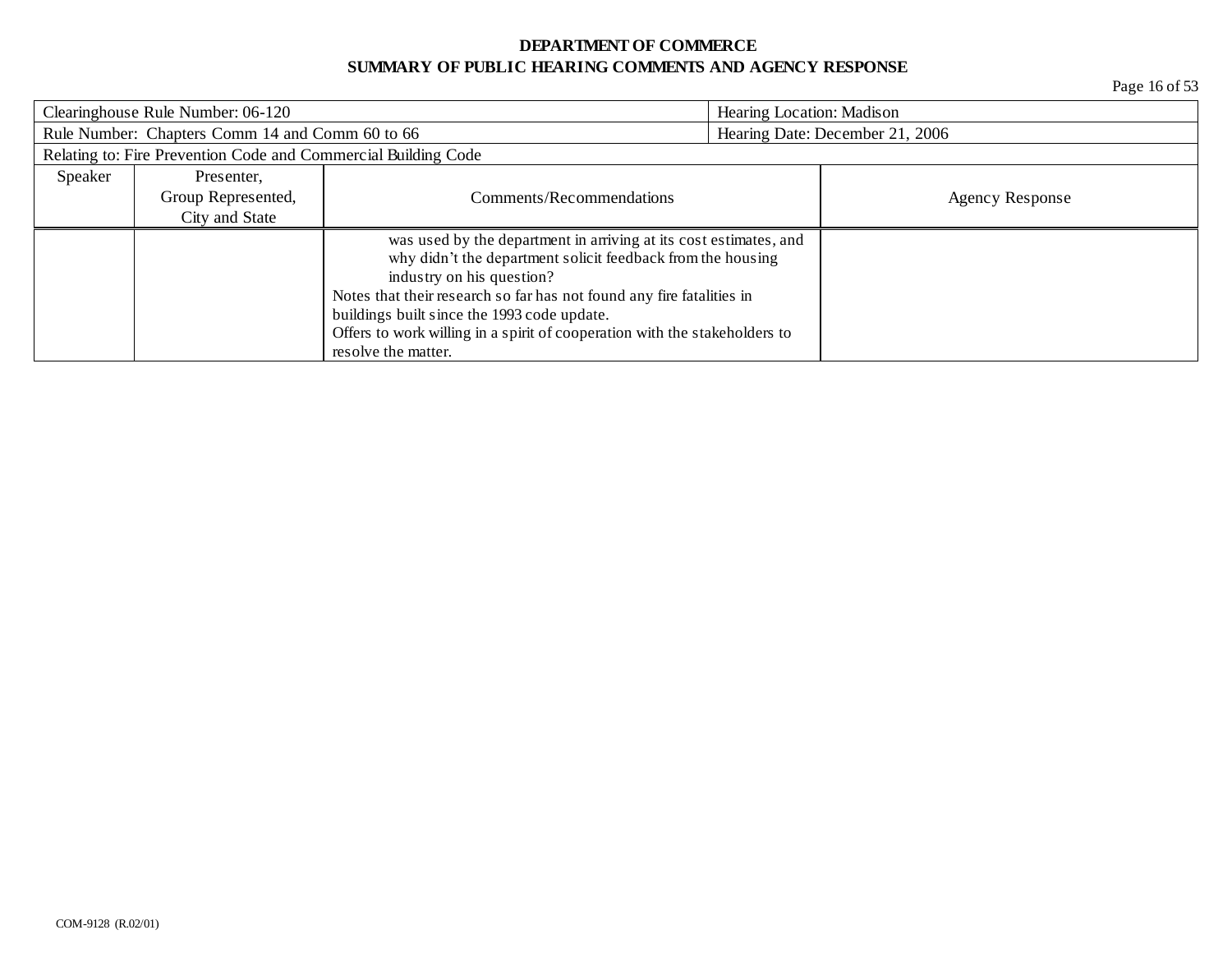| Clearinghouse Rule Number: 06-120 |                                                                | Hearing Location: Madison                                                  |  |                                 |
|-----------------------------------|----------------------------------------------------------------|----------------------------------------------------------------------------|--|---------------------------------|
|                                   | Rule Number: Chapters Comm 14 and Comm 60 to 66                |                                                                            |  | Hearing Date: December 21, 2006 |
|                                   | Relating to: Fire Prevention Code and Commercial Building Code |                                                                            |  |                                 |
| Speaker                           | Presenter,                                                     |                                                                            |  |                                 |
|                                   | Group Represented,                                             | Comments/Recommendations                                                   |  | Agency Response                 |
|                                   | City and State                                                 |                                                                            |  |                                 |
|                                   |                                                                | was used by the department in arriving at its cost estimates, and          |  |                                 |
|                                   |                                                                | why didn't the department solicit feedback from the housing                |  |                                 |
|                                   |                                                                | industry on his question?                                                  |  |                                 |
|                                   |                                                                | Notes that their research so far has not found any fire fatalities in      |  |                                 |
|                                   |                                                                | buildings built since the 1993 code update.                                |  |                                 |
|                                   |                                                                | Offers to work willing in a spirit of cooperation with the stakeholders to |  |                                 |
|                                   |                                                                | resolve the matter.                                                        |  |                                 |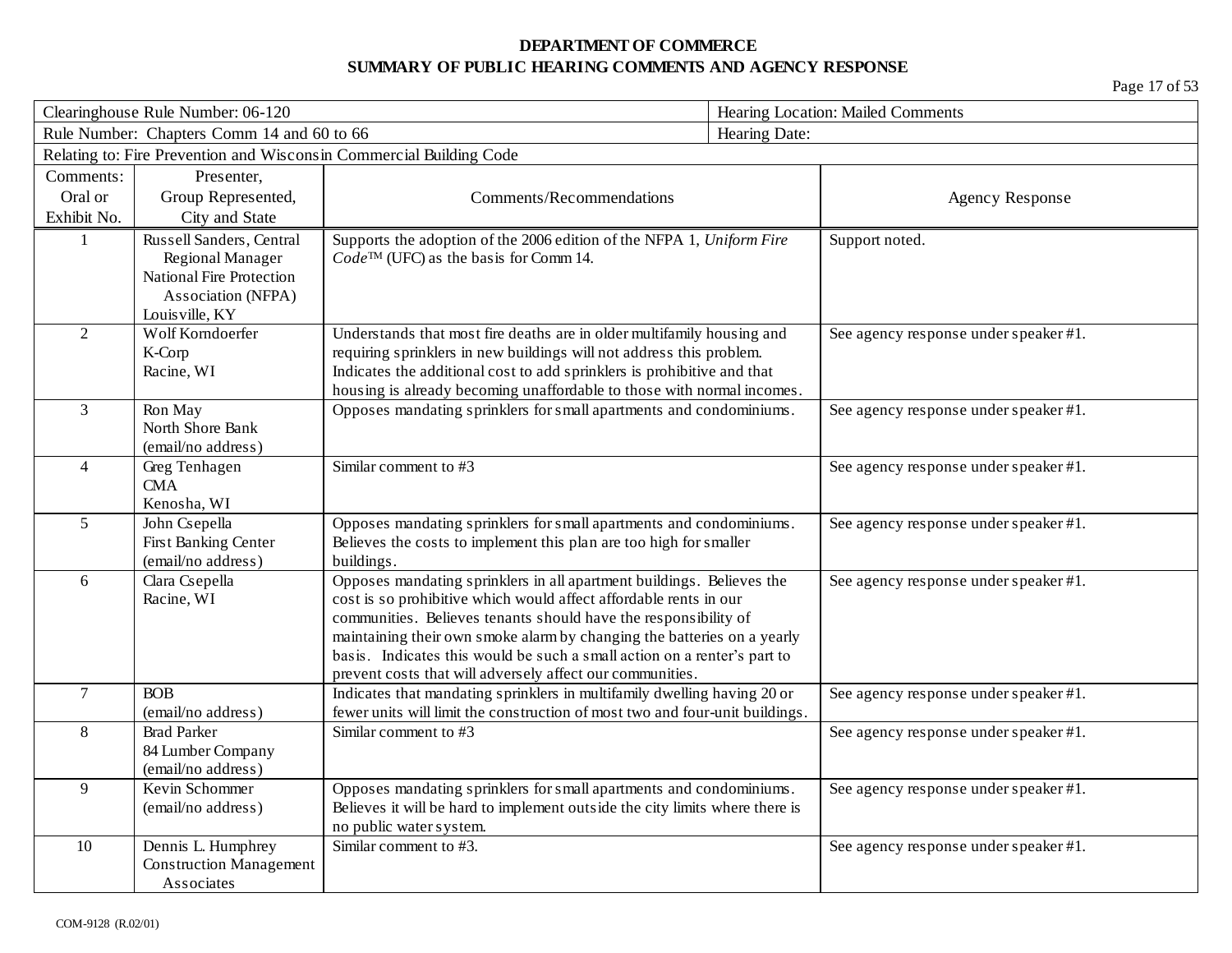|                | Clearinghouse Rule Number: 06-120          |                                                                                                       |               | Hearing Location: Mailed Comments     |  |
|----------------|--------------------------------------------|-------------------------------------------------------------------------------------------------------|---------------|---------------------------------------|--|
|                | Rule Number: Chapters Comm 14 and 60 to 66 |                                                                                                       | Hearing Date: |                                       |  |
|                |                                            | Relating to: Fire Prevention and Wisconsin Commercial Building Code                                   |               |                                       |  |
| Comments:      | Presenter,                                 |                                                                                                       |               |                                       |  |
| Oral or        | Group Represented,                         | Comments/Recommendations                                                                              |               | <b>Agency Response</b>                |  |
| Exhibit No.    | City and State                             |                                                                                                       |               |                                       |  |
| $\mathbf{1}$   | Russell Sanders, Central                   | Supports the adoption of the 2006 edition of the NFPA 1, Uniform Fire                                 |               | Support noted.                        |  |
|                | Regional Manager                           | $Code^{TM}$ (UFC) as the basis for Comm 14.                                                           |               |                                       |  |
|                | National Fire Protection                   |                                                                                                       |               |                                       |  |
|                | Association (NFPA)                         |                                                                                                       |               |                                       |  |
| $\overline{2}$ | Louisville, KY<br>Wolf Korndoerfer         | Understands that most fire deaths are in older multifamily housing and                                |               | See agency response under speaker #1. |  |
|                | K-Corp                                     | requiring sprinklers in new buildings will not address this problem.                                  |               |                                       |  |
|                | Racine, WI                                 | Indicates the additional cost to add sprinklers is prohibitive and that                               |               |                                       |  |
|                |                                            | housing is already becoming unaffordable to those with normal incomes.                                |               |                                       |  |
| $\overline{3}$ | Ron May                                    | Opposes mandating sprinklers for small apartments and condominiums.                                   |               | See agency response under speaker #1. |  |
|                | North Shore Bank                           |                                                                                                       |               |                                       |  |
|                | (email/no address)                         |                                                                                                       |               |                                       |  |
| $\overline{4}$ | Greg Tenhagen                              | Similar comment to #3                                                                                 |               | See agency response under speaker #1. |  |
|                | CMA                                        |                                                                                                       |               |                                       |  |
| 5              | Kenosha, WI<br>John Csepella               | Opposes mandating sprinklers for small apartments and condominiums.                                   |               | See agency response under speaker #1. |  |
|                | First Banking Center                       | Believes the costs to implement this plan are too high for smaller                                    |               |                                       |  |
|                | (email/no address)                         | buildings.                                                                                            |               |                                       |  |
| 6              | Clara Csepella                             | Opposes mandating sprinklers in all apartment buildings. Believes the                                 |               | See agency response under speaker #1. |  |
|                | Racine, WI                                 | cost is so prohibitive which would affect affordable rents in our                                     |               |                                       |  |
|                |                                            | communities. Believes tenants should have the responsibility of                                       |               |                                       |  |
|                |                                            | maintaining their own smoke alarm by changing the batteries on a yearly                               |               |                                       |  |
|                |                                            | basis. Indicates this would be such a small action on a renter's part to                              |               |                                       |  |
|                |                                            | prevent costs that will adversely affect our communities.                                             |               |                                       |  |
| $\overline{7}$ | <b>BOB</b>                                 | Indicates that mandating sprinklers in multifamily dwelling having 20 or                              |               | See agency response under speaker #1. |  |
| 8              | (email/no address)<br><b>Brad Parker</b>   | fewer units will limit the construction of most two and four-unit buildings.<br>Similar comment to #3 |               |                                       |  |
|                | 84 Lumber Company                          |                                                                                                       |               | See agency response under speaker #1. |  |
|                | (email/no address)                         |                                                                                                       |               |                                       |  |
| $\overline{9}$ | Kevin Schommer                             | Opposes mandating sprinklers for small apartments and condominiums.                                   |               | See agency response under speaker #1. |  |
|                | (email/no address)                         | Believes it will be hard to implement outside the city limits where there is                          |               |                                       |  |
|                |                                            | no public water system.                                                                               |               |                                       |  |
| $10\,$         | Dennis L. Humphrey                         | Similar comment to #3.                                                                                |               | See agency response under speaker #1. |  |
|                | <b>Construction Management</b>             |                                                                                                       |               |                                       |  |
|                | Associates                                 |                                                                                                       |               |                                       |  |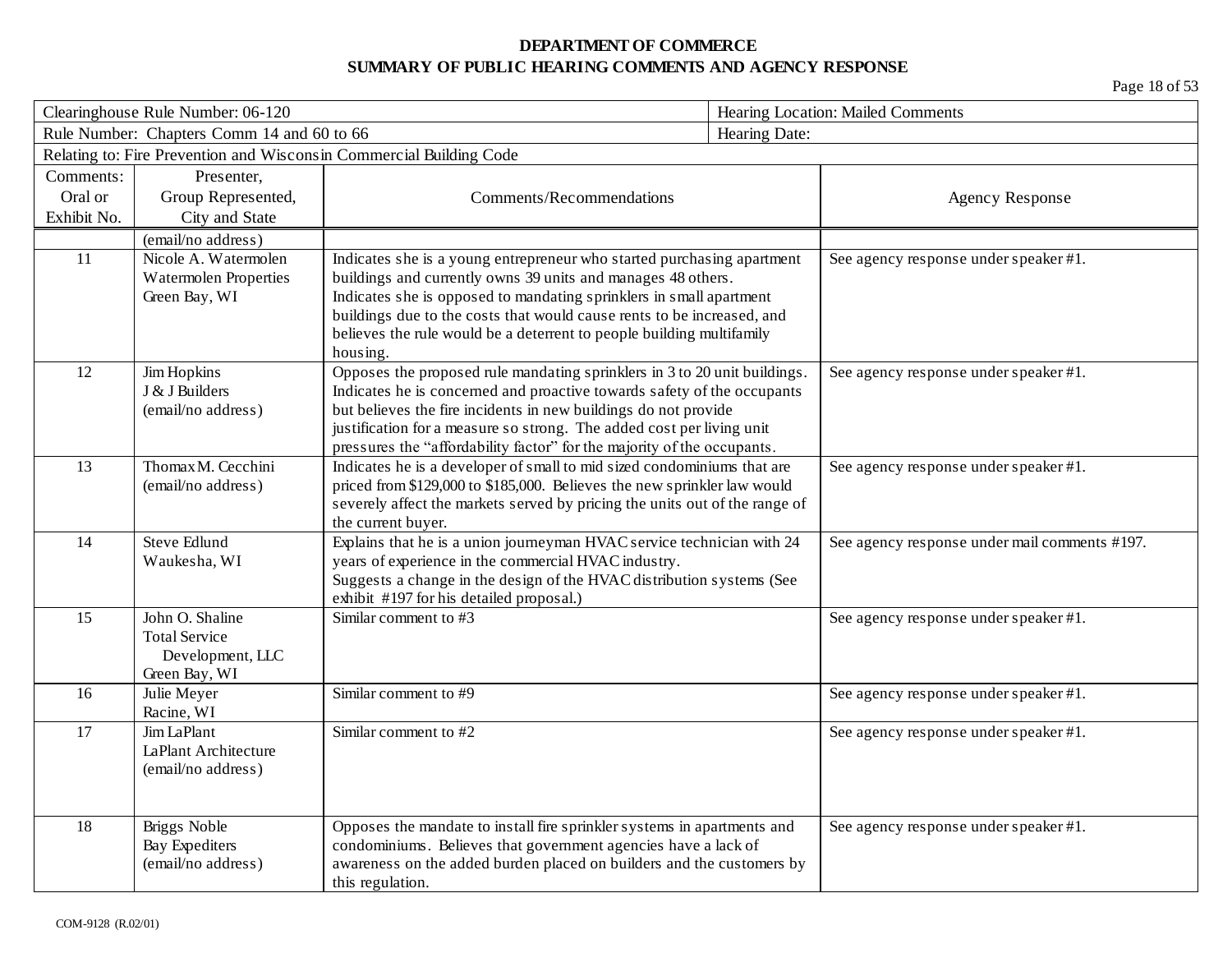| Clearinghouse Rule Number: 06-120 |                                            |                                                                                                                                                      | Hearing Location: Mailed Comments |                                               |
|-----------------------------------|--------------------------------------------|------------------------------------------------------------------------------------------------------------------------------------------------------|-----------------------------------|-----------------------------------------------|
|                                   | Rule Number: Chapters Comm 14 and 60 to 66 |                                                                                                                                                      | Hearing Date:                     |                                               |
|                                   |                                            | Relating to: Fire Prevention and Wisconsin Commercial Building Code                                                                                  |                                   |                                               |
| Comments:                         | Presenter,                                 |                                                                                                                                                      |                                   |                                               |
| Oral or                           | Group Represented,                         | Comments/Recommendations                                                                                                                             |                                   | <b>Agency Response</b>                        |
| Exhibit No.                       | City and State                             |                                                                                                                                                      |                                   |                                               |
|                                   | (email/no address)                         |                                                                                                                                                      |                                   |                                               |
| 11                                | Nicole A. Watermolen                       | Indicates she is a young entrepreneur who started purchasing apartment                                                                               |                                   | See agency response under speaker #1.         |
|                                   | <b>Watermolen Properties</b>               | buildings and currently owns 39 units and manages 48 others.                                                                                         |                                   |                                               |
|                                   | Green Bay, WI                              | Indicates she is opposed to mandating sprinklers in small apartment                                                                                  |                                   |                                               |
|                                   |                                            | buildings due to the costs that would cause rents to be increased, and                                                                               |                                   |                                               |
|                                   |                                            | believes the rule would be a deterrent to people building multifamily                                                                                |                                   |                                               |
|                                   |                                            | housing.                                                                                                                                             |                                   |                                               |
| 12                                | Jim Hopkins<br>J & J Builders              | Opposes the proposed rule mandating sprinklers in 3 to 20 unit buildings.<br>Indicates he is concerned and proactive towards safety of the occupants |                                   | See agency response under speaker #1.         |
|                                   | (email/no address)                         | but believes the fire incidents in new buildings do not provide                                                                                      |                                   |                                               |
|                                   |                                            | justification for a measure so strong. The added cost per living unit                                                                                |                                   |                                               |
|                                   |                                            | pressures the "affordability factor" for the majority of the occupants.                                                                              |                                   |                                               |
| 13                                | Thomax M. Cecchini                         | Indicates he is a developer of small to mid sized condominiums that are                                                                              |                                   | See agency response under speaker #1.         |
|                                   | (email/no address)                         | priced from \$129,000 to \$185,000. Believes the new sprinkler law would                                                                             |                                   |                                               |
|                                   |                                            | severely affect the markets served by pricing the units out of the range of                                                                          |                                   |                                               |
|                                   |                                            | the current buyer.                                                                                                                                   |                                   |                                               |
| 14                                | <b>Steve Edlund</b>                        | Explains that he is a union journeyman HVAC service technician with 24                                                                               |                                   | See agency response under mail comments #197. |
|                                   | Waukesha, WI                               | years of experience in the commercial HVAC industry.                                                                                                 |                                   |                                               |
|                                   |                                            | Suggests a change in the design of the HVAC distribution systems (See                                                                                |                                   |                                               |
|                                   |                                            | exhibit #197 for his detailed proposal.)                                                                                                             |                                   |                                               |
| 15                                | John O. Shaline                            | Similar comment to #3                                                                                                                                |                                   | See agency response under speaker #1.         |
|                                   | <b>Total Service</b>                       |                                                                                                                                                      |                                   |                                               |
|                                   | Development, LLC<br>Green Bay, WI          |                                                                                                                                                      |                                   |                                               |
| 16                                | Julie Meyer                                | Similar comment to #9                                                                                                                                |                                   | See agency response under speaker #1.         |
|                                   | Racine, WI                                 |                                                                                                                                                      |                                   |                                               |
| 17                                | Jim LaPlant                                | Similar comment to #2                                                                                                                                |                                   | See agency response under speaker #1.         |
|                                   | LaPlant Architecture                       |                                                                                                                                                      |                                   |                                               |
|                                   | (email/no address)                         |                                                                                                                                                      |                                   |                                               |
|                                   |                                            |                                                                                                                                                      |                                   |                                               |
|                                   |                                            |                                                                                                                                                      |                                   |                                               |
| 18                                | Briggs Noble                               | Opposes the mandate to install fire sprinkler systems in apartments and                                                                              |                                   | See agency response under speaker #1.         |
|                                   | <b>Bay Expediters</b>                      | condominiums. Believes that government agencies have a lack of                                                                                       |                                   |                                               |
|                                   | (email/no address)                         | awareness on the added burden placed on builders and the customers by                                                                                |                                   |                                               |
|                                   |                                            | this regulation.                                                                                                                                     |                                   |                                               |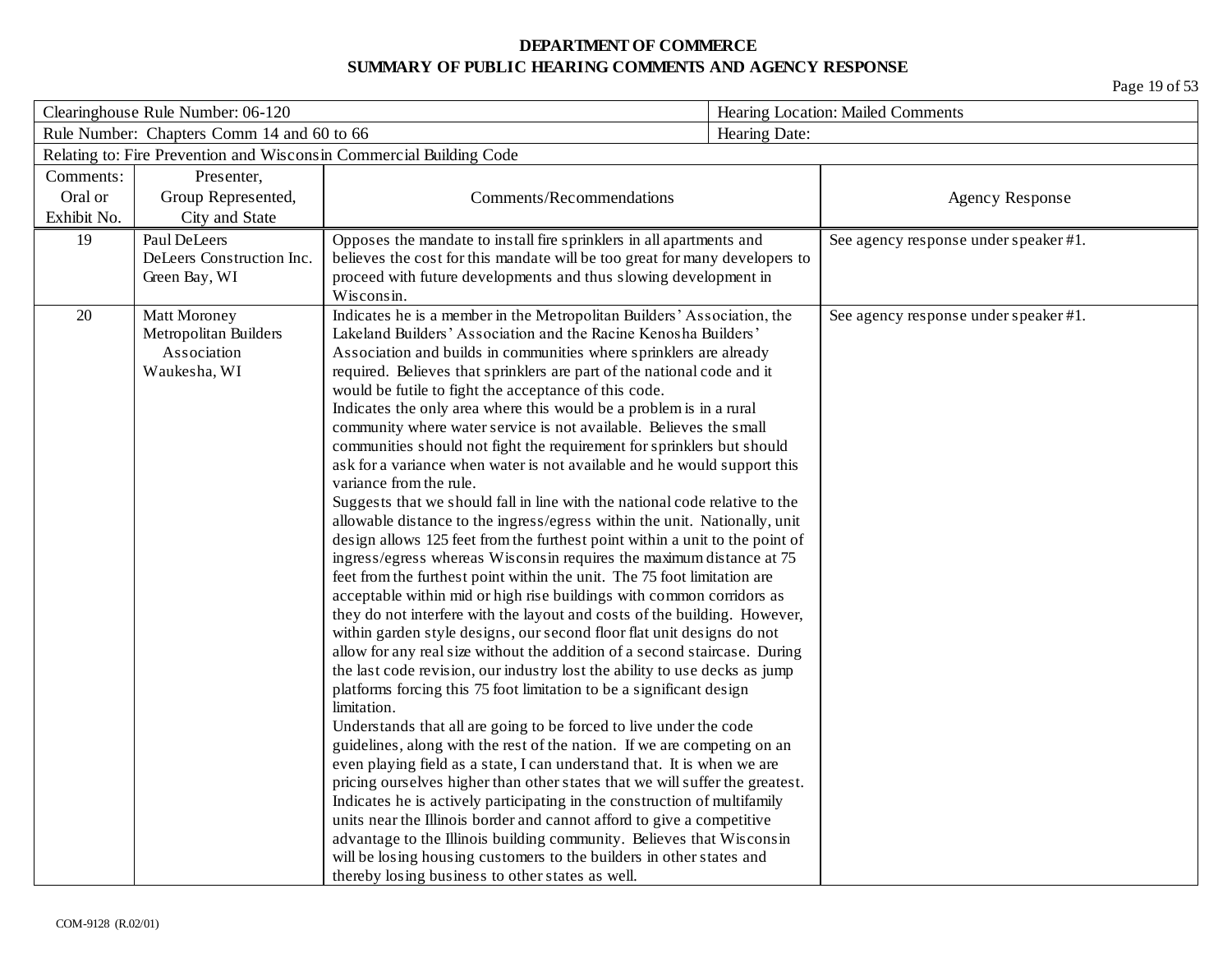| Clearinghouse Rule Number: 06-120                                   |                                            |                                                                                                     | Hearing Location: Mailed Comments |                                       |
|---------------------------------------------------------------------|--------------------------------------------|-----------------------------------------------------------------------------------------------------|-----------------------------------|---------------------------------------|
|                                                                     | Rule Number: Chapters Comm 14 and 60 to 66 |                                                                                                     | Hearing Date:                     |                                       |
| Relating to: Fire Prevention and Wisconsin Commercial Building Code |                                            |                                                                                                     |                                   |                                       |
| Comments:                                                           | Presenter,                                 |                                                                                                     |                                   |                                       |
| Oral or                                                             | Group Represented,                         | Comments/Recommendations                                                                            |                                   | <b>Agency Response</b>                |
| Exhibit No.                                                         | City and State                             |                                                                                                     |                                   |                                       |
| 19                                                                  | Paul DeLeers                               | Opposes the mandate to install fire sprinklers in all apartments and                                |                                   | See agency response under speaker #1. |
|                                                                     | DeLeers Construction Inc.                  | believes the cost for this mandate will be too great for many developers to                         |                                   |                                       |
|                                                                     | Green Bay, WI                              | proceed with future developments and thus slowing development in                                    |                                   |                                       |
|                                                                     |                                            | Wisconsin.                                                                                          |                                   |                                       |
| 20                                                                  | Matt Moroney                               | Indicates he is a member in the Metropolitan Builders' Association, the                             |                                   | See agency response under speaker #1. |
|                                                                     | Metropolitan Builders                      | Lakeland Builders' Association and the Racine Kenosha Builders'                                     |                                   |                                       |
|                                                                     | Association                                | Association and builds in communities where sprinklers are already                                  |                                   |                                       |
|                                                                     | Waukesha, WI                               | required. Believes that sprinklers are part of the national code and it                             |                                   |                                       |
|                                                                     |                                            | would be futile to fight the acceptance of this code.                                               |                                   |                                       |
|                                                                     |                                            | Indicates the only area where this would be a problem is in a rural                                 |                                   |                                       |
|                                                                     |                                            | community where water service is not available. Believes the small                                  |                                   |                                       |
|                                                                     |                                            | communities should not fight the requirement for sprinklers but should                              |                                   |                                       |
|                                                                     |                                            | ask for a variance when water is not available and he would support this<br>variance from the rule. |                                   |                                       |
|                                                                     |                                            | Suggests that we should fall in line with the national code relative to the                         |                                   |                                       |
|                                                                     |                                            | allowable distance to the ingress/egress within the unit. Nationally, unit                          |                                   |                                       |
|                                                                     |                                            | design allows 125 feet from the furthest point within a unit to the point of                        |                                   |                                       |
|                                                                     |                                            | ingress/egress whereas Wisconsin requires the maximum distance at 75                                |                                   |                                       |
|                                                                     |                                            | feet from the furthest point within the unit. The 75 foot limitation are                            |                                   |                                       |
|                                                                     |                                            | acceptable within mid or high rise buildings with common corridors as                               |                                   |                                       |
|                                                                     |                                            | they do not interfere with the layout and costs of the building. However,                           |                                   |                                       |
|                                                                     |                                            | within garden style designs, our second floor flat unit designs do not                              |                                   |                                       |
|                                                                     |                                            | allow for any real size without the addition of a second staircase. During                          |                                   |                                       |
|                                                                     |                                            | the last code revision, our industry lost the ability to use decks as jump                          |                                   |                                       |
|                                                                     |                                            | platforms forcing this 75 foot limitation to be a significant design                                |                                   |                                       |
|                                                                     |                                            | limitation.                                                                                         |                                   |                                       |
|                                                                     |                                            | Understands that all are going to be forced to live under the code                                  |                                   |                                       |
|                                                                     |                                            | guidelines, along with the rest of the nation. If we are competing on an                            |                                   |                                       |
|                                                                     |                                            | even playing field as a state, I can understand that. It is when we are                             |                                   |                                       |
|                                                                     |                                            | pricing ourselves higher than other states that we will suffer the greatest.                        |                                   |                                       |
|                                                                     |                                            | Indicates he is actively participating in the construction of multifamily                           |                                   |                                       |
|                                                                     |                                            | units near the Illinois border and cannot afford to give a competitive                              |                                   |                                       |
|                                                                     |                                            | advantage to the Illinois building community. Believes that Wisconsin                               |                                   |                                       |
|                                                                     |                                            | will be losing housing customers to the builders in other states and                                |                                   |                                       |
|                                                                     |                                            | thereby losing business to other states as well.                                                    |                                   |                                       |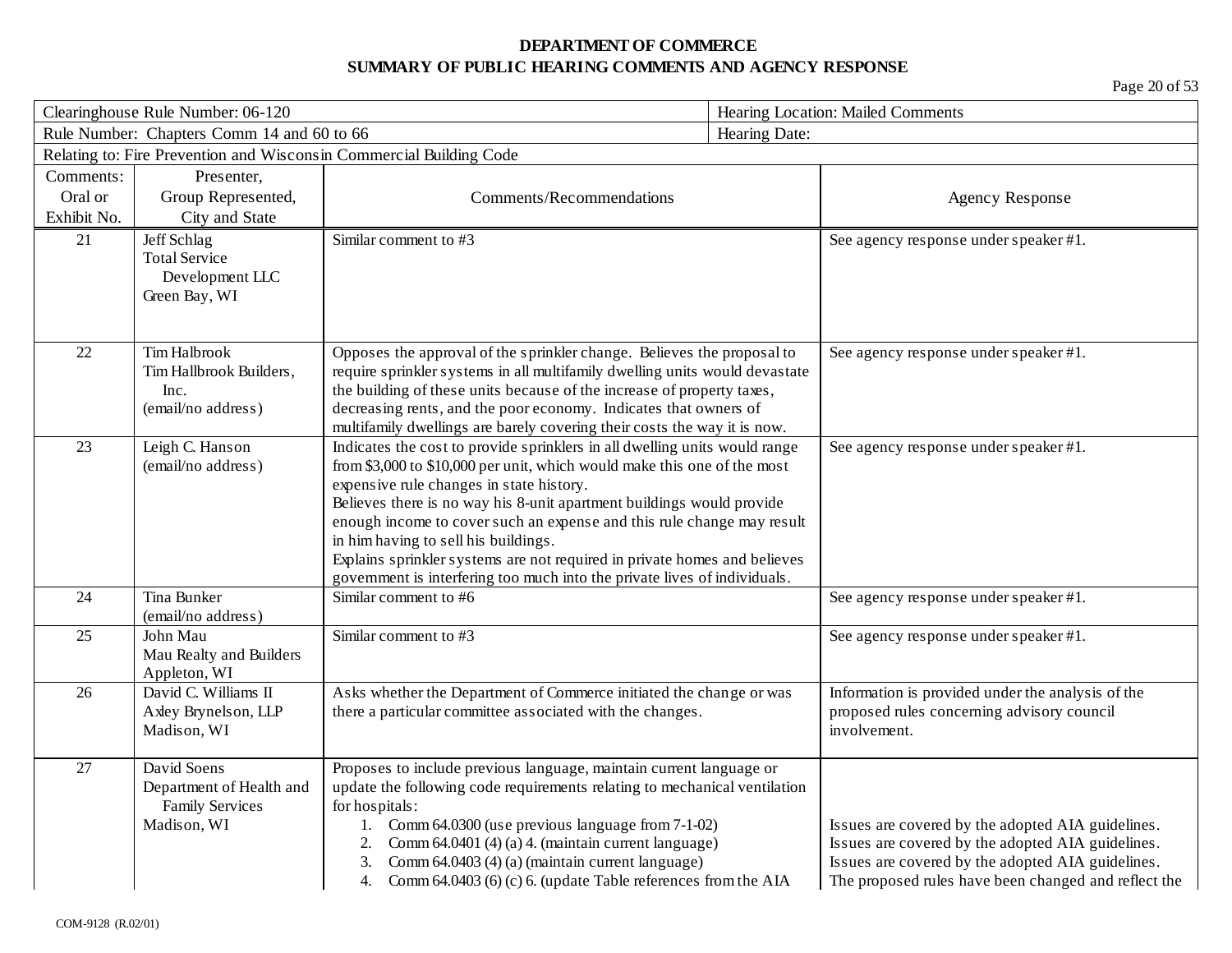|             | Clearinghouse Rule Number: 06-120          |                                                                                                                                                        | Hearing Location: Mailed Comments                    |
|-------------|--------------------------------------------|--------------------------------------------------------------------------------------------------------------------------------------------------------|------------------------------------------------------|
|             | Rule Number: Chapters Comm 14 and 60 to 66 |                                                                                                                                                        | Hearing Date:                                        |
|             |                                            | Relating to: Fire Prevention and Wisconsin Commercial Building Code                                                                                    |                                                      |
| Comments:   | Presenter,                                 |                                                                                                                                                        |                                                      |
| Oral or     | Group Represented,                         | Comments/Recommendations                                                                                                                               | <b>Agency Response</b>                               |
| Exhibit No. | City and State                             |                                                                                                                                                        |                                                      |
| 21          | Jeff Schlag                                | Similar comment to #3                                                                                                                                  | See agency response under speaker #1.                |
|             | <b>Total Service</b>                       |                                                                                                                                                        |                                                      |
|             | Development LLC                            |                                                                                                                                                        |                                                      |
|             | Green Bay, WI                              |                                                                                                                                                        |                                                      |
|             |                                            |                                                                                                                                                        |                                                      |
| 22          | Tim Halbrook                               | Opposes the approval of the sprinkler change. Believes the proposal to                                                                                 | See agency response under speaker #1.                |
|             | Tim Hallbrook Builders,                    | require sprinkler systems in all multifamily dwelling units would devastate                                                                            |                                                      |
|             | Inc.                                       | the building of these units because of the increase of property taxes,                                                                                 |                                                      |
|             | (email/no address)                         | decreasing rents, and the poor economy. Indicates that owners of                                                                                       |                                                      |
| 23          | Leigh C. Hanson                            | multifamily dwellings are barely covering their costs the way it is now.<br>Indicates the cost to provide sprinklers in all dwelling units would range |                                                      |
|             | (email/no address)                         | from \$3,000 to \$10,000 per unit, which would make this one of the most                                                                               | See agency response under speaker #1.                |
|             |                                            | expensive rule changes in state history.                                                                                                               |                                                      |
|             |                                            | Believes there is no way his 8-unit apartment buildings would provide                                                                                  |                                                      |
|             |                                            | enough income to cover such an expense and this rule change may result                                                                                 |                                                      |
|             |                                            | in him having to sell his buildings.                                                                                                                   |                                                      |
|             |                                            | Explains sprinkler systems are not required in private homes and believes                                                                              |                                                      |
|             |                                            | government is interfering too much into the private lives of individuals.                                                                              |                                                      |
| 24          | Tina Bunker                                | Similar comment to #6                                                                                                                                  | See agency response under speaker #1.                |
|             | (email/no address)                         |                                                                                                                                                        |                                                      |
| 25          | John Mau<br>Mau Realty and Builders        | Similar comment to #3                                                                                                                                  | See agency response under speaker #1.                |
|             | Appleton, WI                               |                                                                                                                                                        |                                                      |
| 26          | David C. Williams II                       | Asks whether the Department of Commerce initiated the change or was                                                                                    | Information is provided under the analysis of the    |
|             | Axley Brynelson, LLP                       | there a particular committee associated with the changes.                                                                                              | proposed rules concerning advisory council           |
|             | Madison, WI                                |                                                                                                                                                        | involvement.                                         |
|             |                                            |                                                                                                                                                        |                                                      |
| 27          | David Soens                                | Proposes to include previous language, maintain current language or                                                                                    |                                                      |
|             | Department of Health and                   | update the following code requirements relating to mechanical ventilation                                                                              |                                                      |
|             | <b>Family Services</b><br>Madison, WI      | for hospitals:<br>Comm 64.0300 (use previous language from 7-1-02)<br>1.                                                                               | Issues are covered by the adopted AIA guidelines.    |
|             |                                            | Comm 64.0401 (4) (a) 4. (maintain current language)                                                                                                    | Issues are covered by the adopted AIA guidelines.    |
|             |                                            | Comm 64.0403 (4) (a) (maintain current language)                                                                                                       | Issues are covered by the adopted AIA guidelines.    |
|             |                                            | Comm 64.0403 (6) (c) 6. (update Table references from the AIA<br>4.                                                                                    | The proposed rules have been changed and reflect the |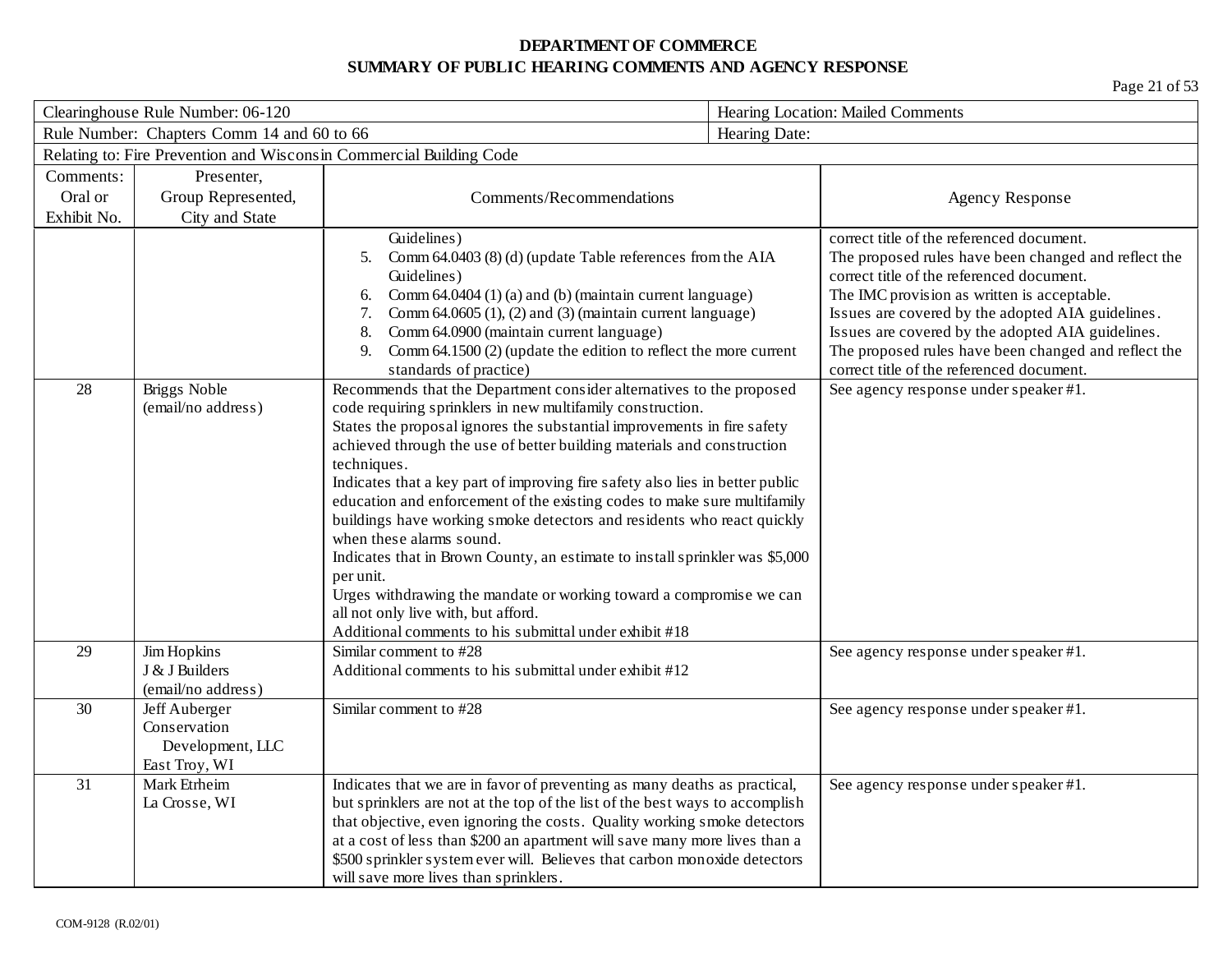|             | Clearinghouse Rule Number: 06-120                                  |                                                                                                                                                                                                                                                                                                                                                                                                                                                                                                                                                                                                                                                                                                                                                                                                                                                | Hearing Location: Mailed Comments |                                                                                                                                                                                                                                                                                                                                                                                                              |
|-------------|--------------------------------------------------------------------|------------------------------------------------------------------------------------------------------------------------------------------------------------------------------------------------------------------------------------------------------------------------------------------------------------------------------------------------------------------------------------------------------------------------------------------------------------------------------------------------------------------------------------------------------------------------------------------------------------------------------------------------------------------------------------------------------------------------------------------------------------------------------------------------------------------------------------------------|-----------------------------------|--------------------------------------------------------------------------------------------------------------------------------------------------------------------------------------------------------------------------------------------------------------------------------------------------------------------------------------------------------------------------------------------------------------|
|             | Rule Number: Chapters Comm 14 and 60 to 66                         |                                                                                                                                                                                                                                                                                                                                                                                                                                                                                                                                                                                                                                                                                                                                                                                                                                                | Hearing Date:                     |                                                                                                                                                                                                                                                                                                                                                                                                              |
|             |                                                                    | Relating to: Fire Prevention and Wisconsin Commercial Building Code                                                                                                                                                                                                                                                                                                                                                                                                                                                                                                                                                                                                                                                                                                                                                                            |                                   |                                                                                                                                                                                                                                                                                                                                                                                                              |
| Comments:   | Presenter,                                                         |                                                                                                                                                                                                                                                                                                                                                                                                                                                                                                                                                                                                                                                                                                                                                                                                                                                |                                   |                                                                                                                                                                                                                                                                                                                                                                                                              |
| Oral or     | Group Represented,                                                 | Comments/Recommendations                                                                                                                                                                                                                                                                                                                                                                                                                                                                                                                                                                                                                                                                                                                                                                                                                       |                                   | <b>Agency Response</b>                                                                                                                                                                                                                                                                                                                                                                                       |
| Exhibit No. | City and State                                                     |                                                                                                                                                                                                                                                                                                                                                                                                                                                                                                                                                                                                                                                                                                                                                                                                                                                |                                   |                                                                                                                                                                                                                                                                                                                                                                                                              |
|             |                                                                    | Guidelines)<br>Comm 64.0403 (8) (d) (update Table references from the AIA<br>5.<br>Guidelines)<br>Comm 64.0404 (1) (a) and (b) (maintain current language)<br>6.<br>Comm 64.0605 (1), (2) and (3) (maintain current language)<br>7.<br>Comm 64.0900 (maintain current language)<br>8.<br>Comm 64.1500 (2) (update the edition to reflect the more current<br>9.<br>standards of practice)                                                                                                                                                                                                                                                                                                                                                                                                                                                      |                                   | correct title of the referenced document.<br>The proposed rules have been changed and reflect the<br>correct title of the referenced document.<br>The IMC provision as written is acceptable.<br>Issues are covered by the adopted AIA guidelines.<br>Issues are covered by the adopted AIA guidelines.<br>The proposed rules have been changed and reflect the<br>correct title of the referenced document. |
| 28          | Briggs Noble<br>(email/no address)                                 | Recommends that the Department consider alternatives to the proposed<br>code requiring sprinklers in new multifamily construction.<br>States the proposal ignores the substantial improvements in fire safety<br>achieved through the use of better building materials and construction<br>techniques.<br>Indicates that a key part of improving fire safety also lies in better public<br>education and enforcement of the existing codes to make sure multifamily<br>buildings have working smoke detectors and residents who react quickly<br>when these alarms sound.<br>Indicates that in Brown County, an estimate to install sprinkler was \$5,000<br>per unit.<br>Urges withdrawing the mandate or working toward a compromise we can<br>all not only live with, but afford.<br>Additional comments to his submittal under exhibit #18 |                                   | See agency response under speaker #1.                                                                                                                                                                                                                                                                                                                                                                        |
| 29          | Jim Hopkins<br>J & J Builders<br>(email/no address)                | Similar comment to #28<br>Additional comments to his submittal under exhibit #12                                                                                                                                                                                                                                                                                                                                                                                                                                                                                                                                                                                                                                                                                                                                                               |                                   | See agency response under speaker #1.                                                                                                                                                                                                                                                                                                                                                                        |
| 30          | Jeff Auberger<br>Conservation<br>Development, LLC<br>East Troy, WI | Similar comment to #28                                                                                                                                                                                                                                                                                                                                                                                                                                                                                                                                                                                                                                                                                                                                                                                                                         |                                   | See agency response under speaker #1.                                                                                                                                                                                                                                                                                                                                                                        |
| 31          | Mark Etrheim<br>La Crosse, WI                                      | Indicates that we are in favor of preventing as many deaths as practical,<br>but sprinklers are not at the top of the list of the best ways to accomplish<br>that objective, even ignoring the costs. Quality working smoke detectors<br>at a cost of less than \$200 an apartment will save many more lives than a<br>\$500 sprinkler system ever will. Believes that carbon monoxide detectors<br>will save more lives than sprinklers.                                                                                                                                                                                                                                                                                                                                                                                                      |                                   | See agency response under speaker #1.                                                                                                                                                                                                                                                                                                                                                                        |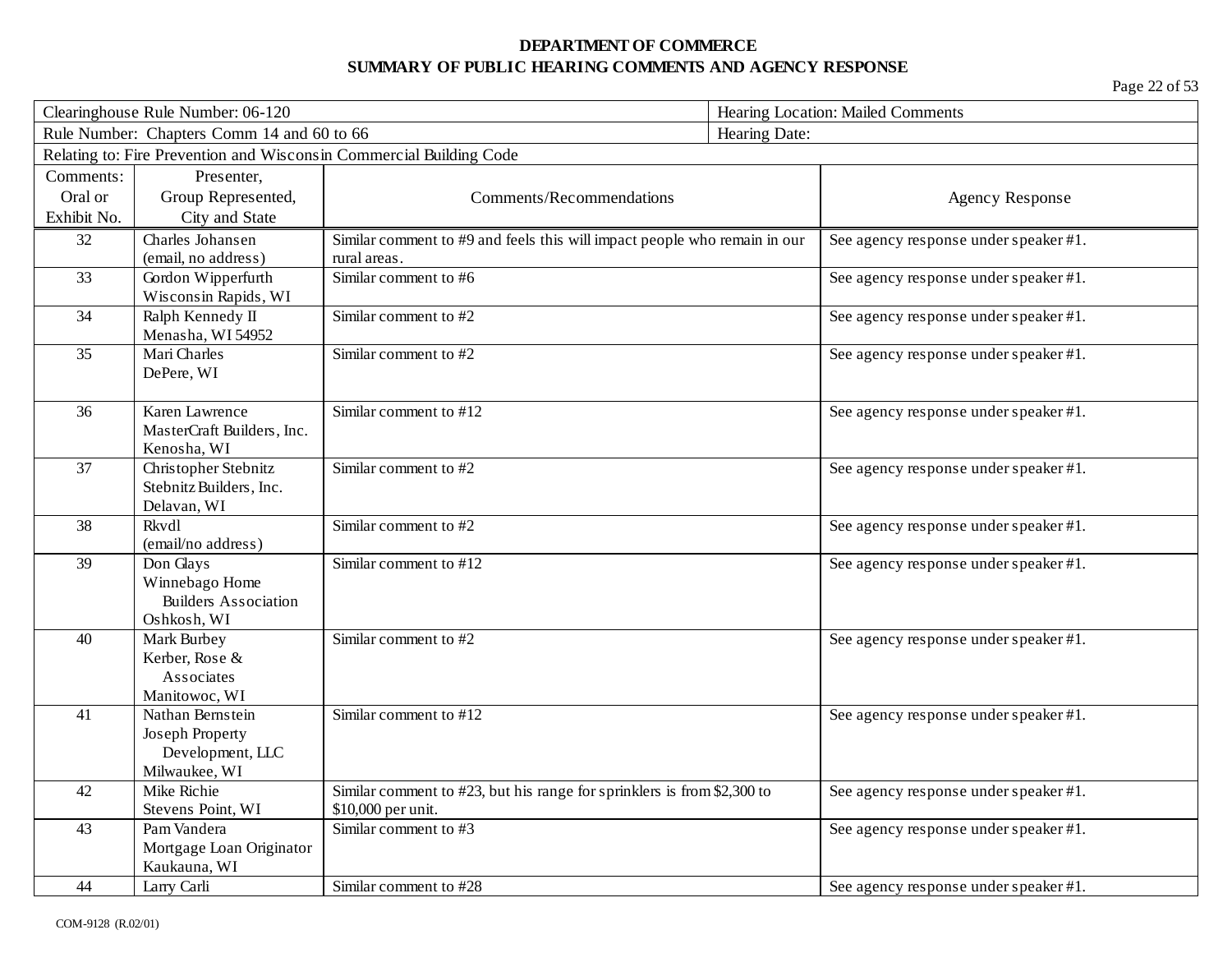| Clearinghouse Rule Number: 06-120                           |                                   |                                                                                               | Hearing Location: Mailed Comments     |  |
|-------------------------------------------------------------|-----------------------------------|-----------------------------------------------------------------------------------------------|---------------------------------------|--|
| Rule Number: Chapters Comm 14 and 60 to 66<br>Hearing Date: |                                   |                                                                                               |                                       |  |
|                                                             |                                   | Relating to: Fire Prevention and Wisconsin Commercial Building Code                           |                                       |  |
| Comments:                                                   | Presenter,                        |                                                                                               |                                       |  |
| Oral or                                                     | Group Represented,                | Comments/Recommendations                                                                      | <b>Agency Response</b>                |  |
| Exhibit No.                                                 | City and State                    |                                                                                               |                                       |  |
| 32                                                          | Charles Johansen                  | Similar comment to #9 and feels this will impact people who remain in our                     | See agency response under speaker #1. |  |
|                                                             | (email, no address)               | rural areas.                                                                                  |                                       |  |
| 33                                                          | Gordon Wipperfurth                | Similar comment to #6                                                                         | See agency response under speaker #1. |  |
|                                                             | Wisconsin Rapids, WI              |                                                                                               |                                       |  |
| 34                                                          | Ralph Kennedy II                  | Similar comment to #2                                                                         | See agency response under speaker #1. |  |
| 35                                                          | Menasha, WI 54952<br>Mari Charles | Similar comment to #2                                                                         |                                       |  |
|                                                             | DePere, WI                        |                                                                                               | See agency response under speaker #1. |  |
|                                                             |                                   |                                                                                               |                                       |  |
| 36                                                          | Karen Lawrence                    | Similar comment to #12                                                                        | See agency response under speaker #1. |  |
|                                                             | MasterCraft Builders, Inc.        |                                                                                               |                                       |  |
|                                                             | Kenosha, WI                       |                                                                                               |                                       |  |
| 37                                                          | Christopher Stebnitz              | Similar comment to #2                                                                         | See agency response under speaker #1. |  |
|                                                             | Stebnitz Builders, Inc.           |                                                                                               |                                       |  |
|                                                             | Delavan, WI                       |                                                                                               |                                       |  |
| 38                                                          | Rkvdl                             | Similar comment to #2                                                                         | See agency response under speaker #1. |  |
|                                                             | (email/no address)                |                                                                                               |                                       |  |
| 39                                                          | Don Glays<br>Winnebago Home       | Similar comment to #12                                                                        | See agency response under speaker #1. |  |
|                                                             | <b>Builders Association</b>       |                                                                                               |                                       |  |
|                                                             | Oshkosh, WI                       |                                                                                               |                                       |  |
| 40                                                          | Mark Burbey                       | Similar comment to #2                                                                         | See agency response under speaker #1. |  |
|                                                             | Kerber, Rose &                    |                                                                                               |                                       |  |
|                                                             | Associates                        |                                                                                               |                                       |  |
|                                                             | Manitowoc, WI                     |                                                                                               |                                       |  |
| 41                                                          | Nathan Bernstein                  | Similar comment to #12                                                                        | See agency response under speaker #1. |  |
|                                                             | Joseph Property                   |                                                                                               |                                       |  |
|                                                             | Development, LLC                  |                                                                                               |                                       |  |
|                                                             | Milwaukee, WI                     |                                                                                               |                                       |  |
| 42                                                          | Mike Richie<br>Stevens Point, WI  | Similar comment to #23, but his range for sprinklers is from \$2,300 to<br>\$10,000 per unit. | See agency response under speaker #1. |  |
| 43                                                          | Pam Vandera                       | Similar comment to #3                                                                         | See agency response under speaker #1. |  |
|                                                             | Mortgage Loan Originator          |                                                                                               |                                       |  |
|                                                             | Kaukauna, WI                      |                                                                                               |                                       |  |
| 44                                                          | Larry Carli                       | Similar comment to #28                                                                        | See agency response under speaker #1. |  |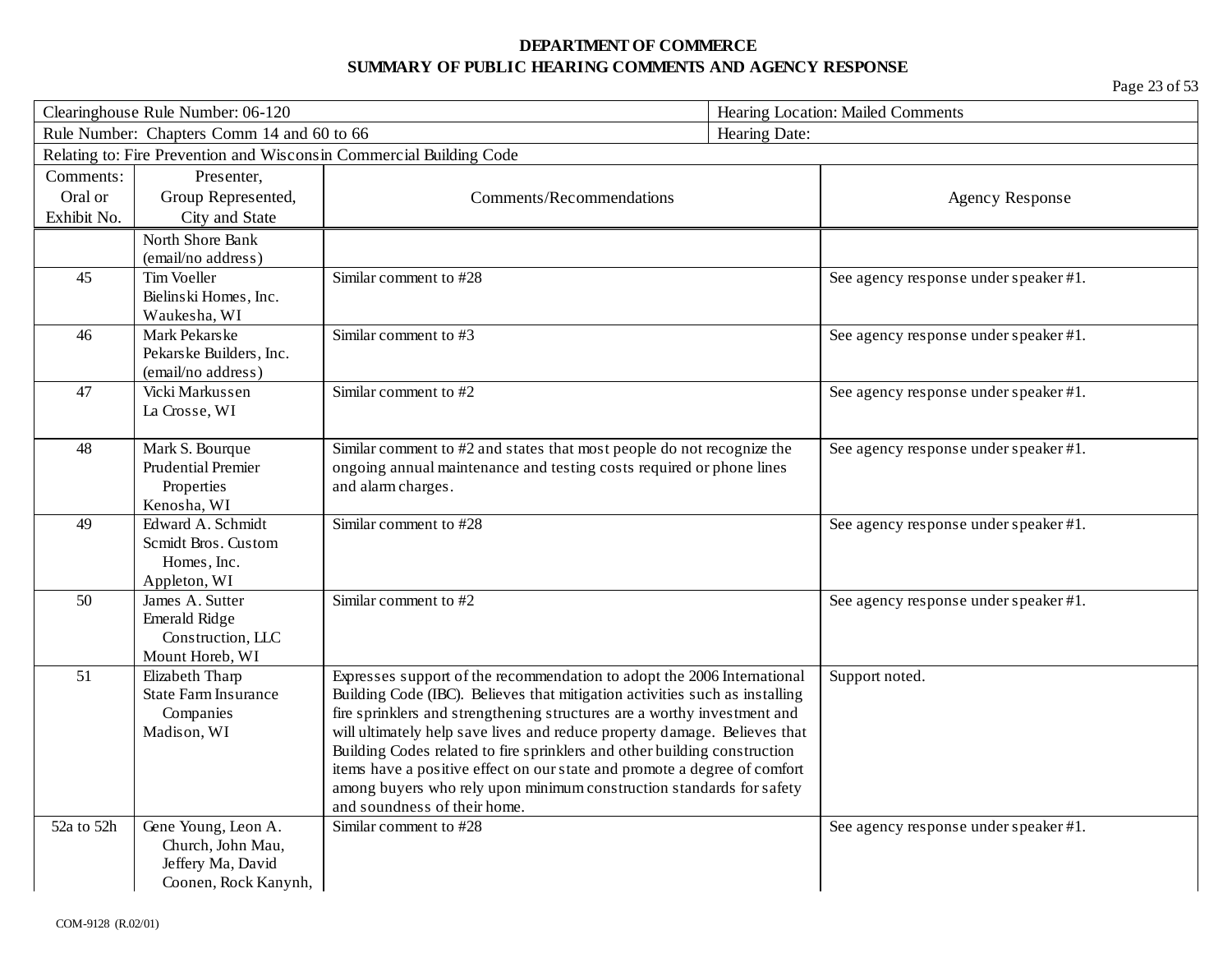| Clearinghouse Rule Number: 06-120 |                                               | Hearing Location: Mailed Comments                                           |                                       |
|-----------------------------------|-----------------------------------------------|-----------------------------------------------------------------------------|---------------------------------------|
|                                   | Rule Number: Chapters Comm 14 and 60 to 66    |                                                                             | Hearing Date:                         |
|                                   |                                               | Relating to: Fire Prevention and Wisconsin Commercial Building Code         |                                       |
| Comments:                         | Presenter,                                    |                                                                             |                                       |
| Oral or                           | Group Represented,                            | Comments/Recommendations                                                    | <b>Agency Response</b>                |
| Exhibit No.                       | City and State                                |                                                                             |                                       |
|                                   | North Shore Bank                              |                                                                             |                                       |
|                                   | (email/no address)                            |                                                                             |                                       |
| 45                                | Tim Voeller                                   | Similar comment to #28                                                      | See agency response under speaker #1. |
|                                   | Bielinski Homes, Inc.                         |                                                                             |                                       |
|                                   | Waukesha, WI                                  |                                                                             |                                       |
| 46                                | Mark Pekarske                                 | Similar comment to #3                                                       | See agency response under speaker #1. |
|                                   | Pekarske Builders, Inc.<br>(email/no address) |                                                                             |                                       |
| 47                                | Vicki Markussen                               | Similar comment to #2                                                       | See agency response under speaker #1. |
|                                   | La Crosse, WI                                 |                                                                             |                                       |
|                                   |                                               |                                                                             |                                       |
| 48                                | Mark S. Bourque                               | Similar comment to #2 and states that most people do not recognize the      | See agency response under speaker #1. |
|                                   | <b>Prudential Premier</b>                     | ongoing annual maintenance and testing costs required or phone lines        |                                       |
|                                   | Properties                                    | and alarm charges.                                                          |                                       |
|                                   | Kenosha, WI                                   |                                                                             |                                       |
| 49                                | Edward A. Schmidt                             | Similar comment to #28                                                      | See agency response under speaker #1. |
|                                   | Scmidt Bros. Custom                           |                                                                             |                                       |
|                                   | Homes, Inc.                                   |                                                                             |                                       |
| 50                                | Appleton, WI<br>James A. Sutter               | Similar comment to #2                                                       |                                       |
|                                   | Emerald Ridge                                 |                                                                             | See agency response under speaker #1. |
|                                   | Construction, LLC                             |                                                                             |                                       |
|                                   | Mount Horeb, WI                               |                                                                             |                                       |
| 51                                | Elizabeth Tharp                               | Expresses support of the recommendation to adopt the 2006 International     | Support noted.                        |
|                                   | <b>State Farm Insurance</b>                   | Building Code (IBC). Believes that mitigation activities such as installing |                                       |
|                                   | Companies                                     | fire sprinklers and strengthening structures are a worthy investment and    |                                       |
|                                   | Madison, WI                                   | will ultimately help save lives and reduce property damage. Believes that   |                                       |
|                                   |                                               | Building Codes related to fire sprinklers and other building construction   |                                       |
|                                   |                                               | items have a positive effect on our state and promote a degree of comfort   |                                       |
|                                   |                                               | among buyers who rely upon minimum construction standards for safety        |                                       |
|                                   |                                               | and soundness of their home.<br>Similar comment to #28                      |                                       |
| 52a to 52h                        | Gene Young, Leon A.<br>Church, John Mau,      |                                                                             | See agency response under speaker #1. |
|                                   | Jeffery Ma, David                             |                                                                             |                                       |
|                                   | Coonen, Rock Kanynh,                          |                                                                             |                                       |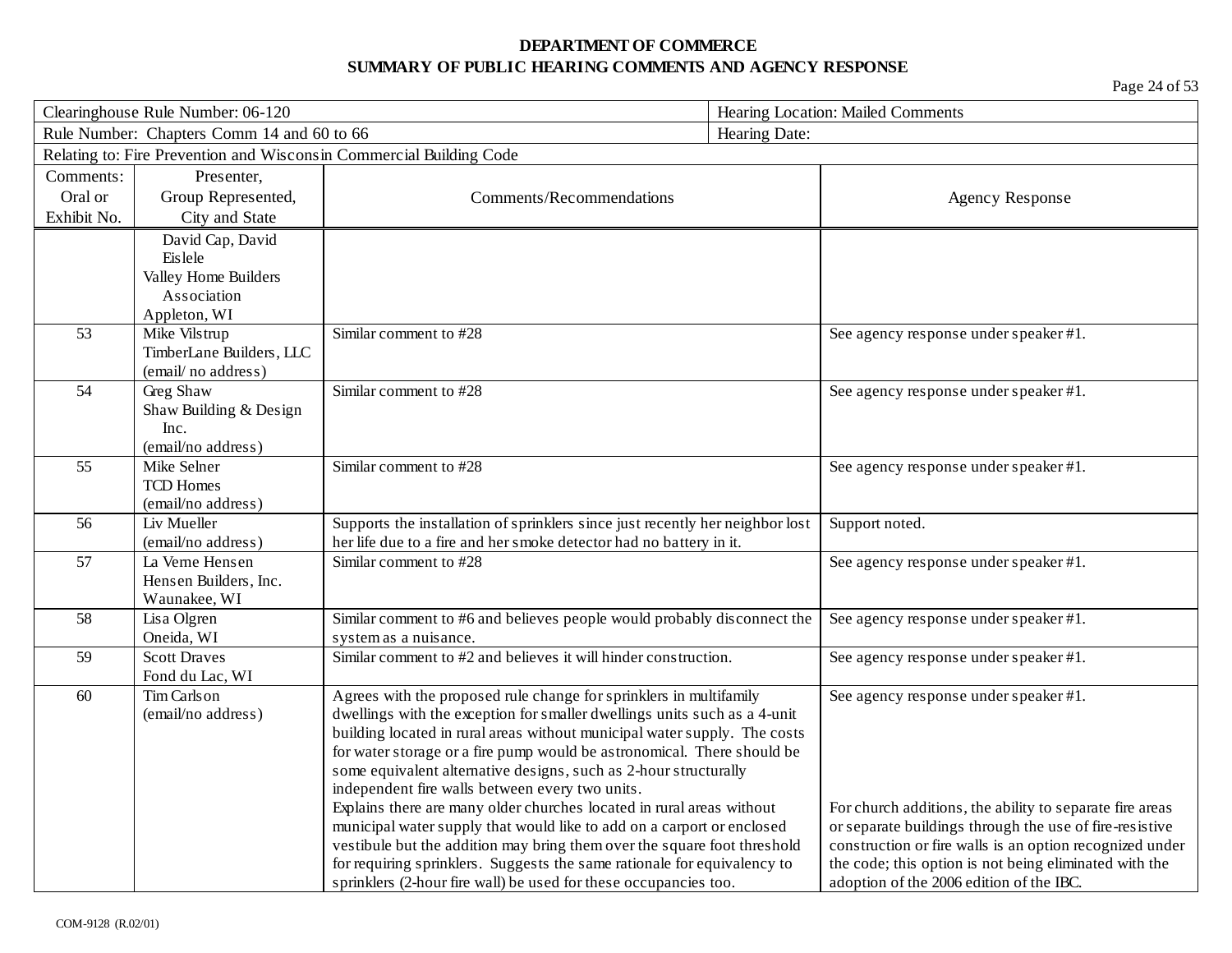| Clearinghouse Rule Number: 06-120 |                                            | Hearing Location: Mailed Comments                                             |                                                          |
|-----------------------------------|--------------------------------------------|-------------------------------------------------------------------------------|----------------------------------------------------------|
|                                   | Rule Number: Chapters Comm 14 and 60 to 66 |                                                                               | Hearing Date:                                            |
|                                   |                                            | Relating to: Fire Prevention and Wisconsin Commercial Building Code           |                                                          |
| Comments:                         | Presenter,                                 |                                                                               |                                                          |
| Oral or                           | Group Represented,                         | Comments/Recommendations                                                      | <b>Agency Response</b>                                   |
| Exhibit No.                       | City and State                             |                                                                               |                                                          |
|                                   | David Cap, David                           |                                                                               |                                                          |
|                                   | Eislele                                    |                                                                               |                                                          |
|                                   | Valley Home Builders                       |                                                                               |                                                          |
|                                   | Association                                |                                                                               |                                                          |
|                                   | Appleton, WI                               |                                                                               |                                                          |
| 53                                | Mike Vilstrup                              | Similar comment to #28                                                        | See agency response under speaker #1.                    |
|                                   | TimberLane Builders, LLC                   |                                                                               |                                                          |
|                                   | (email/no address)                         |                                                                               |                                                          |
| 54                                | Greg Shaw                                  | Similar comment to #28                                                        | See agency response under speaker #1.                    |
|                                   | Shaw Building & Design                     |                                                                               |                                                          |
|                                   | Inc.                                       |                                                                               |                                                          |
|                                   | (email/no address)                         |                                                                               |                                                          |
| 55                                | Mike Selner                                | Similar comment to #28                                                        | See agency response under speaker #1.                    |
|                                   | <b>TCD Homes</b>                           |                                                                               |                                                          |
| 56                                | (email/no address)<br>Liv Mueller          | Supports the installation of sprinklers since just recently her neighbor lost | Support noted.                                           |
|                                   | (email/no address)                         | her life due to a fire and her smoke detector had no battery in it.           |                                                          |
| 57                                | La Verne Hensen                            | Similar comment to #28                                                        | See agency response under speaker #1.                    |
|                                   | Hensen Builders, Inc.                      |                                                                               |                                                          |
|                                   | Waunakee, WI                               |                                                                               |                                                          |
| 58                                | Lisa Olgren                                | Similar comment to #6 and believes people would probably disconnect the       | See agency response under speaker #1.                    |
|                                   | Oneida, WI                                 | system as a nuisance.                                                         |                                                          |
| 59                                | <b>Scott Draves</b>                        | Similar comment to #2 and believes it will hinder construction.               | See agency response under speaker #1.                    |
|                                   | Fond du Lac, WI                            |                                                                               |                                                          |
| 60                                | Tim Carlson                                | Agrees with the proposed rule change for sprinklers in multifamily            | See agency response under speaker #1.                    |
|                                   | (email/no address)                         | dwellings with the exception for smaller dwellings units such as a 4-unit     |                                                          |
|                                   |                                            | building located in rural areas without municipal water supply. The costs     |                                                          |
|                                   |                                            | for water storage or a fire pump would be astronomical. There should be       |                                                          |
|                                   |                                            | some equivalent alternative designs, such as 2-hour structurally              |                                                          |
|                                   |                                            | independent fire walls between every two units.                               |                                                          |
|                                   |                                            | Explains there are many older churches located in rural areas without         | For church additions, the ability to separate fire areas |
|                                   |                                            | municipal water supply that would like to add on a carport or enclosed        | or separate buildings through the use of fire-resistive  |
|                                   |                                            | vestibule but the addition may bring them over the square foot threshold      | construction or fire walls is an option recognized under |
|                                   |                                            | for requiring sprinklers. Suggests the same rationale for equivalency to      | the code; this option is not being eliminated with the   |
|                                   |                                            | sprinklers (2-hour fire wall) be used for these occupancies too.              | adoption of the 2006 edition of the IBC.                 |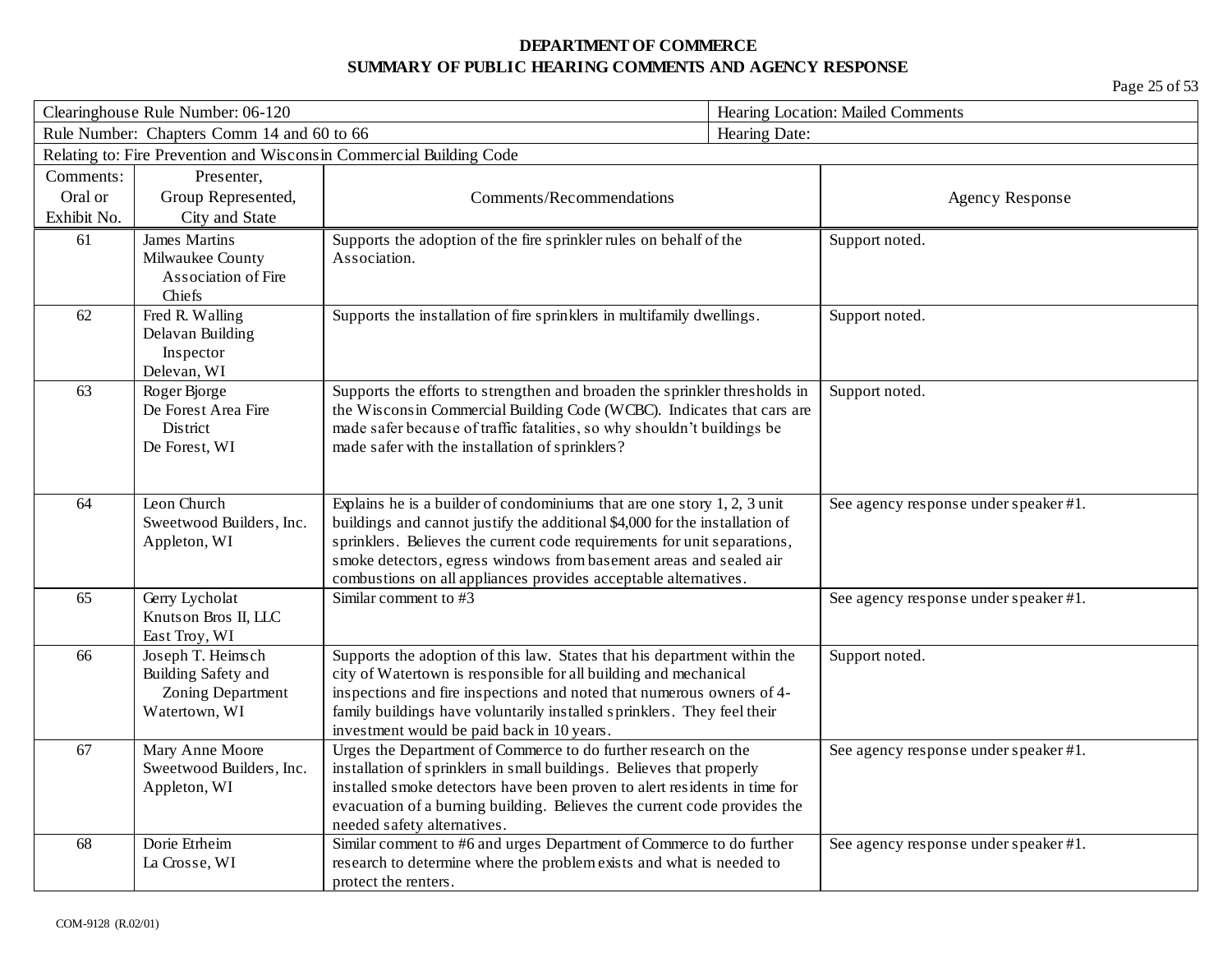| Clearinghouse Rule Number: 06-120          |                          | Hearing Location: Mailed Comments                                                                                                            |                |                                       |
|--------------------------------------------|--------------------------|----------------------------------------------------------------------------------------------------------------------------------------------|----------------|---------------------------------------|
| Rule Number: Chapters Comm 14 and 60 to 66 |                          |                                                                                                                                              | Hearing Date:  |                                       |
|                                            |                          | Relating to: Fire Prevention and Wisconsin Commercial Building Code                                                                          |                |                                       |
| Comments:                                  | Presenter,               |                                                                                                                                              |                |                                       |
| Oral or                                    | Group Represented,       | Comments/Recommendations                                                                                                                     |                | <b>Agency Response</b>                |
| Exhibit No.                                | City and State           |                                                                                                                                              |                |                                       |
| 61                                         | <b>James Martins</b>     | Supports the adoption of the fire sprinkler rules on behalf of the                                                                           | Support noted. |                                       |
|                                            | Milwaukee County         | Association.                                                                                                                                 |                |                                       |
|                                            | Association of Fire      |                                                                                                                                              |                |                                       |
| Chiefs                                     |                          |                                                                                                                                              |                |                                       |
| 62                                         | Fred R. Walling          | Supports the installation of fire sprinklers in multifamily dwellings.                                                                       | Support noted. |                                       |
|                                            | Delavan Building         |                                                                                                                                              |                |                                       |
|                                            | Inspector                |                                                                                                                                              |                |                                       |
| Delevan, WI                                |                          |                                                                                                                                              |                |                                       |
| 63                                         | Roger Bjorge             | Supports the efforts to strengthen and broaden the sprinkler thresholds in                                                                   | Support noted. |                                       |
|                                            | De Forest Area Fire      | the Wisconsin Commercial Building Code (WCBC). Indicates that cars are                                                                       |                |                                       |
|                                            | <b>District</b>          | made safer because of traffic fatalities, so why shouldn't buildings be                                                                      |                |                                       |
|                                            | De Forest, WI            | made safer with the installation of sprinklers?                                                                                              |                |                                       |
|                                            |                          |                                                                                                                                              |                |                                       |
| Leon Church<br>64                          |                          | Explains he is a builder of condominiums that are one story $1, 2, 3$ unit                                                                   |                | See agency response under speaker #1. |
|                                            | Sweetwood Builders, Inc. | buildings and cannot justify the additional \$4,000 for the installation of                                                                  |                |                                       |
|                                            | Appleton, WI             | sprinklers. Believes the current code requirements for unit separations,                                                                     |                |                                       |
|                                            |                          | smoke detectors, egress windows from basement areas and sealed air                                                                           |                |                                       |
|                                            |                          | combustions on all appliances provides acceptable alternatives.                                                                              |                |                                       |
| 65                                         | Gerry Lycholat           | Similar comment to #3                                                                                                                        |                | See agency response under speaker #1. |
|                                            | Knutson Bros II, LLC     |                                                                                                                                              |                |                                       |
|                                            | East Troy, WI            |                                                                                                                                              |                |                                       |
| 66                                         | Joseph T. Heimsch        | Supports the adoption of this law. States that his department within the                                                                     | Support noted. |                                       |
|                                            | Building Safety and      | city of Watertown is responsible for all building and mechanical                                                                             |                |                                       |
|                                            | Zoning Department        | inspections and fire inspections and noted that numerous owners of 4-                                                                        |                |                                       |
|                                            | Watertown, WI            | family buildings have voluntarily installed sprinklers. They feel their                                                                      |                |                                       |
|                                            |                          | investment would be paid back in 10 years.                                                                                                   |                |                                       |
| 67                                         | Mary Anne Moore          | Urges the Department of Commerce to do further research on the                                                                               |                | See agency response under speaker #1. |
|                                            | Sweetwood Builders, Inc. | installation of sprinklers in small buildings. Believes that properly                                                                        |                |                                       |
|                                            | Appleton, WI             | installed smoke detectors have been proven to alert residents in time for                                                                    |                |                                       |
|                                            |                          | evacuation of a burning building. Believes the current code provides the<br>needed safety alternatives.                                      |                |                                       |
| Dorie Etrheim<br>68                        |                          |                                                                                                                                              |                |                                       |
|                                            |                          |                                                                                                                                              |                |                                       |
|                                            | La Crosse, WI            | Similar comment to #6 and urges Department of Commerce to do further<br>research to determine where the problem exists and what is needed to |                | See agency response under speaker #1. |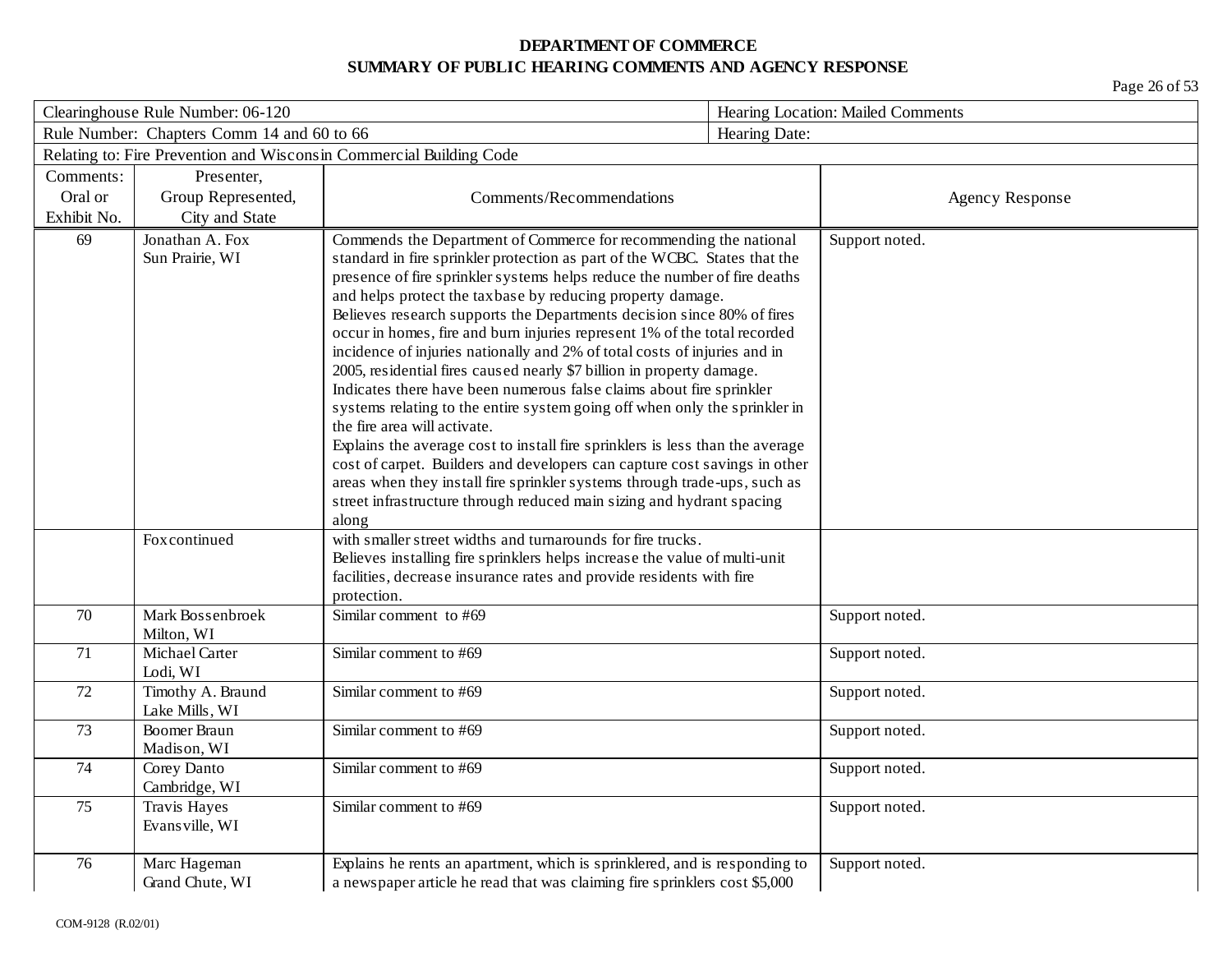| Clearinghouse Rule Number: 06-120 |                                            |                                                                                                                                                                                                                                                                                                                                                                                                                                                                                                                                                                                                                                                                                                                                                                                                                                                                                                                                                                                                                                                                                                                   | Hearing Location: Mailed Comments |                        |
|-----------------------------------|--------------------------------------------|-------------------------------------------------------------------------------------------------------------------------------------------------------------------------------------------------------------------------------------------------------------------------------------------------------------------------------------------------------------------------------------------------------------------------------------------------------------------------------------------------------------------------------------------------------------------------------------------------------------------------------------------------------------------------------------------------------------------------------------------------------------------------------------------------------------------------------------------------------------------------------------------------------------------------------------------------------------------------------------------------------------------------------------------------------------------------------------------------------------------|-----------------------------------|------------------------|
|                                   | Rule Number: Chapters Comm 14 and 60 to 66 |                                                                                                                                                                                                                                                                                                                                                                                                                                                                                                                                                                                                                                                                                                                                                                                                                                                                                                                                                                                                                                                                                                                   | Hearing Date:                     |                        |
|                                   |                                            | Relating to: Fire Prevention and Wisconsin Commercial Building Code                                                                                                                                                                                                                                                                                                                                                                                                                                                                                                                                                                                                                                                                                                                                                                                                                                                                                                                                                                                                                                               |                                   |                        |
| Comments:                         | Presenter,                                 |                                                                                                                                                                                                                                                                                                                                                                                                                                                                                                                                                                                                                                                                                                                                                                                                                                                                                                                                                                                                                                                                                                                   |                                   |                        |
| Oral or                           | Group Represented,                         | Comments/Recommendations                                                                                                                                                                                                                                                                                                                                                                                                                                                                                                                                                                                                                                                                                                                                                                                                                                                                                                                                                                                                                                                                                          |                                   | <b>Agency Response</b> |
| Exhibit No.                       | City and State                             |                                                                                                                                                                                                                                                                                                                                                                                                                                                                                                                                                                                                                                                                                                                                                                                                                                                                                                                                                                                                                                                                                                                   |                                   |                        |
| 69                                | Jonathan A. Fox<br>Sun Prairie, WI         | Commends the Department of Commerce for recommending the national<br>standard in fire sprinkler protection as part of the WCBC. States that the<br>presence of fire sprinkler systems helps reduce the number of fire deaths<br>and helps protect the taxbase by reducing property damage.<br>Believes research supports the Departments decision since 80% of fires<br>occur in homes, fire and burn injuries represent 1% of the total recorded<br>incidence of injuries nationally and 2% of total costs of injuries and in<br>2005, residential fires caused nearly \$7 billion in property damage.<br>Indicates there have been numerous false claims about fire sprinkler<br>systems relating to the entire system going off when only the sprinkler in<br>the fire area will activate.<br>Explains the average cost to install fire sprinklers is less than the average<br>cost of carpet. Builders and developers can capture cost savings in other<br>areas when they install fire sprinkler systems through trade-ups, such as<br>street infrastructure through reduced main sizing and hydrant spacing |                                   | Support noted.         |
|                                   | Foxcontinued                               | along<br>with smaller street widths and turnarounds for fire trucks.<br>Believes installing fire sprinklers helps increase the value of multi-unit<br>facilities, decrease insurance rates and provide residents with fire<br>protection.                                                                                                                                                                                                                                                                                                                                                                                                                                                                                                                                                                                                                                                                                                                                                                                                                                                                         |                                   |                        |
| 70                                | Mark Bossenbroek<br>Milton, WI             | Similar comment to #69                                                                                                                                                                                                                                                                                                                                                                                                                                                                                                                                                                                                                                                                                                                                                                                                                                                                                                                                                                                                                                                                                            |                                   | Support noted.         |
| 71                                | Michael Carter<br>Lodi, WI                 | Similar comment to #69                                                                                                                                                                                                                                                                                                                                                                                                                                                                                                                                                                                                                                                                                                                                                                                                                                                                                                                                                                                                                                                                                            |                                   | Support noted.         |
| 72                                | Timothy A. Braund<br>Lake Mills, WI        | Similar comment to #69                                                                                                                                                                                                                                                                                                                                                                                                                                                                                                                                                                                                                                                                                                                                                                                                                                                                                                                                                                                                                                                                                            |                                   | Support noted.         |
| 73                                | <b>Boomer Braun</b><br>Madison, WI         | Similar comment to #69                                                                                                                                                                                                                                                                                                                                                                                                                                                                                                                                                                                                                                                                                                                                                                                                                                                                                                                                                                                                                                                                                            |                                   | Support noted.         |
| 74                                | Corey Danto<br>Cambridge, WI               | Similar comment to #69                                                                                                                                                                                                                                                                                                                                                                                                                                                                                                                                                                                                                                                                                                                                                                                                                                                                                                                                                                                                                                                                                            |                                   | Support noted.         |
| 75                                | Travis Hayes<br>Evans ville, WI            | Similar comment to #69                                                                                                                                                                                                                                                                                                                                                                                                                                                                                                                                                                                                                                                                                                                                                                                                                                                                                                                                                                                                                                                                                            |                                   | Support noted.         |
| 76                                | Marc Hageman<br>Grand Chute, WI            | Explains he rents an apartment, which is sprinklered, and is responding to<br>a newspaper article he read that was claiming fire sprinklers cost \$5,000                                                                                                                                                                                                                                                                                                                                                                                                                                                                                                                                                                                                                                                                                                                                                                                                                                                                                                                                                          |                                   | Support noted.         |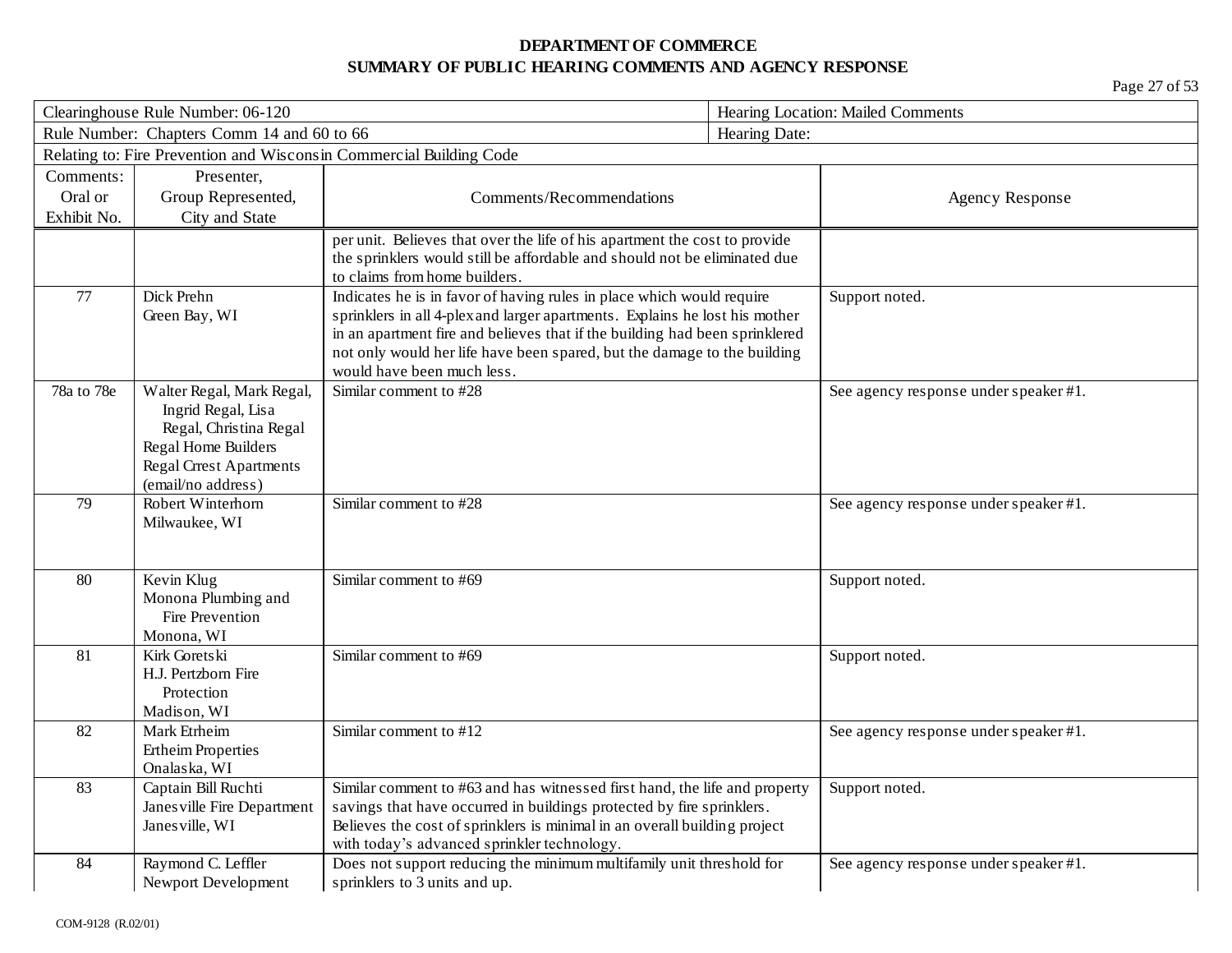| Clearinghouse Rule Number: 06-120                           |                                           |                                                                                                                                                            | Hearing Location: Mailed Comments |                                       |
|-------------------------------------------------------------|-------------------------------------------|------------------------------------------------------------------------------------------------------------------------------------------------------------|-----------------------------------|---------------------------------------|
| Rule Number: Chapters Comm 14 and 60 to 66<br>Hearing Date: |                                           |                                                                                                                                                            |                                   |                                       |
|                                                             |                                           | Relating to: Fire Prevention and Wisconsin Commercial Building Code                                                                                        |                                   |                                       |
| Comments:                                                   | Presenter,                                |                                                                                                                                                            |                                   |                                       |
| Oral or                                                     | Group Represented,                        | Comments/Recommendations                                                                                                                                   |                                   | <b>Agency Response</b>                |
| Exhibit No.                                                 | City and State                            |                                                                                                                                                            |                                   |                                       |
|                                                             |                                           | per unit. Believes that over the life of his apartment the cost to provide                                                                                 |                                   |                                       |
|                                                             |                                           | the sprinklers would still be affordable and should not be eliminated due                                                                                  |                                   |                                       |
|                                                             |                                           | to claims from home builders.                                                                                                                              |                                   |                                       |
| 77                                                          | Dick Prehn                                | Indicates he is in favor of having rules in place which would require                                                                                      |                                   | Support noted.                        |
|                                                             | Green Bay, WI                             | sprinklers in all 4-plex and larger apartments. Explains he lost his mother<br>in an apartment fire and believes that if the building had been sprinklered |                                   |                                       |
|                                                             |                                           | not only would her life have been spared, but the damage to the building                                                                                   |                                   |                                       |
|                                                             |                                           | would have been much less.                                                                                                                                 |                                   |                                       |
| 78a to 78e                                                  | Walter Regal, Mark Regal,                 | Similar comment to #28                                                                                                                                     |                                   | See agency response under speaker #1. |
|                                                             | Ingrid Regal, Lisa                        |                                                                                                                                                            |                                   |                                       |
|                                                             | Regal, Christina Regal                    |                                                                                                                                                            |                                   |                                       |
|                                                             | Regal Home Builders                       |                                                                                                                                                            |                                   |                                       |
|                                                             | <b>Regal Crrest Apartments</b>            |                                                                                                                                                            |                                   |                                       |
|                                                             | (email/no address)                        |                                                                                                                                                            |                                   |                                       |
| 79                                                          | Robert Winterhorn                         | Similar comment to #28                                                                                                                                     |                                   | See agency response under speaker #1. |
|                                                             | Milwaukee, WI                             |                                                                                                                                                            |                                   |                                       |
|                                                             |                                           |                                                                                                                                                            |                                   |                                       |
| 80                                                          | Kevin Klug                                | Similar comment to #69                                                                                                                                     |                                   | Support noted.                        |
|                                                             | Monona Plumbing and                       |                                                                                                                                                            |                                   |                                       |
|                                                             | Fire Prevention                           |                                                                                                                                                            |                                   |                                       |
|                                                             | Monona, WI                                |                                                                                                                                                            |                                   |                                       |
| 81                                                          | Kirk Goretski                             | Similar comment to #69                                                                                                                                     |                                   | Support noted.                        |
|                                                             | H.J. Pertzborn Fire                       |                                                                                                                                                            |                                   |                                       |
|                                                             | Protection                                |                                                                                                                                                            |                                   |                                       |
|                                                             | Madison, WI                               |                                                                                                                                                            |                                   |                                       |
| 82                                                          | Mark Etrheim                              | Similar comment to #12                                                                                                                                     |                                   | See agency response under speaker #1. |
|                                                             | <b>Ertheim Properties</b><br>Onalaska, WI |                                                                                                                                                            |                                   |                                       |
| 83                                                          | Captain Bill Ruchti                       | Similar comment to #63 and has witnessed first hand, the life and property                                                                                 |                                   | Support noted.                        |
|                                                             | Janes ville Fire Department               | savings that have occurred in buildings protected by fire sprinklers.                                                                                      |                                   |                                       |
|                                                             | Janes ville, WI                           | Believes the cost of sprinklers is minimal in an overall building project                                                                                  |                                   |                                       |
|                                                             |                                           | with today's advanced sprinkler technology.                                                                                                                |                                   |                                       |
| 84                                                          | Raymond C. Leffler                        | Does not support reducing the minimum multifamily unit threshold for                                                                                       |                                   | See agency response under speaker #1. |
|                                                             | Newport Development                       | sprinklers to 3 units and up.                                                                                                                              |                                   |                                       |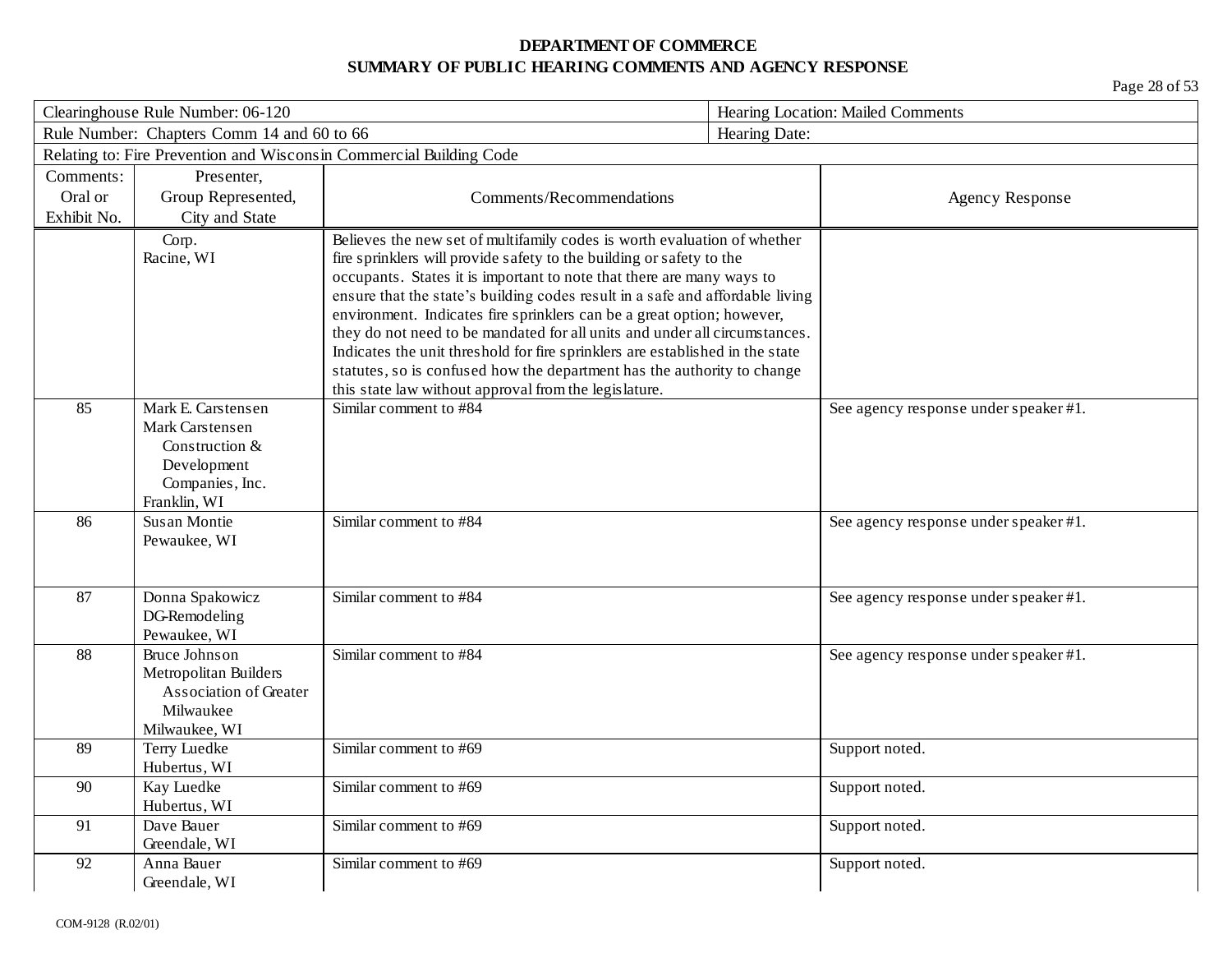|             | Clearinghouse Rule Number: 06-120          |                                                                                                                                                                                                                           | Hearing Location: Mailed Comments |                                       |
|-------------|--------------------------------------------|---------------------------------------------------------------------------------------------------------------------------------------------------------------------------------------------------------------------------|-----------------------------------|---------------------------------------|
|             | Rule Number: Chapters Comm 14 and 60 to 66 |                                                                                                                                                                                                                           | Hearing Date:                     |                                       |
|             |                                            | Relating to: Fire Prevention and Wisconsin Commercial Building Code                                                                                                                                                       |                                   |                                       |
| Comments:   | Presenter,                                 |                                                                                                                                                                                                                           |                                   |                                       |
| Oral or     | Group Represented,                         | Comments/Recommendations                                                                                                                                                                                                  |                                   | <b>Agency Response</b>                |
| Exhibit No. | City and State                             |                                                                                                                                                                                                                           |                                   |                                       |
|             | Corp.<br>Racine, WI                        | Believes the new set of multifamily codes is worth evaluation of whether<br>fire sprinklers will provide safety to the building or safety to the<br>occupants. States it is important to note that there are many ways to |                                   |                                       |
|             |                                            | ensure that the state's building codes result in a safe and affordable living                                                                                                                                             |                                   |                                       |
|             |                                            | environment. Indicates fire sprinklers can be a great option; however,                                                                                                                                                    |                                   |                                       |
|             |                                            | they do not need to be mandated for all units and under all circumstances.                                                                                                                                                |                                   |                                       |
|             |                                            | Indicates the unit threshold for fire sprinklers are established in the state                                                                                                                                             |                                   |                                       |
|             |                                            | statutes, so is confused how the department has the authority to change                                                                                                                                                   |                                   |                                       |
|             |                                            | this state law without approval from the legislature.                                                                                                                                                                     |                                   |                                       |
| 85          | Mark E. Carstensen<br>Mark Carstensen      | Similar comment to #84                                                                                                                                                                                                    |                                   | See agency response under speaker #1. |
|             | Construction &                             |                                                                                                                                                                                                                           |                                   |                                       |
|             | Development                                |                                                                                                                                                                                                                           |                                   |                                       |
|             | Companies, Inc.                            |                                                                                                                                                                                                                           |                                   |                                       |
|             | Franklin, WI                               |                                                                                                                                                                                                                           |                                   |                                       |
| 86          | Susan Montie                               | Similar comment to #84                                                                                                                                                                                                    |                                   | See agency response under speaker #1. |
|             | Pewaukee, WI                               |                                                                                                                                                                                                                           |                                   |                                       |
|             |                                            |                                                                                                                                                                                                                           |                                   |                                       |
| 87          | Donna Spakowicz                            | Similar comment to #84                                                                                                                                                                                                    |                                   |                                       |
|             | DG-Remodeling                              |                                                                                                                                                                                                                           |                                   | See agency response under speaker #1. |
|             | Pewaukee, WI                               |                                                                                                                                                                                                                           |                                   |                                       |
| 88          | Bruce Johnson                              | Similar comment to #84                                                                                                                                                                                                    |                                   | See agency response under speaker #1. |
|             | Metropolitan Builders                      |                                                                                                                                                                                                                           |                                   |                                       |
|             | Association of Greater                     |                                                                                                                                                                                                                           |                                   |                                       |
|             | Milwaukee                                  |                                                                                                                                                                                                                           |                                   |                                       |
|             | Milwaukee, WI                              |                                                                                                                                                                                                                           |                                   |                                       |
| 89          | Terry Luedke                               | Similar comment to #69                                                                                                                                                                                                    |                                   | Support noted.                        |
|             | Hubertus, WI                               |                                                                                                                                                                                                                           |                                   |                                       |
| 90          | Kay Luedke                                 | Similar comment to #69                                                                                                                                                                                                    |                                   | Support noted.                        |
| 91          | Hubertus, WI<br>Dave Bauer                 | Similar comment to #69                                                                                                                                                                                                    |                                   |                                       |
|             | Greendale, WI                              |                                                                                                                                                                                                                           |                                   | Support noted.                        |
| 92          | Anna Bauer                                 | Similar comment to #69                                                                                                                                                                                                    |                                   | Support noted.                        |
|             | Greendale, WI                              |                                                                                                                                                                                                                           |                                   |                                       |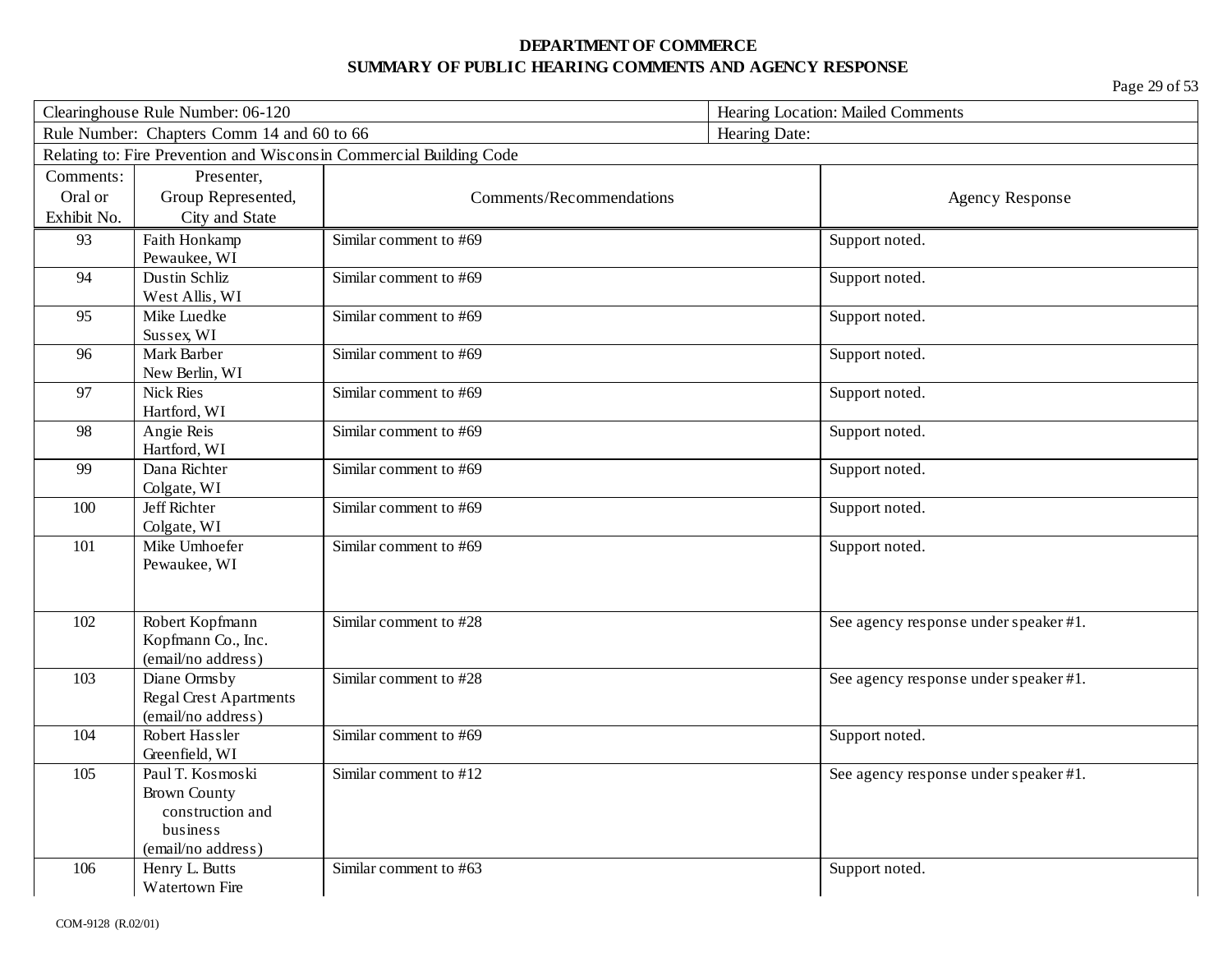| Clearinghouse Rule Number: 06-120 |                                            |                                                                     | Hearing Location: Mailed Comments     |  |
|-----------------------------------|--------------------------------------------|---------------------------------------------------------------------|---------------------------------------|--|
|                                   | Rule Number: Chapters Comm 14 and 60 to 66 |                                                                     | Hearing Date:                         |  |
|                                   |                                            | Relating to: Fire Prevention and Wisconsin Commercial Building Code |                                       |  |
| Comments:                         | Presenter,                                 |                                                                     |                                       |  |
| Oral or                           | Group Represented,                         | Comments/Recommendations                                            | <b>Agency Response</b>                |  |
| Exhibit No.                       | City and State                             |                                                                     |                                       |  |
| 93                                | Faith Honkamp                              | Similar comment to #69                                              | Support noted.                        |  |
|                                   | Pewaukee, WI                               |                                                                     |                                       |  |
| 94                                | Dustin Schliz                              | Similar comment to #69                                              | Support noted.                        |  |
|                                   | West Allis, WI                             |                                                                     |                                       |  |
| 95                                | Mike Luedke                                | Similar comment to #69                                              | Support noted.                        |  |
|                                   | Sussex, WI                                 |                                                                     |                                       |  |
| 96                                | Mark Barber                                | Similar comment to #69                                              | Support noted.                        |  |
| 97                                | New Berlin, WI<br><b>Nick Ries</b>         | Similar comment to #69                                              |                                       |  |
|                                   | Hartford, WI                               |                                                                     | Support noted.                        |  |
| 98                                | Angie Reis                                 | Similar comment to #69                                              | Support noted.                        |  |
|                                   | Hartford, WI                               |                                                                     |                                       |  |
| 99                                | Dana Richter                               | Similar comment to #69                                              | Support noted.                        |  |
|                                   | Colgate, WI                                |                                                                     |                                       |  |
| 100                               | <b>Jeff Richter</b>                        | Similar comment to #69                                              | Support noted.                        |  |
|                                   | Colgate, WI                                |                                                                     |                                       |  |
| 101                               | Mike Umhoefer                              | Similar comment to #69                                              | Support noted.                        |  |
|                                   | Pewaukee, WI                               |                                                                     |                                       |  |
|                                   |                                            |                                                                     |                                       |  |
|                                   |                                            |                                                                     |                                       |  |
| 102                               | Robert Kopfmann                            | Similar comment to #28                                              | See agency response under speaker #1. |  |
|                                   | Kopfmann Co., Inc.<br>(email/no address)   |                                                                     |                                       |  |
| 103                               | Diane Ormsby                               | Similar comment to #28                                              | See agency response under speaker #1. |  |
|                                   | <b>Regal Crest Apartments</b>              |                                                                     |                                       |  |
|                                   | (email/no address)                         |                                                                     |                                       |  |
| 104                               | Robert Hassler                             | Similar comment to #69                                              | Support noted.                        |  |
|                                   | Greenfield, WI                             |                                                                     |                                       |  |
| 105                               | Paul T. Kosmoski                           | Similar comment to #12                                              | See agency response under speaker #1. |  |
|                                   | <b>Brown County</b>                        |                                                                     |                                       |  |
|                                   | construction and                           |                                                                     |                                       |  |
|                                   | business                                   |                                                                     |                                       |  |
|                                   | (email/no address)                         |                                                                     |                                       |  |
| 106                               | Henry L. Butts                             | Similar comment to #63                                              | Support noted.                        |  |
|                                   | <b>Watertown Fire</b>                      |                                                                     |                                       |  |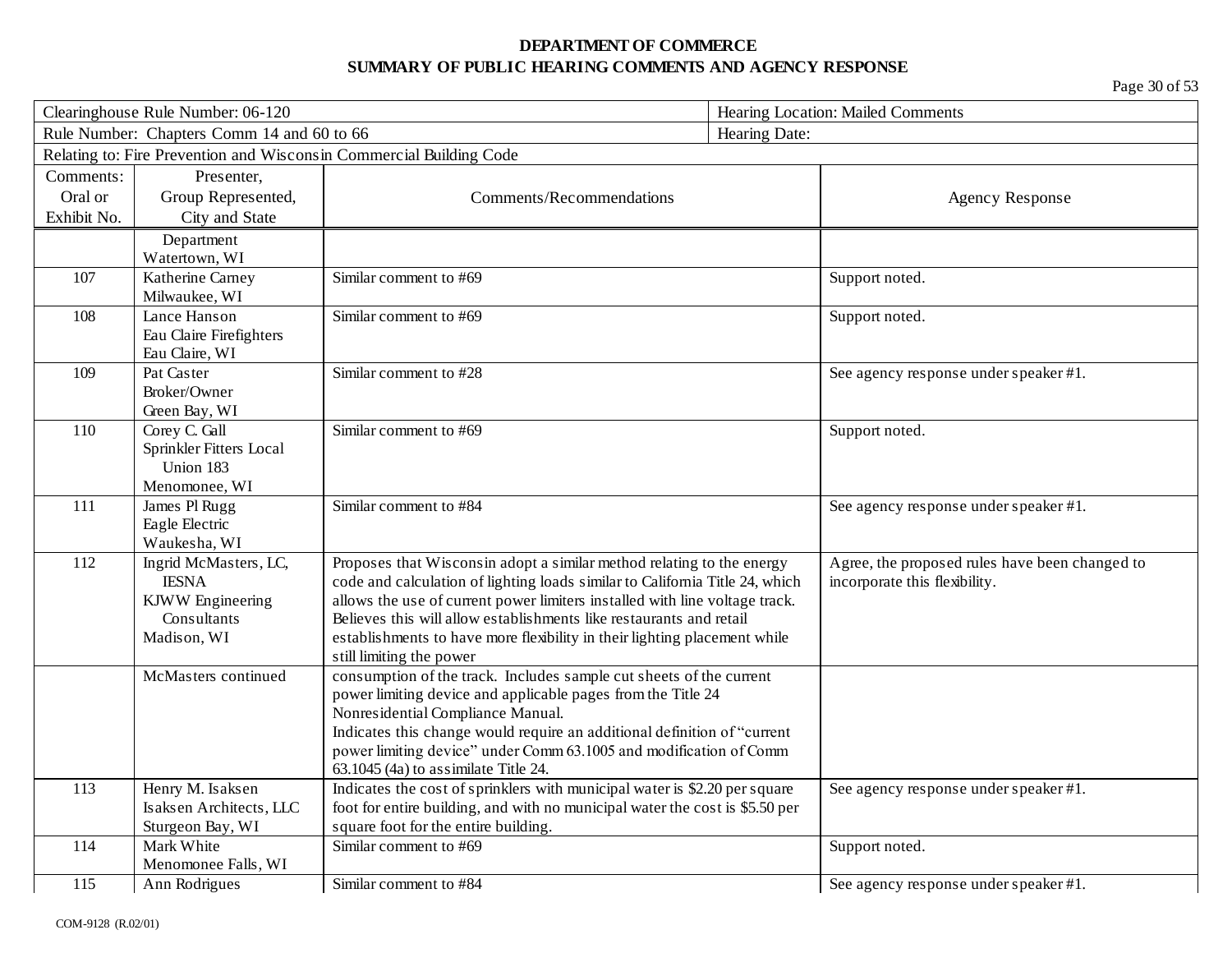| Clearinghouse Rule Number: 06-120 |                                            | Hearing Location: Mailed Comments                                            |                                                |
|-----------------------------------|--------------------------------------------|------------------------------------------------------------------------------|------------------------------------------------|
|                                   | Rule Number: Chapters Comm 14 and 60 to 66 |                                                                              | Hearing Date:                                  |
|                                   |                                            | Relating to: Fire Prevention and Wisconsin Commercial Building Code          |                                                |
| Comments:                         | Presenter,                                 |                                                                              |                                                |
| Oral or                           | Group Represented,                         | Comments/Recommendations                                                     | Agency Response                                |
| Exhibit No.                       | City and State                             |                                                                              |                                                |
|                                   | Department                                 |                                                                              |                                                |
|                                   | Watertown, WI                              |                                                                              |                                                |
| 107                               | Katherine Carney                           | Similar comment to #69                                                       | Support noted.                                 |
|                                   | Milwaukee, WI                              |                                                                              |                                                |
| 108                               | Lance Hanson                               | Similar comment to #69                                                       | Support noted.                                 |
|                                   | Eau Claire Firefighters                    |                                                                              |                                                |
|                                   | Eau Claire, WI                             |                                                                              |                                                |
| 109                               | Pat Caster                                 | Similar comment to #28                                                       | See agency response under speaker #1.          |
|                                   | Broker/Owner                               |                                                                              |                                                |
|                                   | Green Bay, WI                              |                                                                              |                                                |
| 110                               | Corey C. Gall                              | Similar comment to #69                                                       | Support noted.                                 |
|                                   | Sprinkler Fitters Local                    |                                                                              |                                                |
|                                   | Union 183                                  |                                                                              |                                                |
|                                   | Menomonee, WI                              |                                                                              |                                                |
| 111                               | James Pl Rugg                              | Similar comment to #84                                                       | See agency response under speaker #1.          |
|                                   | Eagle Electric<br>Waukesha, WI             |                                                                              |                                                |
| 112                               | Ingrid McMasters, LC,                      | Proposes that Wisconsin adopt a similar method relating to the energy        | Agree, the proposed rules have been changed to |
|                                   | <b>IESNA</b>                               | code and calculation of lighting loads similar to California Title 24, which | incorporate this flexibility.                  |
|                                   | <b>KJWW</b> Engineering                    | allows the use of current power limiters installed with line voltage track.  |                                                |
|                                   | Consultants                                | Believes this will allow establishments like restaurants and retail          |                                                |
|                                   | Madison, WI                                | establishments to have more flexibility in their lighting placement while    |                                                |
|                                   |                                            | still limiting the power                                                     |                                                |
|                                   | McMasters continued                        | consumption of the track. Includes sample cut sheets of the current          |                                                |
|                                   |                                            | power limiting device and applicable pages from the Title 24                 |                                                |
|                                   |                                            | Nonresidential Compliance Manual.                                            |                                                |
|                                   |                                            | Indicates this change would require an additional definition of "current     |                                                |
|                                   |                                            | power limiting device" under Comm 63.1005 and modification of Comm           |                                                |
|                                   |                                            | 63.1045 (4a) to assimilate Title 24.                                         |                                                |
| 113                               | Henry M. Isaksen                           | Indicates the cost of sprinklers with municipal water is \$2.20 per square   | See agency response under speaker #1.          |
|                                   | Isaksen Architects, LLC                    | foot for entire building, and with no municipal water the cost is \$5.50 per |                                                |
|                                   | Sturgeon Bay, WI                           | square foot for the entire building.                                         |                                                |
| 114                               | Mark White                                 | Similar comment to #69                                                       | Support noted.                                 |
|                                   | Menomonee Falls, WI                        |                                                                              |                                                |
| 115                               | Ann Rodrigues                              | Similar comment to #84                                                       | See agency response under speaker #1.          |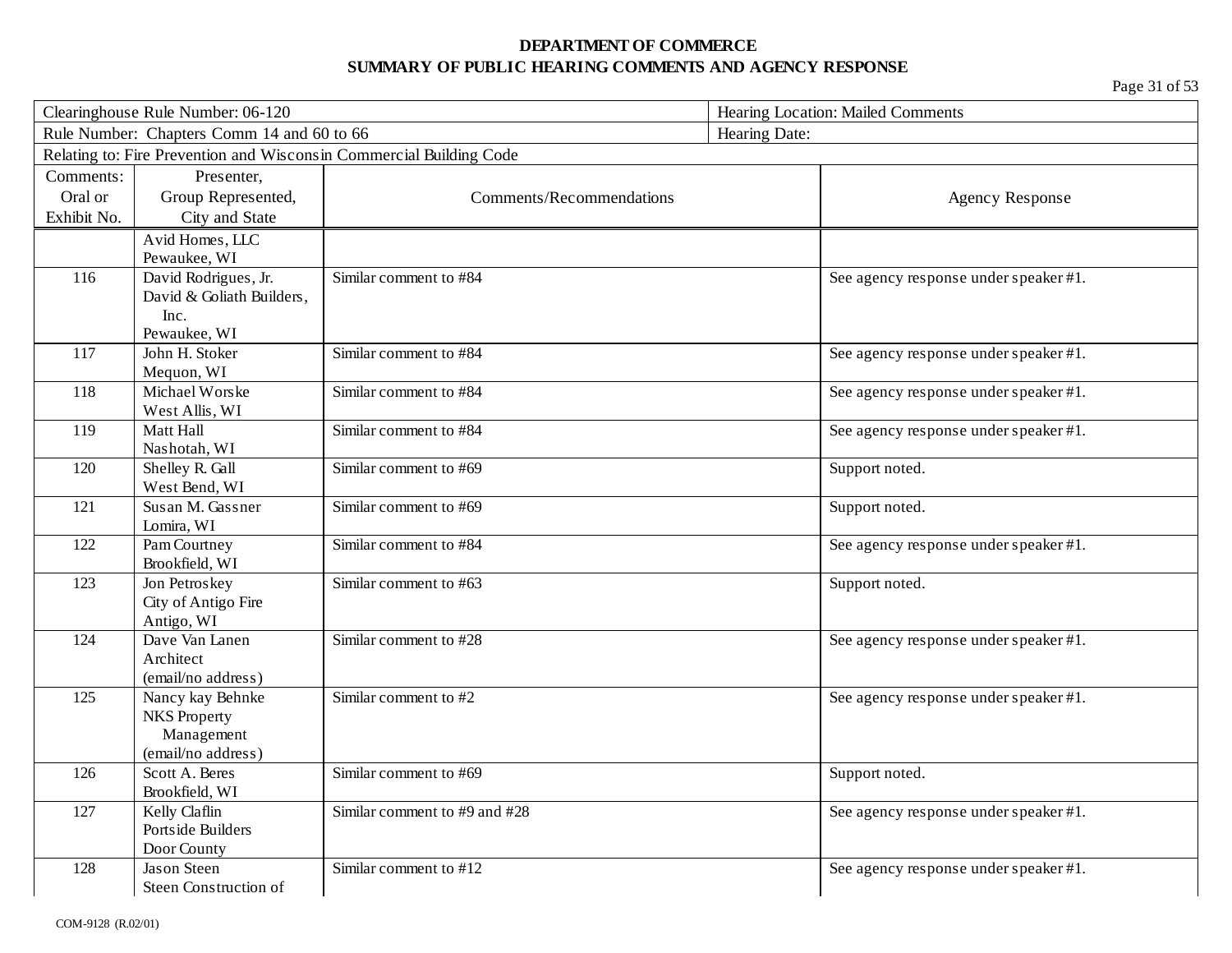| Clearinghouse Rule Number: 06-120 |                                            | Hearing Location: Mailed Comments                                   |                |                                       |
|-----------------------------------|--------------------------------------------|---------------------------------------------------------------------|----------------|---------------------------------------|
|                                   | Rule Number: Chapters Comm 14 and 60 to 66 |                                                                     | Hearing Date:  |                                       |
|                                   |                                            | Relating to: Fire Prevention and Wisconsin Commercial Building Code |                |                                       |
| Comments:                         | Presenter,                                 |                                                                     |                |                                       |
| Oral or                           | Group Represented,                         | Comments/Recommendations                                            |                | <b>Agency Response</b>                |
| Exhibit No.                       | City and State                             |                                                                     |                |                                       |
|                                   | Avid Homes, LLC                            |                                                                     |                |                                       |
|                                   | Pewaukee, WI                               |                                                                     |                |                                       |
| 116                               | David Rodrigues, Jr.                       | Similar comment to #84                                              |                | See agency response under speaker #1. |
|                                   | David & Goliath Builders,                  |                                                                     |                |                                       |
|                                   | Inc.                                       |                                                                     |                |                                       |
|                                   | Pewaukee, WI                               |                                                                     |                |                                       |
| 117                               | John H. Stoker                             | Similar comment to #84                                              |                | See agency response under speaker #1. |
|                                   | Mequon, WI                                 |                                                                     |                |                                       |
| 118                               | Michael Worske                             | Similar comment to #84                                              |                | See agency response under speaker #1. |
|                                   | West Allis, WI                             |                                                                     |                |                                       |
| 119                               | Matt Hall                                  | Similar comment to #84                                              |                | See agency response under speaker #1. |
|                                   | Nashotah, WI                               |                                                                     |                |                                       |
| 120                               | Shelley R. Gall<br>West Bend, WI           | Similar comment to #69                                              | Support noted. |                                       |
| 121                               | Susan M. Gassner                           | Similar comment to #69                                              | Support noted. |                                       |
|                                   | Lomira, WI                                 |                                                                     |                |                                       |
| 122                               | Pam Courtney                               | Similar comment to #84                                              |                | See agency response under speaker #1. |
|                                   | Brookfield, WI                             |                                                                     |                |                                       |
| 123                               | Jon Petroskey                              | Similar comment to #63                                              | Support noted. |                                       |
|                                   | City of Antigo Fire                        |                                                                     |                |                                       |
|                                   | Antigo, WI                                 |                                                                     |                |                                       |
| 124                               | Dave Van Lanen                             | Similar comment to #28                                              |                | See agency response under speaker #1. |
|                                   | Architect                                  |                                                                     |                |                                       |
|                                   | (email/no address)                         |                                                                     |                |                                       |
| 125                               | Nancy kay Behnke                           | Similar comment to #2                                               |                | See agency response under speaker #1. |
|                                   | <b>NKS</b> Property                        |                                                                     |                |                                       |
|                                   | Management                                 |                                                                     |                |                                       |
|                                   | (email/no address)                         |                                                                     |                |                                       |
| 126                               | Scott A. Beres                             | Similar comment to #69                                              | Support noted. |                                       |
|                                   | Brookfield, WI                             | Similar comment to #9 and #28                                       |                |                                       |
| 127                               | Kelly Claflin<br>Portside Builders         |                                                                     |                | See agency response under speaker #1. |
|                                   | Door County                                |                                                                     |                |                                       |
| 128                               | Jason Steen                                | Similar comment to #12                                              |                | See agency response under speaker #1. |
|                                   | Steen Construction of                      |                                                                     |                |                                       |
|                                   |                                            |                                                                     |                |                                       |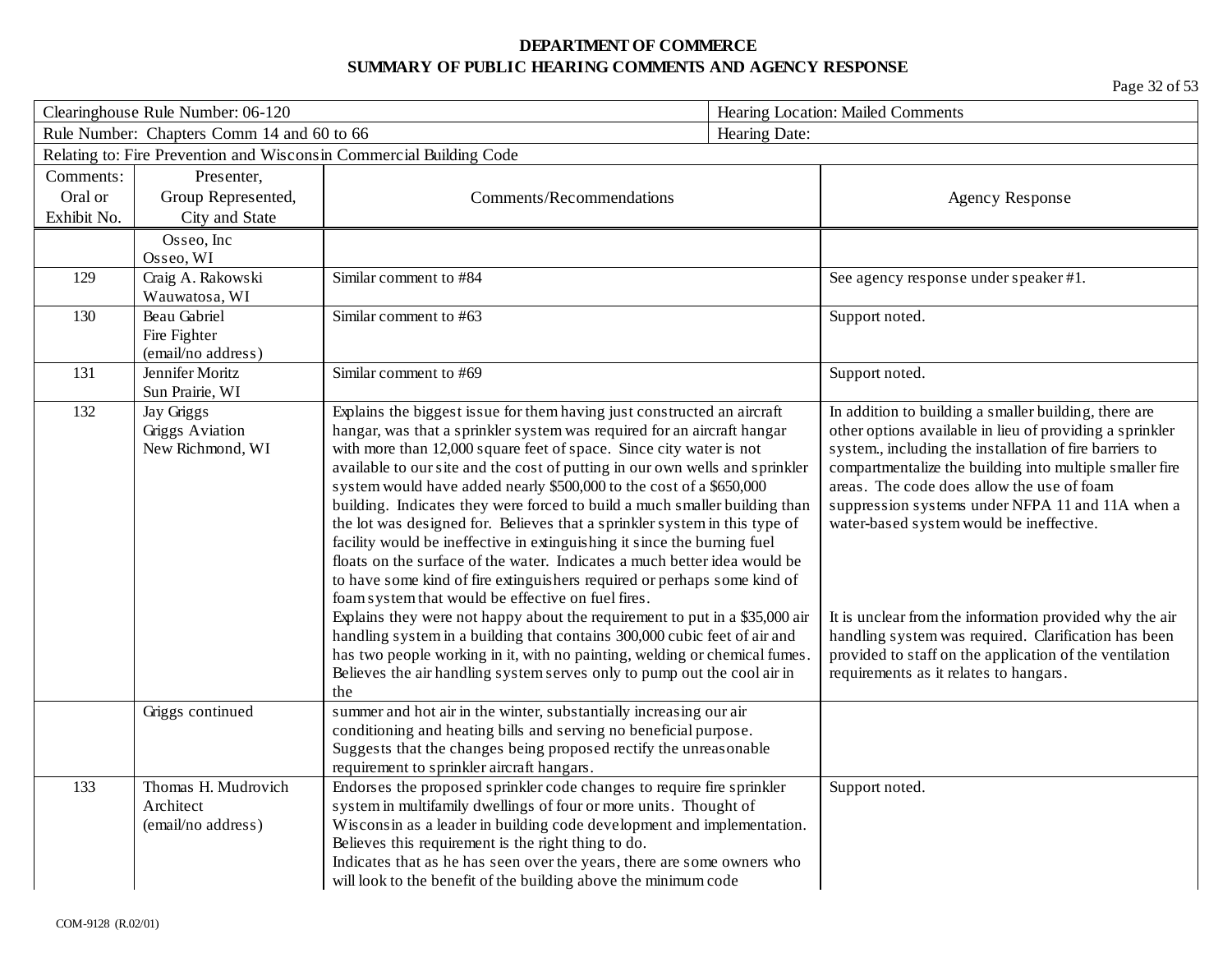| Clearinghouse Rule Number: 06-120 |                                            | Hearing Location: Mailed Comments                                                                                                 |               |                                                          |
|-----------------------------------|--------------------------------------------|-----------------------------------------------------------------------------------------------------------------------------------|---------------|----------------------------------------------------------|
|                                   | Rule Number: Chapters Comm 14 and 60 to 66 |                                                                                                                                   | Hearing Date: |                                                          |
|                                   |                                            | Relating to: Fire Prevention and Wisconsin Commercial Building Code                                                               |               |                                                          |
| Comments:                         | Presenter,                                 |                                                                                                                                   |               |                                                          |
| Oral or                           | Group Represented,                         | Comments/Recommendations                                                                                                          |               | <b>Agency Response</b>                                   |
| Exhibit No.                       | City and State                             |                                                                                                                                   |               |                                                          |
|                                   | Osseo, Inc                                 |                                                                                                                                   |               |                                                          |
|                                   | Osseo, WI                                  |                                                                                                                                   |               |                                                          |
| 129                               | Craig A. Rakowski                          | Similar comment to #84                                                                                                            |               | See agency response under speaker #1.                    |
|                                   | Wauwatosa, WI                              |                                                                                                                                   |               |                                                          |
| 130                               | Beau Gabriel                               | Similar comment to #63                                                                                                            |               | Support noted.                                           |
|                                   | Fire Fighter                               |                                                                                                                                   |               |                                                          |
|                                   | (email/no address)                         |                                                                                                                                   |               |                                                          |
| 131                               | Jennifer Moritz<br>Sun Prairie, WI         | Similar comment to #69                                                                                                            |               | Support noted.                                           |
| 132                               | Jay Griggs                                 | Explains the biggest issue for them having just constructed an aircraft                                                           |               | In addition to building a smaller building, there are    |
|                                   | <b>Griggs Aviation</b>                     | hangar, was that a sprinkler system was required for an aircraft hangar                                                           |               | other options available in lieu of providing a sprinkler |
|                                   | New Richmond, WI                           | with more than 12,000 square feet of space. Since city water is not                                                               |               | system., including the installation of fire barriers to  |
|                                   |                                            | available to our site and the cost of putting in our own wells and sprinkler                                                      |               | compartmentalize the building into multiple smaller fire |
|                                   |                                            | system would have added nearly \$500,000 to the cost of a \$650,000                                                               |               | areas. The code does allow the use of foam               |
|                                   |                                            | building. Indicates they were forced to build a much smaller building than                                                        |               | suppression systems under NFPA 11 and 11A when a         |
|                                   |                                            | the lot was designed for. Believes that a sprinkler system in this type of                                                        |               | water-based system would be ineffective.                 |
|                                   |                                            | facility would be ineffective in extinguishing it since the burning fuel                                                          |               |                                                          |
|                                   |                                            | floats on the surface of the water. Indicates a much better idea would be                                                         |               |                                                          |
|                                   |                                            | to have some kind of fire extinguishers required or perhaps some kind of                                                          |               |                                                          |
|                                   |                                            | foam system that would be effective on fuel fires.<br>Explains they were not happy about the requirement to put in a \$35,000 air |               | It is unclear from the information provided why the air  |
|                                   |                                            | handling system in a building that contains 300,000 cubic feet of air and                                                         |               | handling system was required. Clarification has been     |
|                                   |                                            | has two people working in it, with no painting, welding or chemical fumes.                                                        |               | provided to staff on the application of the ventilation  |
|                                   |                                            | Believes the air handling system serves only to pump out the cool air in                                                          |               | requirements as it relates to hangars.                   |
|                                   |                                            | the                                                                                                                               |               |                                                          |
|                                   | Griggs continued                           | summer and hot air in the winter, substantially increasing our air                                                                |               |                                                          |
|                                   |                                            | conditioning and heating bills and serving no beneficial purpose.                                                                 |               |                                                          |
|                                   |                                            | Suggests that the changes being proposed rectify the unreasonable                                                                 |               |                                                          |
|                                   |                                            | requirement to sprinkler aircraft hangars.                                                                                        |               |                                                          |
| 133                               | Thomas H. Mudrovich                        | Endorses the proposed sprinkler code changes to require fire sprinkler                                                            |               | Support noted.                                           |
|                                   | Architect                                  | system in multifamily dwellings of four or more units. Thought of                                                                 |               |                                                          |
|                                   | (email/no address)                         | Wisconsin as a leader in building code development and implementation.<br>Believes this requirement is the right thing to do.     |               |                                                          |
|                                   |                                            | Indicates that as he has seen over the years, there are some owners who                                                           |               |                                                          |
|                                   |                                            | will look to the benefit of the building above the minimum code                                                                   |               |                                                          |
|                                   |                                            |                                                                                                                                   |               |                                                          |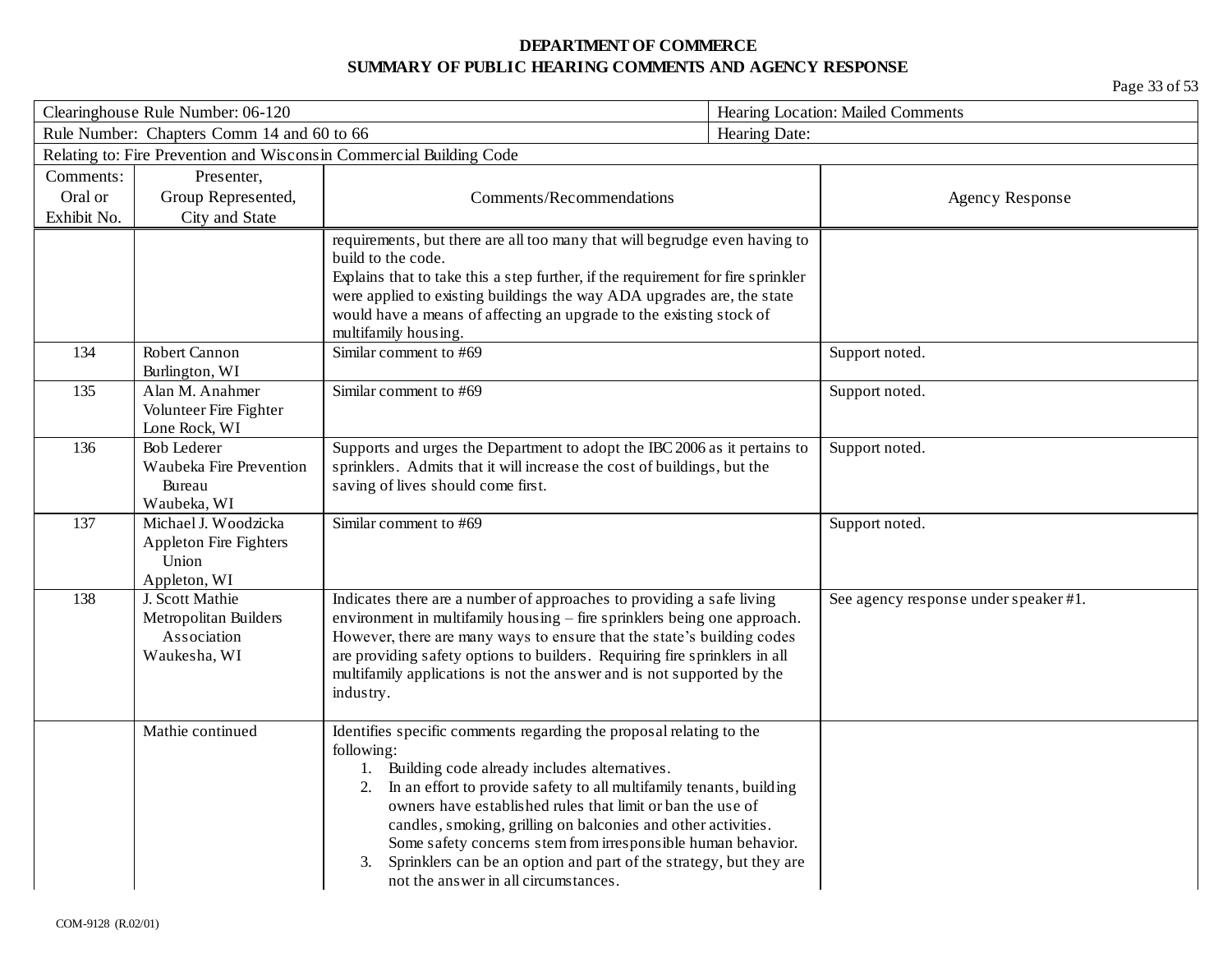| Clearinghouse Rule Number: 06-120 |                                            |                                                                                                                                                      | Hearing Location: Mailed Comments |                                       |
|-----------------------------------|--------------------------------------------|------------------------------------------------------------------------------------------------------------------------------------------------------|-----------------------------------|---------------------------------------|
|                                   | Rule Number: Chapters Comm 14 and 60 to 66 |                                                                                                                                                      | Hearing Date:                     |                                       |
|                                   |                                            | Relating to: Fire Prevention and Wisconsin Commercial Building Code                                                                                  |                                   |                                       |
| Comments:                         | Presenter,                                 |                                                                                                                                                      |                                   |                                       |
| Oral or                           | Group Represented,                         | Comments/Recommendations                                                                                                                             |                                   | <b>Agency Response</b>                |
| Exhibit No.                       | City and State                             |                                                                                                                                                      |                                   |                                       |
|                                   |                                            | requirements, but there are all too many that will begrudge even having to                                                                           |                                   |                                       |
|                                   |                                            | build to the code.<br>Explains that to take this a step further, if the requirement for fire sprinkler                                               |                                   |                                       |
|                                   |                                            | were applied to existing buildings the way ADA upgrades are, the state                                                                               |                                   |                                       |
|                                   |                                            | would have a means of affecting an upgrade to the existing stock of                                                                                  |                                   |                                       |
|                                   |                                            | multifamily housing.                                                                                                                                 |                                   |                                       |
| 134                               | Robert Cannon<br>Burlington, WI            | Similar comment to #69                                                                                                                               |                                   | Support noted.                        |
| 135                               | Alan M. Anahmer                            | Similar comment to #69                                                                                                                               |                                   | Support noted.                        |
|                                   | Volunteer Fire Fighter                     |                                                                                                                                                      |                                   |                                       |
|                                   | Lone Rock, WI                              |                                                                                                                                                      |                                   |                                       |
| 136                               | <b>Bob Lederer</b>                         | Supports and urges the Department to adopt the IBC 2006 as it pertains to                                                                            |                                   | Support noted.                        |
|                                   | Waubeka Fire Prevention<br>Bureau          | sprinklers. Admits that it will increase the cost of buildings, but the                                                                              |                                   |                                       |
|                                   | Waubeka, WI                                | saving of lives should come first.                                                                                                                   |                                   |                                       |
| 137                               | Michael J. Woodzicka                       | Similar comment to #69                                                                                                                               |                                   | Support noted.                        |
|                                   | <b>Appleton Fire Fighters</b>              |                                                                                                                                                      |                                   |                                       |
|                                   | Union                                      |                                                                                                                                                      |                                   |                                       |
|                                   | Appleton, WI                               |                                                                                                                                                      |                                   |                                       |
| 138                               | J. Scott Mathie                            | Indicates there are a number of approaches to providing a safe living                                                                                |                                   | See agency response under speaker #1. |
|                                   | Metropolitan Builders                      | environment in multifamily housing – fire sprinklers being one approach.                                                                             |                                   |                                       |
|                                   | Association<br>Waukesha, WI                | However, there are many ways to ensure that the state's building codes<br>are providing safety options to builders. Requiring fire sprinklers in all |                                   |                                       |
|                                   |                                            | multifamily applications is not the answer and is not supported by the                                                                               |                                   |                                       |
|                                   |                                            | industry.                                                                                                                                            |                                   |                                       |
|                                   |                                            |                                                                                                                                                      |                                   |                                       |
|                                   | Mathie continued                           | Identifies specific comments regarding the proposal relating to the                                                                                  |                                   |                                       |
|                                   |                                            | following:                                                                                                                                           |                                   |                                       |
|                                   |                                            | Building code already includes alternatives.<br>1.<br>2. In an effort to provide safety to all multifamily tenants, building                         |                                   |                                       |
|                                   |                                            | owners have established rules that limit or ban the use of                                                                                           |                                   |                                       |
|                                   |                                            | candles, smoking, grilling on balconies and other activities.                                                                                        |                                   |                                       |
|                                   |                                            | Some safety concerns stem from irresponsible human behavior.                                                                                         |                                   |                                       |
|                                   |                                            | Sprinklers can be an option and part of the strategy, but they are<br>3.                                                                             |                                   |                                       |
|                                   |                                            | not the answer in all circumstances.                                                                                                                 |                                   |                                       |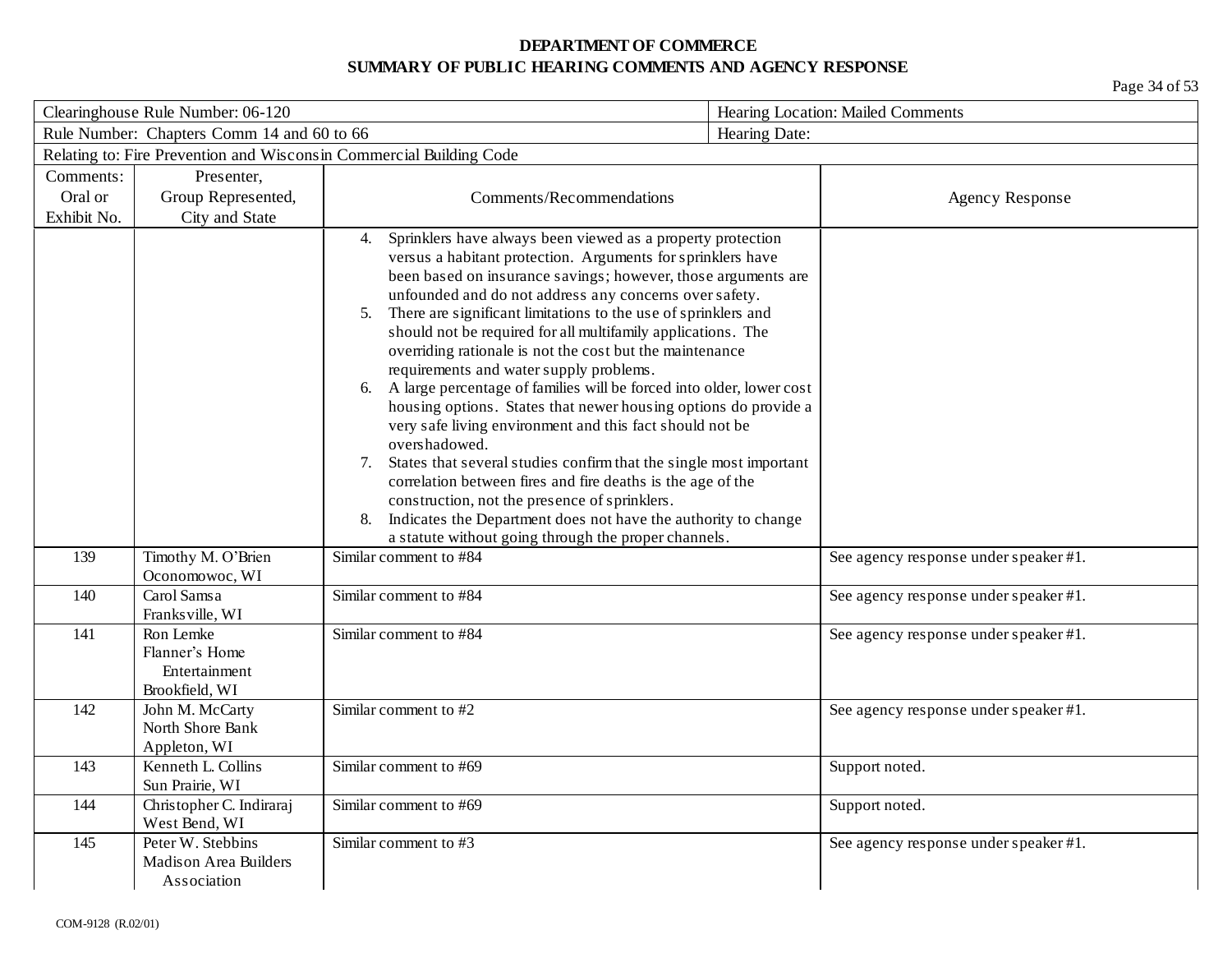| Clearinghouse Rule Number: 06-120 |                                                                |                                                                                                                                                                                                                                                                                                                                                                                                                                                                                                                                                                                                                                                                                                                                                                                                                                                                                                                                                                                                              | Hearing Location: Mailed Comments |                                       |
|-----------------------------------|----------------------------------------------------------------|--------------------------------------------------------------------------------------------------------------------------------------------------------------------------------------------------------------------------------------------------------------------------------------------------------------------------------------------------------------------------------------------------------------------------------------------------------------------------------------------------------------------------------------------------------------------------------------------------------------------------------------------------------------------------------------------------------------------------------------------------------------------------------------------------------------------------------------------------------------------------------------------------------------------------------------------------------------------------------------------------------------|-----------------------------------|---------------------------------------|
|                                   | Rule Number: Chapters Comm 14 and 60 to 66                     |                                                                                                                                                                                                                                                                                                                                                                                                                                                                                                                                                                                                                                                                                                                                                                                                                                                                                                                                                                                                              | Hearing Date:                     |                                       |
|                                   |                                                                | Relating to: Fire Prevention and Wisconsin Commercial Building Code                                                                                                                                                                                                                                                                                                                                                                                                                                                                                                                                                                                                                                                                                                                                                                                                                                                                                                                                          |                                   |                                       |
| Comments:                         | Presenter,                                                     |                                                                                                                                                                                                                                                                                                                                                                                                                                                                                                                                                                                                                                                                                                                                                                                                                                                                                                                                                                                                              |                                   |                                       |
| Oral or                           | Group Represented,                                             | Comments/Recommendations                                                                                                                                                                                                                                                                                                                                                                                                                                                                                                                                                                                                                                                                                                                                                                                                                                                                                                                                                                                     |                                   | <b>Agency Response</b>                |
| Exhibit No.                       | City and State                                                 |                                                                                                                                                                                                                                                                                                                                                                                                                                                                                                                                                                                                                                                                                                                                                                                                                                                                                                                                                                                                              |                                   |                                       |
|                                   |                                                                | Sprinklers have always been viewed as a property protection<br>4.<br>versus a habitant protection. Arguments for sprinklers have<br>been based on insurance savings; however, those arguments are<br>unfounded and do not address any concerns over safety.<br>There are significant limitations to the use of sprinklers and<br>5.<br>should not be required for all multifamily applications. The<br>overriding rationale is not the cost but the maintenance<br>requirements and water supply problems.<br>A large percentage of families will be forced into older, lower cost<br>6.<br>housing options. States that newer housing options do provide a<br>very safe living environment and this fact should not be<br>overshadowed.<br>States that several studies confirm that the single most important<br>7.<br>correlation between fires and fire deaths is the age of the<br>construction, not the presence of sprinklers.<br>Indicates the Department does not have the authority to change<br>8. |                                   |                                       |
| 139                               | Timothy M. O'Brien                                             | a statute without going through the proper channels.<br>Similar comment to #84                                                                                                                                                                                                                                                                                                                                                                                                                                                                                                                                                                                                                                                                                                                                                                                                                                                                                                                               |                                   | See agency response under speaker #1. |
|                                   | Oconomowoc, WI                                                 |                                                                                                                                                                                                                                                                                                                                                                                                                                                                                                                                                                                                                                                                                                                                                                                                                                                                                                                                                                                                              |                                   |                                       |
| 140                               | Carol Samsa<br>Franksville, WI                                 | Similar comment to #84                                                                                                                                                                                                                                                                                                                                                                                                                                                                                                                                                                                                                                                                                                                                                                                                                                                                                                                                                                                       |                                   | See agency response under speaker #1. |
| 141                               | Ron Lemke<br>Flanner's Home<br>Entertainment<br>Brookfield, WI | Similar comment to #84                                                                                                                                                                                                                                                                                                                                                                                                                                                                                                                                                                                                                                                                                                                                                                                                                                                                                                                                                                                       |                                   | See agency response under speaker #1. |
| 142                               | John M. McCarty<br>North Shore Bank<br>Appleton, WI            | Similar comment to #2                                                                                                                                                                                                                                                                                                                                                                                                                                                                                                                                                                                                                                                                                                                                                                                                                                                                                                                                                                                        |                                   | See agency response under speaker #1. |
| 143                               | Kenneth L. Collins<br>Sun Prairie, WI                          | Similar comment to #69                                                                                                                                                                                                                                                                                                                                                                                                                                                                                                                                                                                                                                                                                                                                                                                                                                                                                                                                                                                       | Support noted.                    |                                       |
| 144                               | Christopher C. Indiraraj<br>West Bend, WI                      | Similar comment to #69                                                                                                                                                                                                                                                                                                                                                                                                                                                                                                                                                                                                                                                                                                                                                                                                                                                                                                                                                                                       | Support noted.                    |                                       |
| 145                               | Peter W. Stebbins<br>Madison Area Builders<br>Association      | Similar comment to #3                                                                                                                                                                                                                                                                                                                                                                                                                                                                                                                                                                                                                                                                                                                                                                                                                                                                                                                                                                                        |                                   | See agency response under speaker #1. |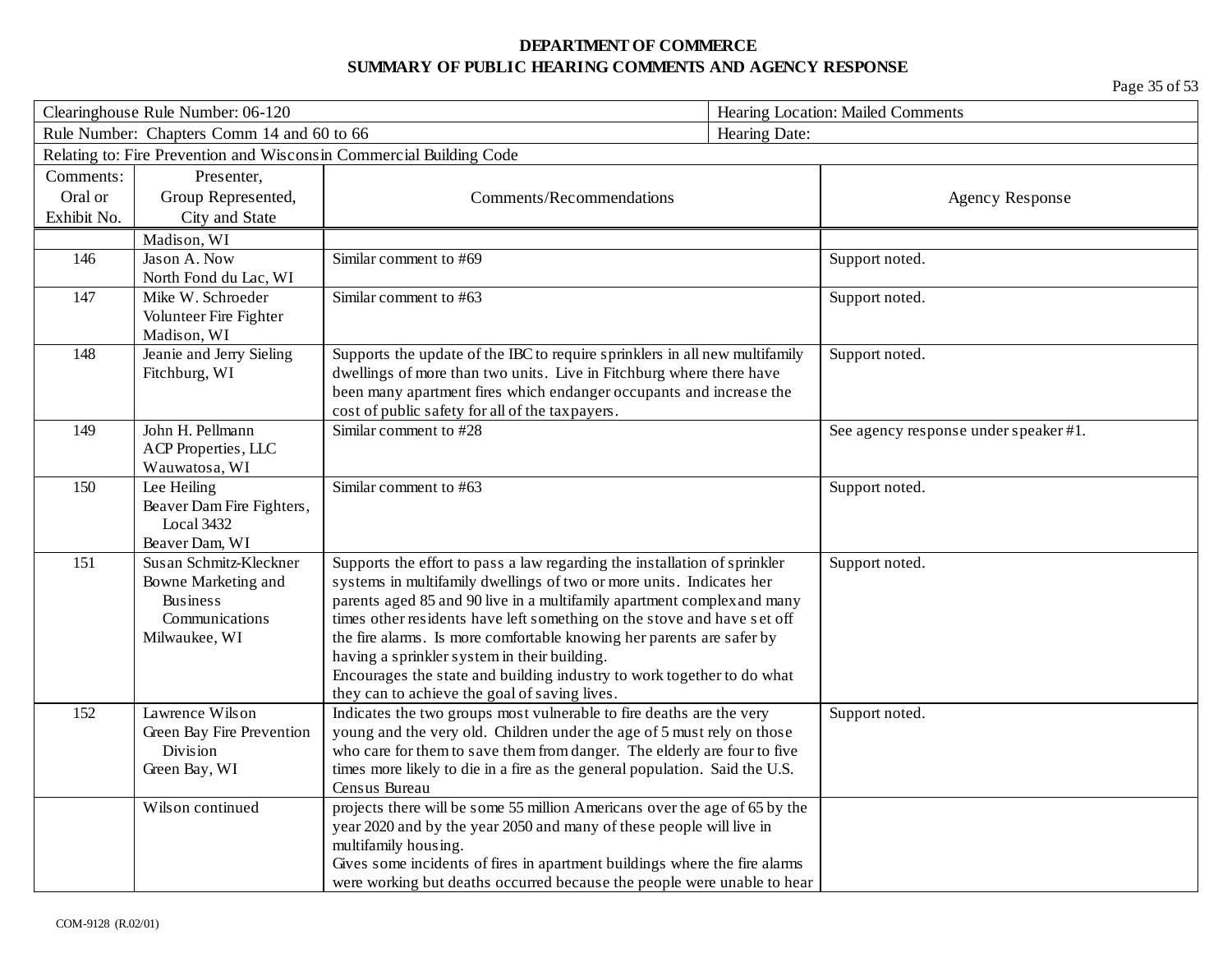| Clearinghouse Rule Number: 06-120 |                                            | Hearing Location: Mailed Comments                                                                                                                   |                                       |
|-----------------------------------|--------------------------------------------|-----------------------------------------------------------------------------------------------------------------------------------------------------|---------------------------------------|
|                                   | Rule Number: Chapters Comm 14 and 60 to 66 |                                                                                                                                                     | Hearing Date:                         |
|                                   |                                            | Relating to: Fire Prevention and Wisconsin Commercial Building Code                                                                                 |                                       |
| Comments:                         | Presenter,                                 |                                                                                                                                                     |                                       |
| Oral or                           | Group Represented,                         | Comments/Recommendations                                                                                                                            | <b>Agency Response</b>                |
| Exhibit No.                       | City and State                             |                                                                                                                                                     |                                       |
|                                   | Madison, WI                                |                                                                                                                                                     |                                       |
| 146                               | Jason A. Now                               | Similar comment to #69                                                                                                                              | Support noted.                        |
|                                   | North Fond du Lac, WI                      |                                                                                                                                                     |                                       |
| 147                               | Mike W. Schroeder                          | Similar comment to #63                                                                                                                              | Support noted.                        |
|                                   | Volunteer Fire Fighter                     |                                                                                                                                                     |                                       |
|                                   | Madison, WI                                |                                                                                                                                                     |                                       |
| 148                               | Jeanie and Jerry Sieling<br>Fitchburg, WI  | Supports the update of the IBC to require sprinklers in all new multifamily<br>dwellings of more than two units. Live in Fitchburg where there have | Support noted.                        |
|                                   |                                            | been many apartment fires which endanger occupants and increase the                                                                                 |                                       |
|                                   |                                            | cost of public safety for all of the tax payers.                                                                                                    |                                       |
| 149                               | John H. Pellmann                           | Similar comment to #28                                                                                                                              | See agency response under speaker #1. |
|                                   | ACP Properties, LLC                        |                                                                                                                                                     |                                       |
|                                   | Wauwatosa, WI                              |                                                                                                                                                     |                                       |
| 150                               | Lee Heiling                                | Similar comment to #63                                                                                                                              | Support noted.                        |
|                                   | Beaver Dam Fire Fighters,                  |                                                                                                                                                     |                                       |
|                                   | Local 3432                                 |                                                                                                                                                     |                                       |
|                                   | Beaver Dam, WI                             |                                                                                                                                                     |                                       |
| 151                               | Susan Schmitz-Kleckner                     | Supports the effort to pass a law regarding the installation of sprinkler<br>systems in multifamily dwellings of two or more units. Indicates her   | Support noted.                        |
|                                   | Bowne Marketing and<br><b>Business</b>     | parents aged 85 and 90 live in a multifamily apartment complex and many                                                                             |                                       |
|                                   | Communications                             | times other residents have left something on the stove and have set off                                                                             |                                       |
|                                   | Milwaukee, WI                              | the fire alarms. Is more comfortable knowing her parents are safer by                                                                               |                                       |
|                                   |                                            | having a sprinkler system in their building.                                                                                                        |                                       |
|                                   |                                            | Encourages the state and building industry to work together to do what                                                                              |                                       |
|                                   |                                            | they can to achieve the goal of saving lives.                                                                                                       |                                       |
| 152                               | Lawrence Wilson                            | Indicates the two groups most vulnerable to fire deaths are the very                                                                                | Support noted.                        |
|                                   | Green Bay Fire Prevention                  | young and the very old. Children under the age of 5 must rely on those                                                                              |                                       |
|                                   | Division                                   | who care for them to save them from danger. The elderly are four to five                                                                            |                                       |
|                                   | Green Bay, WI                              | times more likely to die in a fire as the general population. Said the U.S.                                                                         |                                       |
|                                   | Wilson continued                           | Census Bureau<br>projects there will be some 55 million Americans over the age of 65 by the                                                         |                                       |
|                                   |                                            | year 2020 and by the year 2050 and many of these people will live in                                                                                |                                       |
|                                   |                                            | multifamily housing.                                                                                                                                |                                       |
|                                   |                                            | Gives some incidents of fires in apartment buildings where the fire alarms                                                                          |                                       |
|                                   |                                            | were working but deaths occurred because the people were unable to hear                                                                             |                                       |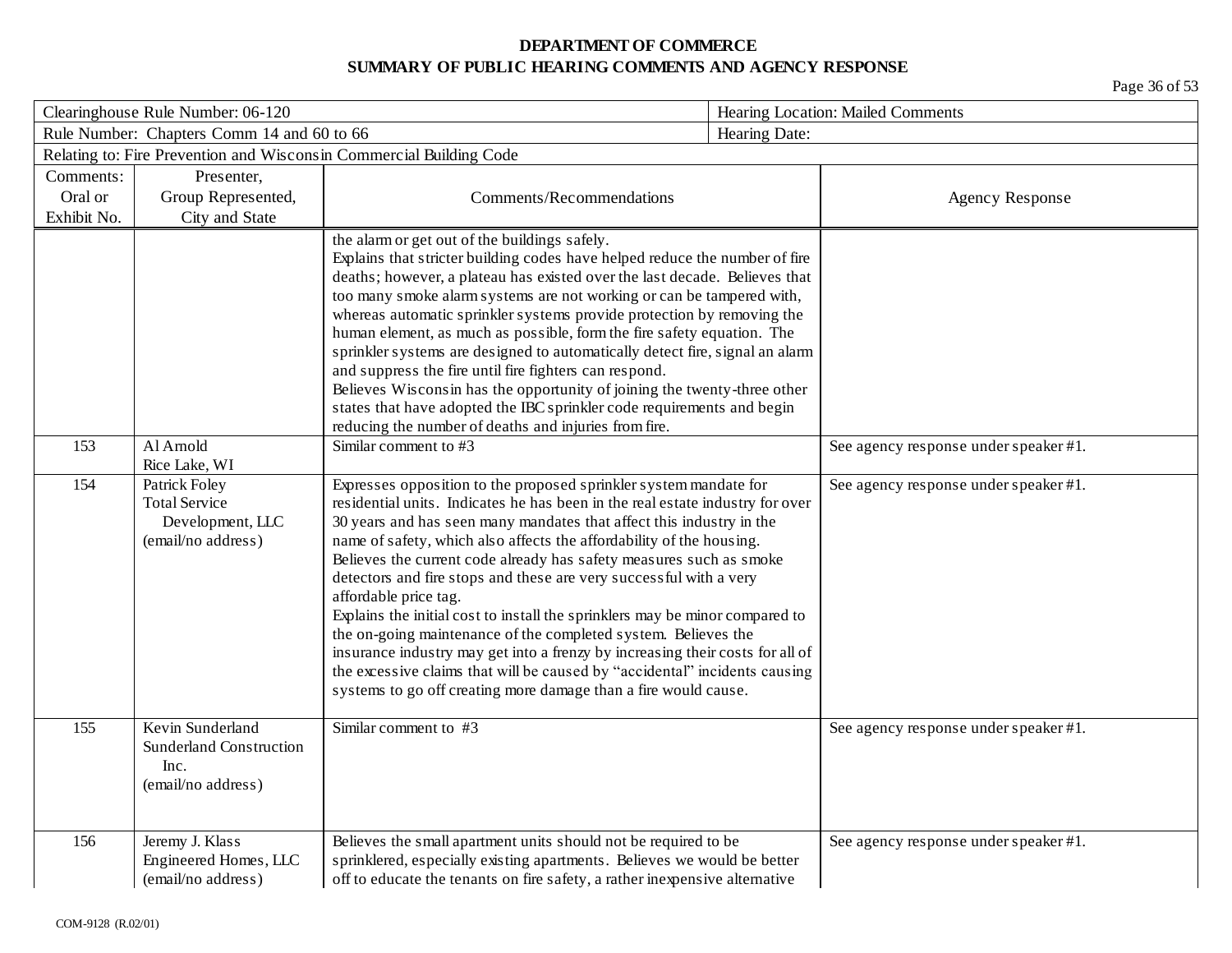|             | Clearinghouse Rule Number: 06-120          |                                                                                                                                                        |               | Hearing Location: Mailed Comments     |  |
|-------------|--------------------------------------------|--------------------------------------------------------------------------------------------------------------------------------------------------------|---------------|---------------------------------------|--|
|             | Rule Number: Chapters Comm 14 and 60 to 66 |                                                                                                                                                        | Hearing Date: |                                       |  |
|             |                                            | Relating to: Fire Prevention and Wisconsin Commercial Building Code                                                                                    |               |                                       |  |
| Comments:   | Presenter,                                 |                                                                                                                                                        |               |                                       |  |
| Oral or     | Group Represented,                         | Comments/Recommendations                                                                                                                               |               | <b>Agency Response</b>                |  |
| Exhibit No. | City and State                             |                                                                                                                                                        |               |                                       |  |
|             |                                            | the alarm or get out of the buildings safely.                                                                                                          |               |                                       |  |
|             |                                            | Explains that stricter building codes have helped reduce the number of fire                                                                            |               |                                       |  |
|             |                                            | deaths; however, a plateau has existed over the last decade. Believes that                                                                             |               |                                       |  |
|             |                                            | too many smoke alarm systems are not working or can be tampered with,                                                                                  |               |                                       |  |
|             |                                            | whereas automatic sprinkler systems provide protection by removing the                                                                                 |               |                                       |  |
|             |                                            | human element, as much as possible, form the fire safety equation. The<br>sprinkler systems are designed to automatically detect fire, signal an alarm |               |                                       |  |
|             |                                            | and suppress the fire until fire fighters can respond.                                                                                                 |               |                                       |  |
|             |                                            | Believes Wisconsin has the opportunity of joining the twenty-three other                                                                               |               |                                       |  |
|             |                                            | states that have adopted the IBC sprinkler code requirements and begin                                                                                 |               |                                       |  |
|             |                                            | reducing the number of deaths and injuries from fire.                                                                                                  |               |                                       |  |
| 153         | Al Amold                                   | Similar comment to #3                                                                                                                                  |               | See agency response under speaker #1. |  |
|             | Rice Lake, WI                              |                                                                                                                                                        |               |                                       |  |
| 154         | Patrick Foley                              | Expresses opposition to the proposed sprinkler system mandate for                                                                                      |               | See agency response under speaker #1. |  |
|             | <b>Total Service</b>                       | residential units. Indicates he has been in the real estate industry for over                                                                          |               |                                       |  |
|             | Development, LLC                           | 30 years and has seen many mandates that affect this industry in the                                                                                   |               |                                       |  |
|             | (email/no address)                         | name of safety, which also affects the affordability of the housing.<br>Believes the current code already has safety measures such as smoke            |               |                                       |  |
|             |                                            | detectors and fire stops and these are very successful with a very                                                                                     |               |                                       |  |
|             |                                            | affordable price tag.                                                                                                                                  |               |                                       |  |
|             |                                            | Explains the initial cost to install the sprinklers may be minor compared to                                                                           |               |                                       |  |
|             |                                            | the on-going maintenance of the completed system. Believes the                                                                                         |               |                                       |  |
|             |                                            | insurance industry may get into a frenzy by increasing their costs for all of                                                                          |               |                                       |  |
|             |                                            | the excessive claims that will be caused by "accidental" incidents causing                                                                             |               |                                       |  |
|             |                                            | systems to go off creating more damage than a fire would cause.                                                                                        |               |                                       |  |
| 155         | Kevin Sunderland                           | Similar comment to #3                                                                                                                                  |               | See agency response under speaker #1. |  |
|             | <b>Sunderland Construction</b>             |                                                                                                                                                        |               |                                       |  |
|             | Inc.                                       |                                                                                                                                                        |               |                                       |  |
|             | (email/no address)                         |                                                                                                                                                        |               |                                       |  |
|             |                                            |                                                                                                                                                        |               |                                       |  |
|             |                                            |                                                                                                                                                        |               |                                       |  |
| 156         | Jeremy J. Klass                            | Believes the small apartment units should not be required to be                                                                                        |               | See agency response under speaker #1. |  |
|             | Engineered Homes, LLC                      | sprinklered, especially existing apartments. Believes we would be better                                                                               |               |                                       |  |
|             | (email/no address)                         | off to educate the tenants on fire safety, a rather inexpensive alternative                                                                            |               |                                       |  |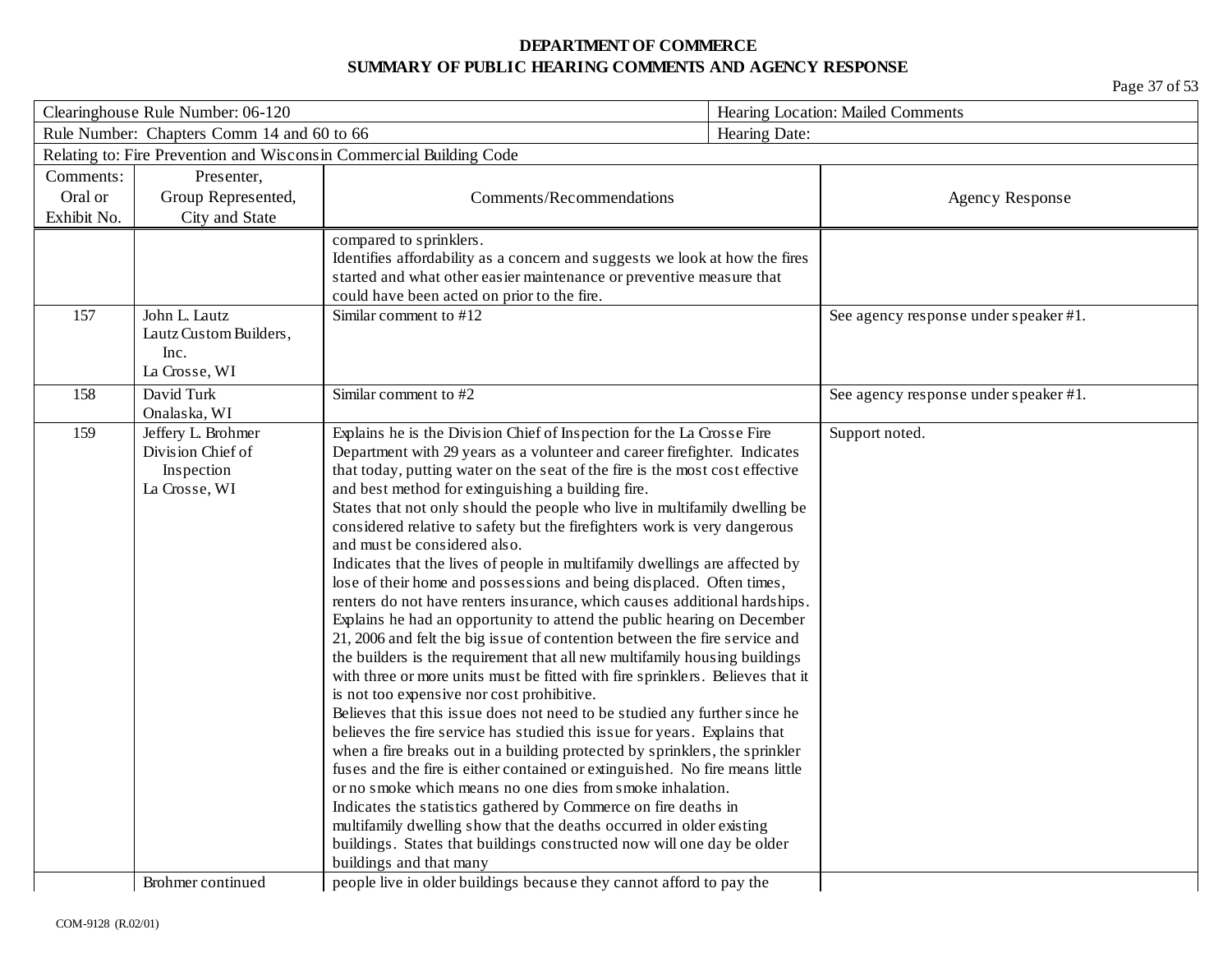| Clearinghouse Rule Number: 06-120 |                                                                        |                                                                                                                                                                                                                                                                                                                                                                                                                                                                                                                                                                                                                                                                                                                                                                                                                                                                                                                                                                                                                                                                                                                                                                                                                                                                                                                                                                                                                                                                                                                                                                                                                                                                                                             |               | Hearing Location: Mailed Comments     |  |
|-----------------------------------|------------------------------------------------------------------------|-------------------------------------------------------------------------------------------------------------------------------------------------------------------------------------------------------------------------------------------------------------------------------------------------------------------------------------------------------------------------------------------------------------------------------------------------------------------------------------------------------------------------------------------------------------------------------------------------------------------------------------------------------------------------------------------------------------------------------------------------------------------------------------------------------------------------------------------------------------------------------------------------------------------------------------------------------------------------------------------------------------------------------------------------------------------------------------------------------------------------------------------------------------------------------------------------------------------------------------------------------------------------------------------------------------------------------------------------------------------------------------------------------------------------------------------------------------------------------------------------------------------------------------------------------------------------------------------------------------------------------------------------------------------------------------------------------------|---------------|---------------------------------------|--|
|                                   | Rule Number: Chapters Comm 14 and 60 to 66                             |                                                                                                                                                                                                                                                                                                                                                                                                                                                                                                                                                                                                                                                                                                                                                                                                                                                                                                                                                                                                                                                                                                                                                                                                                                                                                                                                                                                                                                                                                                                                                                                                                                                                                                             | Hearing Date: |                                       |  |
|                                   |                                                                        | Relating to: Fire Prevention and Wisconsin Commercial Building Code                                                                                                                                                                                                                                                                                                                                                                                                                                                                                                                                                                                                                                                                                                                                                                                                                                                                                                                                                                                                                                                                                                                                                                                                                                                                                                                                                                                                                                                                                                                                                                                                                                         |               |                                       |  |
| Comments:                         | Presenter,                                                             |                                                                                                                                                                                                                                                                                                                                                                                                                                                                                                                                                                                                                                                                                                                                                                                                                                                                                                                                                                                                                                                                                                                                                                                                                                                                                                                                                                                                                                                                                                                                                                                                                                                                                                             |               |                                       |  |
| Oral or                           | Group Represented,                                                     | Comments/Recommendations                                                                                                                                                                                                                                                                                                                                                                                                                                                                                                                                                                                                                                                                                                                                                                                                                                                                                                                                                                                                                                                                                                                                                                                                                                                                                                                                                                                                                                                                                                                                                                                                                                                                                    |               | <b>Agency Response</b>                |  |
| Exhibit No.                       | City and State                                                         |                                                                                                                                                                                                                                                                                                                                                                                                                                                                                                                                                                                                                                                                                                                                                                                                                                                                                                                                                                                                                                                                                                                                                                                                                                                                                                                                                                                                                                                                                                                                                                                                                                                                                                             |               |                                       |  |
|                                   |                                                                        | compared to sprinklers.<br>Identifies affordability as a concern and suggests we look at how the fires<br>started and what other easier maintenance or preventive measure that<br>could have been acted on prior to the fire.                                                                                                                                                                                                                                                                                                                                                                                                                                                                                                                                                                                                                                                                                                                                                                                                                                                                                                                                                                                                                                                                                                                                                                                                                                                                                                                                                                                                                                                                               |               |                                       |  |
| 157                               | John L. Lautz<br>Lautz Custom Builders,<br>Inc.<br>La Crosse, WI       | Similar comment to #12                                                                                                                                                                                                                                                                                                                                                                                                                                                                                                                                                                                                                                                                                                                                                                                                                                                                                                                                                                                                                                                                                                                                                                                                                                                                                                                                                                                                                                                                                                                                                                                                                                                                                      |               | See agency response under speaker #1. |  |
| 158                               | David Turk<br>Onalaska, WI                                             | Similar comment to #2                                                                                                                                                                                                                                                                                                                                                                                                                                                                                                                                                                                                                                                                                                                                                                                                                                                                                                                                                                                                                                                                                                                                                                                                                                                                                                                                                                                                                                                                                                                                                                                                                                                                                       |               | See agency response under speaker #1. |  |
| 159                               | Jeffery L. Brohmer<br>Division Chief of<br>Inspection<br>La Crosse, WI | Explains he is the Division Chief of Inspection for the La Crosse Fire<br>Department with 29 years as a volunteer and career firefighter. Indicates<br>that today, putting water on the seat of the fire is the most cost effective<br>and best method for extinguishing a building fire.<br>States that not only should the people who live in multifamily dwelling be<br>considered relative to safety but the firefighters work is very dangerous<br>and must be considered also.<br>Indicates that the lives of people in multifamily dwellings are affected by<br>lose of their home and possessions and being displaced. Often times,<br>renters do not have renters insurance, which causes additional hardships.<br>Explains he had an opportunity to attend the public hearing on December<br>21, 2006 and felt the big issue of contention between the fire service and<br>the builders is the requirement that all new multifamily housing buildings<br>with three or more units must be fitted with fire sprinklers. Believes that it<br>is not too expensive nor cost prohibitive.<br>Believes that this issue does not need to be studied any further since he<br>believes the fire service has studied this issue for years. Explains that<br>when a fire breaks out in a building protected by sprinklers, the sprinkler<br>fuses and the fire is either contained or extinguished. No fire means little<br>or no smoke which means no one dies from smoke inhalation.<br>Indicates the statistics gathered by Commerce on fire deaths in<br>multifamily dwelling show that the deaths occurred in older existing<br>buildings. States that buildings constructed now will one day be older |               | Support noted.                        |  |
|                                   | Brohmer continued                                                      | buildings and that many<br>people live in older buildings because they cannot afford to pay the                                                                                                                                                                                                                                                                                                                                                                                                                                                                                                                                                                                                                                                                                                                                                                                                                                                                                                                                                                                                                                                                                                                                                                                                                                                                                                                                                                                                                                                                                                                                                                                                             |               |                                       |  |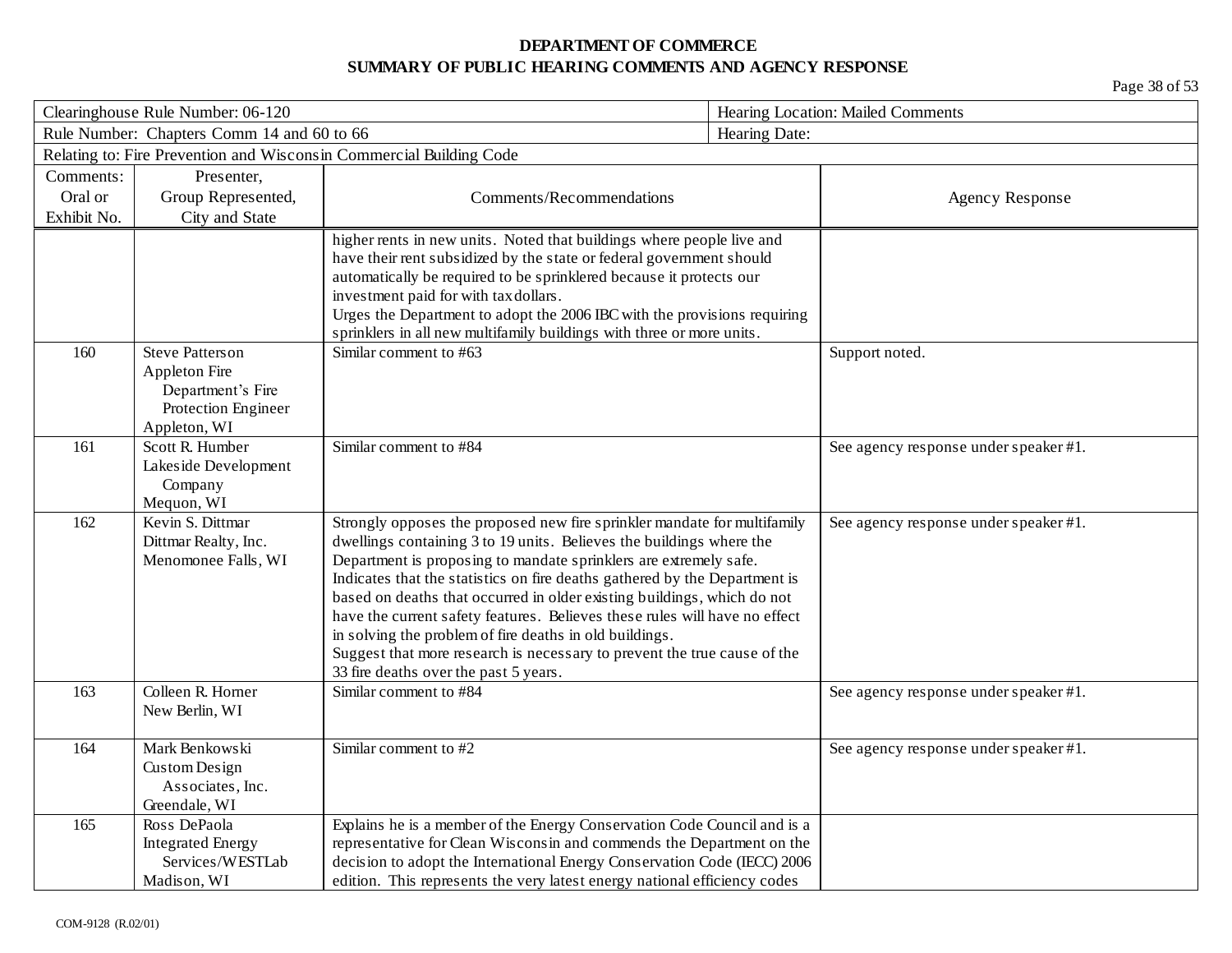| Clearinghouse Rule Number: 06-120 |                                                                                          |                                                                                                                                                   | Hearing Location: Mailed Comments                                          |                                       |
|-----------------------------------|------------------------------------------------------------------------------------------|---------------------------------------------------------------------------------------------------------------------------------------------------|----------------------------------------------------------------------------|---------------------------------------|
|                                   | Rule Number: Chapters Comm 14 and 60 to 66                                               |                                                                                                                                                   | Hearing Date:                                                              |                                       |
|                                   |                                                                                          | Relating to: Fire Prevention and Wisconsin Commercial Building Code                                                                               |                                                                            |                                       |
| Comments:                         | Presenter,                                                                               |                                                                                                                                                   |                                                                            |                                       |
| Oral or                           | Group Represented,                                                                       | Comments/Recommendations                                                                                                                          |                                                                            | <b>Agency Response</b>                |
| Exhibit No.                       | City and State                                                                           |                                                                                                                                                   |                                                                            |                                       |
|                                   |                                                                                          | higher rents in new units. Noted that buildings where people live and<br>have their rent subsidized by the state or federal government should     |                                                                            |                                       |
|                                   |                                                                                          | automatically be required to be sprinklered because it protects our                                                                               |                                                                            |                                       |
|                                   |                                                                                          | investment paid for with tax dollars.                                                                                                             |                                                                            |                                       |
|                                   |                                                                                          | Urges the Department to adopt the 2006 IBC with the provisions requiring<br>sprinklers in all new multifamily buildings with three or more units. |                                                                            |                                       |
| 160                               | <b>Steve Patters on</b>                                                                  | Similar comment to #63                                                                                                                            |                                                                            | Support noted.                        |
|                                   | Appleton Fire                                                                            |                                                                                                                                                   |                                                                            |                                       |
|                                   | Department's Fire                                                                        |                                                                                                                                                   |                                                                            |                                       |
|                                   | Protection Engineer                                                                      |                                                                                                                                                   |                                                                            |                                       |
|                                   | Appleton, WI                                                                             |                                                                                                                                                   |                                                                            |                                       |
| 161                               | Scott R. Humber                                                                          | Similar comment to #84                                                                                                                            |                                                                            | See agency response under speaker #1. |
|                                   | Lakeside Development                                                                     |                                                                                                                                                   |                                                                            |                                       |
|                                   | Company<br>Mequon, WI                                                                    |                                                                                                                                                   |                                                                            |                                       |
| 162                               | Kevin S. Dittmar                                                                         | Strongly opposes the proposed new fire sprinkler mandate for multifamily                                                                          |                                                                            | See agency response under speaker #1. |
|                                   | Dittmar Realty, Inc.                                                                     | dwellings containing 3 to 19 units. Believes the buildings where the                                                                              |                                                                            |                                       |
|                                   | Menomonee Falls, WI                                                                      | Department is proposing to mandate sprinklers are extremely safe.                                                                                 |                                                                            |                                       |
|                                   |                                                                                          | Indicates that the statistics on fire deaths gathered by the Department is                                                                        |                                                                            |                                       |
|                                   |                                                                                          | based on deaths that occurred in older existing buildings, which do not                                                                           |                                                                            |                                       |
|                                   |                                                                                          |                                                                                                                                                   | have the current safety features. Believes these rules will have no effect |                                       |
|                                   |                                                                                          | in solving the problem of fire deaths in old buildings.<br>Suggest that more research is necessary to prevent the true cause of the               |                                                                            |                                       |
|                                   |                                                                                          | 33 fire deaths over the past 5 years.                                                                                                             |                                                                            |                                       |
| 163                               | Colleen R. Horner                                                                        | Similar comment to #84                                                                                                                            |                                                                            | See agency response under speaker #1. |
|                                   | New Berlin, WI                                                                           |                                                                                                                                                   |                                                                            |                                       |
|                                   |                                                                                          |                                                                                                                                                   |                                                                            |                                       |
| 164                               | Mark Benkowski                                                                           | Similar comment to #2                                                                                                                             |                                                                            | See agency response under speaker #1. |
|                                   | Custom Design                                                                            |                                                                                                                                                   |                                                                            |                                       |
|                                   | Associates, Inc.                                                                         |                                                                                                                                                   |                                                                            |                                       |
| 165                               | Greendale, WI<br>Ross DePaola                                                            | Explains he is a member of the Energy Conservation Code Council and is a                                                                          |                                                                            |                                       |
|                                   | <b>Integrated Energy</b>                                                                 | representative for Clean Wisconsin and commends the Department on the                                                                             |                                                                            |                                       |
|                                   | Services/WESTLab                                                                         | decision to adopt the International Energy Conservation Code (IECC) 2006                                                                          |                                                                            |                                       |
|                                   | edition. This represents the very latest energy national efficiency codes<br>Madison, WI |                                                                                                                                                   |                                                                            |                                       |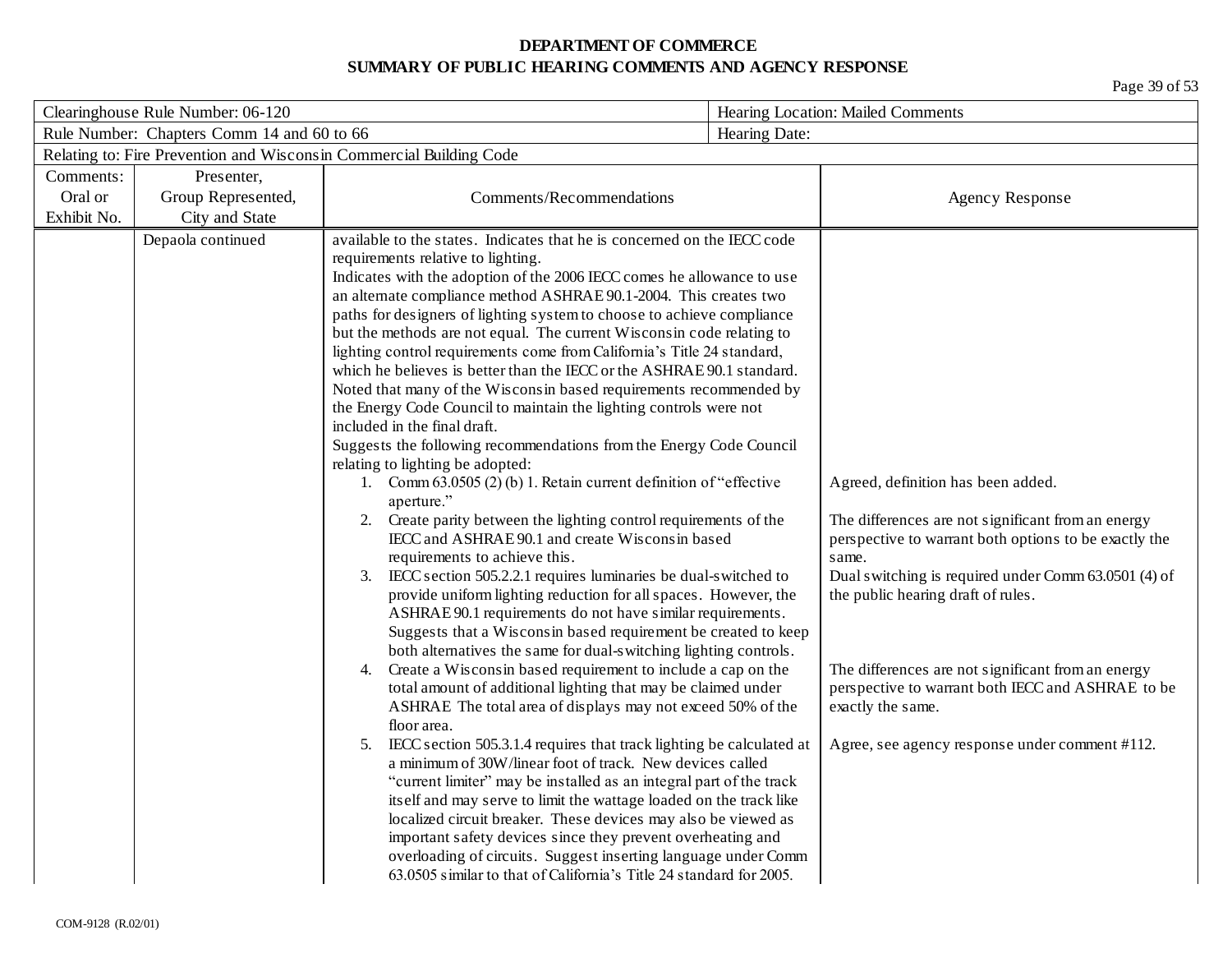| Clearinghouse Rule Number: 06-120          |                    |                                                                                                                                                   | Hearing Location: Mailed Comments                     |  |
|--------------------------------------------|--------------------|---------------------------------------------------------------------------------------------------------------------------------------------------|-------------------------------------------------------|--|
| Rule Number: Chapters Comm 14 and 60 to 66 |                    |                                                                                                                                                   | Hearing Date:                                         |  |
|                                            |                    | Relating to: Fire Prevention and Wisconsin Commercial Building Code                                                                               |                                                       |  |
| Comments:                                  | Presenter,         |                                                                                                                                                   |                                                       |  |
| Oral or                                    | Group Represented, | Comments/Recommendations                                                                                                                          | <b>Agency Response</b>                                |  |
| Exhibit No.                                | City and State     |                                                                                                                                                   |                                                       |  |
|                                            | Depaola continued  | available to the states. Indicates that he is concerned on the IECC code                                                                          |                                                       |  |
|                                            |                    | requirements relative to lighting.                                                                                                                |                                                       |  |
|                                            |                    | Indicates with the adoption of the 2006 IECC comes he allowance to use                                                                            |                                                       |  |
|                                            |                    | an alternate compliance method ASHRAE 90.1-2004. This creates two                                                                                 |                                                       |  |
|                                            |                    | paths for designers of lighting system to choose to achieve compliance                                                                            |                                                       |  |
|                                            |                    | but the methods are not equal. The current Wisconsin code relating to                                                                             |                                                       |  |
|                                            |                    | lighting control requirements come from California's Title 24 standard,<br>which he believes is better than the IECC or the ASHRAE 90.1 standard. |                                                       |  |
|                                            |                    | Noted that many of the Wisconsin based requirements recommended by                                                                                |                                                       |  |
|                                            |                    | the Energy Code Council to maintain the lighting controls were not                                                                                |                                                       |  |
|                                            |                    | included in the final draft.                                                                                                                      |                                                       |  |
|                                            |                    | Suggests the following recommendations from the Energy Code Council                                                                               |                                                       |  |
|                                            |                    | relating to lighting be adopted:                                                                                                                  |                                                       |  |
|                                            |                    | 1. Comm 63.0505 (2) (b) 1. Retain current definition of "effective"                                                                               | Agreed, definition has been added.                    |  |
|                                            |                    | aperture."                                                                                                                                        |                                                       |  |
|                                            |                    | Create parity between the lighting control requirements of the<br>2.                                                                              | The differences are not significant from an energy    |  |
|                                            |                    | IECC and ASHRAE 90.1 and create Wisconsin based                                                                                                   | perspective to warrant both options to be exactly the |  |
|                                            |                    | requirements to achieve this.                                                                                                                     | same.                                                 |  |
|                                            |                    | IECC section 505.2.2.1 requires luminaries be dual-switched to<br>3.                                                                              | Dual switching is required under Comm 63.0501 (4) of  |  |
|                                            |                    | provide uniform lighting reduction for all spaces. However, the                                                                                   | the public hearing draft of rules.                    |  |
|                                            |                    | ASHRAE 90.1 requirements do not have similar requirements.                                                                                        |                                                       |  |
|                                            |                    | Suggests that a Wisconsin based requirement be created to keep<br>both alternatives the same for dual-switching lighting controls.                |                                                       |  |
|                                            |                    | Create a Wisconsin based requirement to include a cap on the<br>4.                                                                                | The differences are not significant from an energy    |  |
|                                            |                    | total amount of additional lighting that may be claimed under                                                                                     | perspective to warrant both IECC and ASHRAE to be     |  |
|                                            |                    | ASHRAE The total area of displays may not exceed 50% of the                                                                                       | exactly the same.                                     |  |
|                                            |                    | floor area.                                                                                                                                       |                                                       |  |
|                                            |                    | IECC section 505.3.1.4 requires that track lighting be calculated at<br>5.                                                                        | Agree, see agency response under comment #112.        |  |
|                                            |                    | a minimum of 30W/linear foot of track. New devices called                                                                                         |                                                       |  |
|                                            |                    | "current limiter" may be installed as an integral part of the track                                                                               |                                                       |  |
|                                            |                    | itself and may serve to limit the wattage loaded on the track like                                                                                |                                                       |  |
|                                            |                    | localized circuit breaker. These devices may also be viewed as                                                                                    |                                                       |  |
|                                            |                    | important safety devices since they prevent overheating and                                                                                       |                                                       |  |
|                                            |                    | overloading of circuits. Suggest inserting language under Comm                                                                                    |                                                       |  |
|                                            |                    | 63.0505 similar to that of California's Title 24 standard for 2005.                                                                               |                                                       |  |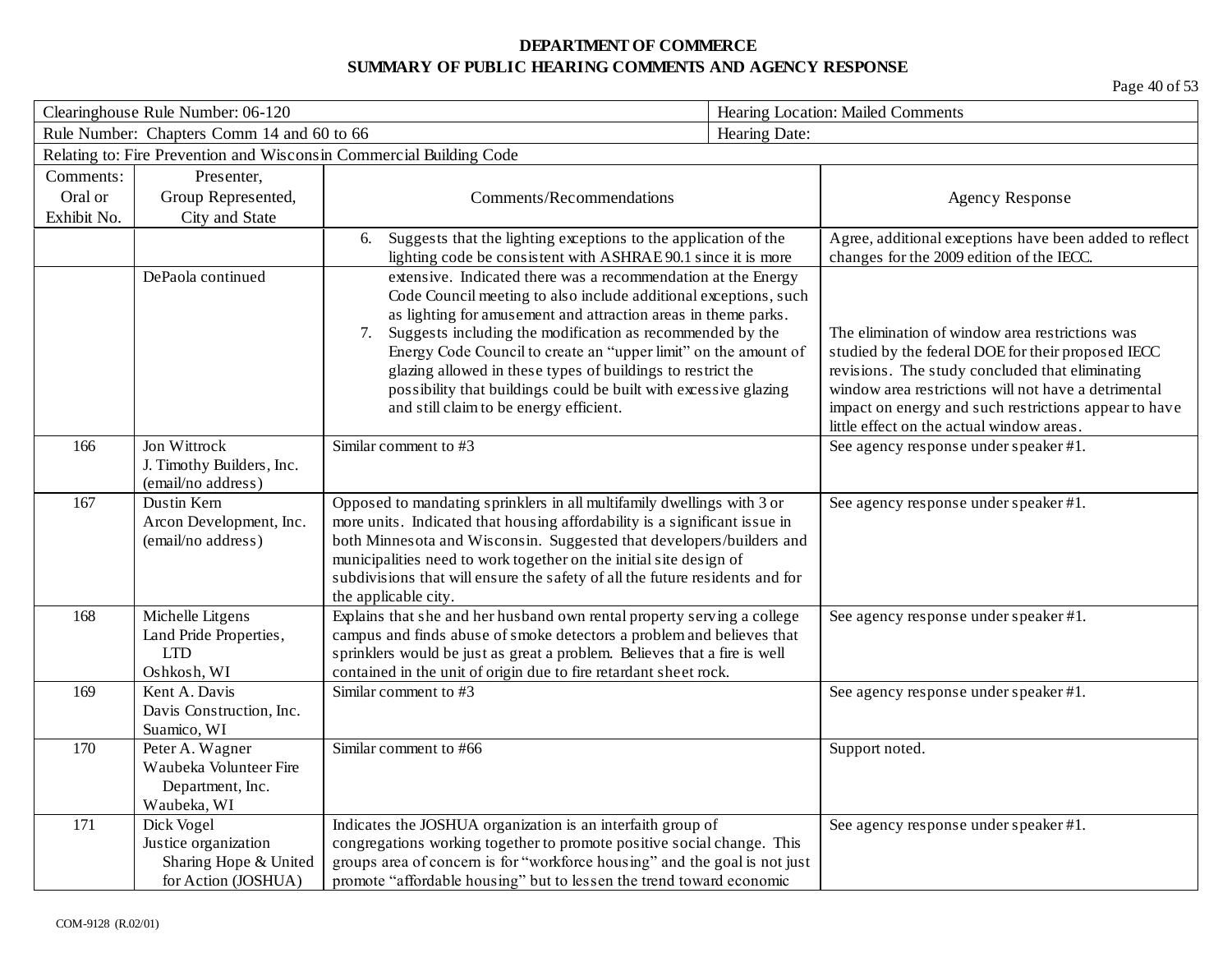| Clearinghouse Rule Number: 06-120 |                                                                                    |                                                                                                                                                                                                                                                                                                                                                                                                                                                                                                                         | Hearing Location: Mailed Comments |                                                                                                                                                                                                                                                                                                                        |
|-----------------------------------|------------------------------------------------------------------------------------|-------------------------------------------------------------------------------------------------------------------------------------------------------------------------------------------------------------------------------------------------------------------------------------------------------------------------------------------------------------------------------------------------------------------------------------------------------------------------------------------------------------------------|-----------------------------------|------------------------------------------------------------------------------------------------------------------------------------------------------------------------------------------------------------------------------------------------------------------------------------------------------------------------|
|                                   | Rule Number: Chapters Comm 14 and 60 to 66                                         |                                                                                                                                                                                                                                                                                                                                                                                                                                                                                                                         | Hearing Date:                     |                                                                                                                                                                                                                                                                                                                        |
|                                   |                                                                                    | Relating to: Fire Prevention and Wisconsin Commercial Building Code                                                                                                                                                                                                                                                                                                                                                                                                                                                     |                                   |                                                                                                                                                                                                                                                                                                                        |
| Comments:                         | Presenter,                                                                         |                                                                                                                                                                                                                                                                                                                                                                                                                                                                                                                         |                                   |                                                                                                                                                                                                                                                                                                                        |
| Oral or                           | Group Represented,                                                                 | Comments/Recommendations                                                                                                                                                                                                                                                                                                                                                                                                                                                                                                |                                   | <b>Agency Response</b>                                                                                                                                                                                                                                                                                                 |
| Exhibit No.                       | City and State                                                                     |                                                                                                                                                                                                                                                                                                                                                                                                                                                                                                                         |                                   |                                                                                                                                                                                                                                                                                                                        |
|                                   |                                                                                    | Suggests that the lighting exceptions to the application of the<br>6.<br>lighting code be consistent with ASHRAE 90.1 since it is more                                                                                                                                                                                                                                                                                                                                                                                  |                                   | Agree, additional exceptions have been added to reflect<br>changes for the 2009 edition of the IECC.                                                                                                                                                                                                                   |
|                                   | DePaola continued                                                                  | extensive. Indicated there was a recommendation at the Energy<br>Code Council meeting to also include additional exceptions, such<br>as lighting for amusement and attraction areas in theme parks.<br>Suggests including the modification as recommended by the<br>7.<br>Energy Code Council to create an "upper limit" on the amount of<br>glazing allowed in these types of buildings to restrict the<br>possibility that buildings could be built with excessive glazing<br>and still claim to be energy efficient. |                                   | The elimination of window area restrictions was<br>studied by the federal DOE for their proposed IECC<br>revisions. The study concluded that eliminating<br>window area restrictions will not have a detrimental<br>impact on energy and such restrictions appear to have<br>little effect on the actual window areas. |
| 166                               | Jon Wittrock<br>J. Timothy Builders, Inc.<br>(email/no address)                    | Similar comment to #3                                                                                                                                                                                                                                                                                                                                                                                                                                                                                                   |                                   | See agency response under speaker #1.                                                                                                                                                                                                                                                                                  |
| 167                               | Dustin Kern<br>Arcon Development, Inc.<br>(email/no address)                       | Opposed to mandating sprinklers in all multifamily dwellings with 3 or<br>more units. Indicated that housing affordability is a significant issue in<br>both Minnesota and Wisconsin. Suggested that developers/builders and<br>municipalities need to work together on the initial site design of<br>subdivisions that will ensure the safety of all the future residents and for<br>the applicable city.                                                                                                              |                                   | See agency response under speaker #1.                                                                                                                                                                                                                                                                                  |
| 168                               | Michelle Litgens<br>Land Pride Properties,<br><b>LTD</b><br>Oshkosh, WI            | Explains that she and her husband own rental property serving a college<br>campus and finds abuse of smoke detectors a problem and believes that<br>sprinklers would be just as great a problem. Believes that a fire is well<br>contained in the unit of origin due to fire retardant sheet rock.                                                                                                                                                                                                                      |                                   | See agency response under speaker #1.                                                                                                                                                                                                                                                                                  |
| 169                               | Kent A. Davis<br>Davis Construction, Inc.<br>Suamico, WI                           | Similar comment to #3                                                                                                                                                                                                                                                                                                                                                                                                                                                                                                   |                                   | See agency response under speaker #1.                                                                                                                                                                                                                                                                                  |
| 170                               | Peter A. Wagner<br>Waubeka Volunteer Fire<br>Department, Inc.<br>Waubeka, WI       | Similar comment to #66                                                                                                                                                                                                                                                                                                                                                                                                                                                                                                  |                                   | Support noted.                                                                                                                                                                                                                                                                                                         |
| 171                               | Dick Vogel<br>Justice organization<br>Sharing Hope & United<br>for Action (JOSHUA) | Indicates the JOSHUA organization is an interfaith group of<br>congregations working together to promote positive social change. This<br>groups area of concern is for "workforce housing" and the goal is not just<br>promote "affordable housing" but to lessen the trend toward economic                                                                                                                                                                                                                             |                                   | See agency response under speaker #1.                                                                                                                                                                                                                                                                                  |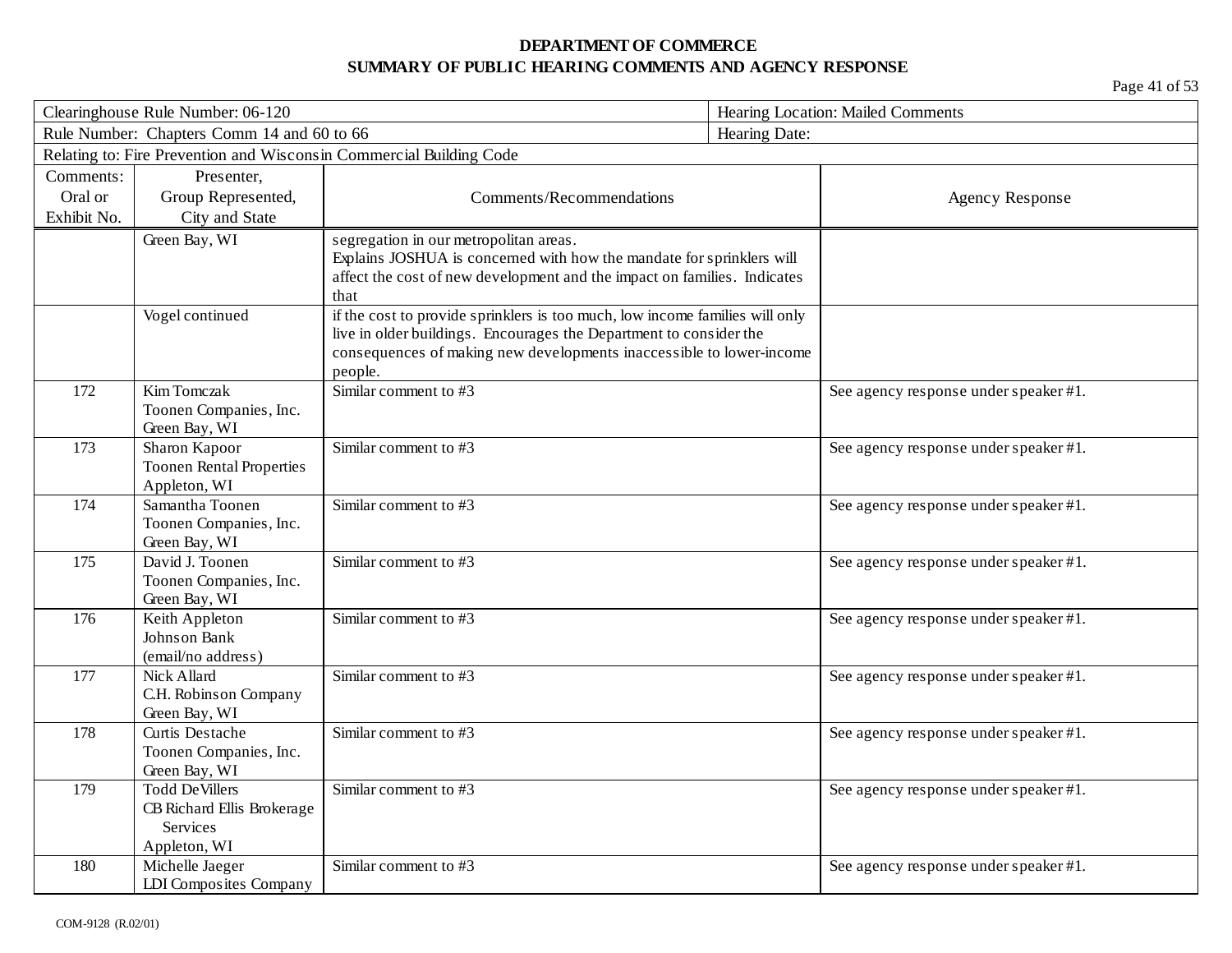| Clearinghouse Rule Number: 06-120 |                                                                     | Hearing Location: Mailed Comments                                                    |               |                                       |  |  |
|-----------------------------------|---------------------------------------------------------------------|--------------------------------------------------------------------------------------|---------------|---------------------------------------|--|--|
|                                   | Rule Number: Chapters Comm 14 and 60 to 66                          |                                                                                      | Hearing Date: |                                       |  |  |
|                                   | Relating to: Fire Prevention and Wisconsin Commercial Building Code |                                                                                      |               |                                       |  |  |
| Comments:                         | Presenter,                                                          |                                                                                      |               |                                       |  |  |
| Oral or                           | Group Represented,                                                  | Comments/Recommendations                                                             |               | <b>Agency Response</b>                |  |  |
| Exhibit No.                       | City and State                                                      |                                                                                      |               |                                       |  |  |
|                                   | Green Bay, WI                                                       | segregation in our metropolitan areas.                                               |               |                                       |  |  |
|                                   |                                                                     | Explains JOSHUA is concerned with how the mandate for sprinklers will                |               |                                       |  |  |
|                                   |                                                                     | affect the cost of new development and the impact on families. Indicates             |               |                                       |  |  |
|                                   | Vogel continued                                                     | that<br>if the cost to provide sprinklers is too much, low income families will only |               |                                       |  |  |
|                                   |                                                                     | live in older buildings. Encourages the Department to consider the                   |               |                                       |  |  |
|                                   |                                                                     | consequences of making new developments inaccessible to lower-income                 |               |                                       |  |  |
|                                   |                                                                     | people.                                                                              |               |                                       |  |  |
| 172                               | Kim Tomczak                                                         | Similar comment to #3                                                                |               | See agency response under speaker #1. |  |  |
|                                   | Toonen Companies, Inc.                                              |                                                                                      |               |                                       |  |  |
|                                   | Green Bay, WI                                                       |                                                                                      |               |                                       |  |  |
| 173                               | Sharon Kapoor                                                       | Similar comment to #3                                                                |               | See agency response under speaker #1. |  |  |
|                                   | <b>Toonen Rental Properties</b>                                     |                                                                                      |               |                                       |  |  |
|                                   | Appleton, WI                                                        |                                                                                      |               |                                       |  |  |
| 174                               | Samantha Toonen                                                     | Similar comment to #3                                                                |               | See agency response under speaker #1. |  |  |
|                                   | Toonen Companies, Inc.                                              |                                                                                      |               |                                       |  |  |
| 175                               | Green Bay, WI<br>David J. Toonen                                    | Similar comment to #3                                                                |               | See agency response under speaker #1. |  |  |
|                                   | Toonen Companies, Inc.                                              |                                                                                      |               |                                       |  |  |
|                                   | Green Bay, WI                                                       |                                                                                      |               |                                       |  |  |
| 176                               | Keith Appleton                                                      | Similar comment to #3                                                                |               | See agency response under speaker #1. |  |  |
|                                   | Johnson Bank                                                        |                                                                                      |               |                                       |  |  |
|                                   | (email/no address)                                                  |                                                                                      |               |                                       |  |  |
| 177                               | Nick Allard                                                         | Similar comment to #3                                                                |               | See agency response under speaker #1. |  |  |
|                                   | C.H. Robinson Company                                               |                                                                                      |               |                                       |  |  |
|                                   | Green Bay, WI                                                       |                                                                                      |               |                                       |  |  |
| 178                               | Curtis Destache                                                     | Similar comment to #3                                                                |               | See agency response under speaker #1. |  |  |
|                                   | Toonen Companies, Inc.<br>Green Bay, WI                             |                                                                                      |               |                                       |  |  |
| 179                               | <b>Todd DeVillers</b>                                               | Similar comment to #3                                                                |               | See agency response under speaker #1. |  |  |
|                                   | CB Richard Ellis Brokerage                                          |                                                                                      |               |                                       |  |  |
|                                   | Services                                                            |                                                                                      |               |                                       |  |  |
|                                   | Appleton, WI                                                        |                                                                                      |               |                                       |  |  |
| 180                               | Michelle Jaeger                                                     | Similar comment to #3                                                                |               | See agency response under speaker #1. |  |  |
|                                   | LDI Composites Company                                              |                                                                                      |               |                                       |  |  |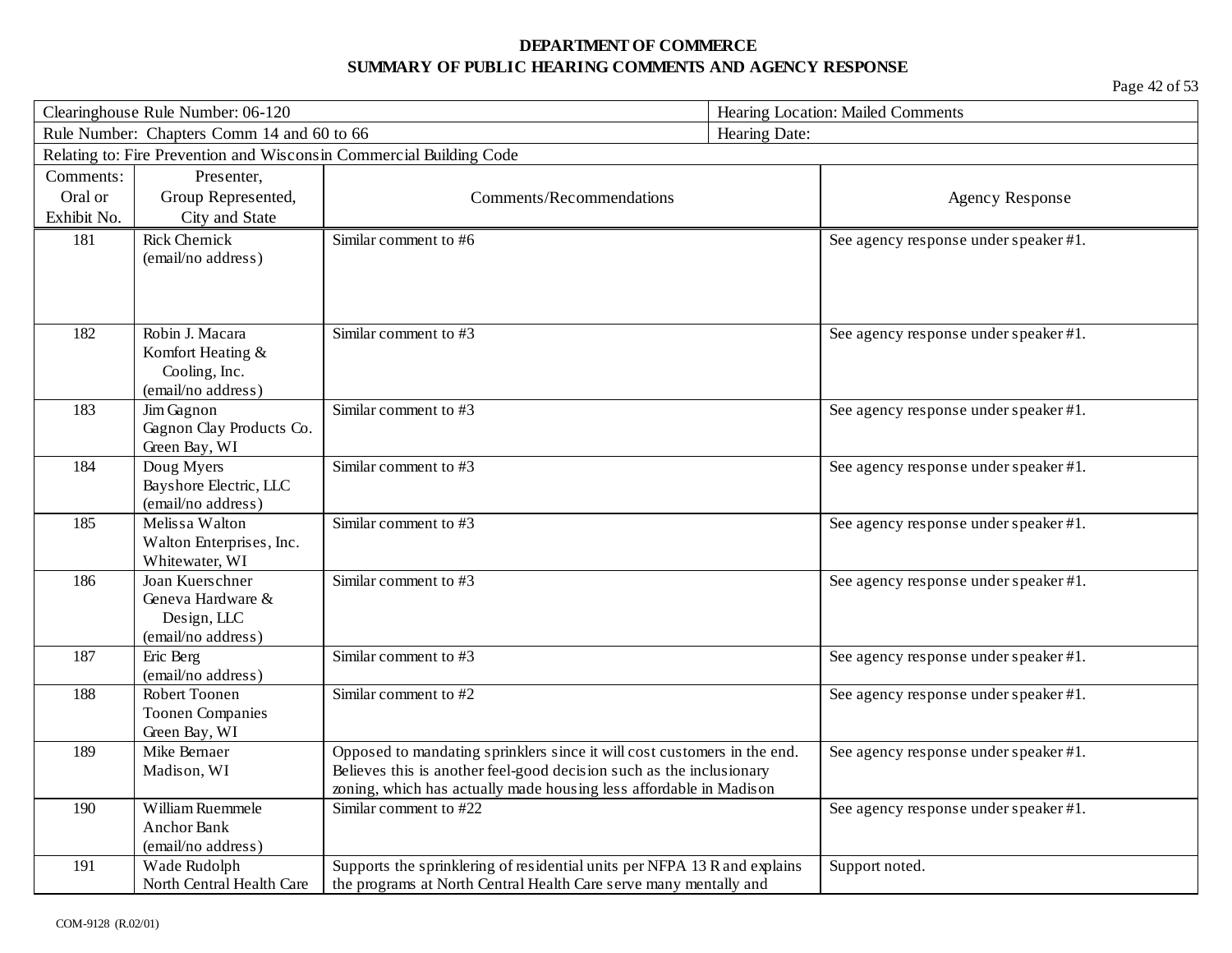| Clearinghouse Rule Number: 06-120                           |                                                                             | Hearing Location: Mailed Comments                                                                                                                                                                                      |                |                                       |
|-------------------------------------------------------------|-----------------------------------------------------------------------------|------------------------------------------------------------------------------------------------------------------------------------------------------------------------------------------------------------------------|----------------|---------------------------------------|
| Rule Number: Chapters Comm 14 and 60 to 66<br>Hearing Date: |                                                                             |                                                                                                                                                                                                                        |                |                                       |
|                                                             |                                                                             | Relating to: Fire Prevention and Wisconsin Commercial Building Code                                                                                                                                                    |                |                                       |
| Comments:                                                   | Presenter,                                                                  |                                                                                                                                                                                                                        |                |                                       |
| Oral or                                                     | Group Represented,                                                          | Comments/Recommendations                                                                                                                                                                                               |                | <b>Agency Response</b>                |
| Exhibit No.                                                 | City and State                                                              |                                                                                                                                                                                                                        |                |                                       |
| 181                                                         | <b>Rick Chernick</b><br>(email/no address)                                  | Similar comment to #6                                                                                                                                                                                                  |                | See agency response under speaker #1. |
| 182                                                         | Robin J. Macara<br>Komfort Heating &<br>Cooling, Inc.<br>(email/no address) | Similar comment to #3                                                                                                                                                                                                  |                | See agency response under speaker #1. |
| 183                                                         | Jim Gagnon<br>Gagnon Clay Products Co.<br>Green Bay, WI                     | Similar comment to #3                                                                                                                                                                                                  |                | See agency response under speaker #1. |
| 184                                                         | Doug Myers<br>Bayshore Electric, LLC<br>(email/no address)                  | Similar comment to #3                                                                                                                                                                                                  |                | See agency response under speaker #1. |
| 185                                                         | Melissa Walton<br>Walton Enterprises, Inc.<br>Whitewater, WI                | Similar comment to #3                                                                                                                                                                                                  |                | See agency response under speaker #1. |
| 186                                                         | Joan Kuerschner<br>Geneva Hardware &<br>Design, LLC<br>(email/no address)   | Similar comment to #3                                                                                                                                                                                                  |                | See agency response under speaker #1. |
| 187                                                         | Eric Berg<br>(email/no address)                                             | Similar comment to #3                                                                                                                                                                                                  |                | See agency response under speaker #1. |
| 188                                                         | Robert Toonen<br><b>Toonen Companies</b><br>Green Bay, WI                   | Similar comment to #2                                                                                                                                                                                                  |                | See agency response under speaker #1. |
| 189                                                         | Mike Bernaer<br>Madison, WI                                                 | Opposed to mandating sprinklers since it will cost customers in the end.<br>Believes this is another feel-good decision such as the inclusionary<br>zoning, which has actually made housing less affordable in Madison |                | See agency response under speaker #1. |
| 190                                                         | William Ruemmele<br><b>Anchor Bank</b><br>(email/no address)                | Similar comment to #22                                                                                                                                                                                                 |                | See agency response under speaker #1. |
| 191                                                         | Wade Rudolph<br>North Central Health Care                                   | Supports the sprinklering of residential units per NFPA 13 R and explains<br>the programs at North Central Health Care serve many mentally and                                                                         | Support noted. |                                       |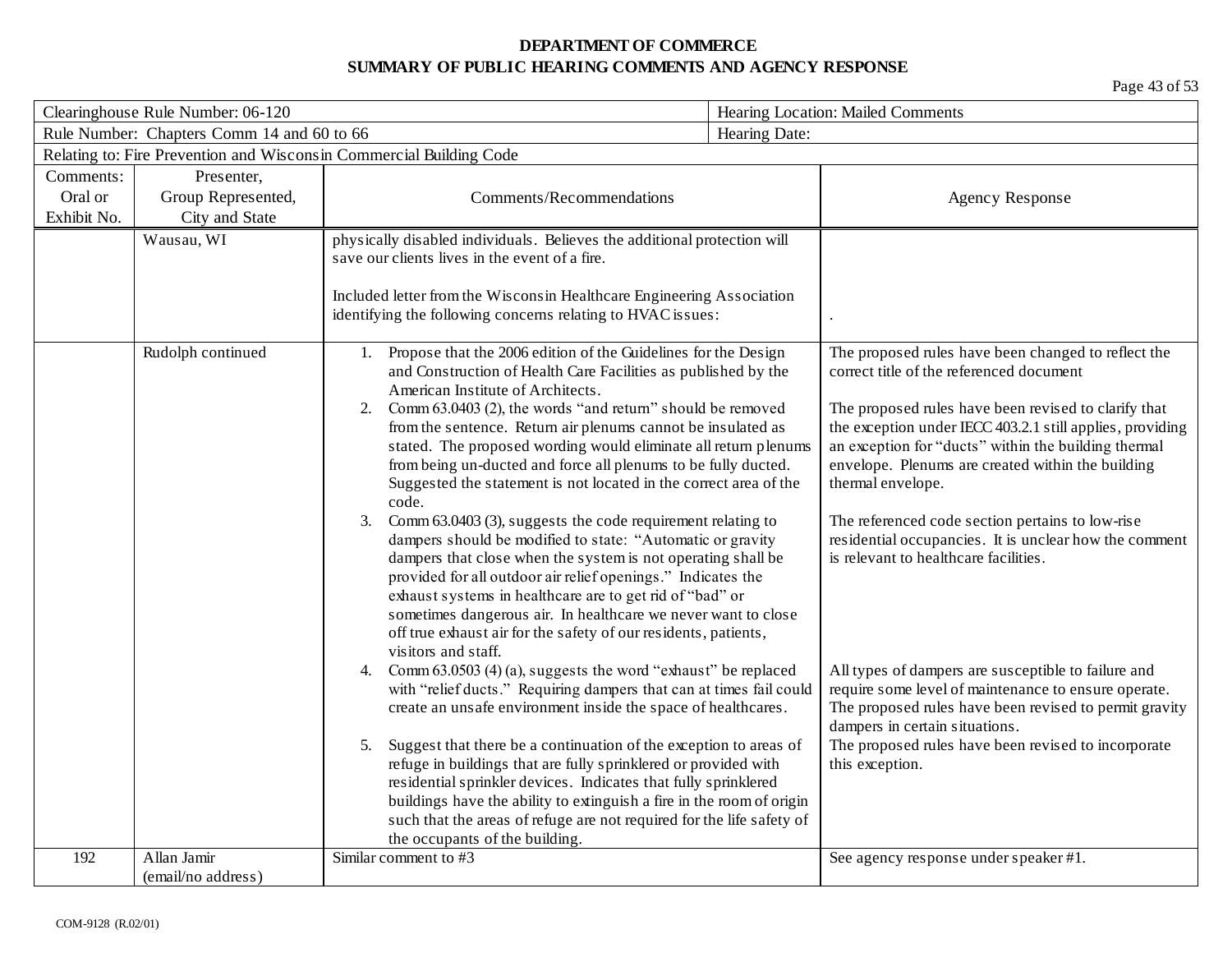| Clearinghouse Rule Number: 06-120 |                                            | Hearing Location: Mailed Comments                                                                                                                                                                                                                                                                                                                                                                                                                                                      |               |                                                                                                                                                                                                                                                     |
|-----------------------------------|--------------------------------------------|----------------------------------------------------------------------------------------------------------------------------------------------------------------------------------------------------------------------------------------------------------------------------------------------------------------------------------------------------------------------------------------------------------------------------------------------------------------------------------------|---------------|-----------------------------------------------------------------------------------------------------------------------------------------------------------------------------------------------------------------------------------------------------|
|                                   | Rule Number: Chapters Comm 14 and 60 to 66 |                                                                                                                                                                                                                                                                                                                                                                                                                                                                                        | Hearing Date: |                                                                                                                                                                                                                                                     |
|                                   |                                            | Relating to: Fire Prevention and Wisconsin Commercial Building Code                                                                                                                                                                                                                                                                                                                                                                                                                    |               |                                                                                                                                                                                                                                                     |
| Comments:                         | Presenter,                                 |                                                                                                                                                                                                                                                                                                                                                                                                                                                                                        |               |                                                                                                                                                                                                                                                     |
| Oral or                           | Group Represented,                         | Comments/Recommendations                                                                                                                                                                                                                                                                                                                                                                                                                                                               |               | <b>Agency Response</b>                                                                                                                                                                                                                              |
| Exhibit No.                       | City and State                             |                                                                                                                                                                                                                                                                                                                                                                                                                                                                                        |               |                                                                                                                                                                                                                                                     |
|                                   | Wausau, WI                                 | physically disabled individuals. Believes the additional protection will<br>save our clients lives in the event of a fire.                                                                                                                                                                                                                                                                                                                                                             |               |                                                                                                                                                                                                                                                     |
|                                   |                                            | Included letter from the Wisconsin Healthcare Engineering Association<br>identifying the following concerns relating to HVAC issues:                                                                                                                                                                                                                                                                                                                                                   |               |                                                                                                                                                                                                                                                     |
|                                   | Rudolph continued                          | 1. Propose that the 2006 edition of the Guidelines for the Design<br>and Construction of Health Care Facilities as published by the<br>American Institute of Architects.                                                                                                                                                                                                                                                                                                               |               | The proposed rules have been changed to reflect the<br>correct title of the referenced document                                                                                                                                                     |
|                                   |                                            | Comm 63.0403 (2), the words "and return" should be removed<br>2.<br>from the sentence. Return air plenums cannot be insulated as<br>stated. The proposed wording would eliminate all return plenums<br>from being un-ducted and force all plenums to be fully ducted.<br>Suggested the statement is not located in the correct area of the<br>code.                                                                                                                                    |               | The proposed rules have been revised to clarify that<br>the exception under IECC 403.2.1 still applies, providing<br>an exception for "ducts" within the building thermal<br>envelope. Plenums are created within the building<br>thermal envelope. |
|                                   |                                            | Comm 63.0403 (3), suggests the code requirement relating to<br>3.<br>dampers should be modified to state: "Automatic or gravity<br>dampers that close when the system is not operating shall be<br>provided for all outdoor air relief openings." Indicates the<br>exhaust systems in healthcare are to get rid of "bad" or<br>sometimes dangerous air. In healthcare we never want to close<br>off true exhaust air for the safety of our residents, patients,<br>visitors and staff. |               | The referenced code section pertains to low-rise<br>residential occupancies. It is unclear how the comment<br>is relevant to healthcare facilities.                                                                                                 |
|                                   |                                            | Comm 63.0503 (4) (a), suggests the word "exhaust" be replaced<br>4.<br>with "relief ducts." Requiring dampers that can at times fail could<br>create an unsafe environment inside the space of healthcares.                                                                                                                                                                                                                                                                            |               | All types of dampers are susceptible to failure and<br>require some level of maintenance to ensure operate.<br>The proposed rules have been revised to permit gravity<br>dampers in certain situations.                                             |
|                                   |                                            | Suggest that there be a continuation of the exception to areas of<br>5.<br>refuge in buildings that are fully sprinklered or provided with<br>residential sprinkler devices. Indicates that fully sprinklered<br>buildings have the ability to extinguish a fire in the room of origin<br>such that the areas of refuge are not required for the life safety of<br>the occupants of the building.                                                                                      |               | The proposed rules have been revised to incorporate<br>this exception.                                                                                                                                                                              |
| 192                               | Allan Jamir<br>(email/no address)          | Similar comment to #3                                                                                                                                                                                                                                                                                                                                                                                                                                                                  |               | See agency response under speaker #1.                                                                                                                                                                                                               |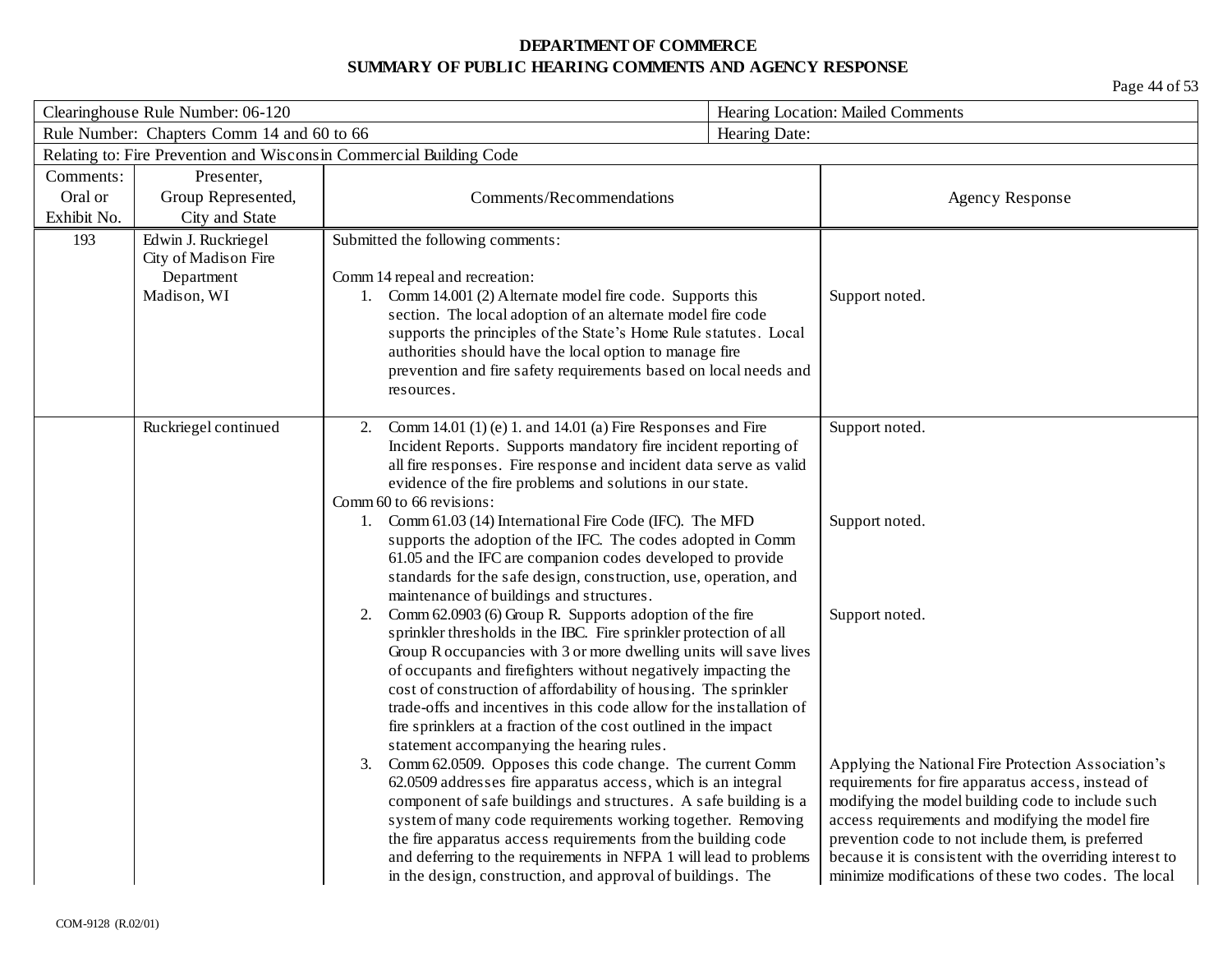| Clearinghouse Rule Number: 06-120                           |                      | Hearing Location: Mailed Comments                                                                                                     |                |                                                                                                           |
|-------------------------------------------------------------|----------------------|---------------------------------------------------------------------------------------------------------------------------------------|----------------|-----------------------------------------------------------------------------------------------------------|
| Rule Number: Chapters Comm 14 and 60 to 66<br>Hearing Date: |                      |                                                                                                                                       |                |                                                                                                           |
|                                                             |                      | Relating to: Fire Prevention and Wisconsin Commercial Building Code                                                                   |                |                                                                                                           |
| Comments:                                                   | Presenter,           |                                                                                                                                       |                |                                                                                                           |
| Oral or                                                     | Group Represented,   | Comments/Recommendations                                                                                                              |                | <b>Agency Response</b>                                                                                    |
| Exhibit No.                                                 | City and State       |                                                                                                                                       |                |                                                                                                           |
| 193                                                         | Edwin J. Ruckriegel  | Submitted the following comments:                                                                                                     |                |                                                                                                           |
|                                                             | City of Madison Fire |                                                                                                                                       |                |                                                                                                           |
|                                                             | Department           | Comm 14 repeal and recreation:                                                                                                        |                |                                                                                                           |
|                                                             | Madison, WI          | 1. Comm 14.001 (2) Alternate model fire code. Supports this<br>section. The local adoption of an alternate model fire code            | Support noted. |                                                                                                           |
|                                                             |                      | supports the principles of the State's Home Rule statutes. Local                                                                      |                |                                                                                                           |
|                                                             |                      | authorities should have the local option to manage fire                                                                               |                |                                                                                                           |
|                                                             |                      | prevention and fire safety requirements based on local needs and                                                                      |                |                                                                                                           |
|                                                             |                      | resources.                                                                                                                            |                |                                                                                                           |
|                                                             |                      |                                                                                                                                       |                |                                                                                                           |
|                                                             | Ruckriegel continued | Comm 14.01 (1) (e) 1. and 14.01 (a) Fire Responses and Fire<br>2.                                                                     | Support noted. |                                                                                                           |
|                                                             |                      | Incident Reports. Supports mandatory fire incident reporting of<br>all fire responses. Fire response and incident data serve as valid |                |                                                                                                           |
|                                                             |                      | evidence of the fire problems and solutions in our state.                                                                             |                |                                                                                                           |
|                                                             |                      | Comm 60 to 66 revisions:                                                                                                              |                |                                                                                                           |
|                                                             |                      | Comm 61.03 (14) International Fire Code (IFC). The MFD                                                                                | Support noted. |                                                                                                           |
|                                                             |                      | supports the adoption of the IFC. The codes adopted in Comm                                                                           |                |                                                                                                           |
|                                                             |                      | 61.05 and the IFC are companion codes developed to provide                                                                            |                |                                                                                                           |
|                                                             |                      | standards for the safe design, construction, use, operation, and                                                                      |                |                                                                                                           |
|                                                             |                      | maintenance of buildings and structures.<br>Comm 62.0903 (6) Group R. Supports adoption of the fire                                   | Support noted. |                                                                                                           |
|                                                             |                      | 2.<br>sprinkler thresholds in the IBC. Fire sprinkler protection of all                                                               |                |                                                                                                           |
|                                                             |                      | Group R occupancies with 3 or more dwelling units will save lives                                                                     |                |                                                                                                           |
|                                                             |                      | of occupants and firefighters without negatively impacting the                                                                        |                |                                                                                                           |
|                                                             |                      | cost of construction of affordability of housing. The sprinkler                                                                       |                |                                                                                                           |
|                                                             |                      | trade-offs and incentives in this code allow for the installation of                                                                  |                |                                                                                                           |
|                                                             |                      | fire sprinklers at a fraction of the cost outlined in the impact                                                                      |                |                                                                                                           |
|                                                             |                      | statement accompanying the hearing rules.                                                                                             |                |                                                                                                           |
|                                                             |                      | Comm 62.0509. Opposes this code change. The current Comm<br>3.<br>62.0509 addresses fire apparatus access, which is an integral       |                | Applying the National Fire Protection Association's<br>requirements for fire apparatus access, instead of |
|                                                             |                      | component of safe buildings and structures. A safe building is a                                                                      |                | modifying the model building code to include such                                                         |
|                                                             |                      | system of many code requirements working together. Removing                                                                           |                | access requirements and modifying the model fire                                                          |
|                                                             |                      | the fire apparatus access requirements from the building code                                                                         |                | prevention code to not include them, is preferred                                                         |
|                                                             |                      | and deferring to the requirements in NFPA 1 will lead to problems                                                                     |                | because it is consistent with the overriding interest to                                                  |
|                                                             |                      | in the design, construction, and approval of buildings. The                                                                           |                | minimize modifications of these two codes. The local                                                      |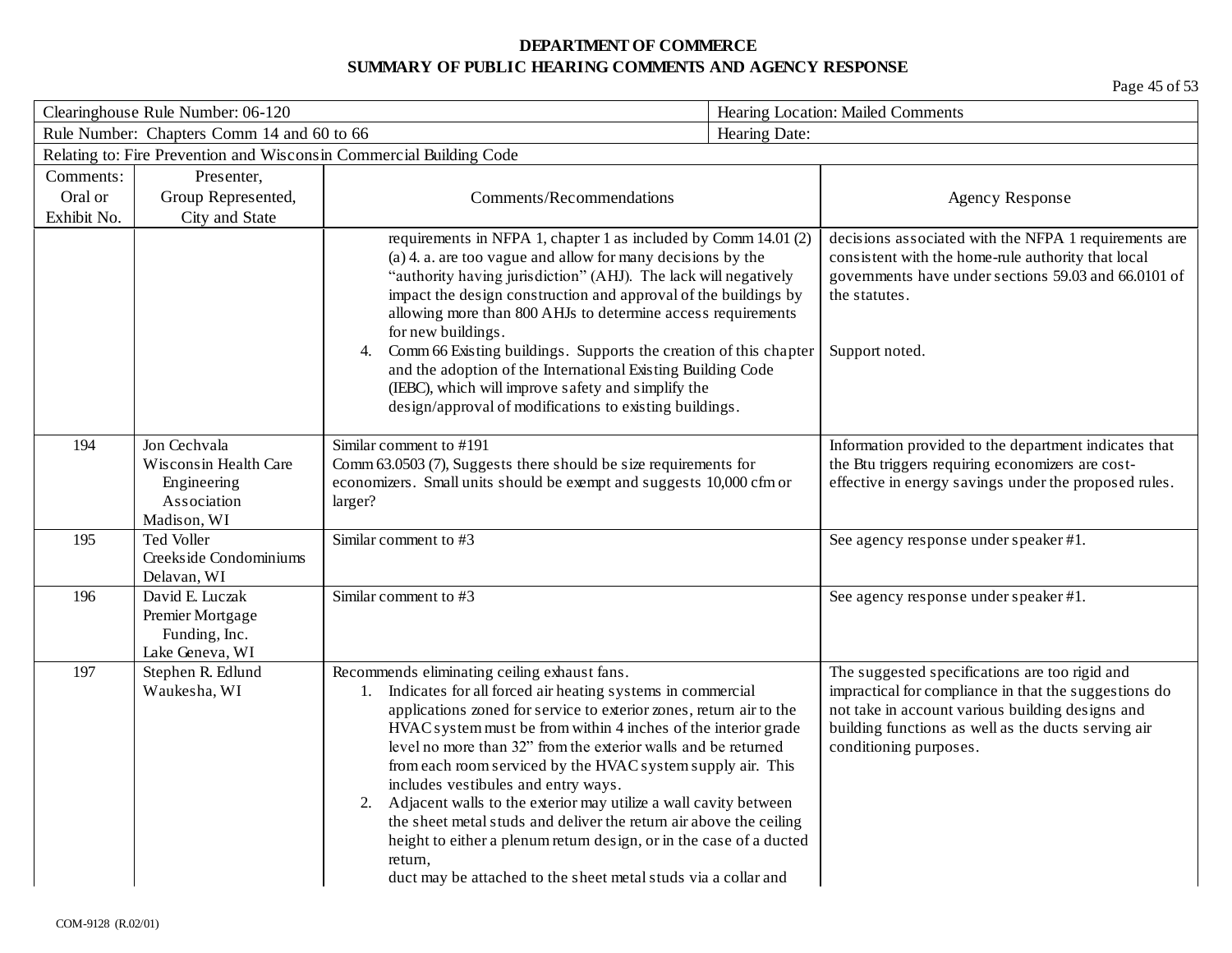| Clearinghouse Rule Number: 06-120 |                                                                                    |                                                                                                                                                                                                                                                                                                                                                                                                                                                                                                                                                                                                                                                                                                                                       | Hearing Location: Mailed Comments |                                                                                                                                                                                                                                              |
|-----------------------------------|------------------------------------------------------------------------------------|---------------------------------------------------------------------------------------------------------------------------------------------------------------------------------------------------------------------------------------------------------------------------------------------------------------------------------------------------------------------------------------------------------------------------------------------------------------------------------------------------------------------------------------------------------------------------------------------------------------------------------------------------------------------------------------------------------------------------------------|-----------------------------------|----------------------------------------------------------------------------------------------------------------------------------------------------------------------------------------------------------------------------------------------|
|                                   | Rule Number: Chapters Comm 14 and 60 to 66                                         |                                                                                                                                                                                                                                                                                                                                                                                                                                                                                                                                                                                                                                                                                                                                       | Hearing Date:                     |                                                                                                                                                                                                                                              |
|                                   |                                                                                    | Relating to: Fire Prevention and Wisconsin Commercial Building Code                                                                                                                                                                                                                                                                                                                                                                                                                                                                                                                                                                                                                                                                   |                                   |                                                                                                                                                                                                                                              |
| Comments:                         | Presenter,                                                                         |                                                                                                                                                                                                                                                                                                                                                                                                                                                                                                                                                                                                                                                                                                                                       |                                   |                                                                                                                                                                                                                                              |
| Oral or                           | Group Represented,                                                                 | Comments/Recommendations                                                                                                                                                                                                                                                                                                                                                                                                                                                                                                                                                                                                                                                                                                              |                                   | <b>Agency Response</b>                                                                                                                                                                                                                       |
| Exhibit No.                       | City and State                                                                     |                                                                                                                                                                                                                                                                                                                                                                                                                                                                                                                                                                                                                                                                                                                                       |                                   |                                                                                                                                                                                                                                              |
|                                   |                                                                                    | requirements in NFPA 1, chapter 1 as included by Comm 14.01 (2)<br>$(a)$ 4. a. are too vague and allow for many decisions by the<br>"authority having jurisdiction" (AHJ). The lack will negatively<br>impact the design construction and approval of the buildings by<br>allowing more than 800 AHJs to determine access requirements<br>for new buildings.<br>Comm 66 Existing buildings. Supports the creation of this chapter<br>4.<br>and the adoption of the International Existing Building Code<br>(IEBC), which will improve safety and simplify the<br>design/approval of modifications to existing buildings.                                                                                                              |                                   | decisions associated with the NFPA 1 requirements are<br>consistent with the home-rule authority that local<br>governments have under sections 59.03 and 66.0101 of<br>the statutes.<br>Support noted.                                       |
| 194                               | Jon Cechvala<br>Wisconsin Health Care<br>Engineering<br>Association<br>Madison, WI | Similar comment to #191<br>Comm 63.0503 (7), Suggests there should be size requirements for<br>economizers. Small units should be exempt and suggests 10,000 cfm or<br>larger?                                                                                                                                                                                                                                                                                                                                                                                                                                                                                                                                                        |                                   | Information provided to the department indicates that<br>the Btu triggers requiring economizers are cost-<br>effective in energy savings under the proposed rules.                                                                           |
| 195                               | Ted Voller<br>Creekside Condominiums<br>Delavan, WI                                | Similar comment to #3                                                                                                                                                                                                                                                                                                                                                                                                                                                                                                                                                                                                                                                                                                                 |                                   | See agency response under speaker #1.                                                                                                                                                                                                        |
| 196                               | David E. Luczak<br>Premier Mortgage<br>Funding, Inc.<br>Lake Geneva, WI            | Similar comment to #3                                                                                                                                                                                                                                                                                                                                                                                                                                                                                                                                                                                                                                                                                                                 |                                   | See agency response under speaker #1.                                                                                                                                                                                                        |
| 197                               | Stephen R. Edlund<br>Waukesha, WI                                                  | Recommends eliminating ceiling exhaust fans.<br>Indicates for all forced air heating systems in commercial<br>1.<br>applications zoned for service to exterior zones, return air to the<br>HVAC system must be from within 4 inches of the interior grade<br>level no more than 32" from the exterior walls and be returned<br>from each room serviced by the HVAC system supply air. This<br>includes vestibules and entry ways.<br>Adjacent walls to the exterior may utilize a wall cavity between<br>2.<br>the sheet metal studs and deliver the return air above the ceiling<br>height to either a plenum return design, or in the case of a ducted<br>return,<br>duct may be attached to the sheet metal studs via a collar and |                                   | The suggested specifications are too rigid and<br>impractical for compliance in that the suggestions do<br>not take in account various building designs and<br>building functions as well as the ducts serving air<br>conditioning purposes. |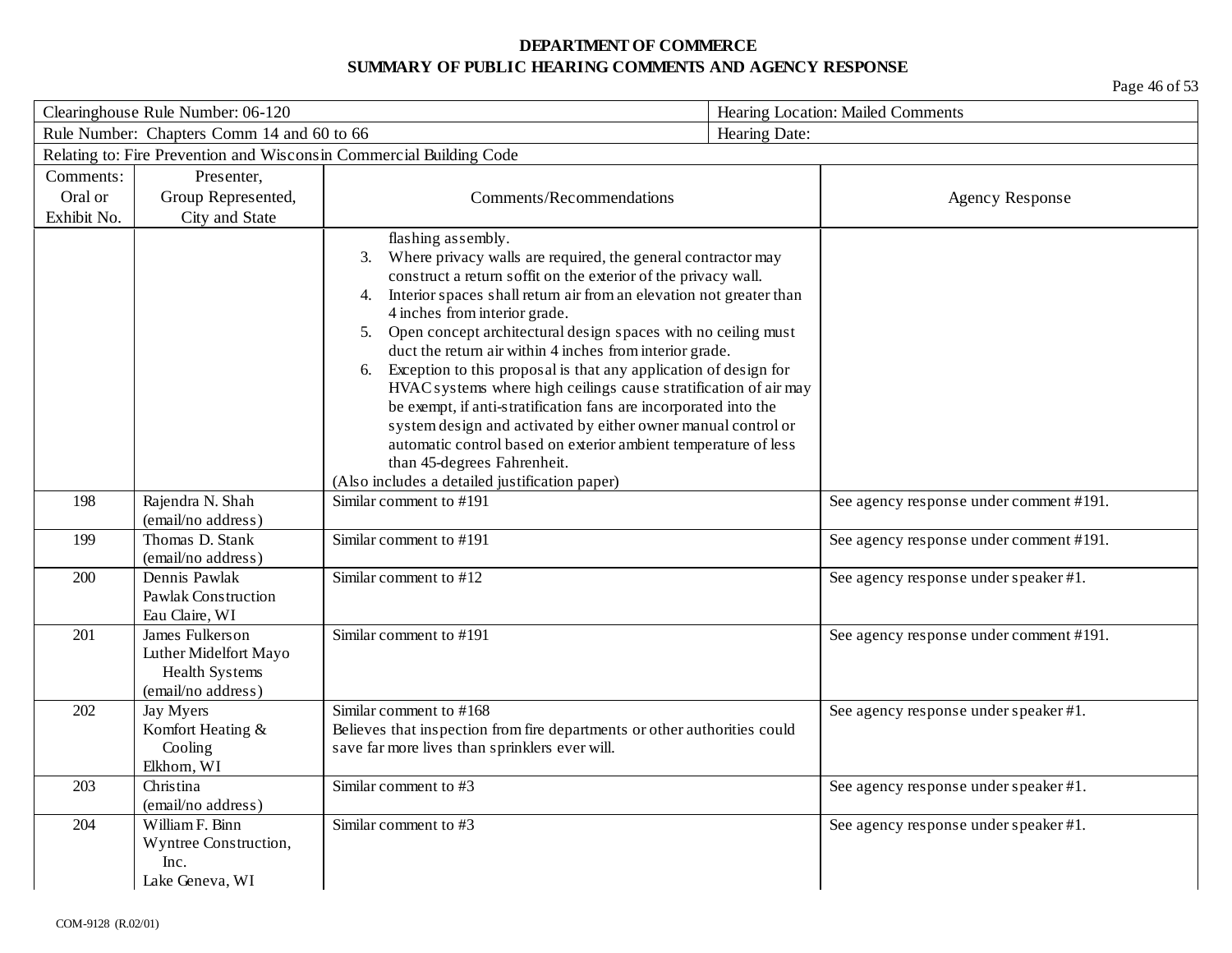| Clearinghouse Rule Number: 06-120                           |                                                                                   |                                                                                                                                                                                                                                                                                                                                                                                                                                                                                                                                                                                                                                                                                                | Hearing Location: Mailed Comments |                                         |  |
|-------------------------------------------------------------|-----------------------------------------------------------------------------------|------------------------------------------------------------------------------------------------------------------------------------------------------------------------------------------------------------------------------------------------------------------------------------------------------------------------------------------------------------------------------------------------------------------------------------------------------------------------------------------------------------------------------------------------------------------------------------------------------------------------------------------------------------------------------------------------|-----------------------------------|-----------------------------------------|--|
| Rule Number: Chapters Comm 14 and 60 to 66<br>Hearing Date: |                                                                                   |                                                                                                                                                                                                                                                                                                                                                                                                                                                                                                                                                                                                                                                                                                |                                   |                                         |  |
|                                                             |                                                                                   | Relating to: Fire Prevention and Wisconsin Commercial Building Code                                                                                                                                                                                                                                                                                                                                                                                                                                                                                                                                                                                                                            |                                   |                                         |  |
| Comments:                                                   | Presenter,                                                                        |                                                                                                                                                                                                                                                                                                                                                                                                                                                                                                                                                                                                                                                                                                |                                   |                                         |  |
| Oral or                                                     | Group Represented,                                                                | Comments/Recommendations                                                                                                                                                                                                                                                                                                                                                                                                                                                                                                                                                                                                                                                                       |                                   | <b>Agency Response</b>                  |  |
| Exhibit No.                                                 | City and State                                                                    |                                                                                                                                                                                                                                                                                                                                                                                                                                                                                                                                                                                                                                                                                                |                                   |                                         |  |
|                                                             |                                                                                   | flashing assembly.<br>Where privacy walls are required, the general contractor may<br>3.<br>construct a return soffit on the exterior of the privacy wall.<br>Interior spaces shall return air from an elevation not greater than<br>4.<br>4 inches from interior grade.<br>Open concept architectural design spaces with no ceiling must<br>5.<br>duct the return air within 4 inches from interior grade.<br>Exception to this proposal is that any application of design for<br>6.<br>HVAC systems where high ceilings cause stratification of air may<br>be exempt, if anti-stratification fans are incorporated into the<br>system design and activated by either owner manual control or |                                   |                                         |  |
|                                                             |                                                                                   | automatic control based on exterior ambient temperature of less                                                                                                                                                                                                                                                                                                                                                                                                                                                                                                                                                                                                                                |                                   |                                         |  |
|                                                             |                                                                                   | than 45-degrees Fahrenheit.                                                                                                                                                                                                                                                                                                                                                                                                                                                                                                                                                                                                                                                                    |                                   |                                         |  |
|                                                             |                                                                                   | (Also includes a detailed justification paper)                                                                                                                                                                                                                                                                                                                                                                                                                                                                                                                                                                                                                                                 |                                   |                                         |  |
| 198                                                         | Rajendra N. Shah                                                                  | Similar comment to #191                                                                                                                                                                                                                                                                                                                                                                                                                                                                                                                                                                                                                                                                        |                                   | See agency response under comment #191. |  |
|                                                             | (email/no address)                                                                |                                                                                                                                                                                                                                                                                                                                                                                                                                                                                                                                                                                                                                                                                                |                                   |                                         |  |
| 199                                                         | Thomas D. Stank<br>(email/no address)                                             | Similar comment to #191                                                                                                                                                                                                                                                                                                                                                                                                                                                                                                                                                                                                                                                                        |                                   | See agency response under comment #191. |  |
| 200                                                         | Dennis Pawlak<br><b>Pawlak Construction</b><br>Eau Claire, WI                     | Similar comment to #12                                                                                                                                                                                                                                                                                                                                                                                                                                                                                                                                                                                                                                                                         |                                   | See agency response under speaker #1.   |  |
| 201                                                         | James Fulkers on<br>Luther Midelfort Mayo<br>Health Systems<br>(email/no address) | Similar comment to #191                                                                                                                                                                                                                                                                                                                                                                                                                                                                                                                                                                                                                                                                        |                                   | See agency response under comment #191. |  |
| 202                                                         | Jay Myers<br>Komfort Heating &<br>Cooling<br>Elkhorn, WI                          | Similar comment to #168<br>Believes that inspection from fire departments or other authorities could<br>save far more lives than sprinklers ever will.                                                                                                                                                                                                                                                                                                                                                                                                                                                                                                                                         |                                   | See agency response under speaker #1.   |  |
| 203                                                         | Christina<br>(email/no address)                                                   | Similar comment to #3                                                                                                                                                                                                                                                                                                                                                                                                                                                                                                                                                                                                                                                                          |                                   | See agency response under speaker #1.   |  |
| 204                                                         | William F. Binn<br>Wyntree Construction,<br>Inc.<br>Lake Geneva, WI               | Similar comment to #3                                                                                                                                                                                                                                                                                                                                                                                                                                                                                                                                                                                                                                                                          |                                   | See agency response under speaker #1.   |  |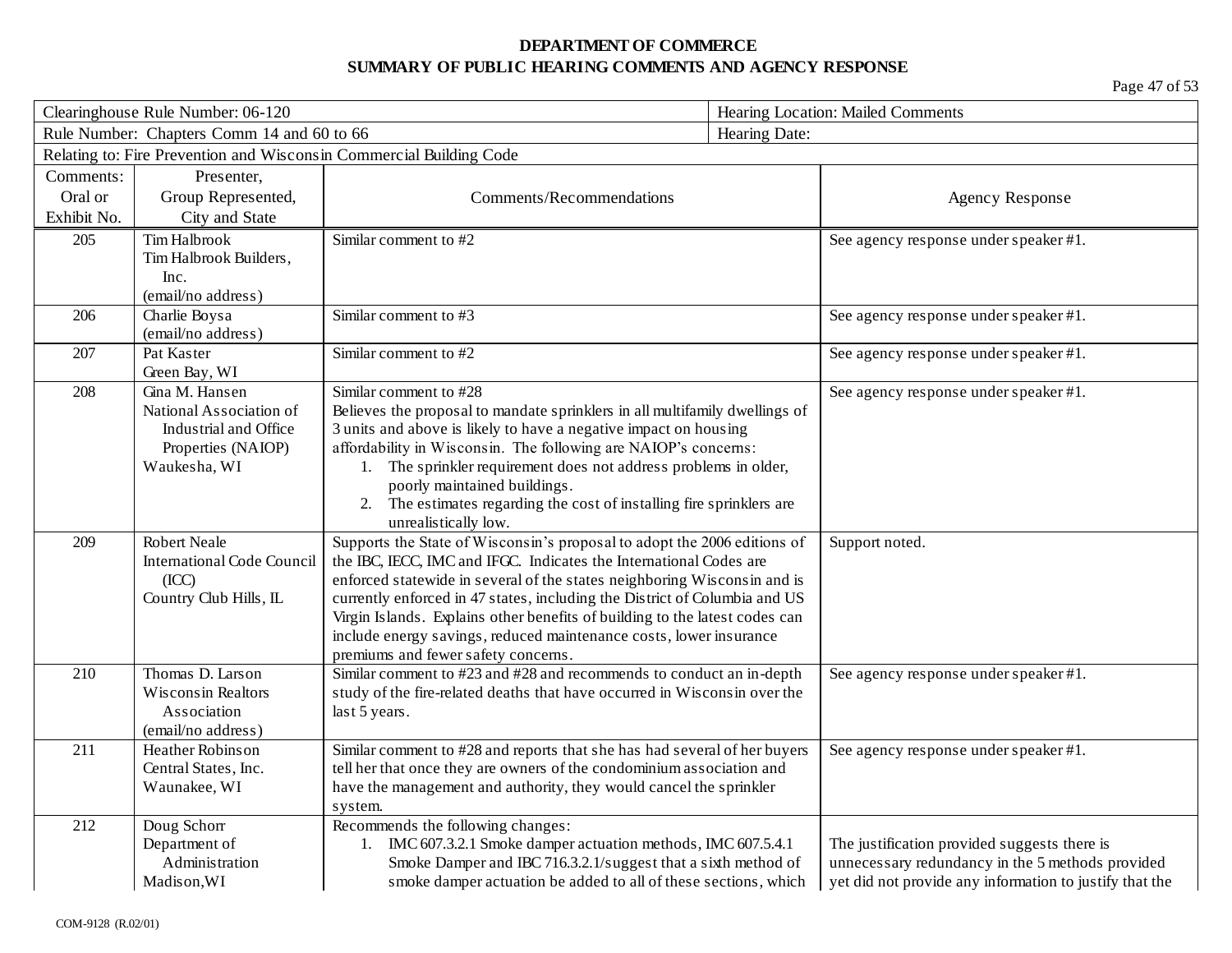| Clearinghouse Rule Number: 06-120 |                                                  | Hearing Location: Mailed Comments                                                                                                   |               |                                                         |
|-----------------------------------|--------------------------------------------------|-------------------------------------------------------------------------------------------------------------------------------------|---------------|---------------------------------------------------------|
|                                   | Rule Number: Chapters Comm 14 and 60 to 66       |                                                                                                                                     | Hearing Date: |                                                         |
|                                   |                                                  | Relating to: Fire Prevention and Wisconsin Commercial Building Code                                                                 |               |                                                         |
| Comments:                         | Presenter,                                       |                                                                                                                                     |               |                                                         |
| Oral or                           | Group Represented,                               | Comments/Recommendations                                                                                                            |               | <b>Agency Response</b>                                  |
| Exhibit No.                       | City and State                                   |                                                                                                                                     |               |                                                         |
| 205                               | <b>Tim Halbrook</b>                              | Similar comment to #2                                                                                                               |               | See agency response under speaker #1.                   |
|                                   | Tim Halbrook Builders,                           |                                                                                                                                     |               |                                                         |
|                                   | Inc.                                             |                                                                                                                                     |               |                                                         |
|                                   | (email/no address)                               |                                                                                                                                     |               |                                                         |
| 206                               | Charlie Boysa                                    | Similar comment to #3                                                                                                               |               | See agency response under speaker #1.                   |
|                                   | (email/no address)                               |                                                                                                                                     |               |                                                         |
| 207                               | Pat Kaster                                       | Similar comment to #2                                                                                                               |               | See agency response under speaker #1.                   |
|                                   | Green Bay, WI                                    |                                                                                                                                     |               |                                                         |
| 208                               | Gina M. Hansen                                   | Similar comment to #28                                                                                                              |               | See agency response under speaker #1.                   |
|                                   | National Association of<br>Industrial and Office | Believes the proposal to mandate sprinklers in all multifamily dwellings of                                                         |               |                                                         |
|                                   | Properties (NAIOP)                               | 3 units and above is likely to have a negative impact on housing<br>affordability in Wisconsin. The following are NAIOP's concerns: |               |                                                         |
|                                   | Waukesha, WI                                     | 1. The sprinkler requirement does not address problems in older,                                                                    |               |                                                         |
|                                   |                                                  | poorly maintained buildings.                                                                                                        |               |                                                         |
|                                   |                                                  | 2. The estimates regarding the cost of installing fire sprinklers are                                                               |               |                                                         |
|                                   |                                                  | unrealistically low.                                                                                                                |               |                                                         |
| 209                               | <b>Robert Neale</b>                              | Supports the State of Wisconsin's proposal to adopt the 2006 editions of                                                            |               | Support noted.                                          |
|                                   | <b>International Code Council</b>                | the IBC, IECC, IMC and IFGC. Indicates the International Codes are                                                                  |               |                                                         |
|                                   | (ICC)                                            | enforced statewide in several of the states neighboring Wisconsin and is                                                            |               |                                                         |
|                                   | Country Club Hills, IL                           | currently enforced in 47 states, including the District of Columbia and US                                                          |               |                                                         |
|                                   |                                                  | Virgin Islands. Explains other benefits of building to the latest codes can                                                         |               |                                                         |
|                                   |                                                  | include energy savings, reduced maintenance costs, lower insurance                                                                  |               |                                                         |
|                                   |                                                  | premiums and fewer safety concerns.                                                                                                 |               |                                                         |
| 210                               | Thomas D. Larson<br>Wisconsin Realtors           | Similar comment to #23 and #28 and recommends to conduct an in-depth                                                                |               | See agency response under speaker #1.                   |
|                                   | Association                                      | study of the fire-related deaths that have occurred in Wisconsin over the<br>last 5 years.                                          |               |                                                         |
|                                   | (email/no address)                               |                                                                                                                                     |               |                                                         |
| 211                               | Heather Robinson                                 | Similar comment to #28 and reports that she has had several of her buyers                                                           |               | See agency response under speaker #1.                   |
|                                   | Central States, Inc.                             | tell her that once they are owners of the condominium association and                                                               |               |                                                         |
|                                   | Waunakee, WI                                     | have the management and authority, they would cancel the sprinkler                                                                  |               |                                                         |
|                                   |                                                  | system.                                                                                                                             |               |                                                         |
| 212                               | Doug Schorr                                      | Recommends the following changes:                                                                                                   |               |                                                         |
|                                   | Department of                                    | 1. IMC 607.3.2.1 Smoke damper actuation methods, IMC 607.5.4.1                                                                      |               | The justification provided suggests there is            |
|                                   | <b>Administration</b>                            | Smoke Damper and IBC 716.3.2.1/suggest that a sixth method of                                                                       |               | unnecessary redundancy in the 5 methods provided        |
|                                   | Madison, WI                                      | smoke damper actuation be added to all of these sections, which                                                                     |               | yet did not provide any information to justify that the |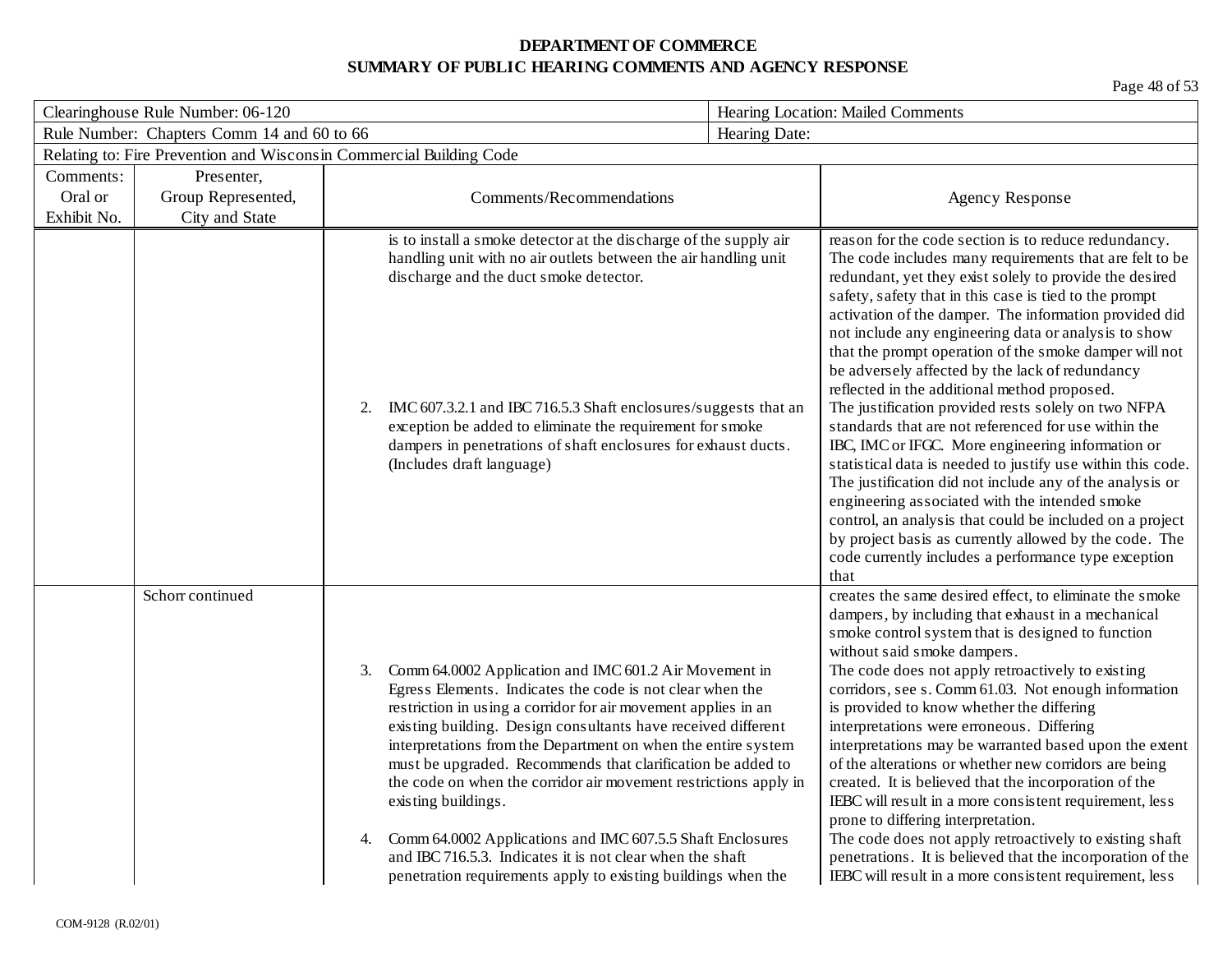| Clearinghouse Rule Number: 06-120 |                                            |                                                                           |                                                                                                                                                                                                                                                                                                                                                                                                                                                                                                                                                                                                                                                        | Hearing Location: Mailed Comments                                                                                                                                                                                                                                                                                                                                                                                                                                                                                                                                                                                                                                                                                                                                                                                                                                                                                                                                                                                                                          |  |
|-----------------------------------|--------------------------------------------|---------------------------------------------------------------------------|--------------------------------------------------------------------------------------------------------------------------------------------------------------------------------------------------------------------------------------------------------------------------------------------------------------------------------------------------------------------------------------------------------------------------------------------------------------------------------------------------------------------------------------------------------------------------------------------------------------------------------------------------------|------------------------------------------------------------------------------------------------------------------------------------------------------------------------------------------------------------------------------------------------------------------------------------------------------------------------------------------------------------------------------------------------------------------------------------------------------------------------------------------------------------------------------------------------------------------------------------------------------------------------------------------------------------------------------------------------------------------------------------------------------------------------------------------------------------------------------------------------------------------------------------------------------------------------------------------------------------------------------------------------------------------------------------------------------------|--|
|                                   | Rule Number: Chapters Comm 14 and 60 to 66 |                                                                           | Hearing Date:                                                                                                                                                                                                                                                                                                                                                                                                                                                                                                                                                                                                                                          |                                                                                                                                                                                                                                                                                                                                                                                                                                                                                                                                                                                                                                                                                                                                                                                                                                                                                                                                                                                                                                                            |  |
|                                   |                                            | Relating to: Fire Prevention and Wisconsin Commercial Building Code       |                                                                                                                                                                                                                                                                                                                                                                                                                                                                                                                                                                                                                                                        |                                                                                                                                                                                                                                                                                                                                                                                                                                                                                                                                                                                                                                                                                                                                                                                                                                                                                                                                                                                                                                                            |  |
| Comments:                         | Presenter,                                 |                                                                           |                                                                                                                                                                                                                                                                                                                                                                                                                                                                                                                                                                                                                                                        |                                                                                                                                                                                                                                                                                                                                                                                                                                                                                                                                                                                                                                                                                                                                                                                                                                                                                                                                                                                                                                                            |  |
| Oral or                           | Group Represented,                         |                                                                           | Comments/Recommendations                                                                                                                                                                                                                                                                                                                                                                                                                                                                                                                                                                                                                               | <b>Agency Response</b>                                                                                                                                                                                                                                                                                                                                                                                                                                                                                                                                                                                                                                                                                                                                                                                                                                                                                                                                                                                                                                     |  |
| Exhibit No.                       | City and State                             |                                                                           |                                                                                                                                                                                                                                                                                                                                                                                                                                                                                                                                                                                                                                                        |                                                                                                                                                                                                                                                                                                                                                                                                                                                                                                                                                                                                                                                                                                                                                                                                                                                                                                                                                                                                                                                            |  |
|                                   |                                            | discharge and the duct smoke detector.<br>2.<br>(Includes draft language) | is to install a smoke detector at the discharge of the supply air<br>handling unit with no air outlets between the air handling unit<br>IMC 607.3.2.1 and IBC 716.5.3 Shaft enclosures/suggests that an<br>exception be added to eliminate the requirement for smoke<br>dampers in penetrations of shaft enclosures for exhaust ducts.                                                                                                                                                                                                                                                                                                                 | reason for the code section is to reduce redundancy.<br>The code includes many requirements that are felt to be<br>redundant, yet they exist solely to provide the desired<br>safety, safety that in this case is tied to the prompt<br>activation of the damper. The information provided did<br>not include any engineering data or analysis to show<br>that the prompt operation of the smoke damper will not<br>be adversely affected by the lack of redundancy<br>reflected in the additional method proposed.<br>The justification provided rests solely on two NFPA<br>standards that are not referenced for use within the<br>IBC, IMC or IFGC. More engineering information or<br>statistical data is needed to justify use within this code.<br>The justification did not include any of the analysis or<br>engineering associated with the intended smoke<br>control, an analysis that could be included on a project<br>by project basis as currently allowed by the code. The<br>code currently includes a performance type exception<br>that |  |
|                                   | Schorr continued                           | 3.<br>existing buildings.<br>4.                                           | Comm 64.0002 Application and IMC 601.2 Air Movement in<br>Egress Elements. Indicates the code is not clear when the<br>restriction in using a corridor for air movement applies in an<br>existing building. Design consultants have received different<br>interpretations from the Department on when the entire system<br>must be upgraded. Recommends that clarification be added to<br>the code on when the corridor air movement restrictions apply in<br>Comm 64.0002 Applications and IMC 607.5.5 Shaft Enclosures<br>and IBC 716.5.3. Indicates it is not clear when the shaft<br>penetration requirements apply to existing buildings when the | creates the same desired effect, to eliminate the smoke<br>dampers, by including that exhaust in a mechanical<br>smoke control system that is designed to function<br>without said smoke dampers.<br>The code does not apply retroactively to existing<br>corridors, see s. Comm 61.03. Not enough information<br>is provided to know whether the differing<br>interpretations were erroneous. Differing<br>interpretations may be warranted based upon the extent<br>of the alterations or whether new corridors are being<br>created. It is believed that the incorporation of the<br>IEBC will result in a more consistent requirement, less<br>prone to differing interpretation.<br>The code does not apply retroactively to existing shaft<br>penetrations. It is believed that the incorporation of the<br>IEBC will result in a more consistent requirement, less                                                                                                                                                                                  |  |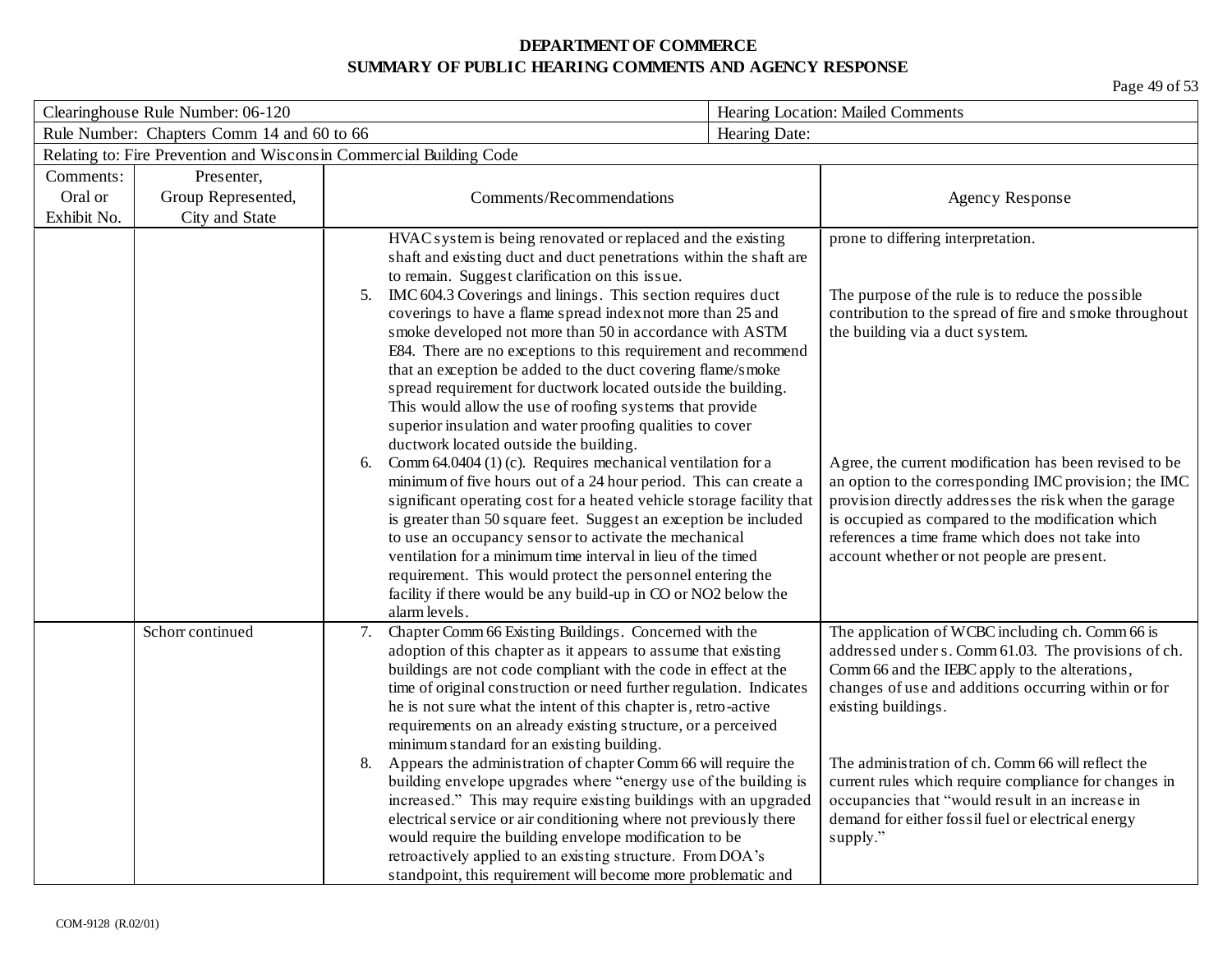| Clearinghouse Rule Number: 06-120          |                    |                                                                                                                                                                                                                                                                                                                                                                                                                                                                                                                                                                                                                                                                                                                 |                                                                                                                                                                                                                                                                                 | Hearing Location: Mailed Comments                                                                                                                                                                                                                                                                                                                                                                                                                                              |  |
|--------------------------------------------|--------------------|-----------------------------------------------------------------------------------------------------------------------------------------------------------------------------------------------------------------------------------------------------------------------------------------------------------------------------------------------------------------------------------------------------------------------------------------------------------------------------------------------------------------------------------------------------------------------------------------------------------------------------------------------------------------------------------------------------------------|---------------------------------------------------------------------------------------------------------------------------------------------------------------------------------------------------------------------------------------------------------------------------------|--------------------------------------------------------------------------------------------------------------------------------------------------------------------------------------------------------------------------------------------------------------------------------------------------------------------------------------------------------------------------------------------------------------------------------------------------------------------------------|--|
| Rule Number: Chapters Comm 14 and 60 to 66 |                    |                                                                                                                                                                                                                                                                                                                                                                                                                                                                                                                                                                                                                                                                                                                 | Hearing Date:                                                                                                                                                                                                                                                                   |                                                                                                                                                                                                                                                                                                                                                                                                                                                                                |  |
|                                            |                    | Relating to: Fire Prevention and Wisconsin Commercial Building Code                                                                                                                                                                                                                                                                                                                                                                                                                                                                                                                                                                                                                                             |                                                                                                                                                                                                                                                                                 |                                                                                                                                                                                                                                                                                                                                                                                                                                                                                |  |
| Comments:                                  | Presenter,         |                                                                                                                                                                                                                                                                                                                                                                                                                                                                                                                                                                                                                                                                                                                 |                                                                                                                                                                                                                                                                                 |                                                                                                                                                                                                                                                                                                                                                                                                                                                                                |  |
| Oral or                                    | Group Represented, | Comments/Recommendations                                                                                                                                                                                                                                                                                                                                                                                                                                                                                                                                                                                                                                                                                        |                                                                                                                                                                                                                                                                                 | <b>Agency Response</b>                                                                                                                                                                                                                                                                                                                                                                                                                                                         |  |
| Exhibit No.                                | City and State     |                                                                                                                                                                                                                                                                                                                                                                                                                                                                                                                                                                                                                                                                                                                 |                                                                                                                                                                                                                                                                                 |                                                                                                                                                                                                                                                                                                                                                                                                                                                                                |  |
|                                            |                    | HVAC system is being renovated or replaced and the existing<br>shaft and existing duct and duct penetrations within the shaft are<br>to remain. Suggest clarification on this issue.<br>IMC 604.3 Coverings and linings. This section requires duct<br>5.<br>coverings to have a flame spread index not more than 25 and<br>smoke developed not more than 50 in accordance with ASTM<br>E84. There are no exceptions to this requirement and recommend<br>that an exception be added to the duct covering flame/smoke<br>spread requirement for ductwork located outside the building.<br>This would allow the use of roofing systems that provide<br>superior insulation and water proofing qualities to cover |                                                                                                                                                                                                                                                                                 | prone to differing interpretation.<br>The purpose of the rule is to reduce the possible<br>contribution to the spread of fire and smoke throughout<br>the building via a duct system.                                                                                                                                                                                                                                                                                          |  |
|                                            |                    | ductwork located outside the building.<br>Comm 64.0404 (1) (c). Requires mechanical ventilation for a<br>6.<br>to use an occupancy sensor to activate the mechanical<br>ventilation for a minimum time interval in lieu of the timed<br>requirement. This would protect the personnel entering the<br>facility if there would be any build-up in CO or NO2 below the<br>alarm levels.                                                                                                                                                                                                                                                                                                                           | minimum of five hours out of a 24 hour period. This can create a<br>significant operating cost for a heated vehicle storage facility that<br>is greater than 50 square feet. Suggest an exception be included                                                                   | Agree, the current modification has been revised to be<br>an option to the corresponding IMC provision; the IMC<br>provision directly addresses the risk when the garage<br>is occupied as compared to the modification which<br>references a time frame which does not take into<br>account whether or not people are present.                                                                                                                                                |  |
|                                            | Schorr continued   | 7.<br>Chapter Comm 66 Existing Buildings. Concerned with the<br>adoption of this chapter as it appears to assume that existing<br>buildings are not code compliant with the code in effect at the<br>he is not sure what the intent of this chapter is, retro-active<br>requirements on an already existing structure, or a perceived<br>minimum standard for an existing building.<br>Appears the administration of chapter Comm 66 will require the<br>8.<br>would require the building envelope modification to be<br>retroactively applied to an existing structure. From DOA's<br>standpoint, this requirement will become more problematic and                                                            | time of original construction or need further regulation. Indicates<br>building envelope upgrades where "energy use of the building is<br>increased." This may require existing buildings with an upgraded<br>electrical service or air conditioning where not previously there | The application of WCBC including ch. Comm 66 is<br>addressed under s. Comm 61.03. The provisions of ch.<br>Comm 66 and the IEBC apply to the alterations,<br>changes of use and additions occurring within or for<br>existing buildings.<br>The administration of ch. Comm 66 will reflect the<br>current rules which require compliance for changes in<br>occupancies that "would result in an increase in<br>demand for either fossil fuel or electrical energy<br>supply." |  |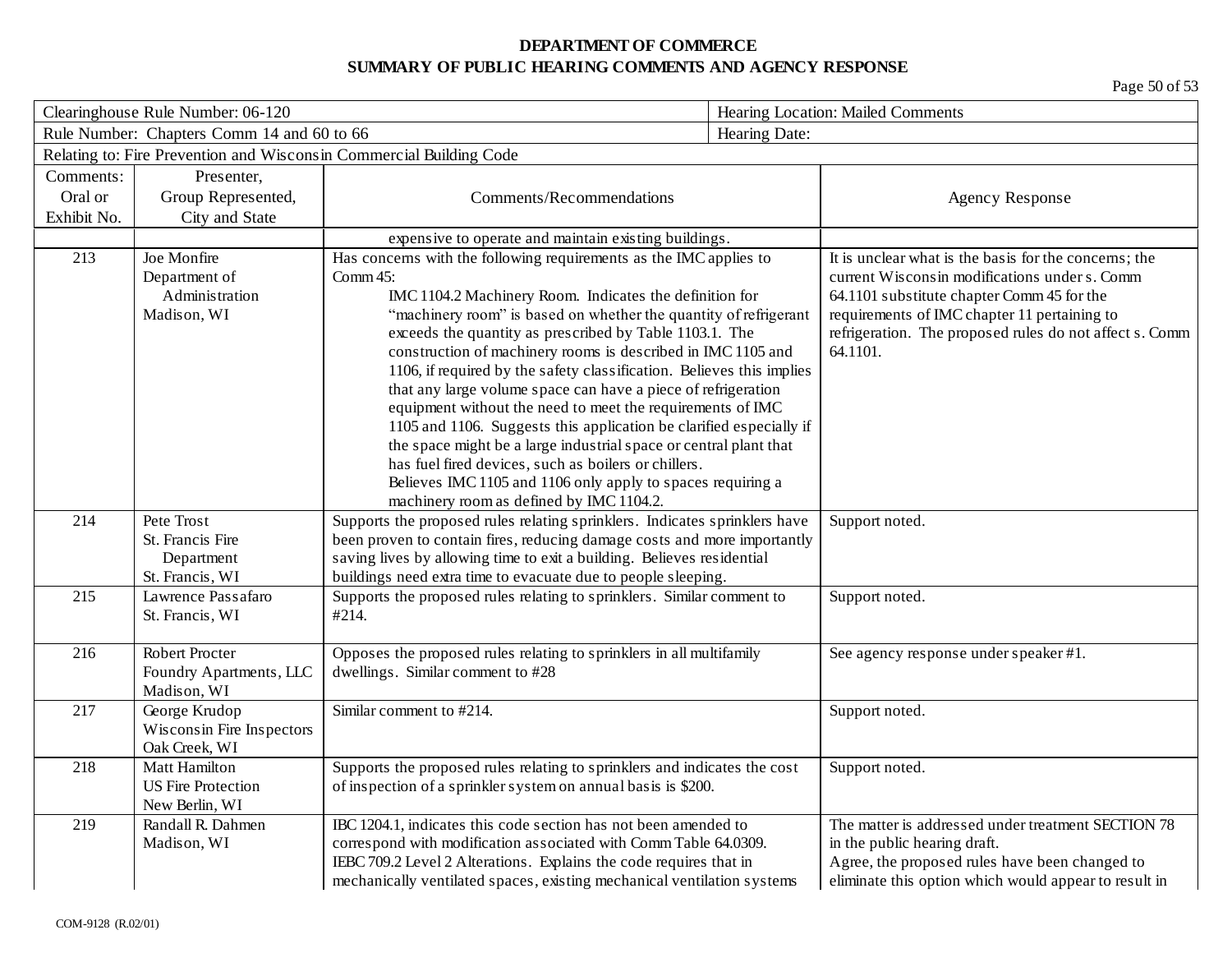| Clearinghouse Rule Number: 06-120          |                           |                                                                                                                                        |               | Hearing Location: Mailed Comments                       |  |
|--------------------------------------------|---------------------------|----------------------------------------------------------------------------------------------------------------------------------------|---------------|---------------------------------------------------------|--|
| Rule Number: Chapters Comm 14 and 60 to 66 |                           |                                                                                                                                        | Hearing Date: |                                                         |  |
|                                            |                           | Relating to: Fire Prevention and Wisconsin Commercial Building Code                                                                    |               |                                                         |  |
| Comments:                                  | Presenter,                |                                                                                                                                        |               |                                                         |  |
| Oral or                                    | Group Represented,        | Comments/Recommendations                                                                                                               |               | <b>Agency Response</b>                                  |  |
| Exhibit No.                                | City and State            |                                                                                                                                        |               |                                                         |  |
|                                            |                           | expensive to operate and maintain existing buildings.                                                                                  |               |                                                         |  |
| 213                                        | Joe Monfire               | Has concerns with the following requirements as the IMC applies to                                                                     |               | It is unclear what is the basis for the concerns; the   |  |
|                                            | Department of             | Comm $45$ :                                                                                                                            |               | current Wisconsin modifications under s. Comm           |  |
|                                            | Administration            | IMC 1104.2 Machinery Room. Indicates the definition for                                                                                |               | 64.1101 substitute chapter Comm 45 for the              |  |
|                                            | Madison, WI               | "machinery room" is based on whether the quantity of refrigerant                                                                       |               | requirements of IMC chapter 11 pertaining to            |  |
|                                            |                           | exceeds the quantity as prescribed by Table 1103.1. The                                                                                |               | refrigeration. The proposed rules do not affect s. Comm |  |
|                                            |                           | construction of machinery rooms is described in IMC 1105 and                                                                           |               | 64.1101.                                                |  |
|                                            |                           | 1106, if required by the safety classification. Believes this implies<br>that any large volume space can have a piece of refrigeration |               |                                                         |  |
|                                            |                           | equipment without the need to meet the requirements of IMC                                                                             |               |                                                         |  |
|                                            |                           | 1105 and 1106. Suggests this application be clarified especially if                                                                    |               |                                                         |  |
|                                            |                           | the space might be a large industrial space or central plant that                                                                      |               |                                                         |  |
|                                            |                           | has fuel fired devices, such as boilers or chillers.                                                                                   |               |                                                         |  |
|                                            |                           | Believes IMC 1105 and 1106 only apply to spaces requiring a                                                                            |               |                                                         |  |
|                                            |                           | machinery room as defined by IMC 1104.2.                                                                                               |               |                                                         |  |
| 214                                        | Pete Trost                | Supports the proposed rules relating sprinklers. Indicates sprinklers have                                                             |               | Support noted.                                          |  |
|                                            | St. Francis Fire          | been proven to contain fires, reducing damage costs and more importantly                                                               |               |                                                         |  |
|                                            | Department                | saving lives by allowing time to exit a building. Believes residential                                                                 |               |                                                         |  |
|                                            | St. Francis, WI           | buildings need extra time to evacuate due to people sleeping.                                                                          |               |                                                         |  |
| 215                                        | Lawrence Passafaro        | Supports the proposed rules relating to sprinklers. Similar comment to                                                                 |               | Support noted.                                          |  |
|                                            | St. Francis, WI           | #214.                                                                                                                                  |               |                                                         |  |
| 216                                        | Robert Procter            | Opposes the proposed rules relating to sprinklers in all multifamily                                                                   |               | See agency response under speaker #1.                   |  |
|                                            | Foundry Apartments, LLC   | dwellings. Similar comment to #28                                                                                                      |               |                                                         |  |
|                                            | Madison, WI               |                                                                                                                                        |               |                                                         |  |
| 217                                        | George Krudop             | Similar comment to #214.                                                                                                               |               | Support noted.                                          |  |
|                                            | Wisconsin Fire Inspectors |                                                                                                                                        |               |                                                         |  |
|                                            | Oak Creek, WI             |                                                                                                                                        |               |                                                         |  |
| 218                                        | Matt Hamilton             | Supports the proposed rules relating to sprinklers and indicates the cost                                                              |               | Support noted.                                          |  |
|                                            | <b>US Fire Protection</b> | of inspection of a sprinkler system on annual basis is \$200.                                                                          |               |                                                         |  |
|                                            | New Berlin, WI            |                                                                                                                                        |               |                                                         |  |
| 219                                        | Randall R. Dahmen         | IBC 1204.1, indicates this code section has not been amended to                                                                        |               | The matter is addressed under treatment SECTION 78      |  |
|                                            | Madison, WI               | correspond with modification associated with Comm Table 64.0309.                                                                       |               | in the public hearing draft.                            |  |
|                                            |                           | IEBC 709.2 Level 2 Alterations. Explains the code requires that in                                                                     |               | Agree, the proposed rules have been changed to          |  |
|                                            |                           | mechanically ventilated spaces, existing mechanical ventilation systems                                                                |               | eliminate this option which would appear to result in   |  |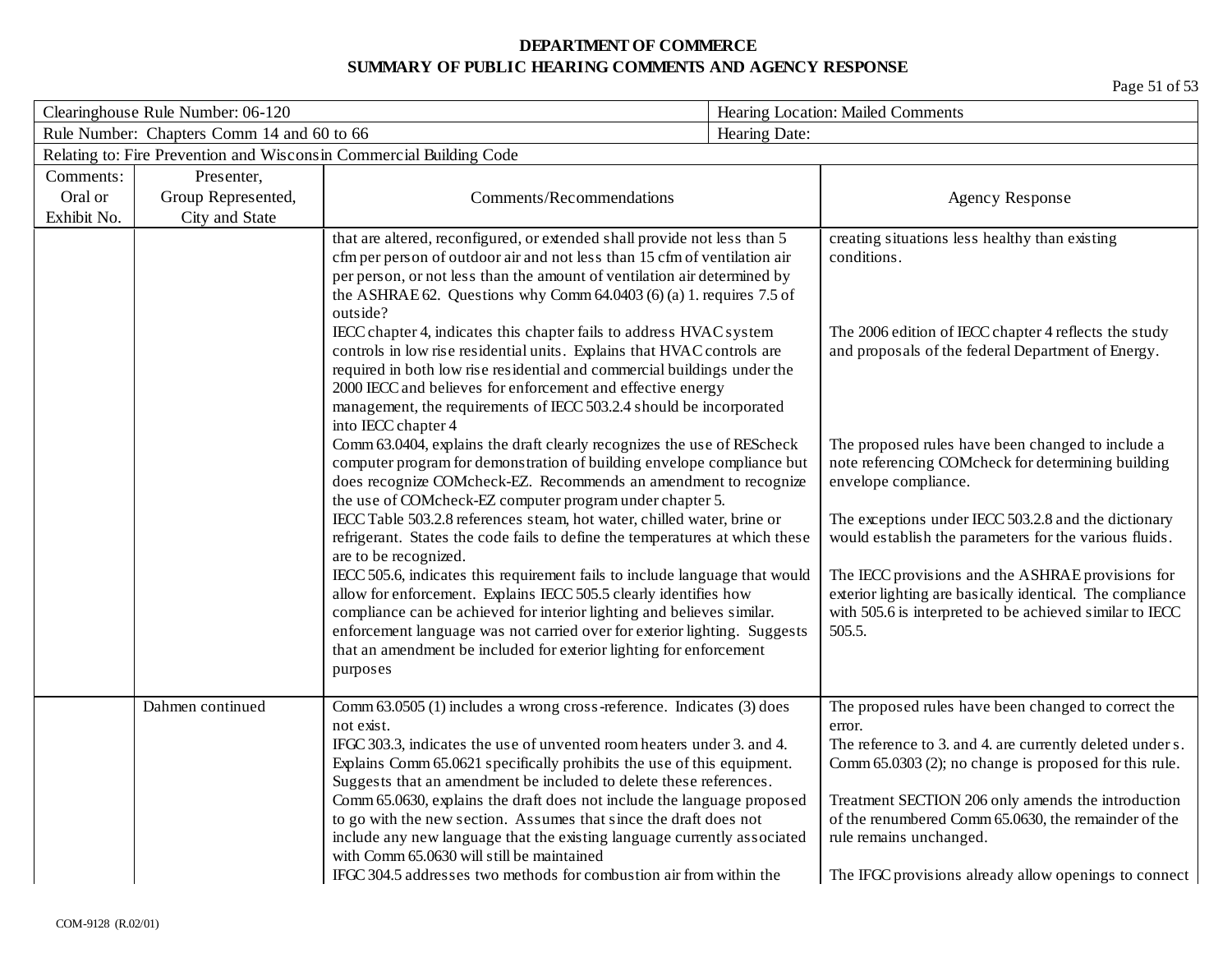| Clearinghouse Rule Number: 06-120          |                    |                                                                                                                                                                                                                                                                                                                                                                                                                                                                                                                                                                                                                                                                 | Hearing Location: Mailed Comments |                                                                                                                                                                                                                                                                                                                                                                                        |
|--------------------------------------------|--------------------|-----------------------------------------------------------------------------------------------------------------------------------------------------------------------------------------------------------------------------------------------------------------------------------------------------------------------------------------------------------------------------------------------------------------------------------------------------------------------------------------------------------------------------------------------------------------------------------------------------------------------------------------------------------------|-----------------------------------|----------------------------------------------------------------------------------------------------------------------------------------------------------------------------------------------------------------------------------------------------------------------------------------------------------------------------------------------------------------------------------------|
| Rule Number: Chapters Comm 14 and 60 to 66 |                    |                                                                                                                                                                                                                                                                                                                                                                                                                                                                                                                                                                                                                                                                 | Hearing Date:                     |                                                                                                                                                                                                                                                                                                                                                                                        |
|                                            |                    | Relating to: Fire Prevention and Wisconsin Commercial Building Code                                                                                                                                                                                                                                                                                                                                                                                                                                                                                                                                                                                             |                                   |                                                                                                                                                                                                                                                                                                                                                                                        |
| Comments:                                  | Presenter,         |                                                                                                                                                                                                                                                                                                                                                                                                                                                                                                                                                                                                                                                                 |                                   |                                                                                                                                                                                                                                                                                                                                                                                        |
| Oral or                                    | Group Represented, | Comments/Recommendations                                                                                                                                                                                                                                                                                                                                                                                                                                                                                                                                                                                                                                        |                                   | <b>Agency Response</b>                                                                                                                                                                                                                                                                                                                                                                 |
| Exhibit No.                                | City and State     |                                                                                                                                                                                                                                                                                                                                                                                                                                                                                                                                                                                                                                                                 |                                   |                                                                                                                                                                                                                                                                                                                                                                                        |
|                                            |                    | that are altered, reconfigured, or extended shall provide not less than 5<br>cfm per person of outdoor air and not less than 15 cfm of ventilation air<br>per person, or not less than the amount of ventilation air determined by                                                                                                                                                                                                                                                                                                                                                                                                                              |                                   | creating situations less healthy than existing<br>conditions.                                                                                                                                                                                                                                                                                                                          |
|                                            |                    | the ASHRAE 62. Questions why Comm $64.0403$ (6) (a) 1. requires 7.5 of<br>outside?<br>IECC chapter 4, indicates this chapter fails to address HVAC system<br>controls in low rise residential units. Explains that HVAC controls are<br>required in both low rise residential and commercial buildings under the<br>2000 IECC and believes for enforcement and effective energy<br>management, the requirements of IECC 503.2.4 should be incorporated                                                                                                                                                                                                          |                                   | The 2006 edition of IECC chapter 4 reflects the study<br>and proposals of the federal Department of Energy.                                                                                                                                                                                                                                                                            |
|                                            |                    | into IECC chapter 4<br>Comm 63.0404, explains the draft clearly recognizes the use of REScheck<br>computer program for demonstration of building envelope compliance but<br>does recognize COMcheck-EZ. Recommends an amendment to recognize<br>the use of COMcheck-EZ computer program under chapter 5.                                                                                                                                                                                                                                                                                                                                                        |                                   | The proposed rules have been changed to include a<br>note referencing COMcheck for determining building<br>envelope compliance.                                                                                                                                                                                                                                                        |
|                                            |                    | IECC Table 503.2.8 references steam, hot water, chilled water, brine or<br>refrigerant. States the code fails to define the temperatures at which these<br>are to be recognized.                                                                                                                                                                                                                                                                                                                                                                                                                                                                                |                                   | The exceptions under IECC 503.2.8 and the dictionary<br>would establish the parameters for the various fluids.                                                                                                                                                                                                                                                                         |
|                                            |                    | IECC 505.6, indicates this requirement fails to include language that would<br>allow for enforcement. Explains IECC 505.5 clearly identifies how<br>compliance can be achieved for interior lighting and believes similar.<br>enforcement language was not carried over for exterior lighting. Suggests<br>that an amendment be included for exterior lighting for enforcement<br>purposes                                                                                                                                                                                                                                                                      |                                   | The IECC provisions and the ASHRAE provisions for<br>exterior lighting are basically identical. The compliance<br>with 505.6 is interpreted to be achieved similar to IECC<br>505.5.                                                                                                                                                                                                   |
|                                            | Dahmen continued   | Comm 63.0505 (1) includes a wrong cross-reference. Indicates (3) does<br>not exist.<br>IFGC 303.3, indicates the use of unvented room heaters under 3. and 4.<br>Explains Comm 65.0621 specifically prohibits the use of this equipment.<br>Suggests that an amendment be included to delete these references.<br>Comm 65.0630, explains the draft does not include the language proposed<br>to go with the new section. Assumes that since the draft does not<br>include any new language that the existing language currently associated<br>with Comm 65.0630 will still be maintained<br>IFGC 304.5 addresses two methods for combustion air from within the |                                   | The proposed rules have been changed to correct the<br>error.<br>The reference to 3. and 4. are currently deleted under s.<br>Comm 65.0303 (2); no change is proposed for this rule.<br>Treatment SECTION 206 only amends the introduction<br>of the renumbered Comm 65.0630, the remainder of the<br>rule remains unchanged.<br>The IFGC provisions already allow openings to connect |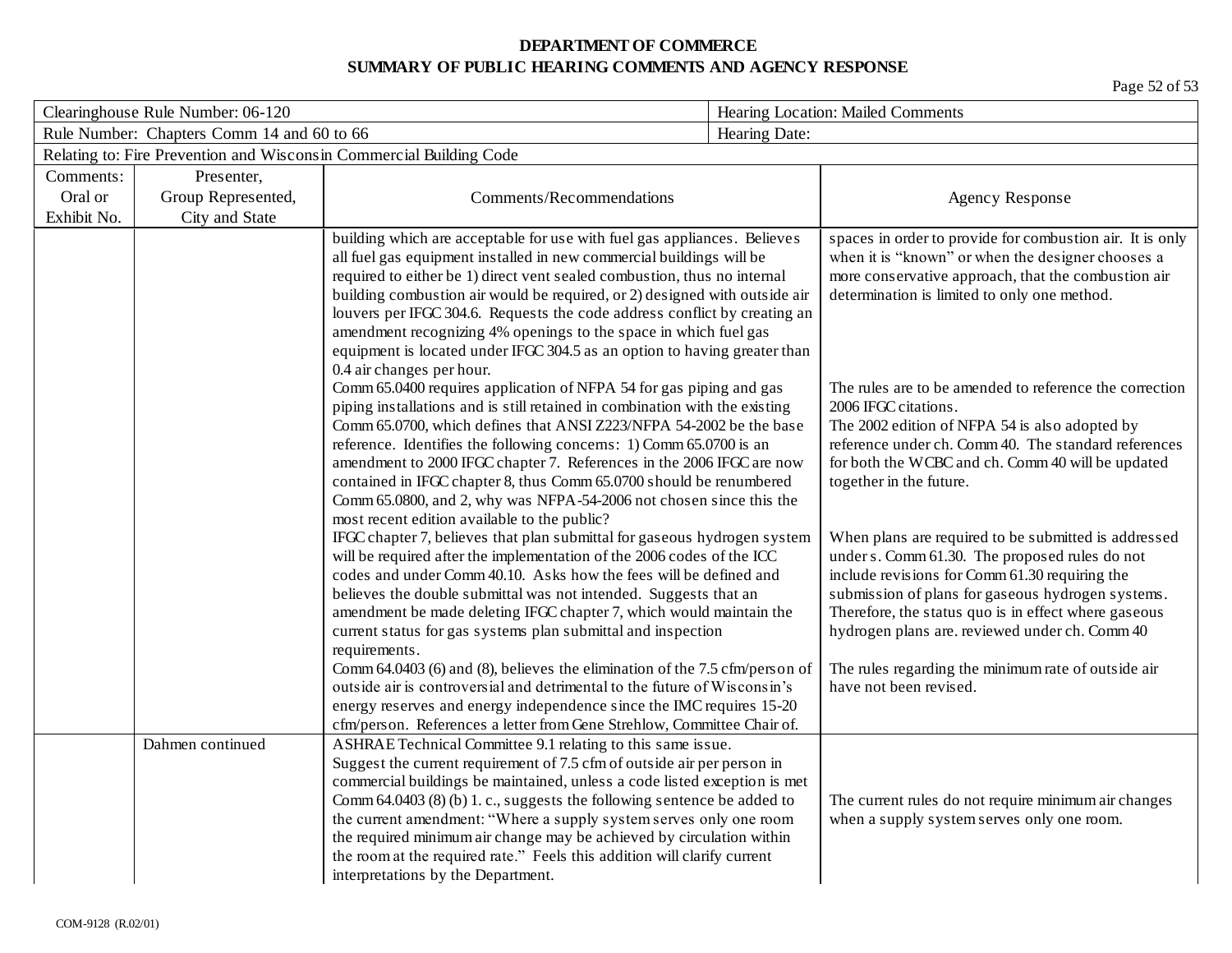| Clearinghouse Rule Number: 06-120          |                                                                     |                                                                                                                                                                                                                                                                                                                                                                                                                                                                                                                                                                                                                                                                                                                                                                    | Hearing Location: Mailed Comments |                                                                                                                                                                                                                                                                                                                                                                                                          |  |  |
|--------------------------------------------|---------------------------------------------------------------------|--------------------------------------------------------------------------------------------------------------------------------------------------------------------------------------------------------------------------------------------------------------------------------------------------------------------------------------------------------------------------------------------------------------------------------------------------------------------------------------------------------------------------------------------------------------------------------------------------------------------------------------------------------------------------------------------------------------------------------------------------------------------|-----------------------------------|----------------------------------------------------------------------------------------------------------------------------------------------------------------------------------------------------------------------------------------------------------------------------------------------------------------------------------------------------------------------------------------------------------|--|--|
| Rule Number: Chapters Comm 14 and 60 to 66 |                                                                     |                                                                                                                                                                                                                                                                                                                                                                                                                                                                                                                                                                                                                                                                                                                                                                    | Hearing Date:                     |                                                                                                                                                                                                                                                                                                                                                                                                          |  |  |
|                                            | Relating to: Fire Prevention and Wisconsin Commercial Building Code |                                                                                                                                                                                                                                                                                                                                                                                                                                                                                                                                                                                                                                                                                                                                                                    |                                   |                                                                                                                                                                                                                                                                                                                                                                                                          |  |  |
| Comments:                                  | Presenter,                                                          |                                                                                                                                                                                                                                                                                                                                                                                                                                                                                                                                                                                                                                                                                                                                                                    |                                   |                                                                                                                                                                                                                                                                                                                                                                                                          |  |  |
| Oral or                                    | Group Represented,                                                  | Comments/Recommendations                                                                                                                                                                                                                                                                                                                                                                                                                                                                                                                                                                                                                                                                                                                                           |                                   | <b>Agency Response</b>                                                                                                                                                                                                                                                                                                                                                                                   |  |  |
| Exhibit No.                                | City and State                                                      |                                                                                                                                                                                                                                                                                                                                                                                                                                                                                                                                                                                                                                                                                                                                                                    |                                   |                                                                                                                                                                                                                                                                                                                                                                                                          |  |  |
|                                            |                                                                     | building which are acceptable for use with fuel gas appliances. Believes<br>all fuel gas equipment installed in new commercial buildings will be<br>required to either be 1) direct vent sealed combustion, thus no internal<br>building combustion air would be required, or 2) designed with outside air<br>louvers per IFGC 304.6. Requests the code address conflict by creating an<br>amendment recognizing 4% openings to the space in which fuel gas<br>equipment is located under IFGC 304.5 as an option to having greater than                                                                                                                                                                                                                           |                                   | spaces in order to provide for combustion air. It is only<br>when it is "known" or when the designer chooses a<br>more conservative approach, that the combustion air<br>determination is limited to only one method.                                                                                                                                                                                    |  |  |
|                                            |                                                                     | 0.4 air changes per hour.<br>Comm 65.0400 requires application of NFPA 54 for gas piping and gas<br>piping installations and is still retained in combination with the existing<br>Comm 65.0700, which defines that ANSI Z223/NFPA 54-2002 be the base<br>reference. Identifies the following concerns: 1) Comm 65.0700 is an<br>amendment to 2000 IFGC chapter 7. References in the 2006 IFGC are now<br>contained in IFGC chapter 8, thus Comm 65.0700 should be renumbered<br>Comm 65.0800, and 2, why was NFPA-54-2006 not chosen since this the<br>most recent edition available to the public?                                                                                                                                                               |                                   | The rules are to be amended to reference the correction<br>2006 IFGC citations.<br>The 2002 edition of NFPA 54 is also adopted by<br>reference under ch. Comm 40. The standard references<br>for both the WCBC and ch. Comm 40 will be updated<br>together in the future.                                                                                                                                |  |  |
|                                            |                                                                     | IFGC chapter 7, believes that plan submittal for gaseous hydrogen system<br>will be required after the implementation of the 2006 codes of the ICC<br>codes and under Comm 40.10. Asks how the fees will be defined and<br>believes the double submittal was not intended. Suggests that an<br>amendment be made deleting IFGC chapter 7, which would maintain the<br>current status for gas systems plan submittal and inspection<br>requirements.<br>Comm 64.0403 (6) and (8), believes the elimination of the 7.5 cfm/person of<br>outside air is controversial and detrimental to the future of Wisconsin's<br>energy reserves and energy independence since the IMC requires 15-20<br>cfm/person. References a letter from Gene Strehlow, Committee Chair of. |                                   | When plans are required to be submitted is addressed<br>under s. Comm 61.30. The proposed rules do not<br>include revisions for Comm 61.30 requiring the<br>submission of plans for gaseous hydrogen systems.<br>Therefore, the status quo is in effect where gaseous<br>hydrogen plans are. reviewed under ch. Comm 40<br>The rules regarding the minimum rate of outside air<br>have not been revised. |  |  |
|                                            | Dahmen continued                                                    | ASHRAE Technical Committee 9.1 relating to this same issue.<br>Suggest the current requirement of 7.5 cfm of outside air per person in<br>commercial buildings be maintained, unless a code listed exception is met<br>Comm $64.0403$ (8) (b) 1. c., suggests the following sentence be added to<br>the current amendment: "Where a supply system serves only one room<br>the required minimum air change may be achieved by circulation within<br>the room at the required rate." Feels this addition will clarify current<br>interpretations by the Department.                                                                                                                                                                                                  |                                   | The current rules do not require minimum air changes<br>when a supply system serves only one room.                                                                                                                                                                                                                                                                                                       |  |  |